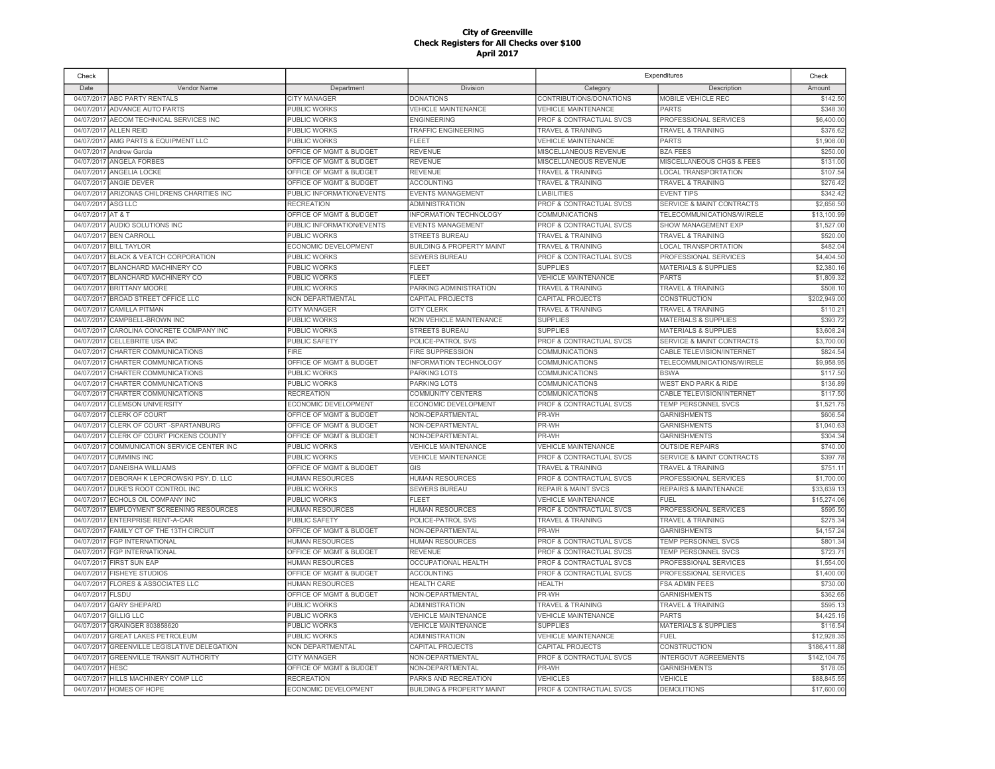| Check                    |                                       |                           |                                                   |                                    | Expenditures                         | Check        |
|--------------------------|---------------------------------------|---------------------------|---------------------------------------------------|------------------------------------|--------------------------------------|--------------|
| Date                     | Vendor Name                           | Department                | Division                                          | Category                           | Description                          | Amount       |
| 04/07/2017               | ABC PARTY RENTALS                     | <b>CITY MANAGER</b>       | <b>DONATIONS</b>                                  | CONTRIBUTIONS/DONATIONS            | <b>MOBILE VEHICLE REC</b>            | \$142.50     |
| 04/07/2017               | ADVANCE AUTO PARTS                    | PUBLIC WORKS              | <b>VEHICLE MAINTENANCE</b>                        | <b>VEHICLE MAINTENANCE</b>         | <b>PARTS</b>                         | \$348.30     |
| 04/07/2017               | AECOM TECHNICAL SERVICES INC          | <b>PUBLIC WORKS</b>       | <b>ENGINEERING</b>                                | PROF & CONTRACTUAL SVCS            | PROFESSIONAL SERVICES                | \$6,400.00   |
| 04/07/2017               | ALLEN REID                            | PUBLIC WORKS              | TRAFFIC ENGINEERING                               | TRAVEL & TRAINING                  | <b>TRAVEL &amp; TRAINING</b>         | \$376.62     |
| 04/07/2017               | AMG PARTS & EQUIPMENT LLC             | PUBLIC WORKS              | <b>FLEET</b>                                      | <b>VEHICLE MAINTENANCE</b>         | <b>PARTS</b>                         | \$1,908.00   |
| 04/07/2017               | Andrew Garcia                         | OFFICE OF MGMT & BUDGET   | <b>REVENUE</b>                                    | MISCELLANEOUS REVENUE              | <b>BZA FEES</b>                      | \$250.00     |
| 04/07/2017               | <b>ANGELA FORBES</b>                  | OFFICE OF MGMT & BUDGET   | <b>REVENUE</b>                                    | MISCELLANEOUS REVENUE              | <b>MISCELLANEOUS CHGS &amp; FEES</b> | \$131.00     |
| 04/07/2017               | ANGELIA LOCKE                         | OFFICE OF MGMT & BUDGET   | <b>REVENUE</b>                                    | <b>TRAVEL &amp; TRAINING</b>       | <b>LOCAL TRANSPORTATION</b>          | \$107.54     |
| 04/07/2017               | <b>ANGIE DEVER</b>                    | OFFICE OF MGMT & BUDGET   | <b>ACCOUNTING</b>                                 | TRAVEL & TRAINING                  | <b>TRAVEL &amp; TRAINING</b>         | \$276.42     |
| 04/07/2017               | ARIZONAS CHILDRENS CHARITIES INC      | PUBLIC INFORMATION/EVENTS | <b>EVENTS MANAGEMENT</b>                          | <b>LIABILITIES</b>                 | <b>EVENT TIPS</b>                    | \$342.42     |
| 04/07/2017               | ASG LLC                               | <b>RECREATION</b>         | <b>ADMINISTRATION</b>                             | <b>PROF &amp; CONTRACTUAL SVCS</b> | SERVICE & MAINT CONTRACTS            | \$2,656.50   |
| 04/07/2017               | AT&T                                  | OFFICE OF MGMT & BUDGET   | INFORMATION TECHNOLOGY                            | COMMUNICATIONS                     | TELECOMMUNICATIONS/WIRELE            | \$13,100.99  |
|                          | AUDIO SOLUTIONS INC                   | PUBLIC INFORMATION/EVENTS |                                                   | PROF & CONTRACTUAL SVCS            | SHOW MANAGEMENT EXP                  | \$1,527.00   |
| 04/07/2017<br>04/07/2017 | <b>BEN CARROLL</b>                    | <b>PUBLIC WORKS</b>       | <b>EVENTS MANAGEMENT</b><br><b>STREETS BUREAU</b> | <b>TRAVEL &amp; TRAINING</b>       | <b>TRAVEL &amp; TRAINING</b>         | \$520.00     |
|                          |                                       |                           |                                                   |                                    |                                      | \$482.04     |
| 04/07/2017               | <b>BILL TAYLOR</b>                    | ECONOMIC DEVELOPMENT      | <b>BUILDING &amp; PROPERTY MAINT</b>              | TRAVEL & TRAINING                  | <b>LOCAL TRANSPORTATION</b>          |              |
| 04/07/2017               | <b>BLACK &amp; VEATCH CORPORATION</b> | PUBLIC WORKS              | <b>SEWERS BUREAU</b>                              | PROF & CONTRACTUAL SVCS            | PROFESSIONAL SERVICES                | \$4,404.50   |
| 04/07/2017               | BLANCHARD MACHINERY CO                | PUBLIC WORKS              | <b>FLEET</b>                                      | <b>SUPPLIES</b>                    | <b>MATERIALS &amp; SUPPLIES</b>      | \$2,380.16   |
| 04/07/2017               | BLANCHARD MACHINERY CO                | PUBLIC WORKS              | <b>FLEET</b>                                      | <b>VEHICLE MAINTENANCE</b>         | <b>PARTS</b>                         | \$1,809.32   |
| 04/07/2017               | <b>BRITTANY MOORE</b>                 | PUBLIC WORKS              | PARKING ADMINISTRATION                            | <b>TRAVEL &amp; TRAINING</b>       | <b>TRAVEL &amp; TRAINING</b>         | \$508.10     |
| 04/07/2017               | <b>BROAD STREET OFFICE LLC</b>        | NON DEPARTMENTAL          | CAPITAL PROJECTS                                  | CAPITAL PROJECTS                   | <b>CONSTRUCTION</b>                  | \$202,949.00 |
| 04/07/2017               | <b>CAMILLA PITMAN</b>                 | <b>CITY MANAGER</b>       | <b>CITY CLERK</b>                                 | TRAVEL & TRAINING                  | TRAVEL & TRAINING                    | \$110.21     |
| 04/07/2017               | CAMPBELL-BROWN INC                    | <b>PUBLIC WORKS</b>       | NON VEHICLE MAINTENANCE                           | <b>SUPPLIES</b>                    | <b>MATERIALS &amp; SUPPLIES</b>      | \$393.72     |
| 04/07/2017               | CAROLINA CONCRETE COMPANY INC         | PUBLIC WORKS              | STREETS BUREAU                                    | <b>SUPPLIES</b>                    | MATERIALS & SUPPLIES                 | \$3,608.24   |
| 04/07/2017               | <b>CELLEBRITE USA INC</b>             | PUBLIC SAFETY             | POLICE-PATROL SVS                                 | PROF & CONTRACTUAL SVCS            | <b>SERVICE &amp; MAINT CONTRACTS</b> | \$3,700.00   |
| 04/07/2017               | CHARTER COMMUNICATIONS                | <b>FIRE</b>               | <b>FIRE SUPPRESSION</b>                           | <b>COMMUNICATIONS</b>              | CABLE TELEVISION/INTERNET            | \$824.54     |
| 04/07/2017               | CHARTER COMMUNICATIONS                | OFFICE OF MGMT & BUDGET   | <b>INFORMATION TECHNOLOGY</b>                     | <b>COMMUNICATIONS</b>              | TELECOMMUNICATIONS/WIRELE            | \$9,958.95   |
| 04/07/2017               | CHARTER COMMUNICATIONS                | <b>PUBLIC WORKS</b>       | PARKING LOTS                                      | COMMUNICATIONS                     | <b>BSWA</b>                          | \$117.50     |
| 04/07/2017               | CHARTER COMMUNICATIONS                | PUBLIC WORKS              | PARKING LOTS                                      | COMMUNICATIONS                     | <b>WEST END PARK &amp; RIDE</b>      | \$136.89     |
| 04/07/2017               | CHARTER COMMUNICATIONS                | <b>RECREATION</b>         | <b>COMMUNITY CENTERS</b>                          | COMMUNICATIONS                     | CABLE TELEVISION/INTERNET            | \$117.50     |
| 04/07/2017               | <b>CLEMSON UNIVERSITY</b>             | ECONOMIC DEVELOPMENT      | ECONOMIC DEVELOPMENT                              | PROF & CONTRACTUAL SVCS            | TEMP PERSONNEL SVCS                  | \$1,521.75   |
| 04/07/2017               | <b>CLERK OF COURT</b>                 | OFFICE OF MGMT & BUDGET   | NON-DEPARTMENTAL                                  | PR-WH                              | GARNISHMENTS                         | \$606.54     |
| 04/07/2017               | CLERK OF COURT-SPARTANBURG            | OFFICE OF MGMT & BUDGET   | NON-DEPARTMENTAL                                  | PR-WH                              | <b>GARNISHMENTS</b>                  | \$1,040.63   |
| 04/07/2017               | CLERK OF COURT PICKENS COUNTY         | OFFICE OF MGMT & BUDGET   | NON-DEPARTMENTAL                                  | PR-WH                              | <b>GARNISHMENTS</b>                  | \$304.34     |
| 04/07/2017               | COMMUNICATION SERVICE CENTER INC      | PUBLIC WORKS              | <b>VEHICLE MAINTENANCE</b>                        | <b>VEHICLE MAINTENANCE</b>         | <b>OUTSIDE REPAIRS</b>               | \$740.00     |
| 04/07/2017               | <b>CUMMINS INC</b>                    | PUBLIC WORKS              | <b>VEHICLE MAINTENANCE</b>                        | PROF & CONTRACTUAL SVCS            | SERVICE & MAINT CONTRACTS            | \$397.78     |
| 04/07/2017               | <b>DANEISHA WILLIAMS</b>              | OFFICE OF MGMT & BUDGET   | GIS                                               | <b>TRAVEL &amp; TRAINING</b>       | <b>TRAVEL &amp; TRAINING</b>         | \$751.11     |
| 04/07/2017               | DEBORAH K LEPOROWSKI PSY. D. LLC      | <b>HUMAN RESOURCES</b>    | <b>HUMAN RESOURCES</b>                            | PROF & CONTRACTUAL SVCS            | PROFESSIONAL SERVICES                | \$1,700.00   |
| 04/07/2017               | DUKE'S ROOT CONTROL INC               | PUBLIC WORKS              | <b>SEWERS BUREAU</b>                              | <b>REPAIR &amp; MAINT SVCS</b>     | REPAIRS & MAINTENANCE                | \$33,639.1   |
| 04/07/2017               | ECHOLS OIL COMPANY INC                | PUBLIC WORKS              | <b>FLEET</b>                                      | <b>VEHICLE MAINTENANCE</b>         | <b>FUEL</b>                          | \$15,274.06  |
| 04/07/2017               | EMPLOYMENT SCREENING RESOURCES        | <b>HUMAN RESOURCES</b>    | <b>HUMAN RESOURCES</b>                            | PROF & CONTRACTUAL SVCS            | PROFESSIONAL SERVICES                | \$595.50     |
| 04/07/2017               | <b>ENTERPRISE RENT-A-CAR</b>          | <b>PUBLIC SAFETY</b>      | POLICE-PATROL SVS                                 | <b>TRAVEL &amp; TRAINING</b>       | <b>TRAVEL &amp; TRAINING</b>         | \$275.34     |
| 04/07/2017               | FAMILY CT OF THE 13TH CIRCUIT         | OFFICE OF MGMT & BUDGET   | NON-DEPARTMENTAL                                  | PR-WH                              | <b>GARNISHMENTS</b>                  | \$4,157.24   |
| 04/07/2017               | <b>FGP INTERNATIONAL</b>              | <b>HUMAN RESOURCES</b>    | <b>HUMAN RESOURCES</b>                            | PROF & CONTRACTUAL SVCS            | TEMP PERSONNEL SVCS                  | \$801.34     |
| 04/07/2017               | <b>FGP INTERNATIONAL</b>              | OFFICE OF MGMT & BUDGET   | <b>REVENUE</b>                                    | PROF & CONTRACTUAL SVCS            | TEMP PERSONNEL SVCS                  | \$723.71     |
| 04/07/2017               | <b>FIRST SUN EAP</b>                  | <b>HUMAN RESOURCES</b>    | <b>OCCUPATIONAL HEALTH</b>                        | PROF & CONTRACTUAL SVCS            | PROFESSIONAL SERVICES                | \$1,554.00   |
| 04/07/2017               | <b>FISHEYE STUDIOS</b>                | OFFICE OF MGMT & BUDGET   | <b>ACCOUNTING</b>                                 | PROF & CONTRACTUAL SVCS            | PROFESSIONAL SERVICES                | \$1,400.00   |
| 04/07/2017               | <b>FLORES &amp; ASSOCIATES LLC</b>    | <b>HUMAN RESOURCES</b>    | <b>HEALTH CARE</b>                                | <b>HEALTH</b>                      | <b>FSA ADMIN FEES</b>                | \$730.00     |
| 04/07/2017               | <b>FLSDU</b>                          | OFFICE OF MGMT & BUDGET   | NON-DEPARTMENTAL                                  | PR-WH                              | <b>GARNISHMENTS</b>                  | \$362.65     |
| 04/07/2017               | <b>GARY SHEPARD</b>                   | PUBLIC WORKS              | <b>ADMINISTRATION</b>                             | <b>TRAVEL &amp; TRAINING</b>       | TRAVEL & TRAINING                    | \$595.13     |
| 04/07/2017               | <b>GILLIG LLC</b>                     | PUBLIC WORKS              | VEHICLE MAINTENANCE                               | VEHICLE MAINTENANCE                | <b>PARTS</b>                         | \$4,425.15   |
| 04/07/2017               | GRAINGER 803858620                    | PUBLIC WORKS              | <b>VEHICLE MAINTENANCE</b>                        | <b>SUPPLIES</b>                    | <b>MATERIALS &amp; SUPPLIES</b>      | \$116.54     |
| 04/07/2017               | <b>GREAT LAKES PETROLEUM</b>          | PUBLIC WORKS              | <b>ADMINISTRATION</b>                             | <b>VEHICLE MAINTENANCE</b>         | <b>FUEL</b>                          | \$12,928.35  |
| 04/07/2017               | GREENVILLE LEGISLATIVE DELEGATION     | NON DEPARTMENTAL          | CAPITAL PROJECTS                                  | CAPITAL PROJECTS                   | <b>CONSTRUCTION</b>                  | \$186,411.88 |
| 04/07/2017               | <b>GREENVILLE TRANSIT AUTHORITY</b>   | <b>CITY MANAGER</b>       | NON-DEPARTMENTAL                                  | PROF & CONTRACTUAL SVCS            | <b>INTERGOVT AGREEMENTS</b>          | \$142,104.75 |
| 04/07/2017               | <b>HESC</b>                           | OFFICE OF MGMT & BUDGET   | NON-DEPARTMENTAL                                  | PR-WH                              | <b>GARNISHMENTS</b>                  | \$178.05     |
| 04/07/2017               | HILLS MACHINERY COMP LLC              | <b>RECREATION</b>         | PARKS AND RECREATION                              | <b>VEHICLES</b>                    | <b>VEHICLE</b>                       | \$88,845.55  |
| 04/07/2017               | HOMES OF HOPE                         | ECONOMIC DEVELOPMENT      | <b>BUILDING &amp; PROPERTY MAINT</b>              | PROF & CONTRACTUAL SVCS            | <b>DEMOLITIONS</b>                   | \$17,600.00  |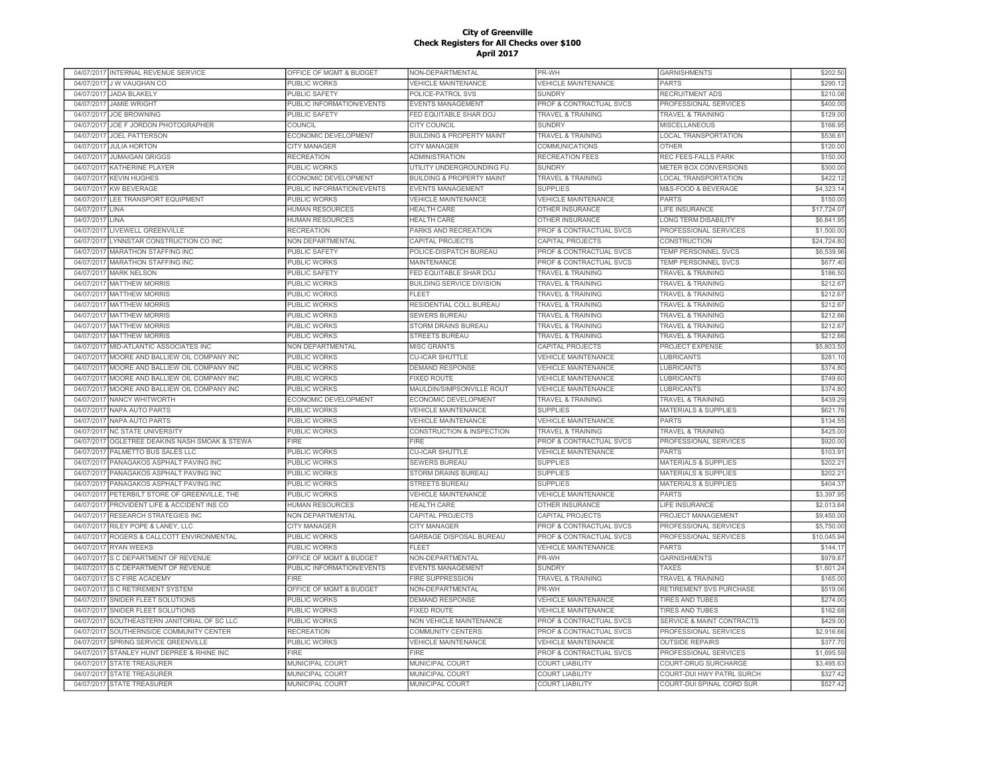|                          | 04/07/2017 INTERNAL REVENUE SERVICE  | OFFICE OF MGMT & BUDGET   | NON-DEPARTMENTAL                     | PR-WH                              | <b>GARNISHMENTS</b>                  | \$202.50    |
|--------------------------|--------------------------------------|---------------------------|--------------------------------------|------------------------------------|--------------------------------------|-------------|
| 04/07/2017               | J W VAUGHAN CO                       | PUBLIC WORKS              | <b>VEHICLE MAINTENANCE</b>           | <b>VEHICLE MAINTENANCE</b>         | <b>PARTS</b>                         | \$290.12    |
|                          | 04/07/2017 JADA BLAKELY              | <b>PUBLIC SAFETY</b>      | POLICE-PATROL SVS                    | <b>SUNDRY</b>                      | <b>RECRUITMENT ADS</b>               | \$210.08    |
| 04/07/2017               | <b>JAMIE WRIGHT</b>                  | PUBLIC INFORMATION/EVENTS | <b>EVENTS MANAGEMENT</b>             | PROF & CONTRACTUAL SVCS            | PROFESSIONAL SERVICES                | \$400.00    |
| 04/07/2017               | <b>JOE BROWNING</b>                  | PUBLIC SAFETY             | FED EQUITABLE SHAR DOJ               | <b>TRAVEL &amp; TRAINING</b>       | <b>TRAVEL &amp; TRAINING</b>         | \$129.00    |
|                          | 04/07/2017 JOE F JORDON PHOTOGRAPHER | COUNCIL                   | <b>CITY COUNCIL</b>                  | <b>SUNDRY</b>                      | <b>MISCELLANEOUS</b>                 | \$166.95    |
| 04/07/2017               | <b>JOEL PATTERSON</b>                | ECONOMIC DEVELOPMENT      | <b>BUILDING &amp; PROPERTY MAINT</b> | <b>TRAVEL &amp; TRAINING</b>       | LOCAL TRANSPORTATION                 | \$536.6     |
| 04/07/2017               | <b>JULIA HORTON</b>                  | <b>CITY MANAGER</b>       | CITY MANAGER                         | COMMUNICATIONS                     | <b>OTHER</b>                         | \$120.00    |
| 04/07/2017               | <b>JUMAIGAN GRIGGS</b>               | <b>RECREATION</b>         | <b>ADMINISTRATION</b>                | <b>RECREATION FEES</b>             | REC FEES-FALLS PARK                  | \$150.00    |
| 04/07/2017               | <b>KATHERINE PLAYER</b>              | <b>PUBLIC WORKS</b>       | UTILITY UNDERGROUNDING FU            | <b>SUNDRY</b>                      | METER BOX CONVERSIONS                | \$300.0     |
| 04/07/2017               | <b>KEVIN HUGHES</b>                  | ECONOMIC DEVELOPMENT      | <b>BUILDING &amp; PROPERTY MAINT</b> | <b>TRAVEL &amp; TRAINING</b>       | <b>LOCAL TRANSPORTATION</b>          | \$422.1     |
| 04/07/2017               | <b>KW BEVERAGE</b>                   | PUBLIC INFORMATION/EVENTS | <b>EVENTS MANAGEMENT</b>             | <b>SUPPLIES</b>                    | M&S-FOOD & BEVERAGE                  | \$4.323.1   |
| 04/07/201                | LEE TRANSPORT EQUIPMENT              | PUBLIC WORKS              | <b>VEHICLE MAINTENANCE</b>           | <b>VEHICLE MAINTENANCE</b>         | <b>PARTS</b>                         | \$150.0     |
| 04/07/201                | <b>I INA</b>                         | <b>HUMAN RESOURCES</b>    | <b>HEALTH CARE</b>                   | OTHER INSURANCE                    | <b>LIFE INSURANCE</b>                | \$17,724.07 |
| 04/07/201                | <b>LINA</b>                          | <b>HUMAN RESOURCES</b>    | <b>HEALTH CARE</b>                   | OTHER INSURANCE                    | LONG TERM DISABILITY                 | \$6,841.95  |
| 04/07/2017               | LIVEWELL GREENVILLE                  | <b>RECREATION</b>         | PARKS AND RECREATION                 | PROF & CONTRACTUAL SVCS            | PROFESSIONAL SERVICES                |             |
|                          |                                      |                           |                                      |                                    |                                      | \$1,500.00  |
| 04/07/2017               | LYNNSTAR CONSTRUCTION CO INC         | NON DEPARTMENTAL          | CAPITAL PROJECTS                     | CAPITAL PROJECTS                   | CONSTRUCTION                         | \$24,724.80 |
| 04/07/2017               | MARATHON STAFFING INC                | PUBLIC SAFETY             | POLICE-DISPATCH BUREAU               | PROF & CONTRACTUAL SVCS            | TEMP PERSONNEL SVCS                  | \$6,539.96  |
| 04/07/2017               | <b>MARATHON STAFFING INC</b>         | PUBLIC WORKS              | MAINTENANCE                          | PROF & CONTRACTUAL SVCS            | TEMP PERSONNEL SVCS                  | \$677.40    |
| 04/07/2017               | <b>MARK NELSON</b>                   | PUBLIC SAFETY             | FED EQUITABLE SHAR DOJ               | <b>TRAVEL &amp; TRAINING</b>       | <b>TRAVEL &amp; TRAINING</b>         | \$186.50    |
| 04/07/2017               | <b>MATTHEW MORRIS</b>                | <b>PUBLIC WORKS</b>       | <b>BUILDING SERVICE DIVISION</b>     | <b>TRAVEL &amp; TRAINING</b>       | <b>TRAVEL &amp; TRAINING</b>         | \$212.67    |
| 04/07/2017               | <b>MATTHEW MORRIS</b>                | <b>PUBLIC WORKS</b>       | <b>FLEET</b>                         | <b>TRAVEL &amp; TRAINING</b>       | <b>TRAVEL &amp; TRAINING</b>         | \$212.67    |
| 04/07/2017               | <b>MATTHEW MORRIS</b>                | PUBLIC WORKS              | RESIDENTIAL COLL BUREAU              | <b>TRAVEL &amp; TRAINING</b>       | <b>TRAVEL &amp; TRAINING</b>         | \$212.67    |
| 04/07/2017               | <b>MATTHEW MORRIS</b>                | <b>PUBLIC WORKS</b>       | <b>SEWERS BUREAU</b>                 | TRAVEL & TRAINING                  | <b>TRAVEL &amp; TRAINING</b>         | \$212.66    |
| 04/07/2017               | <b>MATTHEW MORRIS</b>                | <b>PUBLIC WORKS</b>       | <b>STORM DRAINS BUREAU</b>           | <b>TRAVEL &amp; TRAINING</b>       | <b>TRAVEL &amp; TRAINING</b>         | \$212.6     |
| 04/07/2017               | <b>MATTHEW MORRIS</b>                | <b>PUBLIC WORKS</b>       | <b>STREETS BUREAU</b>                | <b>TRAVEL &amp; TRAINING</b>       | <b>TRAVEL &amp; TRAINING</b>         | \$212.66    |
| 04/07/2017               | MID-ATLANTIC ASSOCIATES INC          | <b>NON DEPARTMENTAL</b>   | <b>MISC GRANTS</b>                   | CAPITAL PROJECTS                   | <b>PROJECT EXPENSE</b>               | \$5,803.50  |
| 04/07/201                | MOORE AND BALLIEW OIL COMPANY INC    | PUBLIC WORKS              | <b>CU-ICAR SHUTTLE</b>               | <b>VEHICLE MAINTENANCE</b>         | <b>LUBRICANTS</b>                    | \$281.1     |
| 04/07/2017               | MOORE AND BALLIEW OIL COMPANY INC    | <b>PUBLIC WORKS</b>       | <b>DEMAND RESPONSE</b>               | <b>VEHICLE MAINTENANCE</b>         | <b>LUBRICANTS</b>                    | \$374.80    |
| 04/07/2017               | MOORE AND BALLIEW OIL COMPANY INC    | <b>PUBLIC WORKS</b>       | <b>FIXED ROUTE</b>                   | <b>VEHICLE MAINTENANCE</b>         | <b>LUBRICANTS</b>                    | \$749.60    |
| 04/07/2017               | MOORE AND BALLIEW OIL COMPANY INC    | <b>PUBLIC WORKS</b>       | MAULDIN/SIMPSONVILLE ROUT            | <b>VEHICLE MAINTENANCE</b>         | <b>LUBRICANTS</b>                    | \$374.80    |
| 04/07/2017               | NANCY WHITWORTH                      | ECONOMIC DEVELOPMENT      | ECONOMIC DEVELOPMENT                 | <b>TRAVEL &amp; TRAINING</b>       | TRAVEL & TRAINING                    | \$439.29    |
| 04/07/2017               | NAPA AUTO PARTS                      | PUBLIC WORKS              | <b>VEHICLE MAINTENANCE</b>           | <b>SUPPLIES</b>                    | <b>MATERIALS &amp; SUPPLIES</b>      | \$621.76    |
| 04/07/2017               | NAPA AUTO PARTS                      | PUBLIC WORKS              | <b>VEHICLE MAINTENANCE</b>           | <b>VEHICLE MAINTENANCE</b>         | <b>PARTS</b>                         | \$134.55    |
| 04/07/2017               | <b>NC STATE UNIVERSITY</b>           | PUBLIC WORKS              | CONSTRUCTION & INSPECTION            | <b>TRAVEL &amp; TRAINING</b>       | <b>TRAVEL &amp; TRAINING</b>         | \$425.00    |
| 04/07/2017               | OGLETREE DEAKINS NASH SMOAK & STEWA  | FIRE                      | FIRE                                 | PROF & CONTRACTUAL SVCS            | PROFESSIONAL SERVICES                | \$920.00    |
| 04/07/2017               | PALMETTO BUS SALES LLC               | PUBLIC WORKS              | <b>CU-ICAR SHUTTLE</b>               | <b>VEHICLE MAINTENANCE</b>         | <b>PARTS</b>                         | \$103.9     |
| 04/07/2017               | PANAGAKOS ASPHALT PAVING INC         | <b>PUBLIC WORKS</b>       | <b>SEWERS BUREAU</b>                 | <b>SUPPLIES</b>                    | <b>MATERIALS &amp; SUPPLIES</b>      | \$202.2     |
| 04/07/2017               | PANAGAKOS ASPHALT PAVING INC         | <b>PUBLIC WORKS</b>       | STORM DRAINS BUREAU                  | <b>SUPPLIES</b>                    | <b>MATERIALS &amp; SUPPLIES</b>      | \$202.2     |
| 04/07/2017               | PANAGAKOS ASPHALT PAVING INC         | <b>PUBLIC WORKS</b>       | <b>STREETS BUREAU</b>                | <b>SUPPLIES</b>                    | <b>MATERIALS &amp; SUPPLIES</b>      | \$404.3     |
| 04/07/2017               | PETERBILT STORE OF GREENVILLE, THE   | PUBLIC WORKS              | <b>VEHICLE MAINTENANCE</b>           | <b>VEHICLE MAINTENANCE</b>         | <b>PARTS</b>                         | \$3,397.95  |
| 04/07/2017               | PROVIDENT LIFE & ACCIDENT INS CO     | <b>HUMAN RESOURCES</b>    | <b>HEALTH CARE</b>                   | OTHER INSURANCE                    | <b>LIFE INSURANCE</b>                | \$2,013.64  |
| 04/07/201                | RESEARCH STRATEGIES INC              | NON DEPARTMENTAL          | CAPITAL PROJECTS                     | CAPITAL PROJECTS                   | PROJECT MANAGEMENT                   | \$9,450.00  |
| 04/07/2017               | RILEY POPE & LANEY. LLC              | <b>CITY MANAGER</b>       | <b>CITY MANAGER</b>                  | PROF & CONTRACTUAL SVCS            | PROFESSIONAL SERVICES                | \$5,750.00  |
| 04/07/2017               | ROGERS & CALLCOTT ENVIRONMENTAL      | PUBLIC WORKS              | <b>GARBAGE DISPOSAL BUREAU</b>       | PROF & CONTRACTUAL SVCS            | PROFESSIONAL SERVICES                | \$10,045.94 |
| 04/07/2017               | <b>RYAN WEEKS</b>                    | <b>PUBLIC WORKS</b>       | FLEET                                | <b>VEHICLE MAINTENANCE</b>         | <b>PARTS</b>                         | \$144.1     |
| 04/07/2017               | S C DEPARTMENT OF REVENUE            | OFFICE OF MGMT & BUDGET   | NON-DEPARTMENTAL                     | PR-WH                              | <b>GARNISHMENTS</b>                  | \$979.87    |
|                          | S C DEPARTMENT OF REVENUE            | PUBLIC INFORMATION/EVENTS | <b>EVENTS MANAGEMENT</b>             | <b>SUNDRY</b>                      | <b>TAXES</b>                         | \$1,601.24  |
| 04/07/2017<br>04/07/2017 | S C FIRE ACADEMY                     | <b>FIRE</b>               | FIRE SUPPRESSION                     |                                    | <b>TRAVEL &amp; TRAINING</b>         | \$165.00    |
|                          |                                      |                           |                                      | <b>TRAVEL &amp; TRAINING</b>       |                                      |             |
| 04/07/2017               | S C RETIREMENT SYSTEM                | OFFICE OF MGMT & BUDGET   | NON-DEPARTMENTAL                     | PR-WH                              | RETIREMENT SVS PURCHASE              | \$519.06    |
| 04/07/2017               | SNIDER FLEET SOLUTIONS               | PUBLIC WORKS              | <b>DEMAND RESPONSE</b>               | <b>VEHICLE MAINTENANCE</b>         | <b>TIRES AND TUBES</b>               | \$274.00    |
| 04/07/2017               | SNIDER FLEET SOLUTIONS               | PUBLIC WORKS              | <b>FIXED ROUTE</b>                   | <b>VEHICLE MAINTENANCE</b>         | <b>TIRES AND TUBES</b>               | \$162.68    |
| 04/07/2017               | SOUTHEASTERN JANITORIAL OF SC LLC    | PUBLIC WORKS              | NON VEHICLE MAINTENANCE              | PROF & CONTRACTUAL SVCS            | <b>SERVICE &amp; MAINT CONTRACTS</b> | \$429.00    |
| 04/07/2017               | SOUTHERNSIDE COMMUNITY CENTER        | <b>RECREATION</b>         | <b>COMMUNITY CENTERS</b>             | PROF & CONTRACTUAL SVCS            | PROFESSIONAL SERVICES                | \$2,916.66  |
| 04/07/2017               | SPRING SERVICE GREENVILLE            | <b>PUBLIC WORKS</b>       | <b>VEHICLE MAINTENANCE</b>           | <b>VEHICLE MAINTENANCE</b>         | <b>OUTSIDE REPAIRS</b>               | \$377.7     |
| 04/07/2017               | STANLEY HUNT DEPREE & RHINE INC      | <b>FIRE</b>               | <b>FIRE</b>                          | <b>PROF &amp; CONTRACTUAL SVCS</b> | PROFESSIONAL SERVICES                | \$1,695.59  |
| 04/07/2017               | <b>STATE TREASURER</b>               | MUNICIPAL COURT           | MUNICIPAL COURT                      | <b>COURT LIABILITY</b>             | COURT-DRUG SURCHARGE                 | \$3,495.63  |
| 04/07/2017               | <b>STATE TREASURER</b>               | MUNICIPAL COURT           | <b>MUNICIPAL COURT</b>               | <b>COURT LIABILITY</b>             | COURT-DUI HWY PATRL SURCH            | \$327.42    |
|                          | 04/07/2017 STATE TREASURER           | MUNICIPAL COURT           | MUNICIPAL COURT                      | <b>COURT LIABILITY</b>             | COURT-DUI SPINAL CORD SUR            | \$527.42    |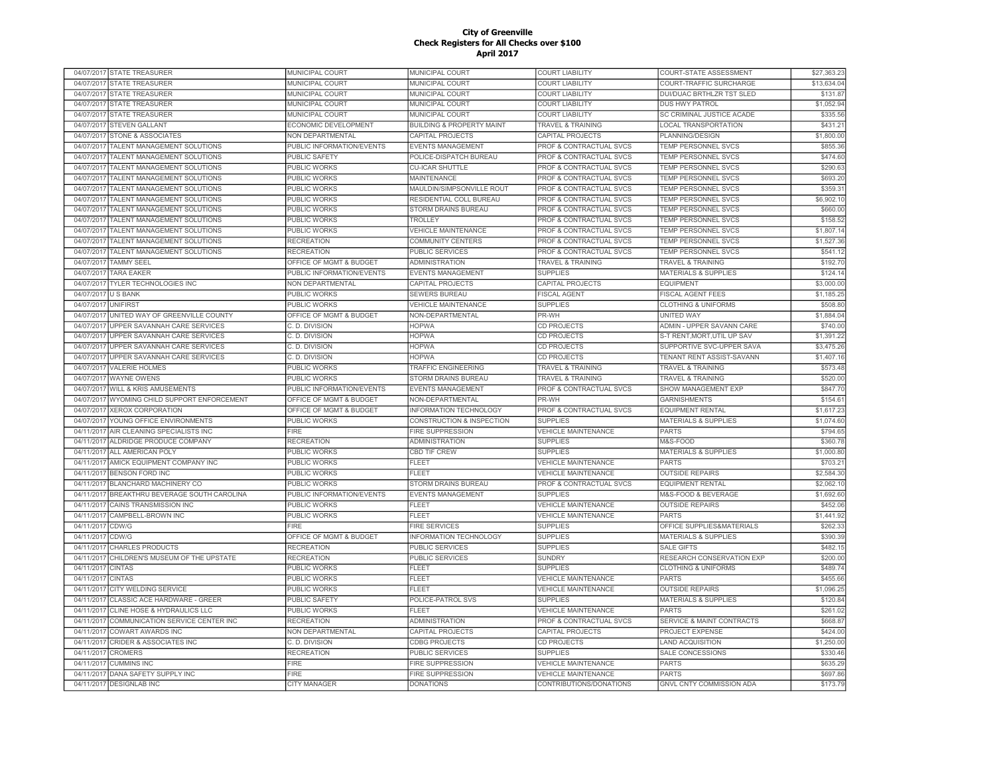| 04/07/2017 STATE TREASURER                                    | MUNICIPAL COURT             | <b>MUNICIPAL COURT</b>               | <b>COURT LIABILITY</b>                                | COURT-STATE ASSESSMENT                   | \$27,363.23          |
|---------------------------------------------------------------|-----------------------------|--------------------------------------|-------------------------------------------------------|------------------------------------------|----------------------|
| 04/07/2017<br><b>STATE TREASURER</b>                          | MUNICIPAL COURT             | MUNICIPAL COURT                      | <b>COURT LIABILITY</b>                                | COURT-TRAFFIC SURCHARGE                  | \$13,634.04          |
| 04/07/2017<br><b>STATE TREASURER</b>                          | MUNICIPAL COURT             | MUNICIPAL COURT                      | <b>COURT LIABILITY</b>                                | <b>DUI/DUAC BRTHLZR TST SLED</b>         | \$131.87             |
| 04/07/2017<br><b>STATE TREASURER</b>                          | MUNICIPAL COURT             | MUNICIPAL COURT                      | <b>COURT LIABILITY</b>                                | <b>DUS HWY PATROL</b>                    | \$1,052.94           |
| 04/07/2017<br><b>STATE TREASURER</b>                          | MUNICIPAL COURT             | MUNICIPAL COURT                      | <b>COURT LIABILITY</b>                                | SC CRIMINAL JUSTICE ACADE                | \$335.56             |
| 04/07/2017 STEVEN GALLANT                                     | ECONOMIC DEVELOPMENT        | <b>BUILDING &amp; PROPERTY MAINT</b> | <b>TRAVEL &amp; TRAINING</b>                          | <b>LOCAL TRANSPORTATION</b>              | \$431.2'             |
| 04/07/2017<br><b>STONE &amp; ASSOCIATES</b>                   | NON DEPARTMENTAL            | CAPITAL PROJECTS                     | CAPITAL PROJECTS                                      | PLANNING/DESIGN                          | \$1,800.00           |
| 04/07/2017<br>TALENT MANAGEMENT SOLUTIONS                     | PUBLIC INFORMATION/EVENTS   | EVENTS MANAGEMENT                    | PROF & CONTRACTUAL SVCS                               | TEMP PERSONNEL SVCS                      | \$855.36             |
| 04/07/2017<br>TALENT MANAGEMENT SOLUTIONS                     | PUBLIC SAFETY               | POLICE-DISPATCH BUREAU               | PROF & CONTRACTUAL SVCS                               | TEMP PERSONNEL SVCS                      | \$474.60             |
| TALENT MANAGEMENT SOLUTIONS<br>04/07/2017                     | <b>PUBLIC WORKS</b>         | <b>CU-ICAR SHUTTLE</b>               | PROF & CONTRACTUAL SVCS                               | TEMP PERSONNEL SVCS                      | \$290.6              |
| TALENT MANAGEMENT SOLUTIONS<br>04/07/2017                     | <b>PUBLIC WORKS</b>         | <b>MAINTENANCE</b>                   | PROF & CONTRACTUAL SVCS                               | TEMP PERSONNEL SVCS                      | \$693.2              |
| TALENT MANAGEMENT SOLUTIONS<br>04/07/2017                     | PUBLIC WORKS                | MAULDIN/SIMPSONVILLE ROUT            | <b>PROF &amp; CONTRACTUAL SVCS</b>                    | <b>TEMP PERSONNEL SVCS</b>               | \$359.3              |
| 04/07/201<br>TALENT MANAGEMENT SOLUTIONS                      | PUBLIC WORKS                | RESIDENTIAL COLL BUREAU              | PROF & CONTRACTUAL SVCS                               | TEMP PERSONNEL SVCS                      | \$6,902.1            |
|                                                               |                             |                                      |                                                       |                                          |                      |
| TALENT MANAGEMENT SOLUTIONS<br>04/07/2017                     | <b>PUBLIC WORKS</b>         | <b>STORM DRAINS BUREAU</b>           | <b>PROF &amp; CONTRACTUAL SVCS</b>                    | <b>TEMP PERSONNEL SVCS</b>               | \$660.0              |
| 04/07/201<br>TALENT MANAGEMENT SOLUTIONS                      | <b>PUBLIC WORKS</b>         | TROLLEY                              | PROF & CONTRACTUAL SVCS                               | <b>TEMP PERSONNEL SVCS</b>               | \$158.52             |
| 04/07/2017<br>TALENT MANAGEMENT SOLUTIONS                     | <b>PUBLIC WORKS</b>         | <b>VEHICLE MAINTENANCE</b>           | <b>PROF &amp; CONTRACTUAL SVCS</b>                    | <b>TEMP PERSONNEL SVCS</b>               | \$1,807.14           |
| TALENT MANAGEMENT SOLUTIONS<br>04/07/2017                     | <b>RECREATION</b>           | COMMUNITY CENTERS                    | PROF & CONTRACTUAL SVCS                               | TEMP PERSONNEL SVCS                      | \$1,527.36           |
| TALENT MANAGEMENT SOLUTIONS<br>04/07/2017                     | <b>RECREATION</b>           | PUBLIC SERVICES                      | PROF & CONTRACTUAL SVCS                               | TEMP PERSONNEL SVCS                      | \$541.12             |
| 04/07/2017 TAMMY SEEL                                         | OFFICE OF MGMT & BUDGET     | <b>ADMINISTRATION</b>                | TRAVEL & TRAINING                                     | <b>TRAVEL &amp; TRAINING</b>             | \$192.70             |
| <b>TARA EAKER</b><br>04/07/2017                               | PUBLIC INFORMATION/EVENTS   | EVENTS MANAGEMENT                    | <b>SUPPLIES</b>                                       | <b>MATERIALS &amp; SUPPLIES</b>          | \$124.1              |
| 04/07/2017 TYLER TECHNOLOGIES INC                             | NON DEPARTMENTAL            | CAPITAL PROJECTS                     | CAPITAL PROJECTS                                      | <b>EQUIPMENT</b>                         | \$3,000.00           |
| 04/07/2017<br><b>US BANK</b>                                  | <b>PUBLIC WORKS</b>         | <b>SEWERS BUREAU</b>                 | <b>FISCAL AGENT</b>                                   | <b>FISCAL AGENT FEES</b>                 | \$1,185.25           |
| 04/07/2017<br><b>UNIFIRST</b>                                 | <b>PUBLIC WORKS</b>         | <b>VEHICLE MAINTENANCE</b>           | <b>SUPPLIES</b>                                       | <b>CLOTHING &amp; UNIFORMS</b>           | \$508.80             |
| 04/07/2017<br>UNITED WAY OF GREENVILLE COUNTY                 | OFFICE OF MGMT & BUDGET     | NON-DEPARTMENTAL                     | PR-WH                                                 | <b>UNITED WAY</b>                        | \$1,884.04           |
| UPPER SAVANNAH CARE SERVICES<br>04/07/2017                    | C. D. DIVISION              | <b>HOPWA</b>                         | <b>CD PROJECTS</b>                                    | ADMIN - UPPER SAVANN CARE                | \$740.00             |
| 04/07/2017<br>UPPER SAVANNAH CARE SERVICES                    | C. D. DIVISION              | <b>HOPWA</b>                         | <b>CD PROJECTS</b>                                    | S-T RENT.MORT.UTIL UP SAV                | \$1,391.22           |
| 04/07/2017<br>UPPER SAVANNAH CARE SERVICES                    | C. D. DIVISION              | <b>HOPWA</b>                         | <b>CD PROJECTS</b>                                    | SUPPORTIVE SVC-UPPER SAVA                | \$3,475.26           |
| 04/07/2017<br>UPPER SAVANNAH CARE SERVICES                    | C. D. DIVISION              | <b>HOPWA</b>                         | <b>CD PROJECTS</b>                                    | TENANT RENT ASSIST-SAVANN                | \$1,407.1            |
| <b>VALERIE HOLMES</b><br>04/07/2017                           | PUBLIC WORKS                | TRAFFIC ENGINEERING                  | <b>TRAVEL &amp; TRAINING</b>                          | <b>TRAVEL &amp; TRAINING</b>             | \$573.48             |
| 04/07/2017<br><b>WAYNE OWENS</b>                              | PUBLIC WORKS                | STORM DRAINS BUREAU                  | TRAVEL & TRAINING                                     | TRAVEL & TRAINING                        | \$520.00             |
|                                                               |                             |                                      |                                                       |                                          |                      |
|                                                               |                             |                                      |                                                       |                                          |                      |
| 04/07/2017<br>WILL & KRIS AMUSEMENTS                          | PUBLIC INFORMATION/EVENTS   | <b>EVENTS MANAGEMENT</b>             | PROF & CONTRACTUAL SVCS                               | SHOW MANAGEMENT EXP                      | \$847.70             |
| 04/07/2017 WYOMING CHILD SUPPORT ENFORCEMENT                  | OFFICE OF MGMT & BUDGET     | NON-DEPARTMENTAL                     | PR-WH                                                 | <b>GARNISHMENTS</b>                      | \$154.6'             |
| <b>XEROX CORPORATION</b><br>04/07/2017                        | OFFICE OF MGMT & BUDGET     | INFORMATION TECHNOLOGY               | PROF & CONTRACTUAL SVCS                               | <b>EQUIPMENT RENTAL</b>                  | \$1,617.23           |
| 04/07/2017<br>YOUNG OFFICE ENVIRONMENTS                       | <b>PUBLIC WORKS</b>         | CONSTRUCTION & INSPECTION            | <b>SUPPLIES</b>                                       | <b>MATERIALS &amp; SUPPLIES</b>          | \$1,074.60           |
| 04/11/2017<br>AIR CLEANING SPECIALISTS INC                    | <b>FIRE</b>                 | <b>FIRE SUPPRESSION</b>              | <b>VEHICLE MAINTENANCE</b>                            | <b>PARTS</b>                             | \$794.6              |
| 04/11/2017<br>ALDRIDGE PRODUCE COMPANY                        | <b>RECREATION</b>           | <b>ADMINISTRATION</b>                | <b>SUPPLIES</b>                                       | M&S-FOOD                                 | \$360.7              |
| ALL AMERICAN POLY<br>04/11/2017                               | <b>PUBLIC WORKS</b>         | <b>CBD TIF CREW</b>                  | <b>SUPPLIES</b>                                       | <b>MATERIALS &amp; SUPPLIES</b>          | \$1,000.80           |
| AMICK EQUIPMENT COMPANY INC<br>04/11/2017                     | <b>PUBLIC WORKS</b>         | FLEET                                | <b>VEHICLE MAINTENANCE</b>                            | <b>PARTS</b>                             | \$703.2              |
| 04/11/2017<br><b>BENSON FORD INC</b>                          | PUBLIC WORKS                | <b>FLEET</b>                         | <b>VEHICLE MAINTENANCE</b>                            | <b>OUTSIDE REPAIRS</b>                   | \$2,584.30           |
| 04/11/2017<br><b>BLANCHARD MACHINERY CO</b>                   | PUBLIC WORKS                | <b>STORM DRAINS BUREAU</b>           | PROF & CONTRACTUAL SVCS                               | <b>EQUIPMENT RENTAL</b>                  | \$2,062.1            |
| 04/11/201<br>BREAKTHRU BEVERAGE SOUTH CAROLINA                | PUBLIC INFORMATION/EVENTS   | <b>EVENTS MANAGEMENT</b>             | <b>SUPPLIES</b>                                       | M&S-FOOD & BEVERAGE                      | \$1,692.60           |
| 04/11/2017<br>CAINS TRANSMISSION INC                          | <b>PUBLIC WORKS</b>         | <b>FLEET</b>                         | <b>VEHICLE MAINTENANCE</b>                            | <b>OUTSIDE REPAIRS</b>                   | \$452.06             |
| CAMPBELL-BROWN INC<br>04/11/2017                              | <b>PUBLIC WORKS</b>         | <b>FLEET</b>                         | <b>VEHICLE MAINTENANCE</b>                            | <b>PARTS</b>                             | \$1,441.92           |
| 04/11/2017<br>CDW/G                                           | <b>FIRE</b>                 | <b>FIRE SERVICES</b>                 | <b>SUPPLIES</b>                                       | OFFICE SUPPLIES&MATERIALS                | \$262.33             |
| CDW/G<br>04/11/2017                                           | OFFICE OF MGMT & BUDGET     | INFORMATION TECHNOLOGY               | <b>SUPPLIES</b>                                       | <b>MATERIALS &amp; SUPPLIES</b>          | \$390.39             |
| <b>CHARLES PRODUCTS</b><br>04/11/2017                         | <b>RECREATION</b>           | <b>PUBLIC SERVICES</b>               | <b>SUPPLIES</b>                                       | <b>SALE GIFTS</b>                        | \$482.1              |
|                                                               |                             |                                      |                                                       |                                          |                      |
| CHILDREN'S MUSEUM OF THE UPSTATE<br>04/11/2017                | <b>RECREATION</b>           | PUBLIC SERVICES                      | <b>SUNDRY</b>                                         | RESEARCH CONSERVATION EXP                | \$200.00             |
| 04/11/2017<br><b>CINTAS</b>                                   | PUBLIC WORKS                | <b>FLEET</b>                         | <b>SUPPLIES</b>                                       | <b>CLOTHING &amp; UNIFORMS</b>           | \$489.74             |
| 04/11/2017<br><b>CINTAS</b>                                   | PUBLIC WORKS                | <b>FLEET</b>                         | <b>VEHICLE MAINTENANCE</b>                            | <b>PARTS</b>                             | \$455.66             |
| CITY WELDING SERVICE<br>04/11/2017                            | PUBLIC WORKS                | <b>FLEET</b>                         | <b>VEHICLE MAINTENANCE</b>                            | <b>OUTSIDE REPAIRS</b>                   | \$1,096.2            |
| CLASSIC ACE HARDWARE - GREER<br>04/11/2017                    | <b>PUBLIC SAFETY</b>        | POLICE-PATROL SVS                    | <b>SUPPLIES</b>                                       | <b>MATERIALS &amp; SUPPLIES</b>          | \$120.84             |
| 04/11/201<br>CLINE HOSE & HYDRAULICS LLC                      | PUBLIC WORKS                | <b>FLEET</b>                         | <b>VEHICLE MAINTENANCE</b>                            | <b>PARTS</b>                             | \$261.02             |
| 04/11/2017<br>COMMUNICATION SERVICE CENTER INC                | <b>RECREATION</b>           | <b>ADMINISTRATION</b>                | PROF & CONTRACTUAL SVCS                               | SERVICE & MAINT CONTRACTS                | \$668.87             |
| 04/11/201<br><b>COWART AWARDS INC</b>                         | <b>NON DEPARTMENTAL</b>     | CAPITAL PROJECTS                     | CAPITAL PROJECTS                                      | <b>PROJECT EXPENSE</b>                   | \$424.00             |
| 04/11/2017<br><b>CRIDER &amp; ASSOCIATES INC</b>              | C. D. DIVISION              | <b>CDBG PROJECTS</b>                 | <b>CD PROJECTS</b>                                    | <b>LAND ACQUISITION</b>                  | \$1,250.00           |
| <b>CROMERS</b><br>04/11/2017                                  | <b>RECREATION</b>           | <b>PUBLIC SERVICES</b>               | <b>SUPPLIES</b>                                       | <b>SALE CONCESSIONS</b>                  | \$330.46             |
| <b>CUMMINS INC</b><br>04/11/2017                              | <b>FIRE</b>                 | <b>FIRE SUPPRESSION</b>              | <b>VEHICLE MAINTENANCE</b>                            | <b>PARTS</b>                             | \$635.29             |
| 04/11/2017 DANA SAFETY SUPPLY INC<br>04/11/2017 DESIGNLAB INC | FIRE<br><b>CITY MANAGER</b> | FIRE SUPPRESSION<br><b>DONATIONS</b> | <b>VEHICLE MAINTENANCE</b><br>CONTRIBUTIONS/DONATIONS | <b>PARTS</b><br>GNVL CNTY COMMISSION ADA | \$697.86<br>\$173.79 |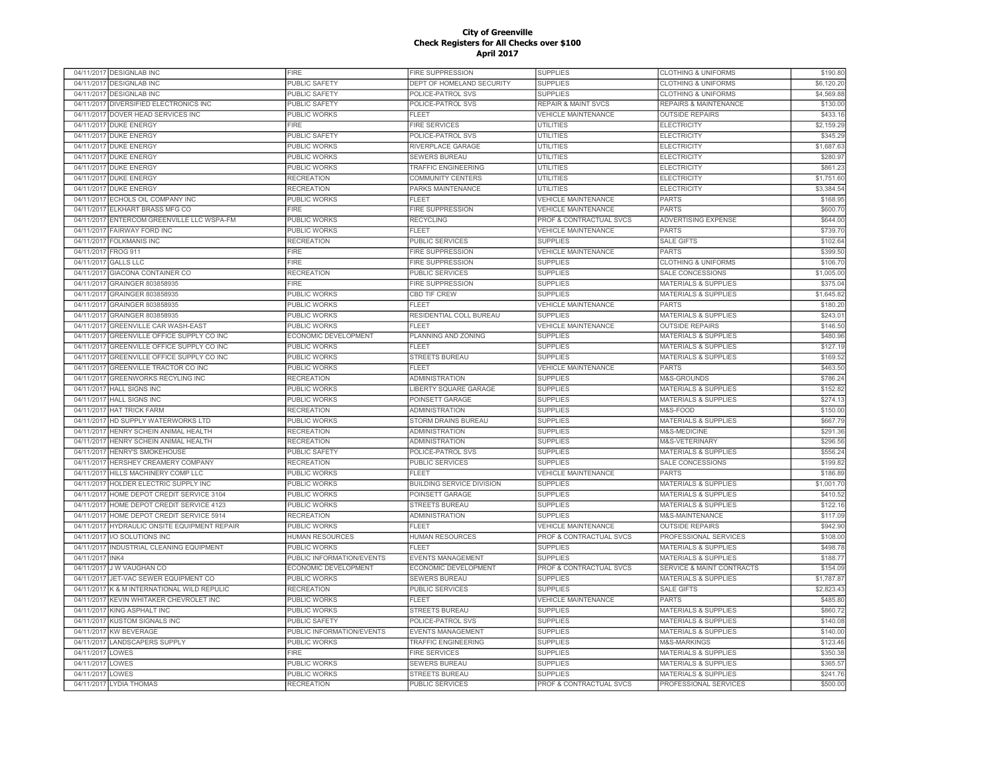|                          | 04/11/2017 DESIGNLAB INC             | <b>FIRE</b>                  | <b>FIRE SUPPRESSION</b>          | <b>SUPPLIES</b>                    | <b>CLOTHING &amp; UNIFORMS</b>  | \$190.80   |
|--------------------------|--------------------------------------|------------------------------|----------------------------------|------------------------------------|---------------------------------|------------|
| 04/11/2017               | <b>DESIGNLAB INC</b>                 | PUBLIC SAFETY                | DEPT OF HOMELAND SECURITY        | <b>SUPPLIES</b>                    | <b>CLOTHING &amp; UNIFORMS</b>  | \$6,120.20 |
| 04/11/2017               | <b>DESIGNLAB INC</b>                 | PUBLIC SAFETY                | POLICE-PATROL SVS                | <b>SUPPLIES</b>                    | <b>CLOTHING &amp; UNIFORMS</b>  | \$4,569.88 |
| 04/11/2017               | DIVERSIFIED ELECTRONICS INC          | PUBLIC SAFETY                | POLICE-PATROL SVS                | <b>REPAIR &amp; MAINT SVCS</b>     | REPAIRS & MAINTENANCE           | \$130.00   |
| 04/11/2017               | DOVER HEAD SERVICES INC              | PUBLIC WORKS                 | <b>FLEET</b>                     | <b>VEHICLE MAINTENANCE</b>         | <b>OUTSIDE REPAIRS</b>          | \$433.1    |
|                          | 04/11/2017 DUKE ENERGY               | FIRE                         | <b>FIRE SERVICES</b>             | <b>UTILITIES</b>                   | <b>ELECTRICITY</b>              | \$2,159.29 |
|                          | 04/11/2017 DUKE ENERGY               | PUBLIC SAFETY                | POLICE-PATROL SVS                | <b>UTILITIES</b>                   | <b>ELECTRICITY</b>              | \$345.2    |
|                          | 04/11/2017 DUKE ENERGY               | PUBLIC WORKS                 | RIVERPLACE GARAGE                | <b>UTILITIES</b>                   | <b>ELECTRICITY</b>              | \$1,687.63 |
| 04/11/2017               | <b>DUKE ENERGY</b>                   | PUBLIC WORKS                 | <b>SEWERS BUREAU</b>             | <b>UTILITIES</b>                   | <b>ELECTRICITY</b>              | \$280.9    |
| 04/11/2017               | <b>DUKE ENERGY</b>                   | PUBLIC WORKS                 | <b>TRAFFIC ENGINEERING</b>       | UTILITIES                          | <b>ELECTRICITY</b>              | \$861.2    |
| 04/11/2017               | <b>DUKE ENERGY</b>                   | <b>RECREATION</b>            | COMMUNITY CENTERS                | <b>UTILITIES</b>                   | <b>ELECTRICITY</b>              | \$1,751.60 |
| 04/11/2017               | <b>DUKE ENERGY</b>                   | <b>RECREATION</b>            | PARKS MAINTENANCE                | <b>UTILITIES</b>                   | <b>ELECTRICITY</b>              | \$3,384.54 |
| 04/11/2017               | ECHOLS OIL COMPANY INC               | PUBLIC WORKS                 | FLEET                            | <b>VEHICLE MAINTENANCE</b>         | <b>PARTS</b>                    | \$168.9    |
| 04/11/2017               | ELKHART BRASS MFG CO                 | <b>FIRE</b>                  | <b>FIRE SUPPRESSION</b>          | VEHICLE MAINTENANCE                | <b>PARTS</b>                    | \$600.7    |
| 04/11/2017               | ENTERCOM GREENVILLE LLC WSPA-FM      |                              | <b>RECYCLING</b>                 | PROF & CONTRACTUAL SVCS            | <b>ADVERTISING EXPENSE</b>      | \$644.0    |
| 04/11/2017               | <b>FAIRWAY FORD INC</b>              | PUBLIC WORKS<br>PUBLIC WORKS | FLEET                            | <b>VEHICLE MAINTENANCE</b>         | <b>PARTS</b>                    | \$739.7    |
|                          |                                      |                              |                                  |                                    |                                 |            |
| 04/11/2017               | <b>FOLKMANIS INC</b>                 | <b>RECREATION</b>            | PUBLIC SERVICES                  | <b>SUPPLIES</b>                    | <b>SALE GIFTS</b>               | \$102.6    |
| 04/11/2017               | <b>FROG 911</b>                      | <b>FIRE</b>                  | <b>FIRE SUPPRESSION</b>          | <b>VEHICLE MAINTENANCE</b>         | <b>PARTS</b>                    | \$399.50   |
| 04/11/2017               | <b>GALLS LLC</b>                     | <b>FIRE</b>                  | FIRE SUPPRESSION                 | <b>SUPPLIES</b>                    | <b>CLOTHING &amp; UNIFORMS</b>  | \$106.70   |
| 04/11/2017               | GIACONA CONTAINER CO                 | <b>RECREATION</b>            | PUBLIC SERVICES                  | <b>SUPPLIES</b>                    | SALE CONCESSIONS                | \$1,005.00 |
| 04/11/2017               | GRAINGER 803858935                   | <b>FIRE</b>                  | FIRE SUPPRESSION                 | <b>SUPPLIES</b>                    | <b>MATERIALS &amp; SUPPLIES</b> | \$375.04   |
| 04/11/2017               | GRAINGER 803858935                   | PUBLIC WORKS                 | <b>CBD TIF CREW</b>              | <b>SUPPLIES</b>                    | <b>MATERIALS &amp; SUPPLIES</b> | \$1,645.8  |
| 04/11/2017               | GRAINGER 803858935                   | PUBLIC WORKS                 | FLEET                            | <b>VEHICLE MAINTENANCE</b>         | <b>PARTS</b>                    | \$180.20   |
| 04/11/2017               | GRAINGER 803858935                   | <b>PUBLIC WORKS</b>          | RESIDENTIAL COLL BUREAU          | <b>SUPPLIES</b>                    | <b>MATERIALS &amp; SUPPLIES</b> | \$243.0    |
| 04/11/2017               | GREENVILLE CAR WASH-EAST             | PUBLIC WORKS                 | <b>FLEET</b>                     | <b>VEHICLE MAINTENANCE</b>         | <b>OUTSIDE REPAIRS</b>          | \$146.5    |
| 04/11/2017               | GREENVILLE OFFICE SUPPLY CO INC      | ECONOMIC DEVELOPMENT         | PLANNING AND ZONING              | <b>SUPPLIES</b>                    | <b>MATERIALS &amp; SUPPLIES</b> | \$480.9    |
| 04/11/2017               | GREENVILLE OFFICE SUPPLY CO INC      | PUBLIC WORKS                 | FLEET                            | <b>SUPPLIES</b>                    | <b>MATERIALS &amp; SUPPLIES</b> | \$127.1    |
| 04/11/2017               | GREENVILLE OFFICE SUPPLY CO INC      | PUBLIC WORKS                 | <b>STREETS BUREAU</b>            | <b>SUPPLIES</b>                    | <b>MATERIALS &amp; SUPPLIES</b> | \$169.5    |
| 04/11/2017               | GREENVILLE TRACTOR CO INC            | PUBLIC WORKS                 | <b>FLEET</b>                     | <b>VEHICLE MAINTENANCE</b>         | <b>PARTS</b>                    | \$463.5    |
| 04/11/2017               | <b>GREENWORKS RECYLING INC</b>       | <b>RECREATION</b>            | <b>ADMINISTRATION</b>            | <b>SUPPLIES</b>                    | M&S-GROUNDS                     | \$786.24   |
| 04/11/2017               | <b>HALL SIGNS INC</b>                | <b>PUBLIC WORKS</b>          | LIBERTY SQUARE GARAGE            | <b>SUPPLIES</b>                    | MATERIALS & SUPPLIES            | \$152.8    |
| 04/11/2017               | <b>HALL SIGNS INC</b>                | PUBLIC WORKS                 | POINSETT GARAGE                  | <b>SUPPLIES</b>                    | MATERIALS & SUPPLIES            | \$274.1    |
| 04/11/2017               | <b>HAT TRICK FARM</b>                | <b>RECREATION</b>            | ADMINISTRATION                   | <b>SUPPLIES</b>                    | M&S-FOOD                        | \$150.00   |
| 04/11/2017               | HD SUPPLY WATERWORKS LTD             | PUBLIC WORKS                 | STORM DRAINS BUREAU              | <b>SUPPLIES</b>                    | <b>MATERIALS &amp; SUPPLIES</b> | \$667.79   |
| 04/11/2017               | HENRY SCHEIN ANIMAL HEALTH           | <b>RECREATION</b>            | ADMINISTRATION                   | <b>SUPPLIES</b>                    | M&S-MEDICINE                    | \$291.36   |
| 04/11/2017               | HENRY SCHEIN ANIMAL HEALTH           | <b>RECREATION</b>            | <b>ADMINISTRATION</b>            | <b>SUPPLIES</b>                    | M&S-VETERINARY                  | \$296.56   |
| 04/11/2017               | <b>HENRY'S SMOKEHOUSE</b>            | PUBLIC SAFETY                | POLICE-PATROL SVS                | <b>SUPPLIES</b>                    | <b>MATERIALS &amp; SUPPLIES</b> | \$556.24   |
| 04/11/2017               | HERSHEY CREAMERY COMPANY             | <b>RECREATION</b>            | PUBLIC SERVICES                  | <b>SUPPLIES</b>                    | SALE CONCESSIONS                | \$199.8    |
| 04/11/2017               | HILLS MACHINERY COMP LLC             | PUBLIC WORKS                 | EL EET                           | <b>VEHICLE MAINTENANCE</b>         | <b>PARTS</b>                    | \$186.89   |
| 04/11/2017               | HOLDER ELECTRIC SUPPLY INC           | <b>PUBLIC WORKS</b>          | <b>BUILDING SERVICE DIVISION</b> | <b>SUPPLIES</b>                    | <b>MATERIALS &amp; SUPPLIES</b> | \$1,001.7  |
| 04/11/2017               | HOME DEPOT CREDIT SERVICE 3104       | <b>PUBLIC WORKS</b>          | POINSETT GARAGE                  | <b>SUPPLIES</b>                    | <b>MATERIALS &amp; SUPPLIES</b> | \$410.52   |
| 04/11/2017               | HOME DEPOT CREDIT SERVICE 4123       | <b>PUBLIC WORKS</b>          | <b>STREETS BUREAU</b>            | <b>SUPPLIES</b>                    | <b>MATERIALS &amp; SUPPLIES</b> | \$122.1    |
| 04/11/2017               | HOME DEPOT CREDIT SERVICE 5914       | <b>RECREATION</b>            | <b>ADMINISTRATION</b>            | <b>SUPPLIES</b>                    | <b>M&amp;S-MAINTENANCE</b>      | \$117.0    |
| 04/11/2017               | HYDRAULIC ONSITE EQUIPMENT REPAIR    | PUBLIC WORKS                 | <b>FLEET</b>                     | <b>VEHICLE MAINTENANCE</b>         | <b>OUTSIDE REPAIRS</b>          | \$942.90   |
| 04/11/2017               | I/O SOLUTIONS INC                    | <b>HUMAN RESOURCES</b>       | <b>HUMAN RESOURCES</b>           | <b>PROF &amp; CONTRACTUAL SVCS</b> | PROFESSIONAL SERVICES           | \$108.0    |
| 04/11/2017               | <b>INDUSTRIAL CLEANING EQUIPMENT</b> | <b>PUBLIC WORKS</b>          | <b>FLEET</b>                     | <b>SUPPLIES</b>                    | <b>MATERIALS &amp; SUPPLIES</b> | \$498.7    |
| 04/11/2017               | INK4                                 | PUBLIC INFORMATION/EVENTS    | <b>EVENTS MANAGEMENT</b>         | <b>SUPPLIES</b>                    | <b>MATERIALS &amp; SUPPLIES</b> | \$188.77   |
|                          | J W VAUGHAN CO                       | ECONOMIC DEVELOPMENT         | ECONOMIC DEVELOPMENT             | PROF & CONTRACTUAL SVCS            | SERVICE & MAINT CONTRACTS       | \$154.0    |
| 04/11/2017<br>04/11/2017 | JET-VAC SEWER EQUIPMENT CO           | PUBLIC WORKS                 |                                  | <b>SUPPLIES</b>                    |                                 |            |
|                          |                                      |                              | SEWERS BUREAU                    |                                    | MATERIALS & SUPPLIES            | \$1,787.87 |
| 04/11/2017               | K & M INTERNATIONAL WILD REPULIC     | <b>RECREATION</b>            | <b>PUBLIC SERVICES</b>           | <b>SUPPLIES</b>                    | <b>SALE GIFTS</b>               | \$2,823.4  |
| 04/11/2017               | KEVIN WHITAKER CHEVROLET INC         | PUBLIC WORKS                 | FLEET                            | VEHICLE MAINTENANCE                | <b>PARTS</b>                    | \$485.80   |
| 04/11/2017               | KING ASPHALT INC                     | PUBLIC WORKS                 | STREETS BUREAU                   | <b>SUPPLIES</b>                    | <b>MATERIALS &amp; SUPPLIES</b> | \$860.7    |
| 04/11/2017               | KUSTOM SIGNALS INC                   | <b>PUBLIC SAFETY</b>         | POLICE-PATROL SVS                | <b>SUPPLIES</b>                    | <b>MATERIALS &amp; SUPPLIES</b> | \$140.0    |
| 04/11/2017               | <b>KW BEVERAGE</b>                   | PUBLIC INFORMATION/EVENTS    | <b>EVENTS MANAGEMENT</b>         | <b>SUPPLIES</b>                    | <b>MATERIALS &amp; SUPPLIES</b> | \$140.00   |
| 04/11/2017               | <b>LANDSCAPERS SUPPLY</b>            | PUBLIC WORKS                 | <b>TRAFFIC ENGINEERING</b>       | <b>SUPPLIES</b>                    | M&S-MARKINGS                    | \$123.4    |
| 04/11/2017               | LOWES                                | <b>FIRE</b>                  | <b>FIRE SERVICES</b>             | <b>SUPPLIES</b>                    | <b>MATERIALS &amp; SUPPLIES</b> | \$350.38   |
| 04/11/2017               | LOWES                                | PUBLIC WORKS                 | <b>SEWERS BUREAU</b>             | <b>SUPPLIES</b>                    | <b>MATERIALS &amp; SUPPLIES</b> | \$365.57   |
| 04/11/2017               | LOWES                                | <b>PUBLIC WORKS</b>          | <b>STREETS BUREAU</b>            | <b>SUPPLIES</b>                    | <b>MATERIALS &amp; SUPPLIES</b> | \$241.76   |
|                          | 04/11/2017 LYDIA THOMAS              | <b>RECREATION</b>            | <b>PUBLIC SERVICES</b>           | PROF & CONTRACTUAL SVCS            | PROFESSIONAL SERVICES           | \$500.00   |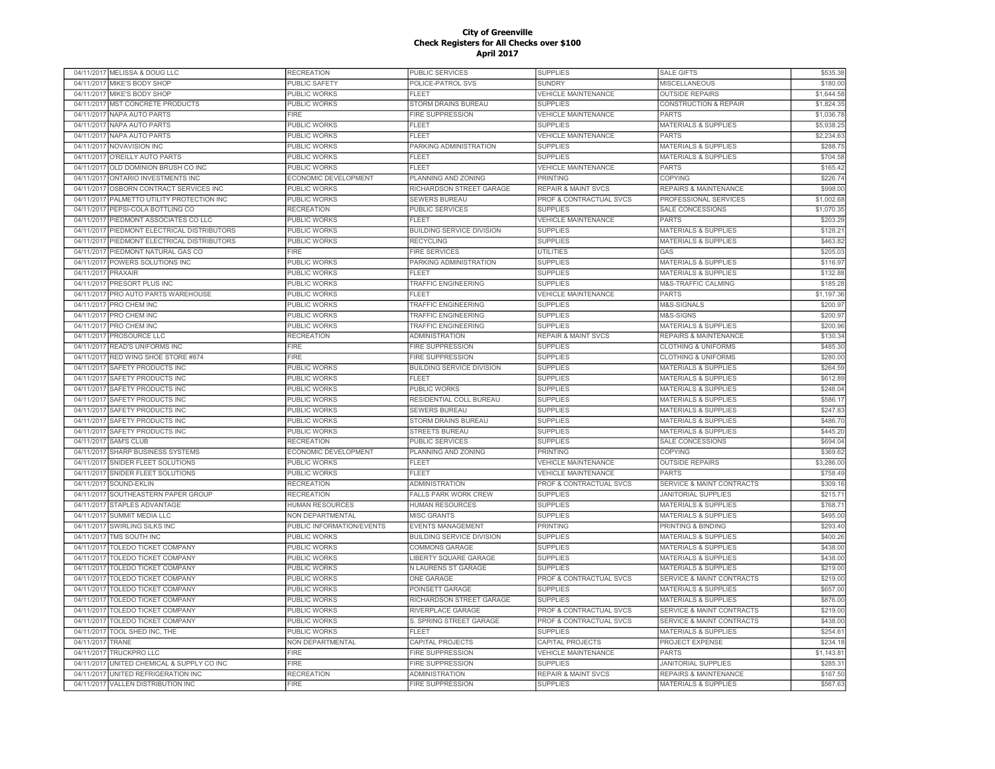|                    | 04/11/2017 MELISSA & DOUG LLC       | <b>RECREATION</b>         | PUBLIC SERVICES                  | <b>SUPPLIES</b>                    | <b>SALE GIFTS</b>                    | \$535.38   |
|--------------------|-------------------------------------|---------------------------|----------------------------------|------------------------------------|--------------------------------------|------------|
| 04/11/2017         | MIKE'S BODY SHOP                    | <b>PUBLIC SAFETY</b>      | POLICE-PATROL SVS                | <b>SUNDRY</b>                      | <b>MISCELLANEOUS</b>                 | \$180.00   |
| 04/11/2017         | MIKE'S BODY SHOP                    | <b>PUBLIC WORKS</b>       | FLEET                            | <b>VEHICLE MAINTENANCE</b>         | <b>OUTSIDE REPAIRS</b>               | \$1,644.58 |
| 04/11/2017         | MST CONCRETE PRODUCTS               | <b>PUBLIC WORKS</b>       | STORM DRAINS BUREAU              | <b>SUPPLIES</b>                    | <b>CONSTRUCTION &amp; REPAIR</b>     | \$1,824.35 |
| 04/11/2017         | NAPA AUTO PARTS                     | FIRE                      | FIRE SUPPRESSION                 | <b>VEHICLE MAINTENANCE</b>         | <b>PARTS</b>                         | \$1,036.78 |
|                    | 04/11/2017 NAPA AUTO PARTS          | <b>PUBLIC WORKS</b>       | <b>FLEET</b>                     | <b>SUPPLIES</b>                    | <b>MATERIALS &amp; SUPPLIES</b>      | \$5,938.25 |
|                    | 04/11/2017 NAPA AUTO PARTS          | PUBLIC WORKS              | FLEET                            | <b>VEHICLE MAINTENANCE</b>         | <b>PARTS</b>                         | \$2,234.63 |
|                    | 04/11/2017 NOVAVISION INC           | PUBLIC WORKS              | PARKING ADMINISTRATION           | <b>SUPPLIES</b>                    | <b>MATERIALS &amp; SUPPLIES</b>      | \$288.75   |
| 04/11/2017         | O'REILLY AUTO PARTS                 | PUBLIC WORKS              | <b>FLEET</b>                     | <b>SUPPLIES</b>                    | <b>MATERIALS &amp; SUPPLIES</b>      | \$704.58   |
| 04/11/2017         | OLD DOMINION BRUSH CO INC           | PUBLIC WORKS              | FLEET                            | <b>VEHICLE MAINTENANCE</b>         | PARTS                                | \$165.42   |
| 04/11/2017         | ONTARIO INVESTMENTS INC             | ECONOMIC DEVELOPMENT      | PLANNING AND ZONING              | <b>PRINTING</b>                    | <b>COPYING</b>                       | \$226.74   |
| 04/11/2017         | OSBORN CONTRACT SERVICES INC        | <b>PUBLIC WORKS</b>       | RICHARDSON STREET GARAGE         | <b>REPAIR &amp; MAINT SVCS</b>     | <b>REPAIRS &amp; MAINTENANCE</b>     | \$998.00   |
| 04/11/2017         | PALMETTO UTILITY PROTECTION INC     | PUBLIC WORKS              | <b>SEWERS BUREAU</b>             | <b>PROF &amp; CONTRACTUAL SVCS</b> | PROFESSIONAL SERVICES                | \$1,002.68 |
| 04/11/2017         | PEPSI-COLA BOTTLING CO              | <b>RECREATION</b>         | <b>PUBLIC SERVICES</b>           | <b>SUPPLIES</b>                    | SALE CONCESSIONS                     | \$1,070.3  |
| 04/11/2017         | PIEDMONT ASSOCIATES CO LLC          | <b>PUBLIC WORKS</b>       | <b>FLEET</b>                     | <b>VEHICLE MAINTENANCE</b>         | <b>PARTS</b>                         | \$203.29   |
| 04/11/2017         | PIEDMONT ELECTRICAL DISTRIBUTORS    | <b>PUBLIC WORKS</b>       | <b>BUILDING SERVICE DIVISION</b> | <b>SUPPLIES</b>                    | <b>MATERIALS &amp; SUPPLIES</b>      | \$128.2    |
|                    |                                     |                           |                                  |                                    |                                      |            |
| 04/11/2017         | PIEDMONT ELECTRICAL DISTRIBUTORS    | PUBLIC WORKS              | <b>RECYCLING</b>                 | <b>SUPPLIES</b>                    | <b>MATERIALS &amp; SUPPLIES</b>      | \$463.82   |
| 04/11/2017         | PIEDMONT NATURAL GAS CO             | FIRE                      | FIRE SERVICES                    | <b>UTILITIES</b>                   | GAS                                  | \$205.03   |
| 04/11/2017         | POWERS SOLUTIONS INC                | PUBLIC WORKS              | PARKING ADMINISTRATION           | <b>SUPPLIES</b>                    | <b>MATERIALS &amp; SUPPLIES</b>      | \$116.9    |
| 04/11/2017 PRAXAIR |                                     | <b>PUBLIC WORKS</b>       | <b>FLEET</b>                     | <b>SUPPLIES</b>                    | <b>MATERIALS &amp; SUPPLIES</b>      | \$132.88   |
|                    | 04/11/2017 PRESORT PLUS INC         | <b>PUBLIC WORKS</b>       | TRAFFIC ENGINEERING              | <b>SUPPLIES</b>                    | M&S-TRAFFIC CALMING                  | \$185.28   |
|                    | 04/11/2017 PRO AUTO PARTS WAREHOUSE | PUBLIC WORKS              | <b>FLEET</b>                     | <b>VEHICLE MAINTENANCE</b>         | <b>PARTS</b>                         | \$1,197.36 |
|                    | 04/11/2017 PRO CHEM INC             | PUBLIC WORKS              | TRAFFIC ENGINEERING              | <b>SUPPLIES</b>                    | M&S-SIGNALS                          | \$200.97   |
| 04/11/2017         | PRO CHEM INC                        | <b>PUBLIC WORKS</b>       | <b>TRAFFIC ENGINEERING</b>       | <b>SUPPLIES</b>                    | M&S-SIGNS                            | \$200.97   |
| 04/11/2017         | PRO CHEM INC                        | PUBLIC WORKS              | <b>TRAFFIC ENGINEERING</b>       | <b>SUPPLIES</b>                    | <b>MATERIALS &amp; SUPPLIES</b>      | \$200.96   |
| 04/11/2017         | PROSOURCE LLC                       | <b>RECREATION</b>         | <b>ADMINISTRATION</b>            | <b>REPAIR &amp; MAINT SVCS</b>     | REPAIRS & MAINTENANCE                | \$130.34   |
| 04/11/2017         | <b>READ'S UNIFORMS INC</b>          | <b>FIRE</b>               | <b>FIRE SUPPRESSION</b>          | <b>SUPPLIES</b>                    | <b>CLOTHING &amp; UNIFORMS</b>       | \$485.30   |
| 04/11/2017         | RED WING SHOE STORE #874            | <b>FIRE</b>               | <b>FIRE SUPPRESSION</b>          | <b>SUPPLIES</b>                    | <b>CLOTHING &amp; UNIFORMS</b>       | \$280.00   |
| 04/11/2017         | <b>SAFETY PRODUCTS INC</b>          | <b>PUBLIC WORKS</b>       | <b>BUILDING SERVICE DIVISION</b> | <b>SUPPLIES</b>                    | <b>MATERIALS &amp; SUPPLIES</b>      | \$264.59   |
| 04/11/2017         | SAFETY PRODUCTS INC                 | <b>PUBLIC WORKS</b>       | <b>FLEET</b>                     | <b>SUPPLIES</b>                    | <b>MATERIALS &amp; SUPPLIES</b>      | \$612.89   |
| 04/11/2017         | SAFETY PRODUCTS INC                 | PUBLIC WORKS              | PUBLIC WORKS                     | <b>SUPPLIES</b>                    | <b>MATERIALS &amp; SUPPLIES</b>      | \$248.04   |
| 04/11/2017         | SAFETY PRODUCTS INC                 | PUBLIC WORKS              | RESIDENTIAL COLL BUREAU          | <b>SUPPLIES</b>                    | MATERIALS & SUPPLIES                 | \$586.1    |
| 04/11/2017         | SAFETY PRODUCTS INC                 | PUBLIC WORKS              | <b>SEWERS BUREAU</b>             | <b>SUPPLIES</b>                    | <b>MATERIALS &amp; SUPPLIES</b>      | \$247.83   |
| 04/11/2017         | SAFETY PRODUCTS INC                 | PUBLIC WORKS              | STORM DRAINS BUREAU              | <b>SUPPLIES</b>                    | <b>MATERIALS &amp; SUPPLIES</b>      | \$486.70   |
|                    | 04/11/2017 SAFETY PRODUCTS INC      | PUBLIC WORKS              | <b>STREETS BUREAU</b>            | <b>SUPPLIES</b>                    | <b>MATERIALS &amp; SUPPLIES</b>      | \$445.20   |
|                    | 04/11/2017 SAM'S CLUB               | <b>RECREATION</b>         | PUBLIC SERVICES                  | <b>SUPPLIES</b>                    | SALE CONCESSIONS                     | \$694.04   |
| 04/11/2017         | <b>SHARP BUSINESS SYSTEMS</b>       | ECONOMIC DEVELOPMENT      | PLANNING AND ZONING              | <b>PRINTING</b>                    | <b>COPYING</b>                       | \$369.6    |
| 04/11/2017         | SNIDER FLEET SOLUTIONS              | PUBLIC WORKS              | <b>FLEET</b>                     | <b>VEHICLE MAINTENANCE</b>         | <b>OUTSIDE REPAIRS</b>               | \$3,286.00 |
| 04/11/2017         | SNIDER FLEET SOLUTIONS              | PUBLIC WORKS              | FLEET                            | <b>VEHICLE MAINTENANCE</b>         | <b>PARTS</b>                         | \$758.49   |
| 04/11/2017         | SOUND-EKLIN                         | <b>RECREATION</b>         | ADMINISTRATION                   | <b>PROF &amp; CONTRACTUAL SVCS</b> | <b>SERVICE &amp; MAINT CONTRACTS</b> | \$309.1    |
| 04/11/2017         | SOUTHEASTERN PAPER GROUP            | <b>RECREATION</b>         | <b>FALLS PARK WORK CREW</b>      | <b>SUPPLIES</b>                    | <b>JANITORIAL SUPPLIES</b>           | \$215.7    |
| 04/11/2017         | <b>STAPLES ADVANTAGE</b>            | <b>HUMAN RESOURCES</b>    | <b>HUMAN RESOURCES</b>           | <b>SUPPLIES</b>                    | <b>MATERIALS &amp; SUPPLIES</b>      | \$768.7    |
| 04/11/2017         | <b>SUMMIT MEDIA LLC</b>             | <b>NON DEPARTMENTAL</b>   | <b>MISC GRANTS</b>               | <b>SUPPLIES</b>                    | <b>MATERIALS &amp; SUPPLIES</b>      | \$495.00   |
| 04/11/2017         | SWIRLING SILKS INC                  | PUBLIC INFORMATION/EVENTS | <b>EVENTS MANAGEMENT</b>         | <b>PRINTING</b>                    | PRINTING & BINDING                   | \$293.40   |
| 04/11/2017         | TMS SOUTH INC                       | PUBLIC WORKS              | BUILDING SERVICE DIVISION        | <b>SUPPLIES</b>                    | <b>MATERIALS &amp; SUPPLIES</b>      | \$400.26   |
| 04/11/2017         | TOLEDO TICKET COMPANY               | <b>PUBLIC WORKS</b>       | COMMONS GARAGE                   | <b>SUPPLIES</b>                    | <b>MATERIALS &amp; SUPPLIES</b>      | \$438.00   |
| 04/11/2017         | TOLEDO TICKET COMPANY               | PUBLIC WORKS              | <b>LIBERTY SQUARE GARAGE</b>     | <b>SUPPLIES</b>                    | <b>MATERIALS &amp; SUPPLIES</b>      | \$438.00   |
| 04/11/2017         | TOLEDO TICKET COMPANY               | PUBLIC WORKS              | N LAURENS ST GARAGE              | <b>SUPPLIES</b>                    | <b>MATERIALS &amp; SUPPLIES</b>      | \$219.00   |
| 04/11/2017         | <b>TOLEDO TICKET COMPANY</b>        | PUBLIC WORKS              | <b>ONE GARAGE</b>                | PROF & CONTRACTUAL SVCS            | <b>SERVICE &amp; MAINT CONTRACTS</b> | \$219.00   |
| 04/11/2017         | TOLEDO TICKET COMPANY               | PUBLIC WORKS              | POINSETT GARAGE                  | <b>SUPPLIES</b>                    | <b>MATERIALS &amp; SUPPLIES</b>      | \$657.00   |
| 04/11/2017         | TOLEDO TICKET COMPANY               | PUBLIC WORKS              | RICHARDSON STREET GARAGE         | <b>SUPPLIES</b>                    | <b>MATERIALS &amp; SUPPLIES</b>      | \$876.00   |
|                    | <b>TOLEDO TICKET COMPANY</b>        | PUBLIC WORKS              | RIVERPLACE GARAGE                | PROF & CONTRACTUAL SVCS            | SERVICE & MAINT CONTRACTS            | \$219.00   |
| 04/11/2017         |                                     |                           |                                  |                                    |                                      |            |
| 04/11/2017         | <b>TOLEDO TICKET COMPANY</b>        | PUBLIC WORKS              | S. SPRING STREET GARAGE          | PROF & CONTRACTUAL SVCS            | <b>SERVICE &amp; MAINT CONTRACTS</b> | \$438.00   |
| 04/11/2017         | TOOL SHED INC. THE                  | PUBLIC WORKS              | <b>FLEET</b>                     | <b>SUPPLIES</b>                    | <b>MATERIALS &amp; SUPPLIES</b>      | \$254.6    |
| 04/11/2017         | TRANE                               | <b>NON DEPARTMENTAL</b>   | CAPITAL PROJECTS                 | CAPITAL PROJECTS                   | <b>PROJECT EXPENSE</b>               | \$234.1    |
| 04/11/2017         | <b>TRUCKPRO LLC</b>                 | <b>FIRE</b>               | <b>FIRE SUPPRESSION</b>          | <b>VEHICLE MAINTENANCE</b>         | <b>PARTS</b>                         | \$1,143.8  |
| 04/11/2017         | UNITED CHEMICAL & SUPPLY CO INC     | <b>FIRE</b>               | <b>FIRE SUPPRESSION</b>          | <b>SUPPLIES</b>                    | <b>JANITORIAL SUPPLIES</b>           | \$285.3'   |
| 04/11/2017         | UNITED REFRIGERATION INC            | <b>RECREATION</b>         | <b>ADMINISTRATION</b>            | <b>REPAIR &amp; MAINT SVCS</b>     | <b>REPAIRS &amp; MAINTENANCE</b>     | \$167.50   |
|                    | 04/11/2017 VALLEN DISTRIBUTION INC  | <b>FIRE</b>               | <b>FIRE SUPPRESSION</b>          | <b>SUPPLIES</b>                    | <b>MATERIALS &amp; SUPPLIES</b>      | \$567.63   |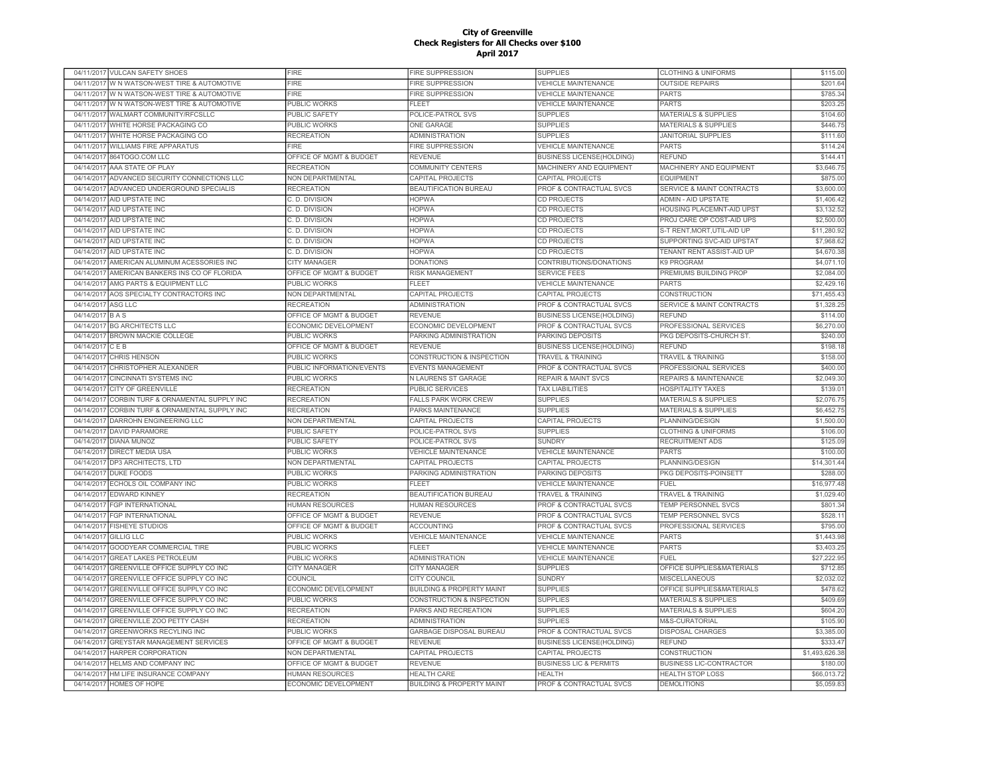|            | 04/11/2017 VULCAN SAFETY SHOES         | <b>FIRE</b>               | FIRE SUPPRESSION                     | <b>SUPPLIES</b>                    | <b>CLOTHING &amp; UNIFORMS</b>       | \$115.00       |
|------------|----------------------------------------|---------------------------|--------------------------------------|------------------------------------|--------------------------------------|----------------|
| 04/11/2017 | W N WATSON-WEST TIRE & AUTOMOTIVE      | FIRE                      | FIRE SUPPRESSION                     | <b>VEHICLE MAINTENANCE</b>         | <b>OUTSIDE REPAIRS</b>               | \$201.64       |
| 04/11/2017 | W N WATSON-WEST TIRE & AUTOMOTIVE      | <b>FIRE</b>               | FIRE SUPPRESSION                     | <b>VEHICLE MAINTENANCE</b>         | <b>PARTS</b>                         | \$785.34       |
| 04/11/2017 | W N WATSON-WEST TIRE & AUTOMOTIVE      | PUBLIC WORKS              | <b>FLEET</b>                         | <b>VEHICLE MAINTENANCE</b>         | <b>PARTS</b>                         | \$203.25       |
| 04/11/2017 | WALMART COMMUNITY/RFCSLLC              | PUBLIC SAFETY             | POLICE-PATROL SVS                    | <b>SUPPLIES</b>                    | <b>MATERIALS &amp; SUPPLIES</b>      | \$104.60       |
|            | 04/11/2017 WHITE HORSE PACKAGING CO    | <b>PUBLIC WORKS</b>       | <b>ONE GARAGE</b>                    | <b>SUPPLIES</b>                    | <b>MATERIALS &amp; SUPPLIES</b>      | \$446.75       |
| 04/11/2017 | WHITE HORSE PACKAGING CO               | <b>RECREATION</b>         | <b>ADMINISTRATION</b>                | <b>SUPPLIES</b>                    | <b>JANITORIAL SUPPLIES</b>           | \$111.60       |
|            | 04/11/2017 WILLIAMS FIRE APPARATUS     | <b>FIRE</b>               | FIRE SUPPRESSION                     | <b>VEHICLE MAINTENANCE</b>         | <b>PARTS</b>                         | \$114.24       |
| 04/14/2017 | 864TOGO.COM LLC                        | OFFICE OF MGMT & BUDGET   | <b>REVENUE</b>                       | <b>BUSINESS LICENSE(HOLDING)</b>   | <b>REFUND</b>                        | \$144.4        |
| 04/14/2017 | AAA STATE OF PLAY                      | <b>RECREATION</b>         | COMMUNITY CENTERS                    | MACHINERY AND EQUIPMENT            | MACHINERY AND EQUIPMENT              | \$3,646.7      |
| 04/14/2017 | ADVANCED SECURITY CONNECTIONS LLC      | NON DEPARTMENTAL          | CAPITAL PROJECTS                     | <b>CAPITAL PROJECTS</b>            | <b>EQUIPMENT</b>                     | \$875.00       |
| 04/14/2017 | ADVANCED UNDERGROUND SPECIALIS         | <b>RECREATION</b>         | <b>BEAUTIFICATION BUREAU</b>         | PROF & CONTRACTUAL SVCS            | SERVICE & MAINT CONTRACTS            | \$3,600.00     |
| 04/14/2017 | AID UPSTATE INC                        | C. D. DIVISION            | <b>HOPWA</b>                         | CD PROJECTS                        | ADMIN - AID UPSTATE                  | \$1,406.42     |
| 04/14/2017 | <b>AID UPSTATE INC</b>                 | C. D. DIVISION            | <b>HOPWA</b>                         | <b>CD PROJECTS</b>                 | HOUSING PLACEMNT-AID UPST            | \$3,132.52     |
| 04/14/2017 | AID UPSTATE INC                        | C.D. DIVISION             | <b>HOPWA</b>                         | <b>CD PROJECTS</b>                 | PROJ CARE OP COST-AID UPS            | \$2,500.00     |
| 04/14/2017 | AID UPSTATE INC                        | C. D. DIVISION            | <b>HOPWA</b>                         | <b>CD PROJECTS</b>                 | S-T RENT, MORT, UTIL-AID UP          | \$11,280.92    |
|            | 04/14/2017 AID UPSTATE INC             | C. D. DIVISION            | <b>HOPWA</b>                         | <b>CD PROJECTS</b>                 | SUPPORTING SVC-AID UPSTAT            | \$7,968.62     |
| 04/14/2017 | AID UPSTATE INC                        | C. D. DIVISION            | <b>HOPWA</b>                         | <b>CD PROJECTS</b>                 | TENANT RENT ASSIST-AID UP            | \$4,670.38     |
| 04/14/2017 | AMERICAN ALUMINUM ACESSORIES INC       | <b>CITY MANAGER</b>       | <b>DONATIONS</b>                     | CONTRIBUTIONS/DONATIONS            | K9 PROGRAM                           | \$4.071.10     |
| 04/14/2017 | AMERICAN BANKERS INS CO OF FLORIDA     | OFFICE OF MGMT & BUDGET   | <b>RISK MANAGEMENT</b>               | <b>SERVICE FEES</b>                | PREMIUMS BUILDING PROP               | \$2,084.00     |
| 04/14/2017 | AMG PARTS & EQUIPMENT LLC              | PUBLIC WORKS              | FLEET                                | <b>VEHICLE MAINTENANCE</b>         | <b>PARTS</b>                         | \$2,429.1      |
| 04/14/2017 | AOS SPECIALTY CONTRACTORS INC          | NON DEPARTMENTAL          | CAPITAL PROJECTS                     | <b>CAPITAL PROJECTS</b>            | <b>CONSTRUCTION</b>                  | \$71,455.43    |
| 04/14/2017 | ASG LLC                                | <b>RECREATION</b>         | <b>ADMINISTRATION</b>                | <b>PROF &amp; CONTRACTUAL SVCS</b> | <b>SERVICE &amp; MAINT CONTRACTS</b> | \$1,328.2      |
| 04/14/2017 | <b>BAS</b>                             | OFFICE OF MGMT & BUDGET   | REVENUE                              | <b>BUSINESS LICENSE(HOLDING)</b>   | <b>REFUND</b>                        | \$114.00       |
| 04/14/2017 | <b>BG ARCHITECTS LLC</b>               | ECONOMIC DEVELOPMENT      | ECONOMIC DEVELOPMENT                 | PROF & CONTRACTUAL SVCS            | PROFESSIONAL SERVICES                | \$6,270.00     |
| 04/14/2017 | <b>BROWN MACKIE COLLEGE</b>            | <b>PUBLIC WORKS</b>       | PARKING ADMINISTRATION               | PARKING DEPOSITS                   | PKG DEPOSITS-CHURCH ST               | \$240.00       |
| 04/14/2017 | CEB                                    | OFFICE OF MGMT & BUDGET   | <b>REVENUE</b>                       | <b>BUSINESS LICENSE(HOLDING)</b>   | <b>REFUND</b>                        | \$198.1        |
| 04/14/2017 | CHRIS HENSON                           | PUBLIC WORKS              | CONSTRUCTION & INSPECTION            | <b>TRAVEL &amp; TRAINING</b>       | TRAVEL & TRAINING                    | \$158.00       |
| 04/14/2017 | CHRISTOPHER ALEXANDER                  | PUBLIC INFORMATION/EVENTS | <b>EVENTS MANAGEMENT</b>             | PROF & CONTRACTUAL SVCS            | PROFESSIONAL SERVICES                | \$400.00       |
| 04/14/2017 | <b>CINCINNATI SYSTEMS INC</b>          | PUBLIC WORKS              | N LAURENS ST GARAGE                  | <b>REPAIR &amp; MAINT SVCS</b>     | <b>REPAIRS &amp; MAINTENANCE</b>     | \$2,049.30     |
| 04/14/2017 | <b>CITY OF GREENVILLE</b>              | <b>RECREATION</b>         | PUBLIC SERVICES                      | <b>TAX LIABILITIES</b>             | <b>HOSPITALITY TAXES</b>             | \$139.0        |
| 04/14/2017 | CORBIN TURF & ORNAMENTAL SUPPLY INC    | <b>RECREATION</b>         | <b>FALLS PARK WORK CREW</b>          | <b>SUPPLIES</b>                    | <b>MATERIALS &amp; SUPPLIES</b>      | \$2,076.7      |
| 04/14/2017 | CORBIN TURF & ORNAMENTAL SUPPLY INC    | <b>RECREATION</b>         | PARKS MAINTENANCE                    | <b>SUPPLIES</b>                    | <b>MATERIALS &amp; SUPPLIES</b>      | \$6,452.7      |
| 04/14/2017 | <b>DARROHN ENGINEERING LLC</b>         | <b>NON DEPARTMENTAL</b>   | CAPITAL PROJECTS                     | <b>CAPITAL PROJECTS</b>            | <b>PLANNING/DESIGN</b>               | \$1,500.00     |
| 04/14/2017 | <b>DAVID PARAMORE</b>                  | <b>PUBLIC SAFETY</b>      | POLICE-PATROL SVS                    | <b>SUPPLIES</b>                    | <b>CLOTHING &amp; UNIFORMS</b>       | \$106.00       |
| 04/14/2017 | <b>DIANA MUNOZ</b>                     | <b>PUBLIC SAFETY</b>      | POLICE-PATROL SVS                    | <b>SUNDRY</b>                      | <b>RECRUITMENT ADS</b>               | \$125.0        |
| 04/14/201  | <b>DIRECT MEDIA USA</b>                | <b>PUBLIC WORKS</b>       | <b>VEHICLE MAINTENANCE</b>           | <b>VEHICLE MAINTENANCE</b>         | <b>PARTS</b>                         | \$100.00       |
| 04/14/2017 | DP3 ARCHITECTS, LTD                    | NON DEPARTMENTAL          | CAPITAL PROJECTS                     | <b>CAPITAL PROJECTS</b>            | PLANNING/DESIGN                      | \$14,301.44    |
| 04/14/2017 | <b>DUKE FOODS</b>                      | <b>PUBLIC WORKS</b>       | PARKING ADMINISTRATION               | PARKING DEPOSITS                   | PKG DEPOSITS-POINSETT                | \$288.00       |
| 04/14/2017 | ECHOLS OIL COMPANY INC                 | <b>PUBLIC WORKS</b>       | FI FFT                               | <b>VEHICLE MAINTENANCE</b>         | <b>FUEL</b>                          | \$16,977.48    |
|            | 04/14/2017 EDWARD KINNEY               | <b>RECREATION</b>         | <b>BEAUTIFICATION BUREAU</b>         | <b>TRAVEL &amp; TRAINING</b>       | TRAVEL & TRAINING                    | \$1,029.40     |
| 04/14/2017 | <b>FGP INTERNATIONAL</b>               | HUMAN RESOURCES           | <b>HUMAN RESOURCES</b>               | PROF & CONTRACTUAL SVCS            | TEMP PERSONNEL SVCS                  | \$801.34       |
|            | 04/14/2017 FGP INTERNATIONAL           | OFFICE OF MGMT & BUDGET   | <b>REVENUE</b>                       | PROF & CONTRACTUAL SVCS            | TEMP PERSONNEL SVCS                  | \$528.1        |
| 04/14/2017 | <b>FISHEYE STUDIOS</b>                 | OFFICE OF MGMT & BUDGET   | <b>ACCOUNTING</b>                    | PROF & CONTRACTUAL SVCS            | PROFESSIONAL SERVICES                | \$795.00       |
| 04/14/2017 | <b>GILLIG LLC</b>                      | PUBLIC WORKS              | <b>VEHICLE MAINTENANCE</b>           | <b>VEHICLE MAINTENANCE</b>         | <b>PARTS</b>                         | \$1,443.98     |
| 04/14/2017 | GOODYEAR COMMERCIAL TIRE               | <b>PUBLIC WORKS</b>       | <b>FLEET</b>                         | <b>VEHICLE MAINTENANCE</b>         | <b>PARTS</b>                         | \$3,403.2      |
| 04/14/2017 | <b>GREAT LAKES PETROLEUM</b>           | <b>PUBLIC WORKS</b>       | ADMINISTRATION                       | <b>VEHICLE MAINTENANCE</b>         | FUEL                                 | \$27,222.95    |
| 04/14/2017 | GREENVILLE OFFICE SUPPLY CO INC        | <b>CITY MANAGER</b>       | <b>CITY MANAGER</b>                  | <b>SUPPLIES</b>                    | OFFICE SUPPLIES&MATERIALS            | \$712.85       |
| 04/14/2017 | GREENVILLE OFFICE SUPPLY CO INC        | <b>COUNCIL</b>            | <b>CITY COUNCIL</b>                  | <b>SUNDRY</b>                      | <b>MISCELLANEOUS</b>                 | \$2,032.02     |
| 04/14/2017 | GREENVILLE OFFICE SUPPLY CO INC        | ECONOMIC DEVELOPMENT      | <b>BUILDING &amp; PROPERTY MAINT</b> | <b>SUPPLIES</b>                    | OFFICE SUPPLIES&MATERIALS            | \$478.62       |
| 04/14/2017 | <b>GREENVILLE OFFICE SUPPLY CO INC</b> | <b>PUBLIC WORKS</b>       | CONSTRUCTION & INSPECTION            | <b>SUPPLIES</b>                    | <b>MATERIALS &amp; SUPPLIES</b>      | \$409.69       |
| 04/14/2017 | GREENVILLE OFFICE SUPPLY CO INC        | <b>RECREATION</b>         | PARKS AND RECREATION                 | <b>SUPPLIES</b>                    | <b>MATERIALS &amp; SUPPLIES</b>      | \$604.20       |
| 04/14/2017 | <b>GREENVILLE ZOO PETTY CASH</b>       | <b>RECREATION</b>         | <b>ADMINISTRATION</b>                | <b>SUPPLIES</b>                    | M&S-CURATORIAL                       | \$105.90       |
| 04/14/2017 | <b>GREENWORKS RECYLING INC</b>         | PUBLIC WORKS              | GARBAGE DISPOSAL BUREAU              | PROF & CONTRACTUAL SVCS            | DISPOSAL CHARGES                     | \$3,385.00     |
| 04/14/2017 | GREYSTAR MANAGEMENT SERVICES           | OFFICE OF MGMT & BUDGET   | <b>REVENUE</b>                       | <b>BUSINESS LICENSE(HOLDING)</b>   | <b>REFUND</b>                        | \$333.47       |
| 04/14/2017 | HARPER CORPORATION                     | NON DEPARTMENTAL          | CAPITAL PROJECTS                     | CAPITAL PROJECTS                   | CONSTRUCTION                         | \$1,493,626.38 |
| 04/14/2017 | HELMS AND COMPANY INC                  | OFFICE OF MGMT & BUDGET   | <b>REVENUE</b>                       | <b>BUSINESS LIC &amp; PERMITS</b>  | <b>BUSINESS LIC-CONTRACTOR</b>       | \$180.00       |
| 04/14/2017 | HM LIFE INSURANCE COMPANY              | <b>HUMAN RESOURCES</b>    | <b>HEALTH CARE</b>                   | <b>HEALTH</b>                      | <b>HEALTH STOP LOSS</b>              | \$66,013.72    |
|            | 04/14/2017 HOMES OF HOPE               | ECONOMIC DEVELOPMENT      | <b>BUILDING &amp; PROPERTY MAINT</b> | PROF & CONTRACTUAL SVCS            | <b>DEMOLITIONS</b>                   | \$5,059.83     |
|            |                                        |                           |                                      |                                    |                                      |                |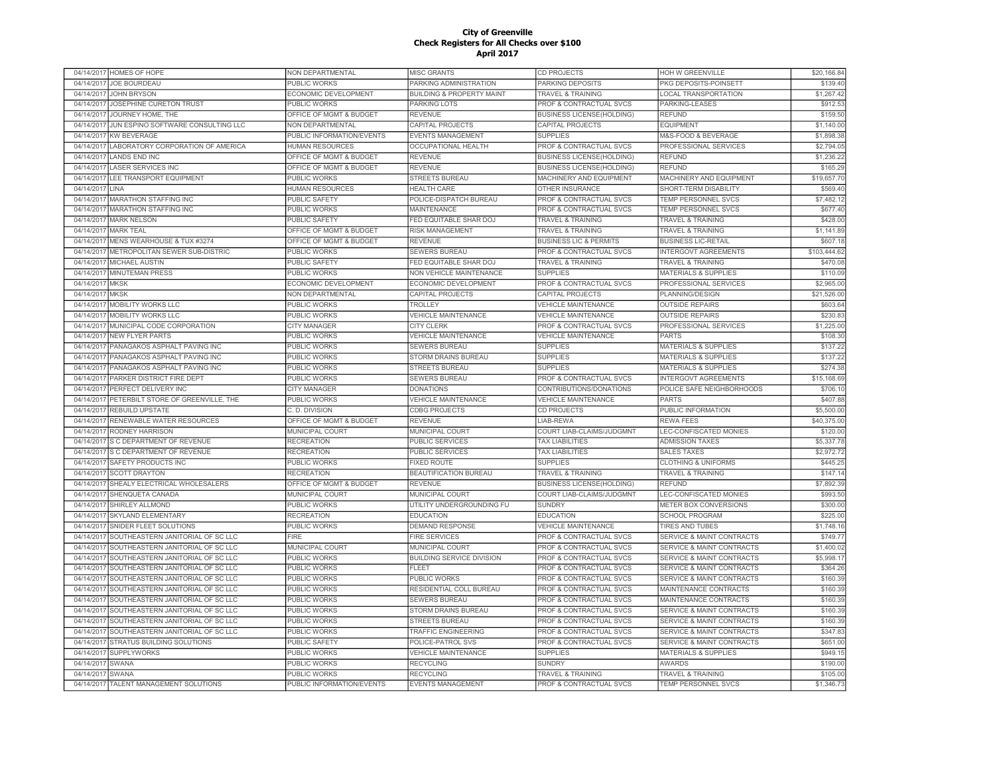| 04/14/2017              | <b>HOMES OF HOPE</b>                                      | NON DEPARTMENTAL                           | MISC GRANTS                                   | <b>CD PROJECTS</b>                         | HOH W GREENVILLE                                               | \$20,166.84             |
|-------------------------|-----------------------------------------------------------|--------------------------------------------|-----------------------------------------------|--------------------------------------------|----------------------------------------------------------------|-------------------------|
| 04/14/2017              | JOE BOURDEAU                                              | PUBLIC WORKS                               | PARKING ADMINISTRATION                        | PARKING DEPOSITS                           | PKG DEPOSITS-POINSETT                                          | \$139.40                |
|                         | 04/14/2017 JOHN BRYSON                                    | ECONOMIC DEVELOPMENT                       | <b>BUILDING &amp; PROPERTY MAINT</b>          | <b>TRAVEL &amp; TRAINING</b>               | <b>LOCAL TRANSPORTATION</b>                                    | \$1,267.42              |
| 04/14/2017              | JOSEPHINE CURETON TRUST                                   | PUBLIC WORKS                               | PARKING LOTS                                  | PROF & CONTRACTUAL SVCS                    | PARKING-LEASES                                                 | \$912.53                |
| 04/14/2017              | JOURNEY HOME, THE                                         | OFFICE OF MGMT & BUDGET                    | <b>REVENUE</b>                                | <b>BUSINESS LICENSE(HOLDING)</b>           | <b>REFUND</b>                                                  | \$159.50                |
| 04/14/2017              | JUN ESPINO SOFTWARE CONSULTING LLC                        | NON DEPARTMENTAL                           | CAPITAL PROJECTS                              | CAPITAL PROJECTS                           | <b>EQUIPMENT</b>                                               | \$1,140.00              |
| 04/14/2017              | <b>KW BEVERAGE</b>                                        | PUBLIC INFORMATION/EVENTS                  | <b>EVENTS MANAGEMENT</b>                      | <b>SUPPLIES</b>                            | M&S-FOOD & BEVERAGE                                            | \$1,898.38              |
| 04/14/2017              | LABORATORY CORPORATION OF AMERICA                         | <b>HUMAN RESOURCES</b>                     | OCCUPATIONAL HEALTH                           | PROF & CONTRACTUAL SVCS                    | PROFESSIONAL SERVICES                                          | \$2,794.0               |
| 04/14/2017              | <b>LANDS END INC</b>                                      | OFFICE OF MGMT & BUDGET                    | <b>REVENUE</b>                                | <b>BUSINESS LICENSE(HOLDING)</b>           | REFUND                                                         | \$1,236.22              |
| 04/14/2017              | <b>LASER SERVICES INC</b>                                 | OFFICE OF MGMT & BUDGET                    | <b>REVENUE</b>                                | <b>BUSINESS LICENSE(HOLDING)</b>           | REFUND                                                         | \$165.29                |
| 04/14/2017              | LEE TRANSPORT EQUIPMENT                                   | <b>PUBLIC WORKS</b>                        | <b>STREETS BUREAU</b>                         | <b>MACHINERY AND EQUIPMENT</b>             | <b>MACHINERY AND EQUIPMENT</b>                                 | \$19,657.70             |
| 04/14/2017              | LINA                                                      | <b>HUMAN RESOURCES</b>                     | <b>HEALTH CARE</b>                            | <b>OTHER INSURANCE</b>                     | SHORT-TERM DISABILITY                                          | \$569.40                |
| 04/14/2017              | <b>MARATHON STAFFING INC</b>                              | PUBLIC SAFETY                              | POLICE-DISPATCH BUREAU                        | PROF & CONTRACTUAL SVCS                    | <b>TEMP PERSONNEL SVCS</b>                                     | \$7,482.1               |
| 04/14/2017              | <b>MARATHON STAFFING INC</b>                              | PUBLIC WORKS                               | <b>MAINTENANCE</b>                            | PROF & CONTRACTUAL SVCS                    | TEMP PERSONNEL SVCS                                            | \$677.40                |
| 04/14/2017              | <b>MARK NELSON</b>                                        | PUBLIC SAFETY                              | FED EQUITABLE SHAR DOJ                        | <b>TRAVEL &amp; TRAINING</b>               | <b>TRAVEL &amp; TRAINING</b>                                   | \$428.00                |
| 04/14/2017              | <b>MARK TEAL</b>                                          | OFFICE OF MGMT & BUDGET                    | <b>RISK MANAGEMENT</b>                        | <b>TRAVEL &amp; TRAINING</b>               | <b>TRAVEL &amp; TRAINING</b>                                   | \$1,141.89              |
| 04/14/2017              | MENS WEARHOUSE & TUX #3274                                | OFFICE OF MGMT & BUDGET                    | <b>REVENUE</b>                                | <b>BUSINESS LIC &amp; PERMITS</b>          | <b>BUSINESS LIC-RETAIL</b>                                     | \$607.1                 |
| 04/14/2017              | METROPOLITAN SEWER SUB-DISTRIC                            | PUBLIC WORKS                               | <b>SEWERS BUREAU</b>                          | PROF & CONTRACTUAL SVCS                    | <b>INTERGOVT AGREEMENTS</b>                                    | \$103,444.6             |
| 04/14/2017              | <b>MICHAEL AUSTIN</b>                                     | <b>PUBLIC SAFETY</b>                       | FED EQUITABLE SHAR DOJ                        | <b>TRAVEL &amp; TRAINING</b>               | <b>TRAVEL &amp; TRAINING</b>                                   | \$470.08                |
| 04/14/201               | <b>MINUTEMAN PRESS</b>                                    | <b>PUBLIC WORKS</b>                        | NON VEHICLE MAINTENANCE                       | <b>SUPPLIES</b>                            | <b>MATERIALS &amp; SUPPLIES</b>                                | \$110.0                 |
| 04/14/2017              | <b>MKSK</b>                                               | <b>ECONOMIC DEVELOPMENT</b>                | ECONOMIC DEVELOPMENT                          | PROF & CONTRACTUAL SVCS                    | <b>PROFESSIONAL SERVICES</b>                                   | \$2,965.0               |
| 04/14/201               | <b>MKSK</b>                                               | NON DEPARTMENTAL                           | CAPITAL PROJECTS                              | <b>CAPITAL PROJECTS</b>                    | PLANNING/DESIGN                                                | \$21,526.00             |
| 04/14/2017              | <b>MOBILITY WORKS LLC</b>                                 | <b>PUBLIC WORKS</b>                        | TROLLEY                                       | <b>VEHICLE MAINTENANCE</b>                 | <b>OUTSIDE REPAIRS</b>                                         | \$603.64                |
| 04/14/2017              | <b>MOBILITY WORKS LLC</b>                                 | <b>PUBLIC WORKS</b>                        | <b>VEHICLE MAINTENANCE</b>                    | <b>VEHICLE MAINTENANCE</b>                 | <b>OUTSIDE REPAIRS</b>                                         | \$230.83                |
| 04/14/2017              | MUNICIPAL CODE CORPORATION                                | <b>CITY MANAGER</b>                        | <b>CITY CLERK</b>                             | PROF & CONTRACTUAL SVCS                    | PROFESSIONAL SERVICES                                          | \$1,225.00              |
| 04/14/2017              | <b>NEW FLYER PARTS</b>                                    | PUBLIC WORKS                               | <b>VEHICLE MAINTENANCE</b>                    | <b>VEHICLE MAINTENANCE</b>                 | <b>PARTS</b>                                                   | \$108.30                |
| 04/14/2017              | PANAGAKOS ASPHALT PAVING INC                              | PUBLIC WORKS                               | SEWERS BUREAU                                 | <b>SUPPLIES</b>                            | <b>MATERIALS &amp; SUPPLIES</b>                                | \$137.22                |
| 04/14/2017              | PANAGAKOS ASPHALT PAVING INC                              | PUBLIC WORKS                               | STORM DRAINS BUREAU                           | <b>SUPPLIES</b>                            | <b>MATERIALS &amp; SUPPLIES</b>                                | \$137.2                 |
|                         |                                                           |                                            |                                               |                                            |                                                                |                         |
| 04/14/2017              | PANAGAKOS ASPHALT PAVING INC<br>PARKER DISTRICT FIRE DEPT | <b>PUBLIC WORKS</b>                        | <b>STREETS BUREAU</b><br><b>SEWERS BUREAU</b> | <b>SUPPLIES</b><br>PROF & CONTRACTUAL SVCS | <b>MATERIALS &amp; SUPPLIES</b><br><b>INTERGOVT AGREEMENTS</b> | \$274.38<br>\$15,168.69 |
| 04/14/2017<br>04/14/201 | PERFECT DELIVERY INC                                      | <b>PUBLIC WORKS</b><br><b>CITY MANAGER</b> | <b>DONATIONS</b>                              | CONTRIBUTIONS/DONATIONS                    | POLICE SAFE NEIGHBORHOODS                                      | \$706.1                 |
| 04/14/2017              | PETERBILT STORE OF GREENVILLE. THE                        |                                            | <b>VEHICLE MAINTENANCE</b>                    | <b>VEHICLE MAINTENANCE</b>                 | <b>PARTS</b>                                                   | \$407.88                |
|                         |                                                           | <b>PUBLIC WORKS</b>                        |                                               |                                            |                                                                |                         |
| 04/14/201               | <b>REBUILD UPSTATE</b>                                    | C. D. DIVISION                             | <b>CDBG PROJECTS</b>                          | <b>CD PROJECTS</b>                         | PUBLIC INFORMATION                                             | \$5,500.00              |
| 04/14/2017              | RENEWABLE WATER RESOURCES                                 | OFFICE OF MGMT & BUDGET                    | <b>REVENUE</b>                                | LIAB-REWA                                  | <b>REWA FEES</b>                                               | \$40,375.00             |
| 04/14/2017              | RODNEY HARRISON                                           | MUNICIPAL COURT                            | MUNICIPAL COURT                               | <b>COURT LIAB-CLAIMS/JUDGMNT</b>           | LEC-CONFISCATED MONIES                                         | \$120.00                |
| 04/14/2017              | S C DEPARTMENT OF REVENUE                                 | <b>RECREATION</b>                          | <b>PUBLIC SERVICES</b>                        | <b>TAX LIABILITIES</b>                     | <b>ADMISSION TAXES</b>                                         | \$5,337.78              |
| 04/14/2017              | S C DEPARTMENT OF REVENUE                                 | <b>RECREATION</b>                          | PUBLIC SERVICES                               | <b>TAX LIABILITIES</b>                     | <b>SALES TAXES</b>                                             | \$2,972.72              |
| 04/14/2017              | <b>SAFETY PRODUCTS INC</b>                                | PUBLIC WORKS                               | <b>FIXED ROUTE</b>                            | <b>SUPPLIES</b>                            | <b>CLOTHING &amp; UNIFORMS</b>                                 | \$445.25                |
| 04/14/2017              | <b>SCOTT DRAYTON</b>                                      | <b>RECREATION</b>                          | BEAUTIFICATION BUREAU                         | <b>TRAVEL &amp; TRAINING</b>               | <b>TRAVEL &amp; TRAINING</b>                                   | \$147.1                 |
| 04/14/2017              | SHEALY ELECTRICAL WHOLESALERS                             | OFFICE OF MGMT & BUDGET                    | <b>REVENUE</b>                                | <b>BUSINESS LICENSE(HOLDING)</b>           | <b>REFUND</b>                                                  | \$7,892.39              |
| 04/14/2017              | SHENQUETA CANADA                                          | MUNICIPAL COURT                            | MUNICIPAL COURT                               | COURT LIAB-CLAIMS/JUDGMNT                  | LEC-CONFISCATED MONIES                                         | \$993.50                |
| 04/14/2017              | SHIRLEY ALLMOND                                           | <b>PUBLIC WORKS</b>                        | UTILITY UNDERGROUNDING FU                     | <b>SUNDRY</b>                              | METER BOX CONVERSIONS                                          | \$300.00                |
| 04/14/2017              | <b>SKYLAND ELEMENTARY</b>                                 | <b>RECREATION</b>                          | <b>EDUCATION</b>                              | <b>EDUCATION</b>                           | <b>SCHOOL PROGRAM</b>                                          | \$225.00                |
| 04/14/2017              | SNIDER FLEET SOLUTIONS                                    | PUBLIC WORKS                               | <b>DEMAND RESPONSE</b>                        | <b>VEHICLE MAINTENANCE</b>                 | <b>TIRES AND TUBES</b>                                         | \$1,748.16              |
| 04/14/2017              | SOUTHEASTERN JANITORIAL OF SC LLC                         | <b>FIRE</b>                                | <b>FIRE SERVICES</b>                          | PROF & CONTRACTUAL SVCS                    | <b>SERVICE &amp; MAINT CONTRACTS</b>                           | \$749.7                 |
| 04/14/2017              | SOUTHEASTERN JANITORIAL OF SC LLC                         | MUNICIPAL COURT                            | MUNICIPAL COURT                               | PROF & CONTRACTUAL SVCS                    | <b>SERVICE &amp; MAINT CONTRACTS</b>                           | \$1,400.02              |
| 04/14/2017              | SOUTHEASTERN JANITORIAL OF SC LLC                         | PUBLIC WORKS                               | <b>BUILDING SERVICE DIVISION</b>              | PROF & CONTRACTUAL SVCS                    | <b>SERVICE &amp; MAINT CONTRACTS</b>                           | \$5,998.1               |
| 04/14/2017              | SOUTHEASTERN JANITORIAL OF SC LLC                         | PUBLIC WORKS                               | <b>FLEET</b>                                  | PROF & CONTRACTUAL SVCS                    | <b>SERVICE &amp; MAINT CONTRACTS</b>                           | \$364.26                |
| 04/14/2017              | SOUTHEASTERN JANITORIAL OF SC LLC                         | PUBLIC WORKS                               | PUBLIC WORKS                                  | PROF & CONTRACTUAL SVCS                    | <b>SERVICE &amp; MAINT CONTRACTS</b>                           | \$160.3                 |
| 04/14/2017              | SOUTHEASTERN JANITORIAL OF SC LLC                         | PUBLIC WORKS                               | RESIDENTIAL COLL BUREAU                       | PROF & CONTRACTUAL SVCS                    | <b>MAINTENANCE CONTRACTS</b>                                   | \$160.3                 |
| 04/14/2017              | SOUTHEASTERN JANITORIAL OF SC LLC                         | <b>PUBLIC WORKS</b>                        | <b>SEWERS BUREAU</b>                          | PROF & CONTRACTUAL SVCS                    | MAINTENANCE CONTRACTS                                          | \$160.39                |
| 04/14/2017              | SOUTHEASTERN JANITORIAL OF SC LLC                         | <b>PUBLIC WORKS</b>                        | <b>STORM DRAINS BUREAU</b>                    | <b>PROF &amp; CONTRACTUAL SVCS</b>         | <b>SERVICE &amp; MAINT CONTRACTS</b>                           | \$160.39                |
| 04/14/2017              | SOUTHEASTERN JANITORIAL OF SC LLC                         | PUBLIC WORKS                               | <b>STREETS BUREAU</b>                         | PROF & CONTRACTUAL SVCS                    | <b>SERVICE &amp; MAINT CONTRACTS</b>                           | \$160.39                |
| 04/14/2017              | SOUTHEASTERN JANITORIAL OF SC LLC                         | <b>PUBLIC WORKS</b>                        | TRAFFIC ENGINEERING                           | PROF & CONTRACTUAL SVCS                    | <b>SERVICE &amp; MAINT CONTRACTS</b>                           | \$347.83                |
| 04/14/2017              | STRATUS BUILDING SOLUTIONS                                | PUBLIC SAFETY                              | POLICE-PATROL SVS                             | PROF & CONTRACTUAL SVCS                    | <b>SERVICE &amp; MAINT CONTRACTS</b>                           | \$651.00                |
| 04/14/2017              | <b>SUPPLYWORKS</b>                                        | <b>PUBLIC WORKS</b>                        | <b>VEHICLE MAINTENANCE</b>                    | <b>SUPPLIES</b>                            | <b>MATERIALS &amp; SUPPLIES</b>                                | \$949.1                 |
| 04/14/2017              | SWANA                                                     | PUBLIC WORKS                               | <b>RECYCLING</b>                              | <b>SUNDRY</b>                              | <b>AWARDS</b>                                                  | \$190.00                |
| 04/14/2017              | SWANA                                                     | PUBLIC WORKS                               | <b>RECYCLING</b>                              | <b>TRAVEL &amp; TRAINING</b>               | <b>TRAVEL &amp; TRAINING</b>                                   | \$105.00                |
|                         | 04/14/2017 TALENT MANAGEMENT SOLUTIONS                    | PUBLIC INFORMATION/EVENTS                  | <b>EVENTS MANAGEMENT</b>                      | PROF & CONTRACTUAL SVCS                    | TEMP PERSONNEL SVCS                                            | \$1,346.73              |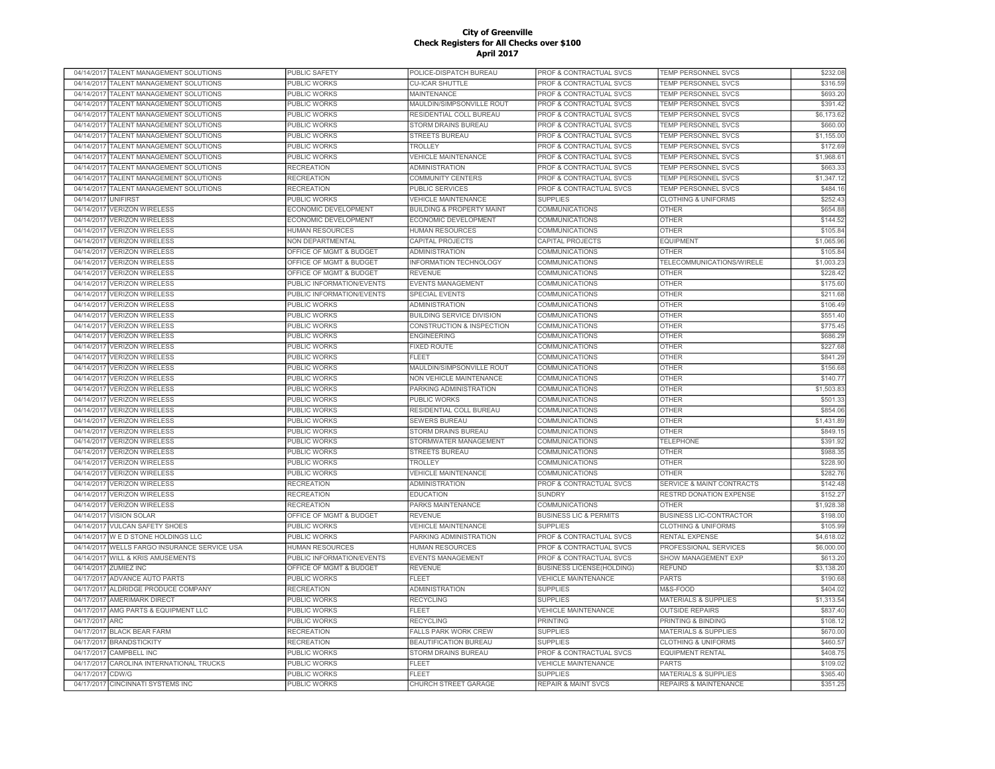|                          | 04/14/2017 TALENT MANAGEMENT SOLUTIONS | PUBLIC SAFETY                     | POLICE-DISPATCH BUREAU                          | PROF & CONTRACTUAL SVCS                       | TEMP PERSONNEL SVCS                                       | \$232.08             |
|--------------------------|----------------------------------------|-----------------------------------|-------------------------------------------------|-----------------------------------------------|-----------------------------------------------------------|----------------------|
| 04/14/2017               | TALENT MANAGEMENT SOLUTIONS            | PUBLIC WORKS                      | <b>CU-ICAR SHUTTLE</b>                          | PROF & CONTRACTUAL SVCS                       | TEMP PERSONNEL SVCS                                       | \$316.59             |
| 04/14/2017               | TALENT MANAGEMENT SOLUTIONS            | PUBLIC WORKS                      | <b>MAINTENANCE</b>                              | PROF & CONTRACTUAL SVCS                       | <b>TEMP PERSONNEL SVCS</b>                                | \$693.20             |
| 04/14/2017               | TALENT MANAGEMENT SOLUTIONS            | PUBLIC WORKS                      | MAULDIN/SIMPSONVILLE ROUT                       | PROF & CONTRACTUAL SVCS                       | TEMP PERSONNEL SVCS                                       | \$391.42             |
| 04/14/2017               | TALENT MANAGEMENT SOLUTIONS            | PUBLIC WORKS                      | RESIDENTIAL COLL BUREAU                         | PROF & CONTRACTUAL SVCS                       | TEMP PERSONNEL SVCS                                       | \$6,173.62           |
| 04/14/2017               | TALENT MANAGEMENT SOLUTIONS            | <b>PUBLIC WORKS</b>               | STORM DRAINS BUREAU                             | PROF & CONTRACTUAL SVCS                       | <b>TEMP PERSONNEL SVCS</b>                                | \$660.00             |
| 04/14/2017               | TALENT MANAGEMENT SOLUTIONS            | PUBLIC WORKS                      | <b>STREETS BUREAU</b>                           | PROF & CONTRACTUAL SVCS                       | <b>TEMP PERSONNEL SVCS</b>                                | \$1,155.00           |
| 04/14/2017               | TALENT MANAGEMENT SOLUTIONS            | PUBLIC WORKS                      | TROLLEY                                         | <b>PROF &amp; CONTRACTUAL SVCS</b>            | <b>TEMP PERSONNEL SVCS</b>                                | \$172.69             |
| 04/14/2017               | TALENT MANAGEMENT SOLUTIONS            | PUBLIC WORKS                      | <b>VEHICLE MAINTENANCE</b>                      | PROF & CONTRACTUAL SVCS                       | TEMP PERSONNEL SVCS                                       | \$1,968.6            |
| 04/14/2017               | TALENT MANAGEMENT SOLUTIONS            | <b>RECREATION</b>                 | ADMINISTRATION                                  | PROF & CONTRACTUAL SVCS                       | TEMP PERSONNEL SVCS                                       | \$663.3              |
| 04/14/2017               | TALENT MANAGEMENT SOLUTIONS            | <b>RECREATION</b>                 | <b>COMMUNITY CENTERS</b>                        | PROF & CONTRACTUAL SVCS                       | <b>TEMP PERSONNEL SVCS</b>                                | \$1,347.1            |
| 04/14/2017               | TALENT MANAGEMENT SOLUTIONS            | <b>RECREATION</b>                 | <b>PUBLIC SERVICES</b>                          | PROF & CONTRACTUAL SVCS                       | TEMP PERSONNEL SVCS                                       | \$484.1              |
| 04/14/2017               | <b>UNIFIRST</b>                        | PUBLIC WORKS                      | VEHICLE MAINTENANCE                             | <b>SUPPLIES</b>                               | <b>CLOTHING &amp; UNIFORMS</b>                            | \$252.43             |
| 04/14/2017               | <b>VERIZON WIRELESS</b>                | ECONOMIC DEVELOPMENT              | <b>BUILDING &amp; PROPERTY MAINT</b>            | COMMUNICATIONS                                | <b>OTHER</b>                                              | \$654.88             |
| 04/14/2017               | <b>VERIZON WIRELESS</b>                | ECONOMIC DEVELOPMENT              | ECONOMIC DEVELOPMENT                            | COMMUNICATIONS                                | <b>OTHER</b>                                              | \$144.52             |
| 04/14/2017               | <b>VERIZON WIRELESS</b>                | <b>HUMAN RESOURCES</b>            | <b>HUMAN RESOURCES</b>                          | COMMUNICATIONS                                | <b>OTHER</b>                                              | \$105.84             |
|                          | 04/14/2017 VERIZON WIRELESS            | NON DEPARTMENTAL                  | CAPITAL PROJECTS                                | CAPITAL PROJECTS                              | <b>EQUIPMENT</b>                                          | \$1,065.96           |
| 04/14/2017               | <b>VERIZON WIRELESS</b>                | OFFICE OF MGMT & BUDGET           | <b>ADMINISTRATION</b>                           | COMMUNICATIONS                                | <b>OTHER</b>                                              | \$105.84             |
| 04/14/2017               | <b>VERIZON WIRELESS</b>                | OFFICE OF MGMT & BUDGET           | INFORMATION TECHNOLOGY                          | <b>COMMUNICATIONS</b>                         | TELECOMMUNICATIONS/WIRELE                                 | \$1,003.23           |
| 04/14/2017               | <b>VERIZON WIRELESS</b>                | OFFICE OF MGMT & BUDGET           | <b>REVENUE</b>                                  | <b>COMMUNICATIONS</b>                         | <b>OTHER</b>                                              | \$228.42             |
| 04/14/2017               | <b>VERIZON WIRELESS</b>                | PUBLIC INFORMATION/EVENTS         | <b>EVENTS MANAGEMENT</b>                        | <b>COMMUNICATIONS</b>                         | <b>OTHER</b>                                              | \$175.60             |
| 04/14/2017               | <b>VERIZON WIRELESS</b>                | PUBLIC INFORMATION/EVENTS         | <b>SPECIAL EVENTS</b>                           | <b>COMMUNICATIONS</b>                         | <b>OTHER</b>                                              | \$211.68             |
| 04/14/2017               | <b>VERIZON WIRELESS</b>                | PUBLIC WORKS                      | <b>ADMINISTRATION</b>                           | COMMUNICATIONS                                | <b>OTHER</b>                                              | \$106.49             |
| 04/14/2017               | <b>VERIZON WIRELESS</b>                | <b>PUBLIC WORKS</b>               | <b>BUILDING SERVICE DIVISION</b>                | <b>COMMUNICATIONS</b>                         | <b>OTHER</b>                                              | \$551.40             |
| 04/14/2017               | <b>VERIZON WIRELESS</b>                | <b>PUBLIC WORKS</b>               | CONSTRUCTION & INSPECTION                       | COMMUNICATIONS                                | <b>OTHER</b>                                              | \$775.45             |
| 04/14/2017               | <b>VERIZON WIRELESS</b>                | PUBLIC WORKS                      | <b>ENGINEERING</b>                              | COMMUNICATIONS                                | <b>OTHER</b>                                              | \$686.29             |
| 04/14/2017               | <b>VERIZON WIRELESS</b>                | PUBLIC WORKS                      | <b>FIXED ROUTE</b>                              | COMMUNICATIONS                                | <b>OTHER</b>                                              | \$227.68             |
| 04/14/2017               | <b>VERIZON WIRELESS</b>                | PUBLIC WORKS                      | <b>FLEET</b>                                    | COMMUNICATIONS                                | <b>OTHER</b>                                              | \$841.29             |
| 04/14/2017               | <b>VERIZON WIRELESS</b>                | PUBLIC WORKS                      | MAULDIN/SIMPSONVILLE ROUT                       | COMMUNICATIONS                                | <b>OTHER</b>                                              | \$156.68             |
| 04/14/2017               | <b>VERIZON WIRELESS</b>                | PUBLIC WORKS                      | NON VEHICLE MAINTENANCE                         | COMMUNICATIONS                                | <b>OTHER</b>                                              | \$140.77             |
| 04/14/2017               | <b>VERIZON WIRELESS</b>                | PUBLIC WORKS                      | PARKING ADMINISTRATION                          | COMMUNICATIONS                                | <b>OTHER</b>                                              | \$1,503.8            |
| 04/14/2017               | <b>VERIZON WIRELESS</b>                | PUBLIC WORKS                      | PUBLIC WORKS                                    | <b>COMMUNICATIONS</b>                         | <b>OTHER</b>                                              | \$501.3              |
| 04/14/2017               | <b>VERIZON WIRELESS</b>                | PUBLIC WORKS                      | RESIDENTIAL COLL BUREAU                         | COMMUNICATIONS                                | <b>OTHER</b>                                              | \$854.06             |
| 04/14/2017               | <b>VERIZON WIRELESS</b>                | PUBLIC WORKS                      | <b>SEWERS BUREAU</b>                            | <b>COMMUNICATIONS</b>                         | <b>OTHER</b>                                              | \$1,431.89           |
| 04/14/2017               | <b>VERIZON WIRELESS</b>                | PUBLIC WORKS                      | <b>STORM DRAINS BUREAU</b>                      | <b>COMMUNICATIONS</b>                         | <b>OTHER</b>                                              | \$849.1              |
| 04/14/2017               | <b>VERIZON WIRELESS</b>                | <b>PUBLIC WORKS</b>               | STORMWATER MANAGEMENT                           | <b>COMMUNICATIONS</b>                         | <b>TELEPHONE</b>                                          | \$391.92             |
| 04/14/2017               | <b>VERIZON WIRELESS</b>                | PUBLIC WORKS                      | <b>STREETS BUREAU</b>                           | <b>COMMUNICATIONS</b>                         | <b>OTHER</b>                                              | \$988.35             |
| 04/14/2017               | <b>VERIZON WIRELESS</b>                | PUBLIC WORKS                      | <b>TROLLEY</b>                                  | <b>COMMUNICATIONS</b>                         | <b>OTHER</b>                                              | \$228.90             |
| 04/14/2017               | <b>VERIZON WIRELESS</b>                | PUBLIC WORKS                      | <b>VEHICLE MAINTENANCE</b>                      | <b>COMMUNICATIONS</b>                         | <b>OTHER</b>                                              | \$282.76             |
| 04/14/2017               | <b>VERIZON WIRELESS</b>                | <b>RECREATION</b>                 | <b>ADMINISTRATION</b>                           | PROF & CONTRACTUAL SVCS                       | SERVICE & MAINT CONTRACTS                                 | \$142.48             |
| 04/14/2017               | <b>VERIZON WIRELESS</b>                | <b>RECREATION</b>                 | <b>EDUCATION</b>                                | <b>SUNDRY</b>                                 | RESTRD DONATION EXPENSE                                   | \$152.27             |
| 04/14/2017               | <b>VERIZON WIRELESS</b>                | <b>RECREATION</b>                 | PARKS MAINTENANCE                               | COMMUNICATIONS                                | <b>OTHER</b>                                              | \$1,928.38           |
| 04/14/2017               | <b>VISION SOLAR</b>                    | OFFICE OF MGMT & BUDGET           | <b>REVENUE</b>                                  | <b>BUSINESS LIC &amp; PERMITS</b>             | <b>BUSINESS LIC-CONTRACTOR</b>                            | \$198.00             |
| 04/14/2017               | <b>VULCAN SAFETY SHOES</b>             | PUBLIC WORKS                      | <b>VEHICLE MAINTENANCE</b>                      | <b>SUPPLIES</b>                               | <b>CLOTHING &amp; UNIFORMS</b>                            | \$105.99             |
| 04/14/2017               | W E D STONE HOLDINGS LLC               | PUBLIC WORKS                      | PARKING ADMINISTRATION                          | PROF & CONTRACTUAL SVCS                       | RENTAL EXPENSE                                            | \$4,618.02           |
| 04/14/2017               | WELLS FARGO INSURANCE SERVICE USA      | <b>HUMAN RESOURCES</b>            | <b>HUMAN RESOURCES</b>                          | PROF & CONTRACTUAL SVCS                       | PROFESSIONAL SERVICES                                     | \$6,000.00           |
| 04/14/2017               | <b>WILL &amp; KRIS AMUSEMENTS</b>      | PUBLIC INFORMATION/EVENTS         | <b>EVENTS MANAGEMENT</b>                        | <b>PROF &amp; CONTRACTUAL SVCS</b>            | <b>SHOW MANAGEMENT EXP</b>                                | \$613.20             |
| 04/14/2017               | <b>ZUMIEZ INC</b>                      | OFFICE OF MGMT & BUDGET           | <b>REVENUE</b>                                  | <b>BUSINESS LICENSE(HOLDING)</b>              | <b>REFUND</b>                                             | \$3,138.20           |
| 04/17/2017               | ADVANCE AUTO PARTS                     | <b>PUBLIC WORKS</b>               | <b>FLEET</b>                                    | <b>VEHICLE MAINTENANCE</b>                    | <b>PARTS</b>                                              | \$190.68             |
| 04/17/2017               | <b>ALDRIDGE PRODUCE COMPANY</b>        | <b>RECREATION</b>                 | <b>ADMINISTRATION</b>                           | <b>SUPPLIES</b>                               | M&S-FOOD                                                  | \$404.02             |
| 04/17/2017               | <b>AMERIMARK DIRECT</b>                | <b>PUBLIC WORKS</b>               | <b>RECYCLING</b>                                | <b>SUPPLIES</b>                               | MATERIALS & SUPPLIES                                      | \$1,313.54           |
| 04/17/2017               | AMG PARTS & EQUIPMENT LLC              | PUBLIC WORKS                      | <b>FLEET</b>                                    | <b>VEHICLE MAINTENANCE</b>                    | <b>OUTSIDE REPAIRS</b>                                    | \$837.40             |
| 04/17/2017               | <b>ARC</b>                             |                                   |                                                 | <b>PRINTING</b>                               | PRINTING & BINDING                                        | \$108.12             |
|                          | <b>BLACK BEAR FARM</b>                 | PUBLIC WORKS                      | <b>RECYCLING</b><br><b>FALLS PARK WORK CREW</b> | <b>SUPPLIES</b>                               | <b>MATERIALS &amp; SUPPLIES</b>                           | \$670.00             |
| 04/17/2017               |                                        | <b>RECREATION</b>                 |                                                 |                                               |                                                           |                      |
| 04/17/2017<br>04/17/2017 | <b>BRANDSTICKITY</b><br>CAMPBELL INC   | <b>RECREATION</b><br>PUBLIC WORKS | BEAUTIFICATION BUREAU<br>STORM DRAINS BUREAU    | <b>SUPPLIES</b><br>PROF & CONTRACTUAL SVCS    | <b>CLOTHING &amp; UNIFORMS</b><br><b>EQUIPMENT RENTAL</b> | \$460.57<br>\$408.75 |
|                          |                                        |                                   |                                                 |                                               |                                                           |                      |
| 04/17/2017               | CAROLINA INTERNATIONAL TRUCKS<br>CDW/G | PUBLIC WORKS                      | <b>FLEET</b><br>FLEET                           | <b>VEHICLE MAINTENANCE</b><br><b>SUPPLIES</b> | <b>PARTS</b>                                              | \$109.02<br>\$365.40 |
| 04/17/2017               |                                        | PUBLIC WORKS                      |                                                 |                                               | MATERIALS & SUPPLIES                                      |                      |
|                          | 04/17/2017 CINCINNATI SYSTEMS INC      | <b>PUBLIC WORKS</b>               | <b>CHURCH STREET GARAGE</b>                     | <b>REPAIR &amp; MAINT SVCS</b>                | <b>REPAIRS &amp; MAINTENANCE</b>                          | \$351.25             |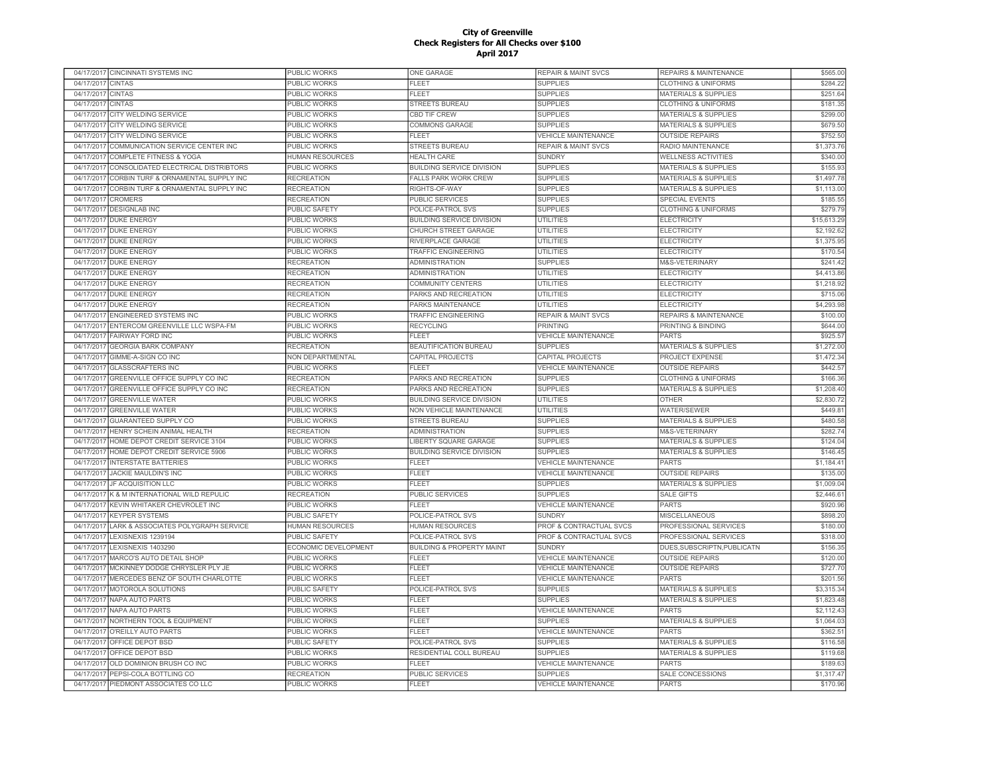|                          | 04/17/2017 CINCINNATI SYSTEMS INC     | PUBLIC WORKS         | <b>ONE GARAGE</b>                    | <b>REPAIR &amp; MAINT SVCS</b> | REPAIRS & MAINTENANCE           | \$565.00             |
|--------------------------|---------------------------------------|----------------------|--------------------------------------|--------------------------------|---------------------------------|----------------------|
| 04/17/2017               | <b>CINTAS</b>                         | PUBLIC WORKS         | <b>FLEET</b>                         | <b>SUPPLIES</b>                | <b>CLOTHING &amp; UNIFORMS</b>  | \$284.22             |
| 04/17/2017               | <b>CINTAS</b>                         | <b>PUBLIC WORKS</b>  | FLEET                                | <b>SUPPLIES</b>                | <b>MATERIALS &amp; SUPPLIES</b> | \$251.64             |
| 04/17/2017               | <b>CINTAS</b>                         | <b>PUBLIC WORKS</b>  | <b>STREETS BUREAU</b>                | <b>SUPPLIES</b>                | <b>CLOTHING &amp; UNIFORMS</b>  | \$181.35             |
| 04/17/2017               | <b>CITY WELDING SERVICE</b>           | PUBLIC WORKS         | <b>CBD TIF CREW</b>                  | <b>SUPPLIES</b>                | <b>MATERIALS &amp; SUPPLIES</b> | \$299.00             |
|                          | 04/17/2017 CITY WELDING SERVICE       | <b>PUBLIC WORKS</b>  | <b>COMMONS GARAGE</b>                | <b>SUPPLIES</b>                | <b>MATERIALS &amp; SUPPLIES</b> | \$679.50             |
| 04/17/2017               | CITY WELDING SERVICE                  | PUBLIC WORKS         | <b>FLEET</b>                         | <b>VEHICLE MAINTENANCE</b>     | <b>OUTSIDE REPAIRS</b>          | \$752.50             |
| 04/17/2017               | COMMUNICATION SERVICE CENTER INC      | PUBLIC WORKS         | STREETS BUREAU                       | <b>REPAIR &amp; MAINT SVCS</b> | RADIO MAINTENANCE               | \$1,373.76           |
| 04/17/2017               | <b>COMPLETE FITNESS &amp; YOGA</b>    | HUMAN RESOURCES      | <b>HEALTH CARE</b>                   | <b>SUNDRY</b>                  | <b>WELLNESS ACTIVITIES</b>      | \$340.00             |
| 04/17/2017               | CONSOLIDATED ELECTRICAL DISTRIBTORS   | PUBLIC WORKS         | BUILDING SERVICE DIVISION            | <b>SUPPLIES</b>                | <b>MATERIALS &amp; SUPPLIES</b> | \$155.93             |
| 04/17/2017               | CORBIN TURF & ORNAMENTAL SUPPLY INC   | <b>RECREATION</b>    | <b>FALLS PARK WORK CREW</b>          | <b>SUPPLIES</b>                | <b>MATERIALS &amp; SUPPLIES</b> | \$1,497.78           |
| 04/17/2017               | CORBIN TURF & ORNAMENTAL SUPPLY INC   | <b>RECREATION</b>    | RIGHTS-OF-WAY                        | <b>SUPPLIES</b>                | <b>MATERIALS &amp; SUPPLIES</b> | \$1,113.00           |
| 04/17/2017               | <b>CROMERS</b>                        | <b>RECREATION</b>    | <b>PUBLIC SERVICES</b>               | <b>SUPPLIES</b>                | <b>SPECIAL EVENTS</b>           | \$185.55             |
| 04/17/2017               | <b>DESIGNLAB INC</b>                  | <b>PUBLIC SAFETY</b> | POLICE-PATROL SVS                    | <b>SUPPLIES</b>                | <b>CLOTHING &amp; UNIFORMS</b>  | \$279.79             |
| 04/17/2017               | <b>DUKE ENERGY</b>                    | PUBLIC WORKS         | <b>BUILDING SERVICE DIVISION</b>     | <b>UTILITIES</b>               | <b>ELECTRICITY</b>              | \$15,613.29          |
| 04/17/2017               | <b>DUKE ENERGY</b>                    | <b>PUBLIC WORKS</b>  | CHURCH STREET GARAGE                 | <b>UTILITIES</b>               | <b>ELECTRICITY</b>              | \$2,192.62           |
|                          | 04/17/2017 DUKE ENERGY                | PUBLIC WORKS         | RIVERPLACE GARAGE                    | UTILITIES                      | <b>ELECTRICITY</b>              | \$1,375.95           |
|                          | 04/17/2017 DUKE ENERGY                | <b>PUBLIC WORKS</b>  | <b>TRAFFIC ENGINEERING</b>           | <b>UTILITIES</b>               | <b>ELECTRICITY</b>              | \$170.54             |
|                          | 04/17/2017 DUKE ENERGY                | <b>RECREATION</b>    | <b>ADMINISTRATION</b>                | <b>SUPPLIES</b>                | M&S-VETERINARY                  | \$241.42             |
|                          | 04/17/2017 DUKE ENERGY                | <b>RECREATION</b>    | <b>ADMINISTRATION</b>                | <b>UTILITIES</b>               | <b>ELECTRICITY</b>              | \$4,413.86           |
|                          | 04/17/2017 DUKE ENERGY                | <b>RECREATION</b>    | COMMUNITY CENTERS                    | <b>UTILITIES</b>               | <b>ELECTRICITY</b>              | \$1,218.92           |
| 04/17/2017               | <b>DUKE ENERGY</b>                    | <b>RECREATION</b>    | PARKS AND RECREATION                 | <b>UTILITIES</b>               | <b>ELECTRICITY</b>              | \$715.06             |
| 04/17/2017               | <b>DUKE ENERGY</b>                    | <b>RECREATION</b>    | PARKS MAINTENANCE                    | <b>UTILITIES</b>               | <b>ELECTRICITY</b>              | \$4,293.98           |
| 04/17/2017               | <b>ENGINEERED SYSTEMS INC</b>         | <b>PUBLIC WORKS</b>  | <b>TRAFFIC ENGINEERING</b>           | <b>REPAIR &amp; MAINT SVCS</b> | REPAIRS & MAINTENANCE           | \$100.00             |
| 04/17/2017               | ENTERCOM GREENVILLE LLC WSPA-FM       | <b>PUBLIC WORKS</b>  | <b>RECYCLING</b>                     | <b>PRINTING</b>                | PRINTING & BINDING              | \$644.00             |
| 04/17/2017               | <b>FAIRWAY FORD INC</b>               | <b>PUBLIC WORKS</b>  | <b>FLEET</b>                         | <b>VEHICLE MAINTENANCE</b>     | <b>PARTS</b>                    | \$925.57             |
| 04/17/2017               | <b>GEORGIA BARK COMPANY</b>           | <b>RECREATION</b>    | <b>BEAUTIFICATION BUREAU</b>         | <b>SUPPLIES</b>                | <b>MATERIALS &amp; SUPPLIES</b> | \$1,272.00           |
| 04/17/2017               | <b>GIMME-A-SIGN CO INC</b>            | NON DEPARTMENTAL     | <b>CAPITAL PROJECTS</b>              | <b>CAPITAL PROJECTS</b>        | PROJECT EXPENSE                 | \$1,472.34           |
| 04/17/2017               | <b>GLASSCRAFTERS INC</b>              | <b>PUBLIC WORKS</b>  | <b>FLEET</b>                         | <b>VEHICLE MAINTENANCE</b>     | <b>OUTSIDE REPAIRS</b>          | \$442.5              |
| 04/17/2017               | GREENVILLE OFFICE SUPPLY CO INC       | <b>RECREATION</b>    | PARKS AND RECREATION                 | <b>SUPPLIES</b>                | <b>CLOTHING &amp; UNIFORMS</b>  | \$166.36             |
| 04/17/2017               | GREENVILLE OFFICE SUPPLY CO INC       | <b>RECREATION</b>    | PARKS AND RECREATION                 | <b>SUPPLIES</b>                | <b>MATERIALS &amp; SUPPLIES</b> | \$1,208.40           |
|                          | 04/17/2017 GREENVILLE WATER           | <b>PUBLIC WORKS</b>  | <b>BUILDING SERVICE DIVISION</b>     | <b>UTILITIES</b>               | <b>OTHER</b>                    | \$2,830.7            |
| 04/17/2017               | <b>GREENVILLE WATER</b>               | PUBLIC WORKS         | NON VEHICLE MAINTENANCE              | UTILITIES                      | <b>WATER/SEWER</b>              | \$449.8'             |
| 04/17/2017               | <b>GUARANTEED SUPPLY CO</b>           | PUBLIC WORKS         | <b>STREETS BUREAU</b>                | <b>SUPPLIES</b>                | MATERIALS & SUPPLIES            | \$480.58             |
|                          | HENRY SCHEIN ANIMAL HEALTH            | <b>RECREATION</b>    | <b>ADMINISTRATION</b>                | <b>SUPPLIES</b>                | M&S-VETERINARY                  | \$282.7              |
| 04/17/2017<br>04/17/2017 | HOME DEPOT CREDIT SERVICE 3104        | <b>PUBLIC WORKS</b>  | <b>IBERTY SQUARE GARAGE</b>          | <b>SUPPLIES</b>                | <b>MATERIALS &amp; SUPPLIES</b> | \$124.04             |
|                          |                                       |                      | <b>BUILDING SERVICE DIVISION</b>     |                                | <b>MATERIALS &amp; SUPPLIES</b> |                      |
| 04/17/2017               | HOME DEPOT CREDIT SERVICE 5906        | <b>PUBLIC WORKS</b>  |                                      | <b>SUPPLIES</b>                | <b>PARTS</b>                    | \$146.4<br>\$1.184.4 |
| 04/17/2017               | <b>INTERSTATE BATTERIES</b>           | PUBLIC WORKS         | <b>FLEET</b>                         | <b>VEHICLE MAINTENANCE</b>     |                                 |                      |
| 04/17/2017               | JACKIE MAULDIN'S INC                  | <b>PUBLIC WORKS</b>  | <b>FLEET</b>                         | <b>VEHICLE MAINTENANCE</b>     | <b>OUTSIDE REPAIRS</b>          | \$135.00             |
| 04/17/2017               | <b>JF ACQUISITION LLC</b>             | <b>PUBLIC WORKS</b>  | <b>FLEET</b>                         | <b>SUPPLIES</b>                | <b>MATERIALS &amp; SUPPLIES</b> | \$1,009.0            |
| 04/17/2017               | K & M INTERNATIONAL WILD REPULIC      | <b>RECREATION</b>    | <b>PUBLIC SERVICES</b>               | <b>SUPPLIES</b>                | <b>SALE GIFTS</b>               | \$2,446.6            |
| 04/17/2017               | KEVIN WHITAKER CHEVROLET INC          | PUBLIC WORKS         | <b>FLEET</b>                         | <b>VEHICLE MAINTENANCE</b>     | <b>PARTS</b>                    | \$920.96             |
|                          | 04/17/2017 KEYPER SYSTEMS             | <b>PUBLIC SAFETY</b> | POLICE-PATROL SVS                    | <b>SUNDRY</b>                  | <b>MISCELLANEOUS</b>            | \$898.20             |
| 04/17/2017               | LARK & ASSOCIATES POLYGRAPH SERVICE   | HUMAN RESOURCES      | <b>HUMAN RESOURCES</b>               | PROF & CONTRACTUAL SVCS        | PROFESSIONAL SERVICES           | \$180.00             |
| 04/17/2017               | LEXISNEXIS 1239194                    | <b>PUBLIC SAFETY</b> | POLICE-PATROL SVS                    | PROF & CONTRACTUAL SVCS        | PROFESSIONAL SERVICES           | \$318.00             |
| 04/17/2017               | LEXISNEXIS 1403290                    | ECONOMIC DEVELOPMENT | <b>BUILDING &amp; PROPERTY MAINT</b> | <b>SUNDRY</b>                  | DUES, SUBSCRIPTN, PUBLICATN     | \$156.35             |
| 04/17/2017               | MARCO'S AUTO DETAIL SHOP              | PUBLIC WORKS         | <b>FLEET</b>                         | <b>VEHICLE MAINTENANCE</b>     | <b>OUTSIDE REPAIRS</b>          | \$120.00             |
| 04/17/2017               | MCKINNEY DODGE CHRYSLER PLY JE        | PUBLIC WORKS         | <b>FLEET</b>                         | <b>VEHICLE MAINTENANCE</b>     | <b>OUTSIDE REPAIRS</b>          | \$727.70             |
| 04/17/2017               | MERCEDES BENZ OF SOUTH CHARLOTTE      | PUBLIC WORKS         | FLEET                                | <b>VEHICLE MAINTENANCE</b>     | <b>PARTS</b>                    | \$201.56             |
| 04/17/2017               | MOTOROLA SOLUTIONS                    | <b>PUBLIC SAFETY</b> | POLICE-PATROL SVS                    | <b>SUPPLIES</b>                | <b>MATERIALS &amp; SUPPLIES</b> | \$3,315.34           |
| 04/17/2017               | <b>NAPA AUTO PARTS</b>                | <b>PUBLIC WORKS</b>  | FLEET                                | <b>SUPPLIES</b>                | <b>MATERIALS &amp; SUPPLIES</b> | \$1,823.48           |
| 04/17/2017               | <b>NAPA AUTO PARTS</b>                | <b>PUBLIC WORKS</b>  | <b>FLEET</b>                         | <b>VEHICLE MAINTENANCE</b>     | <b>PARTS</b>                    | \$2,112.4            |
| 04/17/2017               | NORTHERN TOOL & EQUIPMENT             | PUBLIC WORKS         | <b>FLEET</b>                         | <b>SUPPLIES</b>                | <b>MATERIALS &amp; SUPPLIES</b> | \$1,064.03           |
| 04/17/2017               | O'REILLY AUTO PARTS                   | <b>PUBLIC WORKS</b>  | <b>FLEET</b>                         | <b>VEHICLE MAINTENANCE</b>     | <b>PARTS</b>                    | \$362.5'             |
| 04/17/2017               | OFFICE DEPOT BSD                      | <b>PUBLIC SAFETY</b> | POLICE-PATROL SVS                    | <b>SUPPLIES</b>                | MATERIALS & SUPPLIES            | \$116.58             |
|                          | 04/17/2017 OFFICE DEPOT BSD           | <b>PUBLIC WORKS</b>  | RESIDENTIAL COLL BUREAU              | <b>SUPPLIES</b>                | <b>MATERIALS &amp; SUPPLIES</b> | \$119.68             |
|                          | 04/17/2017 OLD DOMINION BRUSH CO INC  | PUBLIC WORKS         | FLEET                                | <b>VEHICLE MAINTENANCE</b>     | <b>PARTS</b>                    | \$189.63             |
|                          | 04/17/2017 PEPSI-COLA BOTTLING CO     | <b>RECREATION</b>    | PUBLIC SERVICES                      | <b>SUPPLIES</b>                | SALE CONCESSIONS                | \$1,317.47           |
|                          | 04/17/2017 PIEDMONT ASSOCIATES CO LLC | PUBLIC WORKS         | <b>FLEET</b>                         | <b>VEHICLE MAINTENANCE</b>     | <b>PARTS</b>                    | \$170.96             |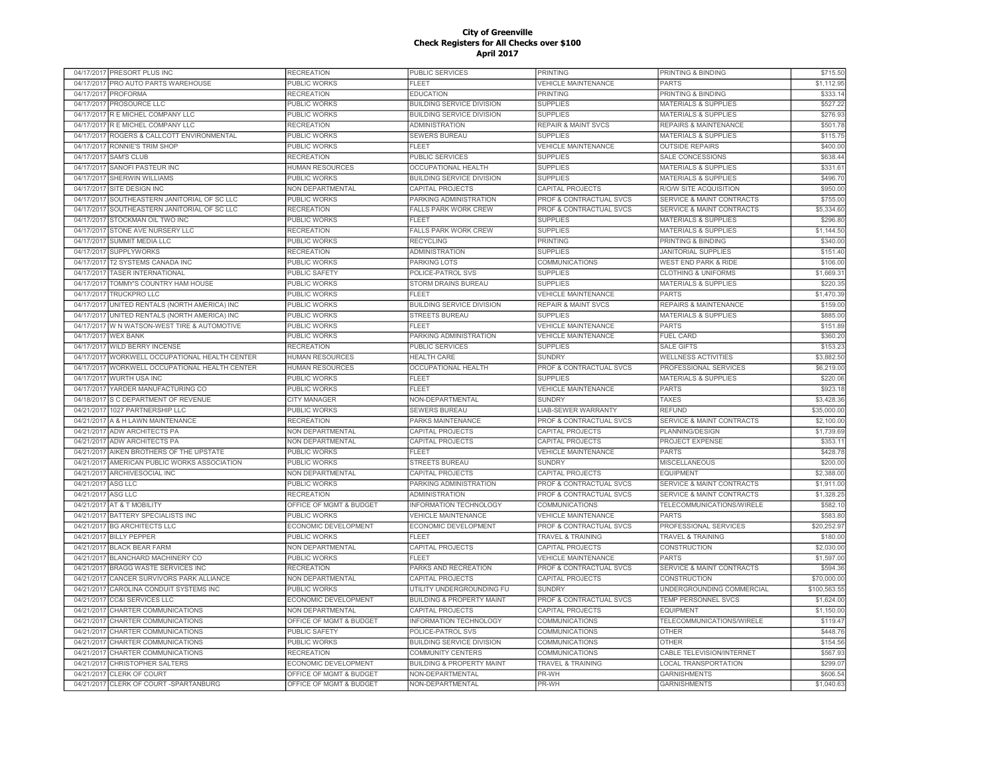|            | 04/17/2017 PRESORT PLUS INC          | <b>RECREATION</b>       | PUBLIC SERVICES                      | <b>PRINTING</b>                    | PRINTING & BINDING                   | \$715.50               |
|------------|--------------------------------------|-------------------------|--------------------------------------|------------------------------------|--------------------------------------|------------------------|
| 04/17/2017 | PRO AUTO PARTS WAREHOUSE             | PUBLIC WORKS            | <b>FLEET</b>                         | <b>VEHICLE MAINTENANCE</b>         | <b>PARTS</b>                         | \$1,112.95             |
| 04/17/2017 | <b>PROFORMA</b>                      | <b>RECREATION</b>       | EDUCATION                            | PRINTING                           | PRINTING & BINDING                   | \$333.14               |
| 04/17/2017 | PROSOURCE LLC                        | PUBLIC WORKS            | <b>BUILDING SERVICE DIVISION</b>     | <b>SUPPLIES</b>                    | <b>MATERIALS &amp; SUPPLIES</b>      | \$527.22               |
|            | 04/17/2017 R E MICHEL COMPANY LLC    | PUBLIC WORKS            | <b>BUILDING SERVICE DIVISION</b>     | <b>SUPPLIES</b>                    | <b>MATERIALS &amp; SUPPLIES</b>      | \$276.93               |
|            | 04/17/2017 R E MICHEL COMPANY LLC    | <b>RECREATION</b>       | <b>ADMINISTRATION</b>                | <b>REPAIR &amp; MAINT SVCS</b>     | <b>REPAIRS &amp; MAINTENANCE</b>     | \$501.78               |
| 04/17/2017 | ROGERS & CALLCOTT ENVIRONMENTAL      | PUBLIC WORKS            | SEWERS BUREAU                        | <b>SUPPLIES</b>                    | <b>MATERIALS &amp; SUPPLIES</b>      | \$115.75               |
| 04/17/2017 | RONNIE'S TRIM SHOP                   | PUBLIC WORKS            | <b>FLEET</b>                         | <b>VEHICLE MAINTENANCE</b>         | <b>OUTSIDE REPAIRS</b>               | \$400.00               |
| 04/17/2017 | <b>SAM'S CLUB</b>                    | <b>RECREATION</b>       | <b>PUBLIC SERVICES</b>               | <b>SUPPLIES</b>                    | SALE CONCESSIONS                     | \$638.4                |
| 04/17/2017 | SANOFI PASTEUR INC                   | <b>HUMAN RESOURCES</b>  | <b>OCCUPATIONAL HEALTH</b>           | <b>SUPPLIES</b>                    | <b>MATERIALS &amp; SUPPLIES</b>      | \$331.6                |
| 04/17/2017 | SHERWIN WILLIAMS                     | <b>PUBLIC WORKS</b>     | <b>BUILDING SERVICE DIVISION</b>     | <b>SUPPLIES</b>                    | <b>MATERIALS &amp; SUPPLIES</b>      | \$496.70               |
| 04/17/2017 | SITE DESIGN INC                      | <b>NON DEPARTMENTAL</b> | CAPITAL PROJECTS                     | <b>CAPITAL PROJECTS</b>            | R/O/W SITE ACQUISITION               | \$950.00               |
| 04/17/2017 | SOUTHEASTERN JANITORIAL OF SC LLC    | PUBLIC WORKS            | PARKING ADMINISTRATION               | PROF & CONTRACTUAL SVCS            | <b>SERVICE &amp; MAINT CONTRACTS</b> | \$755.00               |
| 04/17/2017 | SOUTHEASTERN JANITORIAL OF SC LLC    | <b>RECREATION</b>       | FALLS PARK WORK CREW                 | <b>PROF &amp; CONTRACTUAL SVCS</b> | <b>SERVICE &amp; MAINT CONTRACTS</b> | \$5,334.60             |
| 04/17/2017 | STOCKMAN OIL TWO INC                 | PUBLIC WORKS            | <b>FLEET</b>                         | <b>SUPPLIES</b>                    | <b>MATERIALS &amp; SUPPLIES</b>      | \$296.80               |
|            |                                      |                         |                                      |                                    |                                      |                        |
| 04/17/2017 | STONE AVE NURSERY LLC                | <b>RECREATION</b>       | <b>FALLS PARK WORK CREW</b>          | <b>SUPPLIES</b>                    | <b>MATERIALS &amp; SUPPLIES</b>      | \$1,144.50             |
| 04/17/2017 | <b>SUMMIT MEDIA LLC</b>              | PUBLIC WORKS            | <b>RECYCLING</b>                     | <b>PRINTING</b>                    | PRINTING & BINDING                   | \$340.00               |
| 04/17/2017 | <b>SUPPLYWORKS</b>                   | <b>RECREATION</b>       | <b>ADMINISTRATION</b>                | <b>SUPPLIES</b>                    | <b>JANITORIAL SUPPLIES</b>           | \$151.40               |
| 04/17/2017 | T2 SYSTEMS CANADA INC                | PUBLIC WORKS            | PARKING LOTS                         | <b>COMMUNICATIONS</b>              | <b>WEST END PARK &amp; RIDE</b>      | \$106.00               |
| 04/17/2017 | <b>TASER INTERNATIONAL</b>           | <b>PUBLIC SAFETY</b>    | POLICE-PATROL SVS                    | <b>SUPPLIES</b>                    | <b>CLOTHING &amp; UNIFORMS</b>       | \$1,669.3              |
| 04/17/2017 | TOMMY'S COUNTRY HAM HOUSE            | PUBLIC WORKS            | STORM DRAINS BUREAU                  | <b>SUPPLIES</b>                    | <b>MATERIALS &amp; SUPPLIES</b>      | \$220.35               |
| 04/17/2017 | <b>TRUCKPRO LLC</b>                  | PUBLIC WORKS            | FLEET                                | <b>VEHICLE MAINTENANCE</b>         | <b>PARTS</b>                         | \$1,470.39             |
| 04/17/2017 | UNITED RENTALS (NORTH AMERICA) INC   | PUBLIC WORKS            | BUILDING SERVICE DIVISION            | <b>REPAIR &amp; MAINT SVCS</b>     | REPAIRS & MAINTENANCE                | \$159.00               |
| 04/17/2017 | UNITED RENTALS (NORTH AMERICA) INC   | PUBLIC WORKS            | <b>STREETS BUREAU</b>                | <b>SUPPLIES</b>                    | <b>MATERIALS &amp; SUPPLIES</b>      | \$885.00               |
| 04/17/2017 | W N WATSON-WEST TIRE & AUTOMOTIVE    | PUBLIC WORKS            | FLEET                                | <b>VEHICLE MAINTENANCE</b>         | <b>PARTS</b>                         | \$151.89               |
| 04/17/2017 | <b>WEX BANK</b>                      | PUBLIC WORKS            | PARKING ADMINISTRATION               | <b>VEHICLE MAINTENANCE</b>         | <b>FUEL CARD</b>                     | \$360.20               |
| 04/17/2017 | <b>WILD BERRY INCENSE</b>            | <b>RECREATION</b>       | <b>PUBLIC SERVICES</b>               | <b>SUPPLIES</b>                    | <b>SALE GIFTS</b>                    | \$153.23               |
| 04/17/2017 | WORKWELL OCCUPATIONAL HEALTH CENTER  | <b>HUMAN RESOURCES</b>  | <b>HEALTH CARE</b>                   | <b>SUNDRY</b>                      | <b>WELLNESS ACTIVITIES</b>           | \$3,882.50             |
| 04/17/2017 | WORKWELL OCCUPATIONAL HEALTH CENTER  | <b>HUMAN RESOURCES</b>  | <b>OCCUPATIONAL HEALTH</b>           | PROF & CONTRACTUAL SVCS            | PROFESSIONAL SERVICES                | \$6,219.00             |
| 04/17/2017 | <b>WURTH USA INC</b>                 | <b>PUBLIC WORKS</b>     | FLEET                                | <b>SUPPLIES</b>                    | MATERIALS & SUPPLIES                 | \$220.06               |
| 04/17/2017 | YARDER MANUFACTURING CO              | PUBLIC WORKS            | <b>FLEET</b>                         | <b>VEHICLE MAINTENANCE</b>         | <b>PARTS</b>                         | \$923.1                |
|            | 04/18/2017 S C DEPARTMENT OF REVENUE | <b>CITY MANAGER</b>     | NON-DEPARTMENTAL                     | <b>SUNDRY</b>                      | <b>TAXES</b>                         | \$3,428.36             |
| 04/21/2017 | 1027 PARTNERSHIP LLC                 | PUBLIC WORKS            | SEWERS BUREAU                        | LIAB-SEWER WARRANTY                | <b>REFUND</b>                        | \$35,000.00            |
| 04/21/2017 | A & H LAWN MAINTENANCE               | <b>RECREATION</b>       | PARKS MAINTENANCE                    | PROF & CONTRACTUAL SVCS            | <b>SERVICE &amp; MAINT CONTRACTS</b> | \$2,100.00             |
| 04/21/2017 | <b>ADW ARCHITECTS PA</b>             | NON DEPARTMENTAL        | CAPITAL PROJECTS                     | CAPITAL PROJECTS                   | PLANNING/DESIGN                      | \$1,739.69             |
| 04/21/2017 | <b>ADW ARCHITECTS PA</b>             | NON DEPARTMENTAL        | CAPITAL PROJECTS                     | CAPITAL PROJECTS                   | PROJECT EXPENSE                      | \$353.1                |
| 04/21/2017 | AIKEN BROTHERS OF THE UPSTATE        | <b>PUBLIC WORKS</b>     | <b>FLEET</b>                         | <b>VEHICLE MAINTENANCE</b>         | <b>PARTS</b>                         | \$428.78               |
| 04/21/2017 | AMERICAN PUBLIC WORKS ASSOCIATION    | PUBLIC WORKS            | <b>STREETS BUREAU</b>                | <b>SUNDRY</b>                      | <b>MISCELLANEOUS</b>                 | \$200.00               |
| 04/21/2017 | <b>ARCHIVESOCIAL INC</b>             | NON DEPARTMENTAL        | <b>CAPITAL PROJECTS</b>              | CAPITAL PROJECTS                   | EQUIPMENT                            | \$2,388.00             |
| 04/21/2017 | <b>ASG LLC</b>                       | <b>PUBLIC WORKS</b>     | PARKING ADMINISTRATION               | <b>PROF &amp; CONTRACTUAL SVCS</b> | <b>SERVICE &amp; MAINT CONTRACTS</b> | \$1,911.00             |
| 04/21/2017 | <b>ASG LLC</b>                       | <b>RECREATION</b>       | <b>ADMINISTRATION</b>                | <b>PROF &amp; CONTRACTUAL SVCS</b> | <b>SERVICE &amp; MAINT CONTRACTS</b> | \$1,328.2              |
| 04/21/2017 | AT & T MOBILITY                      | OFFICE OF MGMT & BUDGET | INFORMATION TECHNOLOGY               | COMMUNICATIONS                     | TELECOMMUNICATIONS/WIRELE            | \$582.1                |
|            | 04/21/2017 BATTERY SPECIALISTS INC   | PUBLIC WORKS            | <b>VEHICLE MAINTENANCE</b>           | <b>VEHICLE MAINTENANCE</b>         | <b>PARTS</b>                         | \$583.80               |
|            |                                      |                         |                                      |                                    |                                      |                        |
|            | 04/21/2017 BG ARCHITECTS LLC         | ECONOMIC DEVELOPMENT    | ECONOMIC DEVELOPMENT                 | PROF & CONTRACTUAL SVCS            | PROFESSIONAL SERVICES                | \$20,252.97            |
|            | 04/21/2017 BILLY PEPPER              | PUBLIC WORKS            | FLEET                                | <b>TRAVEL &amp; TRAINING</b>       | <b>TRAVEL &amp; TRAINING</b>         | \$180.00               |
|            | 04/21/2017 BLACK BEAR FARM           | NON DEPARTMENTAL        | CAPITAL PROJECTS                     | CAPITAL PROJECTS                   | CONSTRUCTION                         | \$2,030.00             |
| 04/21/2017 | <b>BLANCHARD MACHINERY CO</b>        | PUBLIC WORKS            | <b>FLEET</b>                         | <b>VEHICLE MAINTENANCE</b>         | <b>PARTS</b>                         | \$1,597.0              |
| 04/21/2017 | BRAGG WASTE SERVICES INC             | <b>RECREATION</b>       | PARKS AND RECREATION                 | PROF & CONTRACTUAL SVCS            | <b>SERVICE &amp; MAINT CONTRACTS</b> | \$594.36               |
| 04/21/2017 | CANCER SURVIVORS PARK ALLIANCE       | <b>NON DEPARTMENTAL</b> | CAPITAL PROJECTS                     | CAPITAL PROJECTS                   | <b>CONSTRUCTION</b>                  | \$70,000.00            |
| 04/21/2017 | CAROLINA CONDUIT SYSTEMS INC         | PUBLIC WORKS            | UTILITY UNDERGROUNDING FU            | <b>SUNDRY</b>                      | UNDERGROUNDING COMMERCIAL            | \$100,563.55           |
| 04/21/2017 | <b>CC&amp;I SERVICES LLC</b>         | ECONOMIC DEVELOPMENT    | <b>BUILDING &amp; PROPERTY MAINT</b> | <b>PROF &amp; CONTRACTUAL SVCS</b> | TEMP PERSONNEL SVCS                  | \$1,624.00             |
| 04/21/2017 | CHARTER COMMUNICATIONS               | <b>NON DEPARTMENTAL</b> | <b>CAPITAL PROJECTS</b>              | <b>CAPITAL PROJECTS</b>            | EQUIPMENT                            | \$1,150.00             |
| 04/21/2017 | CHARTER COMMUNICATIONS               | OFFICE OF MGMT & BUDGET | <b>INFORMATION TECHNOLOGY</b>        | <b>COMMUNICATIONS</b>              | TELECOMMUNICATIONS/WIRELE            | \$119.47               |
| 04/21/2017 | CHARTER COMMUNICATIONS               | PUBLIC SAFETY           | POLICE-PATROL SVS                    | COMMUNICATIONS                     | <b>OTHER</b>                         | \$448.76               |
| 04/21/2017 | CHARTER COMMUNICATIONS               | PUBLIC WORKS            | <b>BUILDING SERVICE DIVISION</b>     | COMMUNICATIONS                     | <b>OTHER</b>                         | \$154.56               |
|            | 04/21/2017 CHARTER COMMUNICATIONS    | <b>RECREATION</b>       | <b>COMMUNITY CENTERS</b>             | COMMUNICATIONS                     | CABLE TELEVISION/INTERNET            | \$567.93               |
|            | 04/21/2017 CHRISTOPHER SALTERS       | ECONOMIC DEVELOPMENT    | <b>BUILDING &amp; PROPERTY MAINT</b> | TRAVEL & TRAINING                  | LOCAL TRANSPORTATION                 | \$299.07               |
|            |                                      |                         |                                      |                                    |                                      |                        |
|            | 04/21/2017 CLERK OF COURT            | OFFICE OF MGMT & BUDGET | NON-DEPARTMENTAL                     | PR-WH                              | <b>GARNISHMENTS</b>                  | \$606.54<br>\$1,040.63 |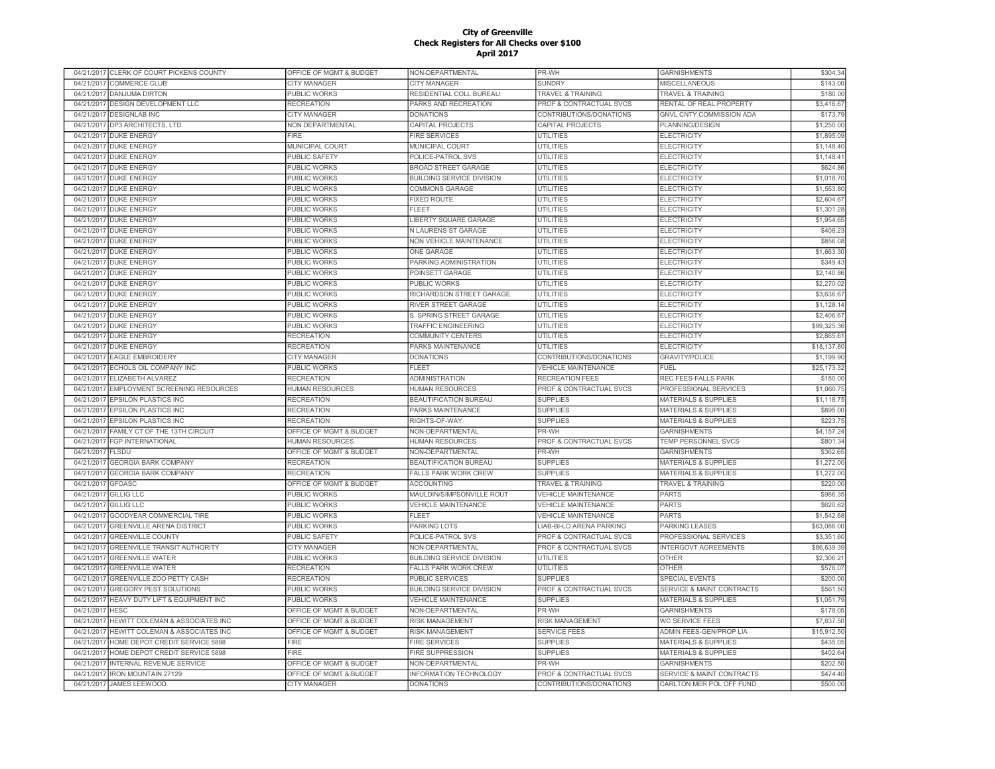| \$143.00<br>04/21/2017<br><b>COMMERCE CLUB</b><br><b>CITY MANAGER</b><br>CITY MANAGER<br><b>SUNDRY</b><br>MISCELLANEOUS<br>\$180.00<br>04/21/2017<br><b>DANJUMA DIRTON</b><br>PUBLIC WORKS<br>RESIDENTIAL COLL BUREAU<br><b>TRAVEL &amp; TRAINING</b><br><b>TRAVEL &amp; TRAINING</b><br>DESIGN DEVELOPMENT LLC<br>\$3,416.67<br>04/21/2017<br><b>RECREATION</b><br>PARKS AND RECREATION<br>PROF & CONTRACTUAL SVCS<br>RENTAL OF REAL PROPERTY<br>\$173.79<br>04/21/2017<br><b>DESIGNLAB INC</b><br>CITY MANAGER<br><b>DONATIONS</b><br>CONTRIBUTIONS/DONATIONS<br>GNVL CNTY COMMISSION ADA<br>04/21/2017 DP3 ARCHITECTS, LTD<br>CAPITAL PROJECTS<br>CAPITAL PROJECTS<br>PLANNING/DESIGN<br>\$1,250.00<br>NON DEPARTMENTAL<br>04/21/2017 DUKE ENERGY<br><b>FIRE</b><br><b>FIRE SERVICES</b><br><b>UTILITIES</b><br><b>ELECTRICITY</b><br>\$1,895.09<br>\$1,148.40<br>04/21/2017 DUKE ENERGY<br>MUNICIPAL COURT<br>MUNICIPAL COURT<br><b>UTILITIES</b><br><b>ELECTRICITY</b><br><b>DUKE ENERGY</b><br>PUBLIC SAFETY<br>POLICE-PATROL SVS<br>UTILITIES<br><b>ELECTRICITY</b><br>\$1,148.4<br>04/21/2017<br><b>DUKE ENERGY</b><br>PUBLIC WORKS<br><b>BROAD STREET GARAGE</b><br><b>UTILITIES</b><br><b>ELECTRICITY</b><br>\$624.86<br>04/21/2017<br><b>DUKE ENERGY</b><br><b>PUBLIC WORKS</b><br><b>BUILDING SERVICE DIVISION</b><br><b>UTILITIES</b><br><b>ELECTRICITY</b><br>\$1,018.70<br>04/21/2017<br>\$1,553.80<br>04/21/2017<br><b>DUKE ENERGY</b><br>PUBLIC WORKS<br><b>COMMONS GARAGE</b><br><b>UTILITIES</b><br><b>ELECTRICITY</b><br><b>UTILITIES</b><br>\$2,604.67<br>04/21/2017<br><b>DUKE ENERGY</b><br><b>PUBLIC WORKS</b><br><b>FIXED ROUTE</b><br><b>ELECTRICITY</b><br>04/21/2017<br><b>DUKE ENERGY</b><br><b>PUBLIC WORKS</b><br><b>UTILITIES</b><br><b>ELECTRICITY</b><br>\$1,301.28<br>FI FFT<br>04/21/2017<br><b>DUKE ENERGY</b><br><b>PUBLIC WORKS</b><br><b>UTILITIES</b><br><b>ELECTRICITY</b><br>\$1,954.65<br><b>LIBERTY SQUARE GARAGE</b><br><b>DUKE ENERGY</b><br>PUBLIC WORKS<br><b>N LAURENS ST GARAGE</b><br><b>UTILITIES</b><br><b>ELECTRICITY</b><br>\$408.23<br>04/21/2017<br><b>DUKE ENERGY</b><br><b>PUBLIC WORKS</b><br><b>UTILITIES</b><br><b>ELECTRICITY</b><br>\$856.08<br>04/21/2017<br>NON VEHICLE MAINTENANCE<br>04/21/2017 DUKE ENERGY<br><b>UTILITIES</b><br>\$1,663.30<br>PUBLIC WORKS<br><b>ONE GARAGE</b><br><b>ELECTRICITY</b><br>04/21/2017 DUKE ENERGY<br><b>PUBLIC WORKS</b><br>PARKING ADMINISTRATION<br><b>UTILITIES</b><br><b>ELECTRICITY</b><br>\$349.43<br>\$2,140.86<br>04/21/2017 DUKE ENERGY<br>PUBLIC WORKS<br>POINSETT GARAGE<br>UTILITIES<br><b>ELECTRICITY</b><br><b>PUBLIC WORKS</b><br><b>UTILITIES</b><br><b>ELECTRICITY</b><br>\$2,270.02<br>04/21/2017 DUKE ENERGY<br>PUBLIC WORKS<br>04/21/2017<br><b>DUKE ENERGY</b><br>PUBLIC WORKS<br>RICHARDSON STREET GARAGE<br><b>UTILITIES</b><br><b>ELECTRICITY</b><br>\$3,636.6<br>04/21/2017<br><b>DUKE ENERGY</b><br>PUBLIC WORKS<br>RIVER STREET GARAGE<br>UTILITIES<br><b>ELECTRICITY</b><br>\$1,128.1<br><b>UTILITIES</b><br>04/21/2017<br><b>DUKE ENERGY</b><br><b>PUBLIC WORKS</b><br>S. SPRING STREET GARAGE<br><b>ELECTRICITY</b><br>\$2,406.6<br><b>UTILITIES</b><br>\$99,325.3<br>04/21/2017<br><b>DUKE ENERGY</b><br><b>PUBLIC WORKS</b><br><b>TRAFFIC ENGINEERING</b><br><b>ELECTRICITY</b><br>04/21/2017<br><b>DUKE ENERGY</b><br><b>RECREATION</b><br><b>COMMUNITY CENTERS</b><br><b>UTILITIES</b><br><b>ELECTRICITY</b><br>\$2,865.6<br>04/21/2017<br><b>DUKE ENERGY</b><br><b>RECREATION</b><br>PARKS MAINTENANCE<br><b>UTILITIES</b><br><b>ELECTRICITY</b><br>\$18,137.80<br>04/21/2017<br><b>EAGLE EMBROIDERY</b><br><b>CITY MANAGER</b><br><b>DONATIONS</b><br>CONTRIBUTIONS/DONATIONS<br><b>GRAVITY/POLICE</b><br>\$1,199.90<br>\$25,173.32<br>04/21/2017<br>ECHOLS OIL COMPANY INC<br>PUBLIC WORKS<br><b>FLEET</b><br><b>VEHICLE MAINTENANCE</b><br><b>FUEL</b><br>\$150.00<br>04/21/2017<br>ELIZABETH ALVAREZ<br><b>RECREATION</b><br><b>ADMINISTRATION</b><br><b>RECREATION FEES</b><br>REC FEES-FALLS PARK<br>EMPLOYMENT SCREENING RESOURCES<br><b>HUMAN RESOURCES</b><br><b>HUMAN RESOURCES</b><br>PROF & CONTRACTUAL SVCS<br>PROFESSIONAL SERVICES<br>\$1,060.75<br>04/21/2017<br>04/21/2017 EPSILON PLASTICS INC<br><b>RECREATION</b><br><b>BEAUTIFICATION BUREAU</b><br><b>SUPPLIES</b><br><b>MATERIALS &amp; SUPPLIES</b><br>\$1,118.7<br>04/21/2017 EPSILON PLASTICS INC<br>\$895.00<br><b>RECREATION</b><br>PARKS MAINTENANCE<br><b>SUPPLIES</b><br><b>MATERIALS &amp; SUPPLIES</b><br>04/21/2017<br><b>EPSILON PLASTICS INC</b><br><b>RECREATION</b><br>RIGHTS-OF-WAY<br><b>SUPPLIES</b><br><b>MATERIALS &amp; SUPPLIES</b><br>\$223.75<br>04/21/2017<br>FAMILY CT OF THE 13TH CIRCUIT<br>OFFICE OF MGMT & BUDGET<br>NON-DEPARTMENTAL<br>PR-WH<br><b>GARNISHMENTS</b><br>\$4,157.24<br>04/21/2017<br><b>FGP INTERNATIONAL</b><br><b>HUMAN RESOURCES</b><br><b>HUMAN RESOURCES</b><br>PROF & CONTRACTUAL SVCS<br>TEMP PERSONNEL SVCS<br>\$801.34<br>PR-WH<br>04/21/2017<br><b>FLSDU</b><br>OFFICE OF MGMT & BUDGET<br>NON-DEPARTMENTAL<br><b>GARNISHMENTS</b><br>\$362.65<br><b>BEAUTIFICATION BUREAU</b><br><b>SUPPLIES</b><br><b>MATERIALS &amp; SUPPLIES</b><br>04/21/2017<br><b>GEORGIA BARK COMPANY</b><br><b>RECREATION</b><br>\$1,272.00<br>04/21/2017<br><b>GEORGIA BARK COMPANY</b><br><b>RECREATION</b><br><b>FALLS PARK WORK CREW</b><br><b>SUPPLIES</b><br><b>MATERIALS &amp; SUPPLIES</b><br>\$1,272.00<br>04/21/2017<br><b>GFOASC</b><br>OFFICE OF MGMT & BUDGET<br><b>ACCOUNTING</b><br>TRAVEL & TRAINING<br><b>TRAVEL &amp; TRAINING</b><br>\$220.00<br>04/21/2017<br><b>GILLIG LLC</b><br><b>PUBLIC WORKS</b><br>MAULDIN/SIMPSONVILLE ROUT<br><b>VEHICLE MAINTENANCE</b><br><b>PARTS</b><br>\$986.35<br><b>PUBLIC WORKS</b><br><b>VEHICLE MAINTENANCE</b><br><b>PARTS</b><br>\$620.62<br>04/21/2017<br><b>GILLIG LLC</b><br><b>VEHICLE MAINTENANCE</b><br><b>GOODYEAR COMMERCIAL TIRE</b><br><b>FLEET</b><br><b>PARTS</b><br>\$1,542.68<br>04/21/2017<br>PUBLIC WORKS<br><b>VEHICLE MAINTENANCE</b><br>04/21/2017<br><b>GREENVILLE ARENA DISTRICT</b><br>PUBLIC WORKS<br>PARKING LOTS<br>LIAB-BI-LO ARENA PARKING<br>PARKING LEASES<br>\$63,086.00<br><b>GREENVILLE COUNTY</b><br>PUBLIC SAFETY<br>PROF & CONTRACTUAL SVCS<br>PROFESSIONAL SERVICES<br>\$3,351.60<br>04/21/2017<br>POLICE-PATROL SVS<br>GREENVILLE TRANSIT AUTHORITY<br>NON-DEPARTMENTAL<br>PROF & CONTRACTUAL SVCS<br><b>INTERGOVT AGREEMENTS</b><br>\$86,639.39<br>04/21/2017<br><b>CITY MANAGER</b><br>04/21/2017<br><b>GREENVILLE WATER</b><br><b>PUBLIC WORKS</b><br><b>BUILDING SERVICE DIVISION</b><br><b>UTILITIES</b><br><b>OTHER</b><br>\$2,306.2<br>04/21/2017<br><b>GREENVILLE WATER</b><br><b>RECREATION</b><br><b>FALLS PARK WORK CREW</b><br>UTILITIES<br><b>OTHER</b><br>\$576.07<br>04/21/2017<br>GREENVILLE ZOO PETTY CASH<br><b>RECREATION</b><br>PUBLIC SERVICES<br><b>SUPPLIES</b><br>SPECIAL EVENTS<br>\$200.00<br><b>BUILDING SERVICE DIVISION</b><br>PROF & CONTRACTUAL SVCS<br><b>SERVICE &amp; MAINT CONTRACTS</b><br>\$561.5<br>04/21/2017<br><b>GREGORY PEST SOLUTIONS</b><br>PUBLIC WORKS<br>HEAVY DUTY LIFT & EQUIPMENT INC<br><b>PUBLIC WORKS</b><br><b>VEHICLE MAINTENANCE</b><br><b>SUPPLIES</b><br><b>MATERIALS &amp; SUPPLIES</b><br>\$1,051.79<br>04/21/2017<br>04/21/2017<br>OFFICE OF MGMT & BUDGET<br>NON-DEPARTMENTAL<br>PR-WH<br><b>GARNISHMENTS</b><br>\$178.05<br><b>HESC</b><br>04/21/2017<br>HEWITT COLEMAN & ASSOCIATES INC<br>OFFICE OF MGMT & BUDGET<br><b>RISK MANAGEMENT</b><br>RISK MANAGEMENT<br>WC SERVICE FEES<br>\$7,837.50<br>04/21/201<br><b>HEWITT COLEMAN &amp; ASSOCIATES INC</b><br>OFFICE OF MGMT & BUDGET<br><b>RISK MANAGEMENT</b><br><b>SERVICE FEES</b><br>ADMIN FEES-GEN/PROP LIA<br>\$15,912.50<br>HOME DEPOT CREDIT SERVICE 5898<br><b>FIRE</b><br><b>SUPPLIES</b><br><b>MATERIALS &amp; SUPPLIES</b><br>\$435.05<br>04/21/2017<br><b>FIRE SERVICES</b><br>04/21/2017<br>HOME DEPOT CREDIT SERVICE 5898<br><b>FIRE</b><br><b>FIRE SUPPRESSION</b><br><b>SUPPLIES</b><br><b>MATERIALS &amp; SUPPLIES</b><br>\$402.64<br>\$202.50<br>04/21/2017<br><b>INTERNAL REVENUE SERVICE</b><br>OFFICE OF MGMT & BUDGET<br>NON-DEPARTMENTAL<br>PR-WH<br><b>GARNISHMENTS</b><br>OFFICE OF MGMT & BUDGET<br>\$474.40<br>04/21/2017<br><b>IRON MOUNTAIN 27129</b><br>INFORMATION TECHNOLOGY<br>PROF & CONTRACTUAL SVCS<br>SERVICE & MAINT CONTRACTS<br>04/21/2017 JAMES LEEWOOD<br>CONTRIBUTIONS/DONATIONS<br>CARLTON MER POL OFF FUND<br>\$500.00<br><b>CITY MANAGER</b><br><b>DONATIONS</b> | 04/21/2017 CLERK OF COURT PICKENS COUNTY | OFFICE OF MGMT & BUDGET | NON-DEPARTMENTAL | PR-WH | <b>GARNISHMENTS</b> | \$304.34 |
|-----------------------------------------------------------------------------------------------------------------------------------------------------------------------------------------------------------------------------------------------------------------------------------------------------------------------------------------------------------------------------------------------------------------------------------------------------------------------------------------------------------------------------------------------------------------------------------------------------------------------------------------------------------------------------------------------------------------------------------------------------------------------------------------------------------------------------------------------------------------------------------------------------------------------------------------------------------------------------------------------------------------------------------------------------------------------------------------------------------------------------------------------------------------------------------------------------------------------------------------------------------------------------------------------------------------------------------------------------------------------------------------------------------------------------------------------------------------------------------------------------------------------------------------------------------------------------------------------------------------------------------------------------------------------------------------------------------------------------------------------------------------------------------------------------------------------------------------------------------------------------------------------------------------------------------------------------------------------------------------------------------------------------------------------------------------------------------------------------------------------------------------------------------------------------------------------------------------------------------------------------------------------------------------------------------------------------------------------------------------------------------------------------------------------------------------------------------------------------------------------------------------------------------------------------------------------------------------------------------------------------------------------------------------------------------------------------------------------------------------------------------------------------------------------------------------------------------------------------------------------------------------------------------------------------------------------------------------------------------------------------------------------------------------------------------------------------------------------------------------------------------------------------------------------------------------------------------------------------------------------------------------------------------------------------------------------------------------------------------------------------------------------------------------------------------------------------------------------------------------------------------------------------------------------------------------------------------------------------------------------------------------------------------------------------------------------------------------------------------------------------------------------------------------------------------------------------------------------------------------------------------------------------------------------------------------------------------------------------------------------------------------------------------------------------------------------------------------------------------------------------------------------------------------------------------------------------------------------------------------------------------------------------------------------------------------------------------------------------------------------------------------------------------------------------------------------------------------------------------------------------------------------------------------------------------------------------------------------------------------------------------------------------------------------------------------------------------------------------------------------------------------------------------------------------------------------------------------------------------------------------------------------------------------------------------------------------------------------------------------------------------------------------------------------------------------------------------------------------------------------------------------------------------------------------------------------------------------------------------------------------------------------------------------------------------------------------------------------------------------------------------------------------------------------------------------------------------------------------------------------------------------------------------------------------------------------------------------------------------------------------------------------------------------------------------------------------------------------------------------------------------------------------------------------------------------------------------------------------------------------------------------------------------------------------------------------------------------------------------------------------------------------------------------------------------------------------------------------------------------------------------------------------------------------------------------------------------------------------------------------------------------------------------------------------------------------------------------------------------------------------------------------------------------------------------------------------------------------------------------------------------------------------------------------------------------------------------------------------------------------------------------------------------------------------------------------------------------------------------------------------------------------------------------------------------------------------------------------------------------------------------------------------------------------------------------------------------------------------------------------------------------------------------------------------------------------------------------------------------------------------------------------------------------------------------------------------------------------------------------------------------------------------------------------------------------------------------------------------------------------------------------------------------------------------------------------------------------------------------------------------------------------------------------------------------------------------------------------------------------------------------------------------------------------------------------------------------------------------------------------------------------------------------------------------------------------------------------------------------------------------------------------------------------------------------------------------------------------------------------------------------------------------------------------------------------------------------------------------------------------------------------------------------------------------------------------------------------------------------------------------------------------------------------------------------------------------------------------------------------------------------------------------------------------------------------------------------------------------------------------------------------------------------------------------------------------------------|------------------------------------------|-------------------------|------------------|-------|---------------------|----------|
|                                                                                                                                                                                                                                                                                                                                                                                                                                                                                                                                                                                                                                                                                                                                                                                                                                                                                                                                                                                                                                                                                                                                                                                                                                                                                                                                                                                                                                                                                                                                                                                                                                                                                                                                                                                                                                                                                                                                                                                                                                                                                                                                                                                                                                                                                                                                                                                                                                                                                                                                                                                                                                                                                                                                                                                                                                                                                                                                                                                                                                                                                                                                                                                                                                                                                                                                                                                                                                                                                                                                                                                                                                                                                                                                                                                                                                                                                                                                                                                                                                                                                                                                                                                                                                                                                                                                                                                                                                                                                                                                                                                                                                                                                                                                                                                                                                                                                                                                                                                                                                                                                                                                                                                                                                                                                                                                                                                                                                                                                                                                                                                                                                                                                                                                                                                                                                                                                                                                                                                                                                                                                                                                                                                                                                                                                                                                                                                                                                                                                                                                                                                                                                                                                                                                                                                                                                                                                                                                                                                                                                                                                                                                                                                                                                                                                                                                                                                                                                                                                                                                                                                                                                                                                                                                                                                                                                                                                                                                                                                                                                                                                                                                                                                                                                                                                                                                                                                                                                                                                                                                                                                   |                                          |                         |                  |       |                     |          |
|                                                                                                                                                                                                                                                                                                                                                                                                                                                                                                                                                                                                                                                                                                                                                                                                                                                                                                                                                                                                                                                                                                                                                                                                                                                                                                                                                                                                                                                                                                                                                                                                                                                                                                                                                                                                                                                                                                                                                                                                                                                                                                                                                                                                                                                                                                                                                                                                                                                                                                                                                                                                                                                                                                                                                                                                                                                                                                                                                                                                                                                                                                                                                                                                                                                                                                                                                                                                                                                                                                                                                                                                                                                                                                                                                                                                                                                                                                                                                                                                                                                                                                                                                                                                                                                                                                                                                                                                                                                                                                                                                                                                                                                                                                                                                                                                                                                                                                                                                                                                                                                                                                                                                                                                                                                                                                                                                                                                                                                                                                                                                                                                                                                                                                                                                                                                                                                                                                                                                                                                                                                                                                                                                                                                                                                                                                                                                                                                                                                                                                                                                                                                                                                                                                                                                                                                                                                                                                                                                                                                                                                                                                                                                                                                                                                                                                                                                                                                                                                                                                                                                                                                                                                                                                                                                                                                                                                                                                                                                                                                                                                                                                                                                                                                                                                                                                                                                                                                                                                                                                                                                                                   |                                          |                         |                  |       |                     |          |
|                                                                                                                                                                                                                                                                                                                                                                                                                                                                                                                                                                                                                                                                                                                                                                                                                                                                                                                                                                                                                                                                                                                                                                                                                                                                                                                                                                                                                                                                                                                                                                                                                                                                                                                                                                                                                                                                                                                                                                                                                                                                                                                                                                                                                                                                                                                                                                                                                                                                                                                                                                                                                                                                                                                                                                                                                                                                                                                                                                                                                                                                                                                                                                                                                                                                                                                                                                                                                                                                                                                                                                                                                                                                                                                                                                                                                                                                                                                                                                                                                                                                                                                                                                                                                                                                                                                                                                                                                                                                                                                                                                                                                                                                                                                                                                                                                                                                                                                                                                                                                                                                                                                                                                                                                                                                                                                                                                                                                                                                                                                                                                                                                                                                                                                                                                                                                                                                                                                                                                                                                                                                                                                                                                                                                                                                                                                                                                                                                                                                                                                                                                                                                                                                                                                                                                                                                                                                                                                                                                                                                                                                                                                                                                                                                                                                                                                                                                                                                                                                                                                                                                                                                                                                                                                                                                                                                                                                                                                                                                                                                                                                                                                                                                                                                                                                                                                                                                                                                                                                                                                                                                                   |                                          |                         |                  |       |                     |          |
|                                                                                                                                                                                                                                                                                                                                                                                                                                                                                                                                                                                                                                                                                                                                                                                                                                                                                                                                                                                                                                                                                                                                                                                                                                                                                                                                                                                                                                                                                                                                                                                                                                                                                                                                                                                                                                                                                                                                                                                                                                                                                                                                                                                                                                                                                                                                                                                                                                                                                                                                                                                                                                                                                                                                                                                                                                                                                                                                                                                                                                                                                                                                                                                                                                                                                                                                                                                                                                                                                                                                                                                                                                                                                                                                                                                                                                                                                                                                                                                                                                                                                                                                                                                                                                                                                                                                                                                                                                                                                                                                                                                                                                                                                                                                                                                                                                                                                                                                                                                                                                                                                                                                                                                                                                                                                                                                                                                                                                                                                                                                                                                                                                                                                                                                                                                                                                                                                                                                                                                                                                                                                                                                                                                                                                                                                                                                                                                                                                                                                                                                                                                                                                                                                                                                                                                                                                                                                                                                                                                                                                                                                                                                                                                                                                                                                                                                                                                                                                                                                                                                                                                                                                                                                                                                                                                                                                                                                                                                                                                                                                                                                                                                                                                                                                                                                                                                                                                                                                                                                                                                                                                   |                                          |                         |                  |       |                     |          |
|                                                                                                                                                                                                                                                                                                                                                                                                                                                                                                                                                                                                                                                                                                                                                                                                                                                                                                                                                                                                                                                                                                                                                                                                                                                                                                                                                                                                                                                                                                                                                                                                                                                                                                                                                                                                                                                                                                                                                                                                                                                                                                                                                                                                                                                                                                                                                                                                                                                                                                                                                                                                                                                                                                                                                                                                                                                                                                                                                                                                                                                                                                                                                                                                                                                                                                                                                                                                                                                                                                                                                                                                                                                                                                                                                                                                                                                                                                                                                                                                                                                                                                                                                                                                                                                                                                                                                                                                                                                                                                                                                                                                                                                                                                                                                                                                                                                                                                                                                                                                                                                                                                                                                                                                                                                                                                                                                                                                                                                                                                                                                                                                                                                                                                                                                                                                                                                                                                                                                                                                                                                                                                                                                                                                                                                                                                                                                                                                                                                                                                                                                                                                                                                                                                                                                                                                                                                                                                                                                                                                                                                                                                                                                                                                                                                                                                                                                                                                                                                                                                                                                                                                                                                                                                                                                                                                                                                                                                                                                                                                                                                                                                                                                                                                                                                                                                                                                                                                                                                                                                                                                                                   |                                          |                         |                  |       |                     |          |
|                                                                                                                                                                                                                                                                                                                                                                                                                                                                                                                                                                                                                                                                                                                                                                                                                                                                                                                                                                                                                                                                                                                                                                                                                                                                                                                                                                                                                                                                                                                                                                                                                                                                                                                                                                                                                                                                                                                                                                                                                                                                                                                                                                                                                                                                                                                                                                                                                                                                                                                                                                                                                                                                                                                                                                                                                                                                                                                                                                                                                                                                                                                                                                                                                                                                                                                                                                                                                                                                                                                                                                                                                                                                                                                                                                                                                                                                                                                                                                                                                                                                                                                                                                                                                                                                                                                                                                                                                                                                                                                                                                                                                                                                                                                                                                                                                                                                                                                                                                                                                                                                                                                                                                                                                                                                                                                                                                                                                                                                                                                                                                                                                                                                                                                                                                                                                                                                                                                                                                                                                                                                                                                                                                                                                                                                                                                                                                                                                                                                                                                                                                                                                                                                                                                                                                                                                                                                                                                                                                                                                                                                                                                                                                                                                                                                                                                                                                                                                                                                                                                                                                                                                                                                                                                                                                                                                                                                                                                                                                                                                                                                                                                                                                                                                                                                                                                                                                                                                                                                                                                                                                                   |                                          |                         |                  |       |                     |          |
|                                                                                                                                                                                                                                                                                                                                                                                                                                                                                                                                                                                                                                                                                                                                                                                                                                                                                                                                                                                                                                                                                                                                                                                                                                                                                                                                                                                                                                                                                                                                                                                                                                                                                                                                                                                                                                                                                                                                                                                                                                                                                                                                                                                                                                                                                                                                                                                                                                                                                                                                                                                                                                                                                                                                                                                                                                                                                                                                                                                                                                                                                                                                                                                                                                                                                                                                                                                                                                                                                                                                                                                                                                                                                                                                                                                                                                                                                                                                                                                                                                                                                                                                                                                                                                                                                                                                                                                                                                                                                                                                                                                                                                                                                                                                                                                                                                                                                                                                                                                                                                                                                                                                                                                                                                                                                                                                                                                                                                                                                                                                                                                                                                                                                                                                                                                                                                                                                                                                                                                                                                                                                                                                                                                                                                                                                                                                                                                                                                                                                                                                                                                                                                                                                                                                                                                                                                                                                                                                                                                                                                                                                                                                                                                                                                                                                                                                                                                                                                                                                                                                                                                                                                                                                                                                                                                                                                                                                                                                                                                                                                                                                                                                                                                                                                                                                                                                                                                                                                                                                                                                                                                   |                                          |                         |                  |       |                     |          |
|                                                                                                                                                                                                                                                                                                                                                                                                                                                                                                                                                                                                                                                                                                                                                                                                                                                                                                                                                                                                                                                                                                                                                                                                                                                                                                                                                                                                                                                                                                                                                                                                                                                                                                                                                                                                                                                                                                                                                                                                                                                                                                                                                                                                                                                                                                                                                                                                                                                                                                                                                                                                                                                                                                                                                                                                                                                                                                                                                                                                                                                                                                                                                                                                                                                                                                                                                                                                                                                                                                                                                                                                                                                                                                                                                                                                                                                                                                                                                                                                                                                                                                                                                                                                                                                                                                                                                                                                                                                                                                                                                                                                                                                                                                                                                                                                                                                                                                                                                                                                                                                                                                                                                                                                                                                                                                                                                                                                                                                                                                                                                                                                                                                                                                                                                                                                                                                                                                                                                                                                                                                                                                                                                                                                                                                                                                                                                                                                                                                                                                                                                                                                                                                                                                                                                                                                                                                                                                                                                                                                                                                                                                                                                                                                                                                                                                                                                                                                                                                                                                                                                                                                                                                                                                                                                                                                                                                                                                                                                                                                                                                                                                                                                                                                                                                                                                                                                                                                                                                                                                                                                                                   |                                          |                         |                  |       |                     |          |
|                                                                                                                                                                                                                                                                                                                                                                                                                                                                                                                                                                                                                                                                                                                                                                                                                                                                                                                                                                                                                                                                                                                                                                                                                                                                                                                                                                                                                                                                                                                                                                                                                                                                                                                                                                                                                                                                                                                                                                                                                                                                                                                                                                                                                                                                                                                                                                                                                                                                                                                                                                                                                                                                                                                                                                                                                                                                                                                                                                                                                                                                                                                                                                                                                                                                                                                                                                                                                                                                                                                                                                                                                                                                                                                                                                                                                                                                                                                                                                                                                                                                                                                                                                                                                                                                                                                                                                                                                                                                                                                                                                                                                                                                                                                                                                                                                                                                                                                                                                                                                                                                                                                                                                                                                                                                                                                                                                                                                                                                                                                                                                                                                                                                                                                                                                                                                                                                                                                                                                                                                                                                                                                                                                                                                                                                                                                                                                                                                                                                                                                                                                                                                                                                                                                                                                                                                                                                                                                                                                                                                                                                                                                                                                                                                                                                                                                                                                                                                                                                                                                                                                                                                                                                                                                                                                                                                                                                                                                                                                                                                                                                                                                                                                                                                                                                                                                                                                                                                                                                                                                                                                                   |                                          |                         |                  |       |                     |          |
|                                                                                                                                                                                                                                                                                                                                                                                                                                                                                                                                                                                                                                                                                                                                                                                                                                                                                                                                                                                                                                                                                                                                                                                                                                                                                                                                                                                                                                                                                                                                                                                                                                                                                                                                                                                                                                                                                                                                                                                                                                                                                                                                                                                                                                                                                                                                                                                                                                                                                                                                                                                                                                                                                                                                                                                                                                                                                                                                                                                                                                                                                                                                                                                                                                                                                                                                                                                                                                                                                                                                                                                                                                                                                                                                                                                                                                                                                                                                                                                                                                                                                                                                                                                                                                                                                                                                                                                                                                                                                                                                                                                                                                                                                                                                                                                                                                                                                                                                                                                                                                                                                                                                                                                                                                                                                                                                                                                                                                                                                                                                                                                                                                                                                                                                                                                                                                                                                                                                                                                                                                                                                                                                                                                                                                                                                                                                                                                                                                                                                                                                                                                                                                                                                                                                                                                                                                                                                                                                                                                                                                                                                                                                                                                                                                                                                                                                                                                                                                                                                                                                                                                                                                                                                                                                                                                                                                                                                                                                                                                                                                                                                                                                                                                                                                                                                                                                                                                                                                                                                                                                                                                   |                                          |                         |                  |       |                     |          |
|                                                                                                                                                                                                                                                                                                                                                                                                                                                                                                                                                                                                                                                                                                                                                                                                                                                                                                                                                                                                                                                                                                                                                                                                                                                                                                                                                                                                                                                                                                                                                                                                                                                                                                                                                                                                                                                                                                                                                                                                                                                                                                                                                                                                                                                                                                                                                                                                                                                                                                                                                                                                                                                                                                                                                                                                                                                                                                                                                                                                                                                                                                                                                                                                                                                                                                                                                                                                                                                                                                                                                                                                                                                                                                                                                                                                                                                                                                                                                                                                                                                                                                                                                                                                                                                                                                                                                                                                                                                                                                                                                                                                                                                                                                                                                                                                                                                                                                                                                                                                                                                                                                                                                                                                                                                                                                                                                                                                                                                                                                                                                                                                                                                                                                                                                                                                                                                                                                                                                                                                                                                                                                                                                                                                                                                                                                                                                                                                                                                                                                                                                                                                                                                                                                                                                                                                                                                                                                                                                                                                                                                                                                                                                                                                                                                                                                                                                                                                                                                                                                                                                                                                                                                                                                                                                                                                                                                                                                                                                                                                                                                                                                                                                                                                                                                                                                                                                                                                                                                                                                                                                                                   |                                          |                         |                  |       |                     |          |
|                                                                                                                                                                                                                                                                                                                                                                                                                                                                                                                                                                                                                                                                                                                                                                                                                                                                                                                                                                                                                                                                                                                                                                                                                                                                                                                                                                                                                                                                                                                                                                                                                                                                                                                                                                                                                                                                                                                                                                                                                                                                                                                                                                                                                                                                                                                                                                                                                                                                                                                                                                                                                                                                                                                                                                                                                                                                                                                                                                                                                                                                                                                                                                                                                                                                                                                                                                                                                                                                                                                                                                                                                                                                                                                                                                                                                                                                                                                                                                                                                                                                                                                                                                                                                                                                                                                                                                                                                                                                                                                                                                                                                                                                                                                                                                                                                                                                                                                                                                                                                                                                                                                                                                                                                                                                                                                                                                                                                                                                                                                                                                                                                                                                                                                                                                                                                                                                                                                                                                                                                                                                                                                                                                                                                                                                                                                                                                                                                                                                                                                                                                                                                                                                                                                                                                                                                                                                                                                                                                                                                                                                                                                                                                                                                                                                                                                                                                                                                                                                                                                                                                                                                                                                                                                                                                                                                                                                                                                                                                                                                                                                                                                                                                                                                                                                                                                                                                                                                                                                                                                                                                                   |                                          |                         |                  |       |                     |          |
|                                                                                                                                                                                                                                                                                                                                                                                                                                                                                                                                                                                                                                                                                                                                                                                                                                                                                                                                                                                                                                                                                                                                                                                                                                                                                                                                                                                                                                                                                                                                                                                                                                                                                                                                                                                                                                                                                                                                                                                                                                                                                                                                                                                                                                                                                                                                                                                                                                                                                                                                                                                                                                                                                                                                                                                                                                                                                                                                                                                                                                                                                                                                                                                                                                                                                                                                                                                                                                                                                                                                                                                                                                                                                                                                                                                                                                                                                                                                                                                                                                                                                                                                                                                                                                                                                                                                                                                                                                                                                                                                                                                                                                                                                                                                                                                                                                                                                                                                                                                                                                                                                                                                                                                                                                                                                                                                                                                                                                                                                                                                                                                                                                                                                                                                                                                                                                                                                                                                                                                                                                                                                                                                                                                                                                                                                                                                                                                                                                                                                                                                                                                                                                                                                                                                                                                                                                                                                                                                                                                                                                                                                                                                                                                                                                                                                                                                                                                                                                                                                                                                                                                                                                                                                                                                                                                                                                                                                                                                                                                                                                                                                                                                                                                                                                                                                                                                                                                                                                                                                                                                                                                   |                                          |                         |                  |       |                     |          |
|                                                                                                                                                                                                                                                                                                                                                                                                                                                                                                                                                                                                                                                                                                                                                                                                                                                                                                                                                                                                                                                                                                                                                                                                                                                                                                                                                                                                                                                                                                                                                                                                                                                                                                                                                                                                                                                                                                                                                                                                                                                                                                                                                                                                                                                                                                                                                                                                                                                                                                                                                                                                                                                                                                                                                                                                                                                                                                                                                                                                                                                                                                                                                                                                                                                                                                                                                                                                                                                                                                                                                                                                                                                                                                                                                                                                                                                                                                                                                                                                                                                                                                                                                                                                                                                                                                                                                                                                                                                                                                                                                                                                                                                                                                                                                                                                                                                                                                                                                                                                                                                                                                                                                                                                                                                                                                                                                                                                                                                                                                                                                                                                                                                                                                                                                                                                                                                                                                                                                                                                                                                                                                                                                                                                                                                                                                                                                                                                                                                                                                                                                                                                                                                                                                                                                                                                                                                                                                                                                                                                                                                                                                                                                                                                                                                                                                                                                                                                                                                                                                                                                                                                                                                                                                                                                                                                                                                                                                                                                                                                                                                                                                                                                                                                                                                                                                                                                                                                                                                                                                                                                                                   |                                          |                         |                  |       |                     |          |
|                                                                                                                                                                                                                                                                                                                                                                                                                                                                                                                                                                                                                                                                                                                                                                                                                                                                                                                                                                                                                                                                                                                                                                                                                                                                                                                                                                                                                                                                                                                                                                                                                                                                                                                                                                                                                                                                                                                                                                                                                                                                                                                                                                                                                                                                                                                                                                                                                                                                                                                                                                                                                                                                                                                                                                                                                                                                                                                                                                                                                                                                                                                                                                                                                                                                                                                                                                                                                                                                                                                                                                                                                                                                                                                                                                                                                                                                                                                                                                                                                                                                                                                                                                                                                                                                                                                                                                                                                                                                                                                                                                                                                                                                                                                                                                                                                                                                                                                                                                                                                                                                                                                                                                                                                                                                                                                                                                                                                                                                                                                                                                                                                                                                                                                                                                                                                                                                                                                                                                                                                                                                                                                                                                                                                                                                                                                                                                                                                                                                                                                                                                                                                                                                                                                                                                                                                                                                                                                                                                                                                                                                                                                                                                                                                                                                                                                                                                                                                                                                                                                                                                                                                                                                                                                                                                                                                                                                                                                                                                                                                                                                                                                                                                                                                                                                                                                                                                                                                                                                                                                                                                                   |                                          |                         |                  |       |                     |          |
|                                                                                                                                                                                                                                                                                                                                                                                                                                                                                                                                                                                                                                                                                                                                                                                                                                                                                                                                                                                                                                                                                                                                                                                                                                                                                                                                                                                                                                                                                                                                                                                                                                                                                                                                                                                                                                                                                                                                                                                                                                                                                                                                                                                                                                                                                                                                                                                                                                                                                                                                                                                                                                                                                                                                                                                                                                                                                                                                                                                                                                                                                                                                                                                                                                                                                                                                                                                                                                                                                                                                                                                                                                                                                                                                                                                                                                                                                                                                                                                                                                                                                                                                                                                                                                                                                                                                                                                                                                                                                                                                                                                                                                                                                                                                                                                                                                                                                                                                                                                                                                                                                                                                                                                                                                                                                                                                                                                                                                                                                                                                                                                                                                                                                                                                                                                                                                                                                                                                                                                                                                                                                                                                                                                                                                                                                                                                                                                                                                                                                                                                                                                                                                                                                                                                                                                                                                                                                                                                                                                                                                                                                                                                                                                                                                                                                                                                                                                                                                                                                                                                                                                                                                                                                                                                                                                                                                                                                                                                                                                                                                                                                                                                                                                                                                                                                                                                                                                                                                                                                                                                                                                   |                                          |                         |                  |       |                     |          |
|                                                                                                                                                                                                                                                                                                                                                                                                                                                                                                                                                                                                                                                                                                                                                                                                                                                                                                                                                                                                                                                                                                                                                                                                                                                                                                                                                                                                                                                                                                                                                                                                                                                                                                                                                                                                                                                                                                                                                                                                                                                                                                                                                                                                                                                                                                                                                                                                                                                                                                                                                                                                                                                                                                                                                                                                                                                                                                                                                                                                                                                                                                                                                                                                                                                                                                                                                                                                                                                                                                                                                                                                                                                                                                                                                                                                                                                                                                                                                                                                                                                                                                                                                                                                                                                                                                                                                                                                                                                                                                                                                                                                                                                                                                                                                                                                                                                                                                                                                                                                                                                                                                                                                                                                                                                                                                                                                                                                                                                                                                                                                                                                                                                                                                                                                                                                                                                                                                                                                                                                                                                                                                                                                                                                                                                                                                                                                                                                                                                                                                                                                                                                                                                                                                                                                                                                                                                                                                                                                                                                                                                                                                                                                                                                                                                                                                                                                                                                                                                                                                                                                                                                                                                                                                                                                                                                                                                                                                                                                                                                                                                                                                                                                                                                                                                                                                                                                                                                                                                                                                                                                                                   |                                          |                         |                  |       |                     |          |
|                                                                                                                                                                                                                                                                                                                                                                                                                                                                                                                                                                                                                                                                                                                                                                                                                                                                                                                                                                                                                                                                                                                                                                                                                                                                                                                                                                                                                                                                                                                                                                                                                                                                                                                                                                                                                                                                                                                                                                                                                                                                                                                                                                                                                                                                                                                                                                                                                                                                                                                                                                                                                                                                                                                                                                                                                                                                                                                                                                                                                                                                                                                                                                                                                                                                                                                                                                                                                                                                                                                                                                                                                                                                                                                                                                                                                                                                                                                                                                                                                                                                                                                                                                                                                                                                                                                                                                                                                                                                                                                                                                                                                                                                                                                                                                                                                                                                                                                                                                                                                                                                                                                                                                                                                                                                                                                                                                                                                                                                                                                                                                                                                                                                                                                                                                                                                                                                                                                                                                                                                                                                                                                                                                                                                                                                                                                                                                                                                                                                                                                                                                                                                                                                                                                                                                                                                                                                                                                                                                                                                                                                                                                                                                                                                                                                                                                                                                                                                                                                                                                                                                                                                                                                                                                                                                                                                                                                                                                                                                                                                                                                                                                                                                                                                                                                                                                                                                                                                                                                                                                                                                                   |                                          |                         |                  |       |                     |          |
|                                                                                                                                                                                                                                                                                                                                                                                                                                                                                                                                                                                                                                                                                                                                                                                                                                                                                                                                                                                                                                                                                                                                                                                                                                                                                                                                                                                                                                                                                                                                                                                                                                                                                                                                                                                                                                                                                                                                                                                                                                                                                                                                                                                                                                                                                                                                                                                                                                                                                                                                                                                                                                                                                                                                                                                                                                                                                                                                                                                                                                                                                                                                                                                                                                                                                                                                                                                                                                                                                                                                                                                                                                                                                                                                                                                                                                                                                                                                                                                                                                                                                                                                                                                                                                                                                                                                                                                                                                                                                                                                                                                                                                                                                                                                                                                                                                                                                                                                                                                                                                                                                                                                                                                                                                                                                                                                                                                                                                                                                                                                                                                                                                                                                                                                                                                                                                                                                                                                                                                                                                                                                                                                                                                                                                                                                                                                                                                                                                                                                                                                                                                                                                                                                                                                                                                                                                                                                                                                                                                                                                                                                                                                                                                                                                                                                                                                                                                                                                                                                                                                                                                                                                                                                                                                                                                                                                                                                                                                                                                                                                                                                                                                                                                                                                                                                                                                                                                                                                                                                                                                                                                   |                                          |                         |                  |       |                     |          |
|                                                                                                                                                                                                                                                                                                                                                                                                                                                                                                                                                                                                                                                                                                                                                                                                                                                                                                                                                                                                                                                                                                                                                                                                                                                                                                                                                                                                                                                                                                                                                                                                                                                                                                                                                                                                                                                                                                                                                                                                                                                                                                                                                                                                                                                                                                                                                                                                                                                                                                                                                                                                                                                                                                                                                                                                                                                                                                                                                                                                                                                                                                                                                                                                                                                                                                                                                                                                                                                                                                                                                                                                                                                                                                                                                                                                                                                                                                                                                                                                                                                                                                                                                                                                                                                                                                                                                                                                                                                                                                                                                                                                                                                                                                                                                                                                                                                                                                                                                                                                                                                                                                                                                                                                                                                                                                                                                                                                                                                                                                                                                                                                                                                                                                                                                                                                                                                                                                                                                                                                                                                                                                                                                                                                                                                                                                                                                                                                                                                                                                                                                                                                                                                                                                                                                                                                                                                                                                                                                                                                                                                                                                                                                                                                                                                                                                                                                                                                                                                                                                                                                                                                                                                                                                                                                                                                                                                                                                                                                                                                                                                                                                                                                                                                                                                                                                                                                                                                                                                                                                                                                                                   |                                          |                         |                  |       |                     |          |
|                                                                                                                                                                                                                                                                                                                                                                                                                                                                                                                                                                                                                                                                                                                                                                                                                                                                                                                                                                                                                                                                                                                                                                                                                                                                                                                                                                                                                                                                                                                                                                                                                                                                                                                                                                                                                                                                                                                                                                                                                                                                                                                                                                                                                                                                                                                                                                                                                                                                                                                                                                                                                                                                                                                                                                                                                                                                                                                                                                                                                                                                                                                                                                                                                                                                                                                                                                                                                                                                                                                                                                                                                                                                                                                                                                                                                                                                                                                                                                                                                                                                                                                                                                                                                                                                                                                                                                                                                                                                                                                                                                                                                                                                                                                                                                                                                                                                                                                                                                                                                                                                                                                                                                                                                                                                                                                                                                                                                                                                                                                                                                                                                                                                                                                                                                                                                                                                                                                                                                                                                                                                                                                                                                                                                                                                                                                                                                                                                                                                                                                                                                                                                                                                                                                                                                                                                                                                                                                                                                                                                                                                                                                                                                                                                                                                                                                                                                                                                                                                                                                                                                                                                                                                                                                                                                                                                                                                                                                                                                                                                                                                                                                                                                                                                                                                                                                                                                                                                                                                                                                                                                                   |                                          |                         |                  |       |                     |          |
|                                                                                                                                                                                                                                                                                                                                                                                                                                                                                                                                                                                                                                                                                                                                                                                                                                                                                                                                                                                                                                                                                                                                                                                                                                                                                                                                                                                                                                                                                                                                                                                                                                                                                                                                                                                                                                                                                                                                                                                                                                                                                                                                                                                                                                                                                                                                                                                                                                                                                                                                                                                                                                                                                                                                                                                                                                                                                                                                                                                                                                                                                                                                                                                                                                                                                                                                                                                                                                                                                                                                                                                                                                                                                                                                                                                                                                                                                                                                                                                                                                                                                                                                                                                                                                                                                                                                                                                                                                                                                                                                                                                                                                                                                                                                                                                                                                                                                                                                                                                                                                                                                                                                                                                                                                                                                                                                                                                                                                                                                                                                                                                                                                                                                                                                                                                                                                                                                                                                                                                                                                                                                                                                                                                                                                                                                                                                                                                                                                                                                                                                                                                                                                                                                                                                                                                                                                                                                                                                                                                                                                                                                                                                                                                                                                                                                                                                                                                                                                                                                                                                                                                                                                                                                                                                                                                                                                                                                                                                                                                                                                                                                                                                                                                                                                                                                                                                                                                                                                                                                                                                                                                   |                                          |                         |                  |       |                     |          |
|                                                                                                                                                                                                                                                                                                                                                                                                                                                                                                                                                                                                                                                                                                                                                                                                                                                                                                                                                                                                                                                                                                                                                                                                                                                                                                                                                                                                                                                                                                                                                                                                                                                                                                                                                                                                                                                                                                                                                                                                                                                                                                                                                                                                                                                                                                                                                                                                                                                                                                                                                                                                                                                                                                                                                                                                                                                                                                                                                                                                                                                                                                                                                                                                                                                                                                                                                                                                                                                                                                                                                                                                                                                                                                                                                                                                                                                                                                                                                                                                                                                                                                                                                                                                                                                                                                                                                                                                                                                                                                                                                                                                                                                                                                                                                                                                                                                                                                                                                                                                                                                                                                                                                                                                                                                                                                                                                                                                                                                                                                                                                                                                                                                                                                                                                                                                                                                                                                                                                                                                                                                                                                                                                                                                                                                                                                                                                                                                                                                                                                                                                                                                                                                                                                                                                                                                                                                                                                                                                                                                                                                                                                                                                                                                                                                                                                                                                                                                                                                                                                                                                                                                                                                                                                                                                                                                                                                                                                                                                                                                                                                                                                                                                                                                                                                                                                                                                                                                                                                                                                                                                                                   |                                          |                         |                  |       |                     |          |
|                                                                                                                                                                                                                                                                                                                                                                                                                                                                                                                                                                                                                                                                                                                                                                                                                                                                                                                                                                                                                                                                                                                                                                                                                                                                                                                                                                                                                                                                                                                                                                                                                                                                                                                                                                                                                                                                                                                                                                                                                                                                                                                                                                                                                                                                                                                                                                                                                                                                                                                                                                                                                                                                                                                                                                                                                                                                                                                                                                                                                                                                                                                                                                                                                                                                                                                                                                                                                                                                                                                                                                                                                                                                                                                                                                                                                                                                                                                                                                                                                                                                                                                                                                                                                                                                                                                                                                                                                                                                                                                                                                                                                                                                                                                                                                                                                                                                                                                                                                                                                                                                                                                                                                                                                                                                                                                                                                                                                                                                                                                                                                                                                                                                                                                                                                                                                                                                                                                                                                                                                                                                                                                                                                                                                                                                                                                                                                                                                                                                                                                                                                                                                                                                                                                                                                                                                                                                                                                                                                                                                                                                                                                                                                                                                                                                                                                                                                                                                                                                                                                                                                                                                                                                                                                                                                                                                                                                                                                                                                                                                                                                                                                                                                                                                                                                                                                                                                                                                                                                                                                                                                                   |                                          |                         |                  |       |                     |          |
|                                                                                                                                                                                                                                                                                                                                                                                                                                                                                                                                                                                                                                                                                                                                                                                                                                                                                                                                                                                                                                                                                                                                                                                                                                                                                                                                                                                                                                                                                                                                                                                                                                                                                                                                                                                                                                                                                                                                                                                                                                                                                                                                                                                                                                                                                                                                                                                                                                                                                                                                                                                                                                                                                                                                                                                                                                                                                                                                                                                                                                                                                                                                                                                                                                                                                                                                                                                                                                                                                                                                                                                                                                                                                                                                                                                                                                                                                                                                                                                                                                                                                                                                                                                                                                                                                                                                                                                                                                                                                                                                                                                                                                                                                                                                                                                                                                                                                                                                                                                                                                                                                                                                                                                                                                                                                                                                                                                                                                                                                                                                                                                                                                                                                                                                                                                                                                                                                                                                                                                                                                                                                                                                                                                                                                                                                                                                                                                                                                                                                                                                                                                                                                                                                                                                                                                                                                                                                                                                                                                                                                                                                                                                                                                                                                                                                                                                                                                                                                                                                                                                                                                                                                                                                                                                                                                                                                                                                                                                                                                                                                                                                                                                                                                                                                                                                                                                                                                                                                                                                                                                                                                   |                                          |                         |                  |       |                     |          |
|                                                                                                                                                                                                                                                                                                                                                                                                                                                                                                                                                                                                                                                                                                                                                                                                                                                                                                                                                                                                                                                                                                                                                                                                                                                                                                                                                                                                                                                                                                                                                                                                                                                                                                                                                                                                                                                                                                                                                                                                                                                                                                                                                                                                                                                                                                                                                                                                                                                                                                                                                                                                                                                                                                                                                                                                                                                                                                                                                                                                                                                                                                                                                                                                                                                                                                                                                                                                                                                                                                                                                                                                                                                                                                                                                                                                                                                                                                                                                                                                                                                                                                                                                                                                                                                                                                                                                                                                                                                                                                                                                                                                                                                                                                                                                                                                                                                                                                                                                                                                                                                                                                                                                                                                                                                                                                                                                                                                                                                                                                                                                                                                                                                                                                                                                                                                                                                                                                                                                                                                                                                                                                                                                                                                                                                                                                                                                                                                                                                                                                                                                                                                                                                                                                                                                                                                                                                                                                                                                                                                                                                                                                                                                                                                                                                                                                                                                                                                                                                                                                                                                                                                                                                                                                                                                                                                                                                                                                                                                                                                                                                                                                                                                                                                                                                                                                                                                                                                                                                                                                                                                                                   |                                          |                         |                  |       |                     |          |
|                                                                                                                                                                                                                                                                                                                                                                                                                                                                                                                                                                                                                                                                                                                                                                                                                                                                                                                                                                                                                                                                                                                                                                                                                                                                                                                                                                                                                                                                                                                                                                                                                                                                                                                                                                                                                                                                                                                                                                                                                                                                                                                                                                                                                                                                                                                                                                                                                                                                                                                                                                                                                                                                                                                                                                                                                                                                                                                                                                                                                                                                                                                                                                                                                                                                                                                                                                                                                                                                                                                                                                                                                                                                                                                                                                                                                                                                                                                                                                                                                                                                                                                                                                                                                                                                                                                                                                                                                                                                                                                                                                                                                                                                                                                                                                                                                                                                                                                                                                                                                                                                                                                                                                                                                                                                                                                                                                                                                                                                                                                                                                                                                                                                                                                                                                                                                                                                                                                                                                                                                                                                                                                                                                                                                                                                                                                                                                                                                                                                                                                                                                                                                                                                                                                                                                                                                                                                                                                                                                                                                                                                                                                                                                                                                                                                                                                                                                                                                                                                                                                                                                                                                                                                                                                                                                                                                                                                                                                                                                                                                                                                                                                                                                                                                                                                                                                                                                                                                                                                                                                                                                                   |                                          |                         |                  |       |                     |          |
|                                                                                                                                                                                                                                                                                                                                                                                                                                                                                                                                                                                                                                                                                                                                                                                                                                                                                                                                                                                                                                                                                                                                                                                                                                                                                                                                                                                                                                                                                                                                                                                                                                                                                                                                                                                                                                                                                                                                                                                                                                                                                                                                                                                                                                                                                                                                                                                                                                                                                                                                                                                                                                                                                                                                                                                                                                                                                                                                                                                                                                                                                                                                                                                                                                                                                                                                                                                                                                                                                                                                                                                                                                                                                                                                                                                                                                                                                                                                                                                                                                                                                                                                                                                                                                                                                                                                                                                                                                                                                                                                                                                                                                                                                                                                                                                                                                                                                                                                                                                                                                                                                                                                                                                                                                                                                                                                                                                                                                                                                                                                                                                                                                                                                                                                                                                                                                                                                                                                                                                                                                                                                                                                                                                                                                                                                                                                                                                                                                                                                                                                                                                                                                                                                                                                                                                                                                                                                                                                                                                                                                                                                                                                                                                                                                                                                                                                                                                                                                                                                                                                                                                                                                                                                                                                                                                                                                                                                                                                                                                                                                                                                                                                                                                                                                                                                                                                                                                                                                                                                                                                                                                   |                                          |                         |                  |       |                     |          |
|                                                                                                                                                                                                                                                                                                                                                                                                                                                                                                                                                                                                                                                                                                                                                                                                                                                                                                                                                                                                                                                                                                                                                                                                                                                                                                                                                                                                                                                                                                                                                                                                                                                                                                                                                                                                                                                                                                                                                                                                                                                                                                                                                                                                                                                                                                                                                                                                                                                                                                                                                                                                                                                                                                                                                                                                                                                                                                                                                                                                                                                                                                                                                                                                                                                                                                                                                                                                                                                                                                                                                                                                                                                                                                                                                                                                                                                                                                                                                                                                                                                                                                                                                                                                                                                                                                                                                                                                                                                                                                                                                                                                                                                                                                                                                                                                                                                                                                                                                                                                                                                                                                                                                                                                                                                                                                                                                                                                                                                                                                                                                                                                                                                                                                                                                                                                                                                                                                                                                                                                                                                                                                                                                                                                                                                                                                                                                                                                                                                                                                                                                                                                                                                                                                                                                                                                                                                                                                                                                                                                                                                                                                                                                                                                                                                                                                                                                                                                                                                                                                                                                                                                                                                                                                                                                                                                                                                                                                                                                                                                                                                                                                                                                                                                                                                                                                                                                                                                                                                                                                                                                                                   |                                          |                         |                  |       |                     |          |
|                                                                                                                                                                                                                                                                                                                                                                                                                                                                                                                                                                                                                                                                                                                                                                                                                                                                                                                                                                                                                                                                                                                                                                                                                                                                                                                                                                                                                                                                                                                                                                                                                                                                                                                                                                                                                                                                                                                                                                                                                                                                                                                                                                                                                                                                                                                                                                                                                                                                                                                                                                                                                                                                                                                                                                                                                                                                                                                                                                                                                                                                                                                                                                                                                                                                                                                                                                                                                                                                                                                                                                                                                                                                                                                                                                                                                                                                                                                                                                                                                                                                                                                                                                                                                                                                                                                                                                                                                                                                                                                                                                                                                                                                                                                                                                                                                                                                                                                                                                                                                                                                                                                                                                                                                                                                                                                                                                                                                                                                                                                                                                                                                                                                                                                                                                                                                                                                                                                                                                                                                                                                                                                                                                                                                                                                                                                                                                                                                                                                                                                                                                                                                                                                                                                                                                                                                                                                                                                                                                                                                                                                                                                                                                                                                                                                                                                                                                                                                                                                                                                                                                                                                                                                                                                                                                                                                                                                                                                                                                                                                                                                                                                                                                                                                                                                                                                                                                                                                                                                                                                                                                                   |                                          |                         |                  |       |                     |          |
|                                                                                                                                                                                                                                                                                                                                                                                                                                                                                                                                                                                                                                                                                                                                                                                                                                                                                                                                                                                                                                                                                                                                                                                                                                                                                                                                                                                                                                                                                                                                                                                                                                                                                                                                                                                                                                                                                                                                                                                                                                                                                                                                                                                                                                                                                                                                                                                                                                                                                                                                                                                                                                                                                                                                                                                                                                                                                                                                                                                                                                                                                                                                                                                                                                                                                                                                                                                                                                                                                                                                                                                                                                                                                                                                                                                                                                                                                                                                                                                                                                                                                                                                                                                                                                                                                                                                                                                                                                                                                                                                                                                                                                                                                                                                                                                                                                                                                                                                                                                                                                                                                                                                                                                                                                                                                                                                                                                                                                                                                                                                                                                                                                                                                                                                                                                                                                                                                                                                                                                                                                                                                                                                                                                                                                                                                                                                                                                                                                                                                                                                                                                                                                                                                                                                                                                                                                                                                                                                                                                                                                                                                                                                                                                                                                                                                                                                                                                                                                                                                                                                                                                                                                                                                                                                                                                                                                                                                                                                                                                                                                                                                                                                                                                                                                                                                                                                                                                                                                                                                                                                                                                   |                                          |                         |                  |       |                     |          |
|                                                                                                                                                                                                                                                                                                                                                                                                                                                                                                                                                                                                                                                                                                                                                                                                                                                                                                                                                                                                                                                                                                                                                                                                                                                                                                                                                                                                                                                                                                                                                                                                                                                                                                                                                                                                                                                                                                                                                                                                                                                                                                                                                                                                                                                                                                                                                                                                                                                                                                                                                                                                                                                                                                                                                                                                                                                                                                                                                                                                                                                                                                                                                                                                                                                                                                                                                                                                                                                                                                                                                                                                                                                                                                                                                                                                                                                                                                                                                                                                                                                                                                                                                                                                                                                                                                                                                                                                                                                                                                                                                                                                                                                                                                                                                                                                                                                                                                                                                                                                                                                                                                                                                                                                                                                                                                                                                                                                                                                                                                                                                                                                                                                                                                                                                                                                                                                                                                                                                                                                                                                                                                                                                                                                                                                                                                                                                                                                                                                                                                                                                                                                                                                                                                                                                                                                                                                                                                                                                                                                                                                                                                                                                                                                                                                                                                                                                                                                                                                                                                                                                                                                                                                                                                                                                                                                                                                                                                                                                                                                                                                                                                                                                                                                                                                                                                                                                                                                                                                                                                                                                                                   |                                          |                         |                  |       |                     |          |
|                                                                                                                                                                                                                                                                                                                                                                                                                                                                                                                                                                                                                                                                                                                                                                                                                                                                                                                                                                                                                                                                                                                                                                                                                                                                                                                                                                                                                                                                                                                                                                                                                                                                                                                                                                                                                                                                                                                                                                                                                                                                                                                                                                                                                                                                                                                                                                                                                                                                                                                                                                                                                                                                                                                                                                                                                                                                                                                                                                                                                                                                                                                                                                                                                                                                                                                                                                                                                                                                                                                                                                                                                                                                                                                                                                                                                                                                                                                                                                                                                                                                                                                                                                                                                                                                                                                                                                                                                                                                                                                                                                                                                                                                                                                                                                                                                                                                                                                                                                                                                                                                                                                                                                                                                                                                                                                                                                                                                                                                                                                                                                                                                                                                                                                                                                                                                                                                                                                                                                                                                                                                                                                                                                                                                                                                                                                                                                                                                                                                                                                                                                                                                                                                                                                                                                                                                                                                                                                                                                                                                                                                                                                                                                                                                                                                                                                                                                                                                                                                                                                                                                                                                                                                                                                                                                                                                                                                                                                                                                                                                                                                                                                                                                                                                                                                                                                                                                                                                                                                                                                                                                                   |                                          |                         |                  |       |                     |          |
|                                                                                                                                                                                                                                                                                                                                                                                                                                                                                                                                                                                                                                                                                                                                                                                                                                                                                                                                                                                                                                                                                                                                                                                                                                                                                                                                                                                                                                                                                                                                                                                                                                                                                                                                                                                                                                                                                                                                                                                                                                                                                                                                                                                                                                                                                                                                                                                                                                                                                                                                                                                                                                                                                                                                                                                                                                                                                                                                                                                                                                                                                                                                                                                                                                                                                                                                                                                                                                                                                                                                                                                                                                                                                                                                                                                                                                                                                                                                                                                                                                                                                                                                                                                                                                                                                                                                                                                                                                                                                                                                                                                                                                                                                                                                                                                                                                                                                                                                                                                                                                                                                                                                                                                                                                                                                                                                                                                                                                                                                                                                                                                                                                                                                                                                                                                                                                                                                                                                                                                                                                                                                                                                                                                                                                                                                                                                                                                                                                                                                                                                                                                                                                                                                                                                                                                                                                                                                                                                                                                                                                                                                                                                                                                                                                                                                                                                                                                                                                                                                                                                                                                                                                                                                                                                                                                                                                                                                                                                                                                                                                                                                                                                                                                                                                                                                                                                                                                                                                                                                                                                                                                   |                                          |                         |                  |       |                     |          |
|                                                                                                                                                                                                                                                                                                                                                                                                                                                                                                                                                                                                                                                                                                                                                                                                                                                                                                                                                                                                                                                                                                                                                                                                                                                                                                                                                                                                                                                                                                                                                                                                                                                                                                                                                                                                                                                                                                                                                                                                                                                                                                                                                                                                                                                                                                                                                                                                                                                                                                                                                                                                                                                                                                                                                                                                                                                                                                                                                                                                                                                                                                                                                                                                                                                                                                                                                                                                                                                                                                                                                                                                                                                                                                                                                                                                                                                                                                                                                                                                                                                                                                                                                                                                                                                                                                                                                                                                                                                                                                                                                                                                                                                                                                                                                                                                                                                                                                                                                                                                                                                                                                                                                                                                                                                                                                                                                                                                                                                                                                                                                                                                                                                                                                                                                                                                                                                                                                                                                                                                                                                                                                                                                                                                                                                                                                                                                                                                                                                                                                                                                                                                                                                                                                                                                                                                                                                                                                                                                                                                                                                                                                                                                                                                                                                                                                                                                                                                                                                                                                                                                                                                                                                                                                                                                                                                                                                                                                                                                                                                                                                                                                                                                                                                                                                                                                                                                                                                                                                                                                                                                                                   |                                          |                         |                  |       |                     |          |
|                                                                                                                                                                                                                                                                                                                                                                                                                                                                                                                                                                                                                                                                                                                                                                                                                                                                                                                                                                                                                                                                                                                                                                                                                                                                                                                                                                                                                                                                                                                                                                                                                                                                                                                                                                                                                                                                                                                                                                                                                                                                                                                                                                                                                                                                                                                                                                                                                                                                                                                                                                                                                                                                                                                                                                                                                                                                                                                                                                                                                                                                                                                                                                                                                                                                                                                                                                                                                                                                                                                                                                                                                                                                                                                                                                                                                                                                                                                                                                                                                                                                                                                                                                                                                                                                                                                                                                                                                                                                                                                                                                                                                                                                                                                                                                                                                                                                                                                                                                                                                                                                                                                                                                                                                                                                                                                                                                                                                                                                                                                                                                                                                                                                                                                                                                                                                                                                                                                                                                                                                                                                                                                                                                                                                                                                                                                                                                                                                                                                                                                                                                                                                                                                                                                                                                                                                                                                                                                                                                                                                                                                                                                                                                                                                                                                                                                                                                                                                                                                                                                                                                                                                                                                                                                                                                                                                                                                                                                                                                                                                                                                                                                                                                                                                                                                                                                                                                                                                                                                                                                                                                                   |                                          |                         |                  |       |                     |          |
|                                                                                                                                                                                                                                                                                                                                                                                                                                                                                                                                                                                                                                                                                                                                                                                                                                                                                                                                                                                                                                                                                                                                                                                                                                                                                                                                                                                                                                                                                                                                                                                                                                                                                                                                                                                                                                                                                                                                                                                                                                                                                                                                                                                                                                                                                                                                                                                                                                                                                                                                                                                                                                                                                                                                                                                                                                                                                                                                                                                                                                                                                                                                                                                                                                                                                                                                                                                                                                                                                                                                                                                                                                                                                                                                                                                                                                                                                                                                                                                                                                                                                                                                                                                                                                                                                                                                                                                                                                                                                                                                                                                                                                                                                                                                                                                                                                                                                                                                                                                                                                                                                                                                                                                                                                                                                                                                                                                                                                                                                                                                                                                                                                                                                                                                                                                                                                                                                                                                                                                                                                                                                                                                                                                                                                                                                                                                                                                                                                                                                                                                                                                                                                                                                                                                                                                                                                                                                                                                                                                                                                                                                                                                                                                                                                                                                                                                                                                                                                                                                                                                                                                                                                                                                                                                                                                                                                                                                                                                                                                                                                                                                                                                                                                                                                                                                                                                                                                                                                                                                                                                                                                   |                                          |                         |                  |       |                     |          |
|                                                                                                                                                                                                                                                                                                                                                                                                                                                                                                                                                                                                                                                                                                                                                                                                                                                                                                                                                                                                                                                                                                                                                                                                                                                                                                                                                                                                                                                                                                                                                                                                                                                                                                                                                                                                                                                                                                                                                                                                                                                                                                                                                                                                                                                                                                                                                                                                                                                                                                                                                                                                                                                                                                                                                                                                                                                                                                                                                                                                                                                                                                                                                                                                                                                                                                                                                                                                                                                                                                                                                                                                                                                                                                                                                                                                                                                                                                                                                                                                                                                                                                                                                                                                                                                                                                                                                                                                                                                                                                                                                                                                                                                                                                                                                                                                                                                                                                                                                                                                                                                                                                                                                                                                                                                                                                                                                                                                                                                                                                                                                                                                                                                                                                                                                                                                                                                                                                                                                                                                                                                                                                                                                                                                                                                                                                                                                                                                                                                                                                                                                                                                                                                                                                                                                                                                                                                                                                                                                                                                                                                                                                                                                                                                                                                                                                                                                                                                                                                                                                                                                                                                                                                                                                                                                                                                                                                                                                                                                                                                                                                                                                                                                                                                                                                                                                                                                                                                                                                                                                                                                                                   |                                          |                         |                  |       |                     |          |
|                                                                                                                                                                                                                                                                                                                                                                                                                                                                                                                                                                                                                                                                                                                                                                                                                                                                                                                                                                                                                                                                                                                                                                                                                                                                                                                                                                                                                                                                                                                                                                                                                                                                                                                                                                                                                                                                                                                                                                                                                                                                                                                                                                                                                                                                                                                                                                                                                                                                                                                                                                                                                                                                                                                                                                                                                                                                                                                                                                                                                                                                                                                                                                                                                                                                                                                                                                                                                                                                                                                                                                                                                                                                                                                                                                                                                                                                                                                                                                                                                                                                                                                                                                                                                                                                                                                                                                                                                                                                                                                                                                                                                                                                                                                                                                                                                                                                                                                                                                                                                                                                                                                                                                                                                                                                                                                                                                                                                                                                                                                                                                                                                                                                                                                                                                                                                                                                                                                                                                                                                                                                                                                                                                                                                                                                                                                                                                                                                                                                                                                                                                                                                                                                                                                                                                                                                                                                                                                                                                                                                                                                                                                                                                                                                                                                                                                                                                                                                                                                                                                                                                                                                                                                                                                                                                                                                                                                                                                                                                                                                                                                                                                                                                                                                                                                                                                                                                                                                                                                                                                                                                                   |                                          |                         |                  |       |                     |          |
|                                                                                                                                                                                                                                                                                                                                                                                                                                                                                                                                                                                                                                                                                                                                                                                                                                                                                                                                                                                                                                                                                                                                                                                                                                                                                                                                                                                                                                                                                                                                                                                                                                                                                                                                                                                                                                                                                                                                                                                                                                                                                                                                                                                                                                                                                                                                                                                                                                                                                                                                                                                                                                                                                                                                                                                                                                                                                                                                                                                                                                                                                                                                                                                                                                                                                                                                                                                                                                                                                                                                                                                                                                                                                                                                                                                                                                                                                                                                                                                                                                                                                                                                                                                                                                                                                                                                                                                                                                                                                                                                                                                                                                                                                                                                                                                                                                                                                                                                                                                                                                                                                                                                                                                                                                                                                                                                                                                                                                                                                                                                                                                                                                                                                                                                                                                                                                                                                                                                                                                                                                                                                                                                                                                                                                                                                                                                                                                                                                                                                                                                                                                                                                                                                                                                                                                                                                                                                                                                                                                                                                                                                                                                                                                                                                                                                                                                                                                                                                                                                                                                                                                                                                                                                                                                                                                                                                                                                                                                                                                                                                                                                                                                                                                                                                                                                                                                                                                                                                                                                                                                                                                   |                                          |                         |                  |       |                     |          |
|                                                                                                                                                                                                                                                                                                                                                                                                                                                                                                                                                                                                                                                                                                                                                                                                                                                                                                                                                                                                                                                                                                                                                                                                                                                                                                                                                                                                                                                                                                                                                                                                                                                                                                                                                                                                                                                                                                                                                                                                                                                                                                                                                                                                                                                                                                                                                                                                                                                                                                                                                                                                                                                                                                                                                                                                                                                                                                                                                                                                                                                                                                                                                                                                                                                                                                                                                                                                                                                                                                                                                                                                                                                                                                                                                                                                                                                                                                                                                                                                                                                                                                                                                                                                                                                                                                                                                                                                                                                                                                                                                                                                                                                                                                                                                                                                                                                                                                                                                                                                                                                                                                                                                                                                                                                                                                                                                                                                                                                                                                                                                                                                                                                                                                                                                                                                                                                                                                                                                                                                                                                                                                                                                                                                                                                                                                                                                                                                                                                                                                                                                                                                                                                                                                                                                                                                                                                                                                                                                                                                                                                                                                                                                                                                                                                                                                                                                                                                                                                                                                                                                                                                                                                                                                                                                                                                                                                                                                                                                                                                                                                                                                                                                                                                                                                                                                                                                                                                                                                                                                                                                                                   |                                          |                         |                  |       |                     |          |
|                                                                                                                                                                                                                                                                                                                                                                                                                                                                                                                                                                                                                                                                                                                                                                                                                                                                                                                                                                                                                                                                                                                                                                                                                                                                                                                                                                                                                                                                                                                                                                                                                                                                                                                                                                                                                                                                                                                                                                                                                                                                                                                                                                                                                                                                                                                                                                                                                                                                                                                                                                                                                                                                                                                                                                                                                                                                                                                                                                                                                                                                                                                                                                                                                                                                                                                                                                                                                                                                                                                                                                                                                                                                                                                                                                                                                                                                                                                                                                                                                                                                                                                                                                                                                                                                                                                                                                                                                                                                                                                                                                                                                                                                                                                                                                                                                                                                                                                                                                                                                                                                                                                                                                                                                                                                                                                                                                                                                                                                                                                                                                                                                                                                                                                                                                                                                                                                                                                                                                                                                                                                                                                                                                                                                                                                                                                                                                                                                                                                                                                                                                                                                                                                                                                                                                                                                                                                                                                                                                                                                                                                                                                                                                                                                                                                                                                                                                                                                                                                                                                                                                                                                                                                                                                                                                                                                                                                                                                                                                                                                                                                                                                                                                                                                                                                                                                                                                                                                                                                                                                                                                                   |                                          |                         |                  |       |                     |          |
|                                                                                                                                                                                                                                                                                                                                                                                                                                                                                                                                                                                                                                                                                                                                                                                                                                                                                                                                                                                                                                                                                                                                                                                                                                                                                                                                                                                                                                                                                                                                                                                                                                                                                                                                                                                                                                                                                                                                                                                                                                                                                                                                                                                                                                                                                                                                                                                                                                                                                                                                                                                                                                                                                                                                                                                                                                                                                                                                                                                                                                                                                                                                                                                                                                                                                                                                                                                                                                                                                                                                                                                                                                                                                                                                                                                                                                                                                                                                                                                                                                                                                                                                                                                                                                                                                                                                                                                                                                                                                                                                                                                                                                                                                                                                                                                                                                                                                                                                                                                                                                                                                                                                                                                                                                                                                                                                                                                                                                                                                                                                                                                                                                                                                                                                                                                                                                                                                                                                                                                                                                                                                                                                                                                                                                                                                                                                                                                                                                                                                                                                                                                                                                                                                                                                                                                                                                                                                                                                                                                                                                                                                                                                                                                                                                                                                                                                                                                                                                                                                                                                                                                                                                                                                                                                                                                                                                                                                                                                                                                                                                                                                                                                                                                                                                                                                                                                                                                                                                                                                                                                                                                   |                                          |                         |                  |       |                     |          |
|                                                                                                                                                                                                                                                                                                                                                                                                                                                                                                                                                                                                                                                                                                                                                                                                                                                                                                                                                                                                                                                                                                                                                                                                                                                                                                                                                                                                                                                                                                                                                                                                                                                                                                                                                                                                                                                                                                                                                                                                                                                                                                                                                                                                                                                                                                                                                                                                                                                                                                                                                                                                                                                                                                                                                                                                                                                                                                                                                                                                                                                                                                                                                                                                                                                                                                                                                                                                                                                                                                                                                                                                                                                                                                                                                                                                                                                                                                                                                                                                                                                                                                                                                                                                                                                                                                                                                                                                                                                                                                                                                                                                                                                                                                                                                                                                                                                                                                                                                                                                                                                                                                                                                                                                                                                                                                                                                                                                                                                                                                                                                                                                                                                                                                                                                                                                                                                                                                                                                                                                                                                                                                                                                                                                                                                                                                                                                                                                                                                                                                                                                                                                                                                                                                                                                                                                                                                                                                                                                                                                                                                                                                                                                                                                                                                                                                                                                                                                                                                                                                                                                                                                                                                                                                                                                                                                                                                                                                                                                                                                                                                                                                                                                                                                                                                                                                                                                                                                                                                                                                                                                                                   |                                          |                         |                  |       |                     |          |
|                                                                                                                                                                                                                                                                                                                                                                                                                                                                                                                                                                                                                                                                                                                                                                                                                                                                                                                                                                                                                                                                                                                                                                                                                                                                                                                                                                                                                                                                                                                                                                                                                                                                                                                                                                                                                                                                                                                                                                                                                                                                                                                                                                                                                                                                                                                                                                                                                                                                                                                                                                                                                                                                                                                                                                                                                                                                                                                                                                                                                                                                                                                                                                                                                                                                                                                                                                                                                                                                                                                                                                                                                                                                                                                                                                                                                                                                                                                                                                                                                                                                                                                                                                                                                                                                                                                                                                                                                                                                                                                                                                                                                                                                                                                                                                                                                                                                                                                                                                                                                                                                                                                                                                                                                                                                                                                                                                                                                                                                                                                                                                                                                                                                                                                                                                                                                                                                                                                                                                                                                                                                                                                                                                                                                                                                                                                                                                                                                                                                                                                                                                                                                                                                                                                                                                                                                                                                                                                                                                                                                                                                                                                                                                                                                                                                                                                                                                                                                                                                                                                                                                                                                                                                                                                                                                                                                                                                                                                                                                                                                                                                                                                                                                                                                                                                                                                                                                                                                                                                                                                                                                                   |                                          |                         |                  |       |                     |          |
|                                                                                                                                                                                                                                                                                                                                                                                                                                                                                                                                                                                                                                                                                                                                                                                                                                                                                                                                                                                                                                                                                                                                                                                                                                                                                                                                                                                                                                                                                                                                                                                                                                                                                                                                                                                                                                                                                                                                                                                                                                                                                                                                                                                                                                                                                                                                                                                                                                                                                                                                                                                                                                                                                                                                                                                                                                                                                                                                                                                                                                                                                                                                                                                                                                                                                                                                                                                                                                                                                                                                                                                                                                                                                                                                                                                                                                                                                                                                                                                                                                                                                                                                                                                                                                                                                                                                                                                                                                                                                                                                                                                                                                                                                                                                                                                                                                                                                                                                                                                                                                                                                                                                                                                                                                                                                                                                                                                                                                                                                                                                                                                                                                                                                                                                                                                                                                                                                                                                                                                                                                                                                                                                                                                                                                                                                                                                                                                                                                                                                                                                                                                                                                                                                                                                                                                                                                                                                                                                                                                                                                                                                                                                                                                                                                                                                                                                                                                                                                                                                                                                                                                                                                                                                                                                                                                                                                                                                                                                                                                                                                                                                                                                                                                                                                                                                                                                                                                                                                                                                                                                                                                   |                                          |                         |                  |       |                     |          |
|                                                                                                                                                                                                                                                                                                                                                                                                                                                                                                                                                                                                                                                                                                                                                                                                                                                                                                                                                                                                                                                                                                                                                                                                                                                                                                                                                                                                                                                                                                                                                                                                                                                                                                                                                                                                                                                                                                                                                                                                                                                                                                                                                                                                                                                                                                                                                                                                                                                                                                                                                                                                                                                                                                                                                                                                                                                                                                                                                                                                                                                                                                                                                                                                                                                                                                                                                                                                                                                                                                                                                                                                                                                                                                                                                                                                                                                                                                                                                                                                                                                                                                                                                                                                                                                                                                                                                                                                                                                                                                                                                                                                                                                                                                                                                                                                                                                                                                                                                                                                                                                                                                                                                                                                                                                                                                                                                                                                                                                                                                                                                                                                                                                                                                                                                                                                                                                                                                                                                                                                                                                                                                                                                                                                                                                                                                                                                                                                                                                                                                                                                                                                                                                                                                                                                                                                                                                                                                                                                                                                                                                                                                                                                                                                                                                                                                                                                                                                                                                                                                                                                                                                                                                                                                                                                                                                                                                                                                                                                                                                                                                                                                                                                                                                                                                                                                                                                                                                                                                                                                                                                                                   |                                          |                         |                  |       |                     |          |
|                                                                                                                                                                                                                                                                                                                                                                                                                                                                                                                                                                                                                                                                                                                                                                                                                                                                                                                                                                                                                                                                                                                                                                                                                                                                                                                                                                                                                                                                                                                                                                                                                                                                                                                                                                                                                                                                                                                                                                                                                                                                                                                                                                                                                                                                                                                                                                                                                                                                                                                                                                                                                                                                                                                                                                                                                                                                                                                                                                                                                                                                                                                                                                                                                                                                                                                                                                                                                                                                                                                                                                                                                                                                                                                                                                                                                                                                                                                                                                                                                                                                                                                                                                                                                                                                                                                                                                                                                                                                                                                                                                                                                                                                                                                                                                                                                                                                                                                                                                                                                                                                                                                                                                                                                                                                                                                                                                                                                                                                                                                                                                                                                                                                                                                                                                                                                                                                                                                                                                                                                                                                                                                                                                                                                                                                                                                                                                                                                                                                                                                                                                                                                                                                                                                                                                                                                                                                                                                                                                                                                                                                                                                                                                                                                                                                                                                                                                                                                                                                                                                                                                                                                                                                                                                                                                                                                                                                                                                                                                                                                                                                                                                                                                                                                                                                                                                                                                                                                                                                                                                                                                                   |                                          |                         |                  |       |                     |          |
|                                                                                                                                                                                                                                                                                                                                                                                                                                                                                                                                                                                                                                                                                                                                                                                                                                                                                                                                                                                                                                                                                                                                                                                                                                                                                                                                                                                                                                                                                                                                                                                                                                                                                                                                                                                                                                                                                                                                                                                                                                                                                                                                                                                                                                                                                                                                                                                                                                                                                                                                                                                                                                                                                                                                                                                                                                                                                                                                                                                                                                                                                                                                                                                                                                                                                                                                                                                                                                                                                                                                                                                                                                                                                                                                                                                                                                                                                                                                                                                                                                                                                                                                                                                                                                                                                                                                                                                                                                                                                                                                                                                                                                                                                                                                                                                                                                                                                                                                                                                                                                                                                                                                                                                                                                                                                                                                                                                                                                                                                                                                                                                                                                                                                                                                                                                                                                                                                                                                                                                                                                                                                                                                                                                                                                                                                                                                                                                                                                                                                                                                                                                                                                                                                                                                                                                                                                                                                                                                                                                                                                                                                                                                                                                                                                                                                                                                                                                                                                                                                                                                                                                                                                                                                                                                                                                                                                                                                                                                                                                                                                                                                                                                                                                                                                                                                                                                                                                                                                                                                                                                                                                   |                                          |                         |                  |       |                     |          |
|                                                                                                                                                                                                                                                                                                                                                                                                                                                                                                                                                                                                                                                                                                                                                                                                                                                                                                                                                                                                                                                                                                                                                                                                                                                                                                                                                                                                                                                                                                                                                                                                                                                                                                                                                                                                                                                                                                                                                                                                                                                                                                                                                                                                                                                                                                                                                                                                                                                                                                                                                                                                                                                                                                                                                                                                                                                                                                                                                                                                                                                                                                                                                                                                                                                                                                                                                                                                                                                                                                                                                                                                                                                                                                                                                                                                                                                                                                                                                                                                                                                                                                                                                                                                                                                                                                                                                                                                                                                                                                                                                                                                                                                                                                                                                                                                                                                                                                                                                                                                                                                                                                                                                                                                                                                                                                                                                                                                                                                                                                                                                                                                                                                                                                                                                                                                                                                                                                                                                                                                                                                                                                                                                                                                                                                                                                                                                                                                                                                                                                                                                                                                                                                                                                                                                                                                                                                                                                                                                                                                                                                                                                                                                                                                                                                                                                                                                                                                                                                                                                                                                                                                                                                                                                                                                                                                                                                                                                                                                                                                                                                                                                                                                                                                                                                                                                                                                                                                                                                                                                                                                                                   |                                          |                         |                  |       |                     |          |
|                                                                                                                                                                                                                                                                                                                                                                                                                                                                                                                                                                                                                                                                                                                                                                                                                                                                                                                                                                                                                                                                                                                                                                                                                                                                                                                                                                                                                                                                                                                                                                                                                                                                                                                                                                                                                                                                                                                                                                                                                                                                                                                                                                                                                                                                                                                                                                                                                                                                                                                                                                                                                                                                                                                                                                                                                                                                                                                                                                                                                                                                                                                                                                                                                                                                                                                                                                                                                                                                                                                                                                                                                                                                                                                                                                                                                                                                                                                                                                                                                                                                                                                                                                                                                                                                                                                                                                                                                                                                                                                                                                                                                                                                                                                                                                                                                                                                                                                                                                                                                                                                                                                                                                                                                                                                                                                                                                                                                                                                                                                                                                                                                                                                                                                                                                                                                                                                                                                                                                                                                                                                                                                                                                                                                                                                                                                                                                                                                                                                                                                                                                                                                                                                                                                                                                                                                                                                                                                                                                                                                                                                                                                                                                                                                                                                                                                                                                                                                                                                                                                                                                                                                                                                                                                                                                                                                                                                                                                                                                                                                                                                                                                                                                                                                                                                                                                                                                                                                                                                                                                                                                                   |                                          |                         |                  |       |                     |          |
|                                                                                                                                                                                                                                                                                                                                                                                                                                                                                                                                                                                                                                                                                                                                                                                                                                                                                                                                                                                                                                                                                                                                                                                                                                                                                                                                                                                                                                                                                                                                                                                                                                                                                                                                                                                                                                                                                                                                                                                                                                                                                                                                                                                                                                                                                                                                                                                                                                                                                                                                                                                                                                                                                                                                                                                                                                                                                                                                                                                                                                                                                                                                                                                                                                                                                                                                                                                                                                                                                                                                                                                                                                                                                                                                                                                                                                                                                                                                                                                                                                                                                                                                                                                                                                                                                                                                                                                                                                                                                                                                                                                                                                                                                                                                                                                                                                                                                                                                                                                                                                                                                                                                                                                                                                                                                                                                                                                                                                                                                                                                                                                                                                                                                                                                                                                                                                                                                                                                                                                                                                                                                                                                                                                                                                                                                                                                                                                                                                                                                                                                                                                                                                                                                                                                                                                                                                                                                                                                                                                                                                                                                                                                                                                                                                                                                                                                                                                                                                                                                                                                                                                                                                                                                                                                                                                                                                                                                                                                                                                                                                                                                                                                                                                                                                                                                                                                                                                                                                                                                                                                                                                   |                                          |                         |                  |       |                     |          |
|                                                                                                                                                                                                                                                                                                                                                                                                                                                                                                                                                                                                                                                                                                                                                                                                                                                                                                                                                                                                                                                                                                                                                                                                                                                                                                                                                                                                                                                                                                                                                                                                                                                                                                                                                                                                                                                                                                                                                                                                                                                                                                                                                                                                                                                                                                                                                                                                                                                                                                                                                                                                                                                                                                                                                                                                                                                                                                                                                                                                                                                                                                                                                                                                                                                                                                                                                                                                                                                                                                                                                                                                                                                                                                                                                                                                                                                                                                                                                                                                                                                                                                                                                                                                                                                                                                                                                                                                                                                                                                                                                                                                                                                                                                                                                                                                                                                                                                                                                                                                                                                                                                                                                                                                                                                                                                                                                                                                                                                                                                                                                                                                                                                                                                                                                                                                                                                                                                                                                                                                                                                                                                                                                                                                                                                                                                                                                                                                                                                                                                                                                                                                                                                                                                                                                                                                                                                                                                                                                                                                                                                                                                                                                                                                                                                                                                                                                                                                                                                                                                                                                                                                                                                                                                                                                                                                                                                                                                                                                                                                                                                                                                                                                                                                                                                                                                                                                                                                                                                                                                                                                                                   |                                          |                         |                  |       |                     |          |
|                                                                                                                                                                                                                                                                                                                                                                                                                                                                                                                                                                                                                                                                                                                                                                                                                                                                                                                                                                                                                                                                                                                                                                                                                                                                                                                                                                                                                                                                                                                                                                                                                                                                                                                                                                                                                                                                                                                                                                                                                                                                                                                                                                                                                                                                                                                                                                                                                                                                                                                                                                                                                                                                                                                                                                                                                                                                                                                                                                                                                                                                                                                                                                                                                                                                                                                                                                                                                                                                                                                                                                                                                                                                                                                                                                                                                                                                                                                                                                                                                                                                                                                                                                                                                                                                                                                                                                                                                                                                                                                                                                                                                                                                                                                                                                                                                                                                                                                                                                                                                                                                                                                                                                                                                                                                                                                                                                                                                                                                                                                                                                                                                                                                                                                                                                                                                                                                                                                                                                                                                                                                                                                                                                                                                                                                                                                                                                                                                                                                                                                                                                                                                                                                                                                                                                                                                                                                                                                                                                                                                                                                                                                                                                                                                                                                                                                                                                                                                                                                                                                                                                                                                                                                                                                                                                                                                                                                                                                                                                                                                                                                                                                                                                                                                                                                                                                                                                                                                                                                                                                                                                                   |                                          |                         |                  |       |                     |          |
|                                                                                                                                                                                                                                                                                                                                                                                                                                                                                                                                                                                                                                                                                                                                                                                                                                                                                                                                                                                                                                                                                                                                                                                                                                                                                                                                                                                                                                                                                                                                                                                                                                                                                                                                                                                                                                                                                                                                                                                                                                                                                                                                                                                                                                                                                                                                                                                                                                                                                                                                                                                                                                                                                                                                                                                                                                                                                                                                                                                                                                                                                                                                                                                                                                                                                                                                                                                                                                                                                                                                                                                                                                                                                                                                                                                                                                                                                                                                                                                                                                                                                                                                                                                                                                                                                                                                                                                                                                                                                                                                                                                                                                                                                                                                                                                                                                                                                                                                                                                                                                                                                                                                                                                                                                                                                                                                                                                                                                                                                                                                                                                                                                                                                                                                                                                                                                                                                                                                                                                                                                                                                                                                                                                                                                                                                                                                                                                                                                                                                                                                                                                                                                                                                                                                                                                                                                                                                                                                                                                                                                                                                                                                                                                                                                                                                                                                                                                                                                                                                                                                                                                                                                                                                                                                                                                                                                                                                                                                                                                                                                                                                                                                                                                                                                                                                                                                                                                                                                                                                                                                                                                   |                                          |                         |                  |       |                     |          |
|                                                                                                                                                                                                                                                                                                                                                                                                                                                                                                                                                                                                                                                                                                                                                                                                                                                                                                                                                                                                                                                                                                                                                                                                                                                                                                                                                                                                                                                                                                                                                                                                                                                                                                                                                                                                                                                                                                                                                                                                                                                                                                                                                                                                                                                                                                                                                                                                                                                                                                                                                                                                                                                                                                                                                                                                                                                                                                                                                                                                                                                                                                                                                                                                                                                                                                                                                                                                                                                                                                                                                                                                                                                                                                                                                                                                                                                                                                                                                                                                                                                                                                                                                                                                                                                                                                                                                                                                                                                                                                                                                                                                                                                                                                                                                                                                                                                                                                                                                                                                                                                                                                                                                                                                                                                                                                                                                                                                                                                                                                                                                                                                                                                                                                                                                                                                                                                                                                                                                                                                                                                                                                                                                                                                                                                                                                                                                                                                                                                                                                                                                                                                                                                                                                                                                                                                                                                                                                                                                                                                                                                                                                                                                                                                                                                                                                                                                                                                                                                                                                                                                                                                                                                                                                                                                                                                                                                                                                                                                                                                                                                                                                                                                                                                                                                                                                                                                                                                                                                                                                                                                                                   |                                          |                         |                  |       |                     |          |
|                                                                                                                                                                                                                                                                                                                                                                                                                                                                                                                                                                                                                                                                                                                                                                                                                                                                                                                                                                                                                                                                                                                                                                                                                                                                                                                                                                                                                                                                                                                                                                                                                                                                                                                                                                                                                                                                                                                                                                                                                                                                                                                                                                                                                                                                                                                                                                                                                                                                                                                                                                                                                                                                                                                                                                                                                                                                                                                                                                                                                                                                                                                                                                                                                                                                                                                                                                                                                                                                                                                                                                                                                                                                                                                                                                                                                                                                                                                                                                                                                                                                                                                                                                                                                                                                                                                                                                                                                                                                                                                                                                                                                                                                                                                                                                                                                                                                                                                                                                                                                                                                                                                                                                                                                                                                                                                                                                                                                                                                                                                                                                                                                                                                                                                                                                                                                                                                                                                                                                                                                                                                                                                                                                                                                                                                                                                                                                                                                                                                                                                                                                                                                                                                                                                                                                                                                                                                                                                                                                                                                                                                                                                                                                                                                                                                                                                                                                                                                                                                                                                                                                                                                                                                                                                                                                                                                                                                                                                                                                                                                                                                                                                                                                                                                                                                                                                                                                                                                                                                                                                                                                                   |                                          |                         |                  |       |                     |          |
|                                                                                                                                                                                                                                                                                                                                                                                                                                                                                                                                                                                                                                                                                                                                                                                                                                                                                                                                                                                                                                                                                                                                                                                                                                                                                                                                                                                                                                                                                                                                                                                                                                                                                                                                                                                                                                                                                                                                                                                                                                                                                                                                                                                                                                                                                                                                                                                                                                                                                                                                                                                                                                                                                                                                                                                                                                                                                                                                                                                                                                                                                                                                                                                                                                                                                                                                                                                                                                                                                                                                                                                                                                                                                                                                                                                                                                                                                                                                                                                                                                                                                                                                                                                                                                                                                                                                                                                                                                                                                                                                                                                                                                                                                                                                                                                                                                                                                                                                                                                                                                                                                                                                                                                                                                                                                                                                                                                                                                                                                                                                                                                                                                                                                                                                                                                                                                                                                                                                                                                                                                                                                                                                                                                                                                                                                                                                                                                                                                                                                                                                                                                                                                                                                                                                                                                                                                                                                                                                                                                                                                                                                                                                                                                                                                                                                                                                                                                                                                                                                                                                                                                                                                                                                                                                                                                                                                                                                                                                                                                                                                                                                                                                                                                                                                                                                                                                                                                                                                                                                                                                                                                   |                                          |                         |                  |       |                     |          |
|                                                                                                                                                                                                                                                                                                                                                                                                                                                                                                                                                                                                                                                                                                                                                                                                                                                                                                                                                                                                                                                                                                                                                                                                                                                                                                                                                                                                                                                                                                                                                                                                                                                                                                                                                                                                                                                                                                                                                                                                                                                                                                                                                                                                                                                                                                                                                                                                                                                                                                                                                                                                                                                                                                                                                                                                                                                                                                                                                                                                                                                                                                                                                                                                                                                                                                                                                                                                                                                                                                                                                                                                                                                                                                                                                                                                                                                                                                                                                                                                                                                                                                                                                                                                                                                                                                                                                                                                                                                                                                                                                                                                                                                                                                                                                                                                                                                                                                                                                                                                                                                                                                                                                                                                                                                                                                                                                                                                                                                                                                                                                                                                                                                                                                                                                                                                                                                                                                                                                                                                                                                                                                                                                                                                                                                                                                                                                                                                                                                                                                                                                                                                                                                                                                                                                                                                                                                                                                                                                                                                                                                                                                                                                                                                                                                                                                                                                                                                                                                                                                                                                                                                                                                                                                                                                                                                                                                                                                                                                                                                                                                                                                                                                                                                                                                                                                                                                                                                                                                                                                                                                                                   |                                          |                         |                  |       |                     |          |
|                                                                                                                                                                                                                                                                                                                                                                                                                                                                                                                                                                                                                                                                                                                                                                                                                                                                                                                                                                                                                                                                                                                                                                                                                                                                                                                                                                                                                                                                                                                                                                                                                                                                                                                                                                                                                                                                                                                                                                                                                                                                                                                                                                                                                                                                                                                                                                                                                                                                                                                                                                                                                                                                                                                                                                                                                                                                                                                                                                                                                                                                                                                                                                                                                                                                                                                                                                                                                                                                                                                                                                                                                                                                                                                                                                                                                                                                                                                                                                                                                                                                                                                                                                                                                                                                                                                                                                                                                                                                                                                                                                                                                                                                                                                                                                                                                                                                                                                                                                                                                                                                                                                                                                                                                                                                                                                                                                                                                                                                                                                                                                                                                                                                                                                                                                                                                                                                                                                                                                                                                                                                                                                                                                                                                                                                                                                                                                                                                                                                                                                                                                                                                                                                                                                                                                                                                                                                                                                                                                                                                                                                                                                                                                                                                                                                                                                                                                                                                                                                                                                                                                                                                                                                                                                                                                                                                                                                                                                                                                                                                                                                                                                                                                                                                                                                                                                                                                                                                                                                                                                                                                                   |                                          |                         |                  |       |                     |          |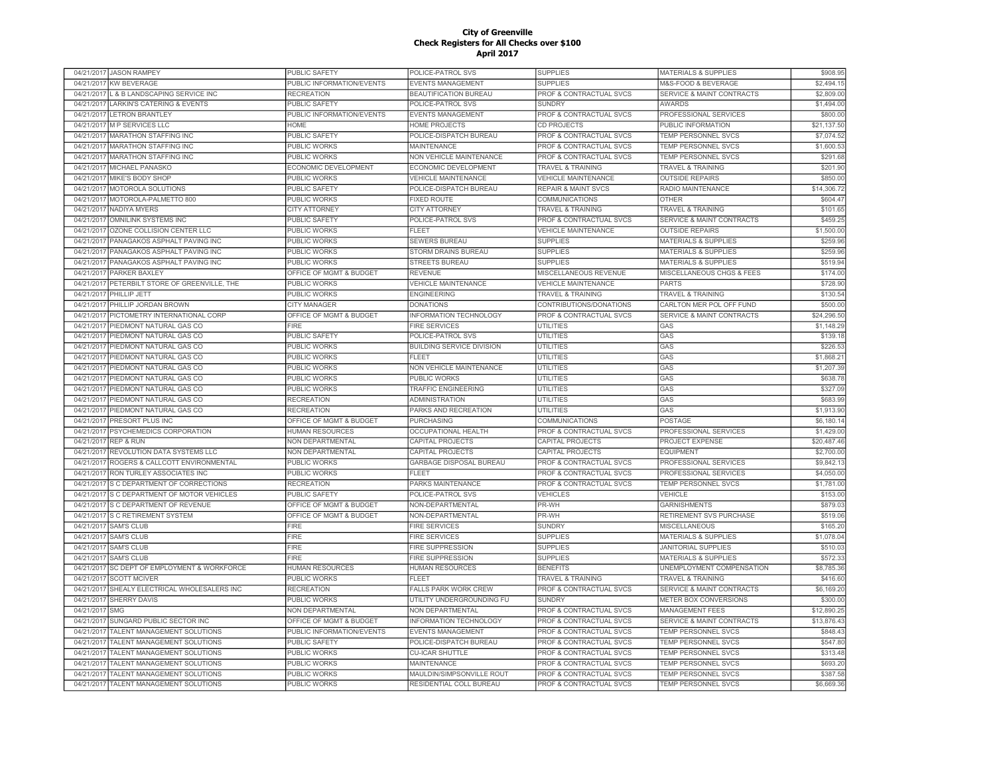|                          | 04/21/2017 JASON RAMPEY                                           | PUBLIC SAFETY                              | POLICE-PATROL SVS                                    | <b>SUPPLIES</b>                                               | <b>MATERIALS &amp; SUPPLIES</b>                   | \$908.95               |
|--------------------------|-------------------------------------------------------------------|--------------------------------------------|------------------------------------------------------|---------------------------------------------------------------|---------------------------------------------------|------------------------|
| 04/21/2017               | <b>KW BEVERAGE</b>                                                | PUBLIC INFORMATION/EVENTS                  | <b>EVENTS MANAGEMENT</b>                             | <b>SUPPLIES</b>                                               | M&S-FOOD & BEVERAGE                               | \$2,494.15             |
| 04/21/2017               | L & B LANDSCAPING SERVICE INC                                     | <b>RECREATION</b>                          | <b>BEAUTIFICATION BUREAU</b>                         | PROF & CONTRACTUAL SVCS                                       | SERVICE & MAINT CONTRACTS                         | \$2,809.00             |
| 04/21/2017               | <b>LARKIN'S CATERING &amp; EVENTS</b>                             | PUBLIC SAFETY                              | POLICE-PATROL SVS                                    | <b>SUNDRY</b>                                                 | <b>AWARDS</b>                                     | \$1,494.00             |
| 04/21/2017               | <b>LETRON BRANTLEY</b>                                            | PUBLIC INFORMATION/EVENTS                  | EVENTS MANAGEMENT                                    | PROF & CONTRACTUAL SVCS                                       | PROFESSIONAL SERVICES                             | \$800.00               |
| 04/21/2017               | <b>M P SERVICES LLC</b>                                           | <b>HOMF</b>                                | <b>HOME PROJECTS</b>                                 | <b>CD PROJECTS</b>                                            | PUBLIC INFORMATION                                | \$21,137.50            |
| 04/21/2017               | <b>MARATHON STAFFING INC</b>                                      | PUBLIC SAFETY                              | POLICE-DISPATCH BUREAU                               | PROF & CONTRACTUAL SVCS                                       | TEMP PERSONNEL SVCS                               | \$7,074.52             |
| 04/21/2017               | <b>MARATHON STAFFING INC</b>                                      | PUBLIC WORKS                               | MAINTENANCE                                          | PROF & CONTRACTUAL SVCS                                       | TEMP PERSONNEL SVCS                               | \$1,600.53             |
| 04/21/2017               | MARATHON STAFFING INC                                             | PUBLIC WORKS                               | NON VEHICLE MAINTENANCE                              | PROF & CONTRACTUAL SVCS                                       | TEMP PERSONNEL SVCS                               | \$291.68               |
| 04/21/2017               | MICHAEL PANASKO                                                   | ECONOMIC DEVELOPMENT                       | ECONOMIC DEVELOPMENT                                 | <b>TRAVEL &amp; TRAINING</b>                                  | <b>TRAVEL &amp; TRAINING</b>                      | \$201.9                |
| 04/21/2017               | MIKE'S BODY SHOP                                                  | PUBLIC WORKS                               | <b>VEHICLE MAINTENANCE</b>                           | <b>VEHICLE MAINTENANCE</b>                                    | <b>OUTSIDE REPAIRS</b>                            | \$850.0                |
| 04/21/2017               | <b>MOTOROLA SOLUTIONS</b>                                         | <b>PUBLIC SAFETY</b>                       | POLICE-DISPATCH BUREAU                               | <b>REPAIR &amp; MAINT SVCS</b>                                | RADIO MAINTENANCE                                 | \$14,306.72            |
| 04/21/2017               | MOTOROLA-PALMETTO 800                                             | <b>PUBLIC WORKS</b>                        | <b>FIXED ROUTE</b>                                   | <b>COMMUNICATIONS</b>                                         | <b>OTHER</b>                                      | \$604.4                |
| 04/21/2017               | <b>NADIYA MYERS</b>                                               |                                            |                                                      | <b>TRAVEL &amp; TRAINING</b>                                  |                                                   |                        |
|                          |                                                                   | <b>CITY ATTORNEY</b>                       | <b>CITY ATTORNEY</b>                                 |                                                               | <b>TRAVEL &amp; TRAINING</b>                      | \$101.65               |
| 04/21/2017               | OMNILINK SYSTEMS INC                                              | PUBLIC SAFETY                              | POLICE-PATROL SVS                                    | PROF & CONTRACTUAL SVCS                                       | <b>SERVICE &amp; MAINT CONTRACTS</b>              | \$459.25               |
| 04/21/2017               | OZONE COLLISION CENTER LLC                                        | <b>PUBLIC WORKS</b>                        | FLEET                                                | <b>VEHICLE MAINTENANCE</b>                                    | <b>OUTSIDE REPAIRS</b>                            | \$1,500.00             |
| 04/21/2017               | PANAGAKOS ASPHALT PAVING INC                                      | <b>PUBLIC WORKS</b>                        | <b>SEWERS BUREAU</b>                                 | <b>SUPPLIES</b>                                               | <b>MATERIALS &amp; SUPPLIES</b>                   | \$259.96               |
| 04/21/2017               | PANAGAKOS ASPHALT PAVING INC                                      | PUBLIC WORKS                               | STORM DRAINS BUREAU                                  | <b>SUPPLIES</b>                                               | <b>MATERIALS &amp; SUPPLIES</b>                   | \$259.96               |
| 04/21/2017               | PANAGAKOS ASPHALT PAVING INC                                      | PUBLIC WORKS                               | <b>STREETS BUREAU</b>                                | <b>SUPPLIES</b>                                               | <b>MATERIALS &amp; SUPPLIES</b>                   | \$519.94               |
| 04/21/2017               | PARKER BAXLEY                                                     | OFFICE OF MGMT & BUDGET                    | <b>REVENUE</b>                                       | MISCELLANEOUS REVENUE                                         | MISCELLANEOUS CHGS & FEES                         | \$174.00               |
| 04/21/2017               | PETERBILT STORE OF GREENVILLE, THE                                | PUBLIC WORKS                               | <b>VEHICLE MAINTENANCE</b>                           | VEHICLE MAINTENANCE                                           | <b>PARTS</b>                                      | \$728.90               |
| 04/21/2017               | PHILLIP JETT                                                      | <b>PUBLIC WORKS</b>                        | <b>ENGINEERING</b>                                   | <b>TRAVEL &amp; TRAINING</b>                                  | <b>TRAVEL &amp; TRAINING</b>                      | \$130.54               |
| 04/21/2017               | PHILLIP JORDAN BROWN                                              | <b>CITY MANAGER</b>                        | <b>DONATIONS</b>                                     | CONTRIBUTIONS/DONATIONS                                       | CARLTON MER POL OFF FUND                          | \$500.00               |
| 04/21/2017               | PICTOMETRY INTERNATIONAL CORP                                     | OFFICE OF MGMT & BUDGET                    | INFORMATION TECHNOLOGY                               | PROF & CONTRACTUAL SVCS                                       | <b>SERVICE &amp; MAINT CONTRACTS</b>              | \$24,296.50            |
| 04/21/2017               | PIEDMONT NATURAL GAS CO                                           | FIRE                                       | <b>FIRE SERVICES</b>                                 | UTILITIES                                                     | GAS                                               | \$1,148.29             |
| 04/21/2017               | PIEDMONT NATURAL GAS CO                                           | PUBLIC SAFETY                              | POLICE-PATROL SVS                                    | <b>UTILITIES</b>                                              | GAS                                               | \$139.1                |
| 04/21/2017               | PIEDMONT NATURAL GAS CO                                           | PUBLIC WORKS                               | <b>BUILDING SERVICE DIVISION</b>                     | <b>UTILITIES</b>                                              | GAS                                               | \$226.53               |
| 04/21/201                | PIEDMONT NATURAL GAS CO                                           | PUBLIC WORKS                               | <b>FLEET</b>                                         | UTILITIES                                                     | GAS                                               | \$1,868.2              |
| 04/21/2017               | PIEDMONT NATURAL GAS CO                                           | <b>PUBLIC WORKS</b>                        | NON VEHICLE MAINTENANCE                              | <b>UTILITIES</b>                                              | GAS                                               | \$1,207.39             |
| 04/21/2017               | PIEDMONT NATURAL GAS CO                                           | PUBLIC WORKS                               | <b>PUBLIC WORKS</b>                                  | <b>UTILITIES</b>                                              | GAS                                               | \$638.78               |
|                          |                                                                   |                                            |                                                      |                                                               |                                                   |                        |
|                          |                                                                   |                                            |                                                      |                                                               |                                                   |                        |
| 04/21/2017               | PIEDMONT NATURAL GAS CO                                           | PUBLIC WORKS                               | <b>TRAFFIC ENGINEERING</b>                           | <b>UTILITIES</b>                                              | GAS                                               | \$327.09               |
| 04/21/2017               | PIEDMONT NATURAL GAS CO                                           | <b>RECREATION</b>                          | <b>ADMINISTRATION</b>                                | <b>UTILITIES</b>                                              | GAS                                               | \$683.99               |
| 04/21/2017               | PIEDMONT NATURAL GAS CO                                           | <b>RECREATION</b>                          | PARKS AND RECREATION                                 | <b>UTILITIES</b>                                              | GAS                                               | \$1,913.90             |
| 04/21/2017               | PRESORT PLUS INC                                                  | OFFICE OF MGMT & BUDGET                    | <b>PURCHASING</b>                                    | <b>COMMUNICATIONS</b>                                         | <b>POSTAGE</b>                                    | \$6,180.1              |
| 04/21/2017               | PSYCHEMEDICS CORPORATION                                          | <b>HUMAN RESOURCES</b>                     | OCCUPATIONAL HEALTH                                  | PROF & CONTRACTUAL SVCS                                       | PROFESSIONAL SERVICES                             | \$1,429.00             |
| 04/21/2017               | <b>REP &amp; RUN</b>                                              | NON DEPARTMENTAL                           | CAPITAL PROJECTS                                     | CAPITAL PROJECTS                                              | PROJECT EXPENSE                                   | \$20,487.46            |
| 04/21/2017               | REVOLUTION DATA SYSTEMS LLC                                       | NON DEPARTMENTAL                           | CAPITAL PROJECTS                                     | <b>CAPITAL PROJECTS</b>                                       | <b>EQUIPMENT</b>                                  | \$2,700.00             |
| 04/21/2017               | ROGERS & CALLCOTT ENVIRONMENTAL                                   | PUBLIC WORKS                               | GARBAGE DISPOSAL BUREAU                              | PROF & CONTRACTUAL SVCS                                       | PROFESSIONAL SERVICES                             | \$9,842.13             |
| 04/21/2017               | RON TURLEY ASSOCIATES INC                                         | <b>PUBLIC WORKS</b>                        | EL EET                                               | PROF & CONTRACTUAL SVCS                                       | PROFESSIONAL SERVICES                             | \$4.050.00             |
| 04/21/2017               | S C DEPARTMENT OF CORRECTIONS                                     | <b>RECREATION</b>                          | PARKS MAINTENANCE                                    | <b>PROF &amp; CONTRACTUAL SVCS</b>                            | TEMP PERSONNEL SVCS                               | \$1,781.00             |
| 04/21/2017               | S C DEPARTMENT OF MOTOR VEHICLES                                  | <b>PUBLIC SAFETY</b>                       | POLICE-PATROL SVS                                    | <b>VEHICLES</b>                                               | VEHICLE                                           | \$153.00               |
| 04/21/2017               | S C DEPARTMENT OF REVENUE                                         | OFFICE OF MGMT & BUDGET                    | NON-DEPARTMENTAL                                     | PR-WH                                                         | <b>GARNISHMENTS</b>                               | \$879.03               |
| 04/21/2017               | S C RETIREMENT SYSTEM                                             | OFFICE OF MGMT & BUDGET                    | NON-DEPARTMENTAL                                     | PR-WH                                                         | RETIREMENT SVS PURCHASE                           | \$519.06               |
| 04/21/2017               | <b>SAM'S CLUB</b>                                                 | <b>FIRE</b>                                | <b>FIRE SERVICES</b>                                 | <b>SUNDRY</b>                                                 | <b>MISCELLANEOUS</b>                              | \$165.20               |
| 04/21/2017               | <b>SAM'S CLUB</b>                                                 | FIRE                                       | <b>FIRE SERVICES</b>                                 | <b>SUPPLIES</b>                                               | <b>MATERIALS &amp; SUPPLIES</b>                   | \$1,078.04             |
| 04/21/2017               | <b>SAM'S CLUB</b>                                                 | <b>FIRE</b>                                | <b>FIRE SUPPRESSION</b>                              | <b>SUPPLIES</b>                                               | <b>JANITORIAL SUPPLIES</b>                        | \$510.03               |
| 04/21/2017               | SAM'S CLUB                                                        | <b>FIRE</b>                                | <b>FIRE SUPPRESSION</b>                              | <b>SUPPLIES</b>                                               | <b>MATERIALS &amp; SUPPLIES</b>                   | \$572.33               |
| 04/21/2017               | SC DEPT OF EMPLOYMENT & WORKFORCE                                 | HUMAN RESOURCES                            | <b>HUMAN RESOURCES</b>                               | <b>BENEFITS</b>                                               | UNEMPLOYMENT COMPENSATION                         | \$8,785.36             |
| 04/21/2017               | <b>SCOTT MCIVER</b>                                               | PUBLIC WORKS                               | FLEET                                                | <b>TRAVEL &amp; TRAINING</b>                                  | <b>TRAVEL &amp; TRAINING</b>                      | \$416.60               |
| 04/21/2017               | SHEALY ELECTRICAL WHOLESALERS INC                                 |                                            | <b>FALLS PARK WORK CREW</b>                          |                                                               | <b>SERVICE &amp; MAINT CONTRACTS</b>              |                        |
|                          |                                                                   | <b>RECREATION</b>                          |                                                      | PROF & CONTRACTUAL SVCS                                       |                                                   | \$6,169.20             |
| 04/21/2017               | SHERRY DAVIS<br><b>SMG</b>                                        | PUBLIC WORKS                               | UTILITY UNDERGROUNDING FU                            | <b>SUNDRY</b>                                                 | METER BOX CONVERSIONS                             | \$300.00               |
| 04/21/2017               |                                                                   | NON DEPARTMENTAL                           | NON DEPARTMENTAL                                     | PROF & CONTRACTUAL SVCS                                       | <b>MANAGEMENT FEES</b>                            | \$12,890.25            |
| 04/21/2017               | SUNGARD PUBLIC SECTOR INC                                         | OFFICE OF MGMT & BUDGET                    | <b>INFORMATION TECHNOLOGY</b>                        | PROF & CONTRACTUAL SVCS                                       | <b>SERVICE &amp; MAINT CONTRACTS</b>              | \$13,876.43            |
| 04/21/2017               | TALENT MANAGEMENT SOLUTIONS                                       | PUBLIC INFORMATION/EVENTS                  | <b>EVENTS MANAGEMENT</b>                             | PROF & CONTRACTUAL SVCS                                       | <b>TEMP PERSONNEL SVCS</b>                        | \$848.43               |
| 04/21/2017               | TALENT MANAGEMENT SOLUTIONS                                       | <b>PUBLIC SAFETY</b>                       | POLICE-DISPATCH BUREAU                               | PROF & CONTRACTUAL SVCS                                       | <b>TEMP PERSONNEL SVCS</b>                        | \$547.80               |
| 04/21/2017               | TALENT MANAGEMENT SOLUTIONS                                       | <b>PUBLIC WORKS</b>                        | <b>CU-ICAR SHUTTLE</b>                               | <b>PROF &amp; CONTRACTUAL SVCS</b>                            | <b>TEMP PERSONNEL SVCS</b>                        | \$313.48               |
| 04/21/2017               | TALENT MANAGEMENT SOLUTIONS                                       | PUBLIC WORKS                               | <b>MAINTENANCE</b>                                   | <b>PROF &amp; CONTRACTUAL SVCS</b>                            | <b>TEMP PERSONNEL SVCS</b>                        | \$693.20               |
| 04/21/2017<br>04/21/2017 | <b>TALENT MANAGEMENT SOLUTIONS</b><br>TALENT MANAGEMENT SOLUTIONS | <b>PUBLIC WORKS</b><br><b>PUBLIC WORKS</b> | MAULDIN/SIMPSONVILLE ROUT<br>RESIDENTIAL COLL BUREAU | <b>PROF &amp; CONTRACTUAL SVCS</b><br>PROF & CONTRACTUAL SVCS | <b>TEMP PERSONNEL SVCS</b><br>TEMP PERSONNEL SVCS | \$387.58<br>\$6,669.36 |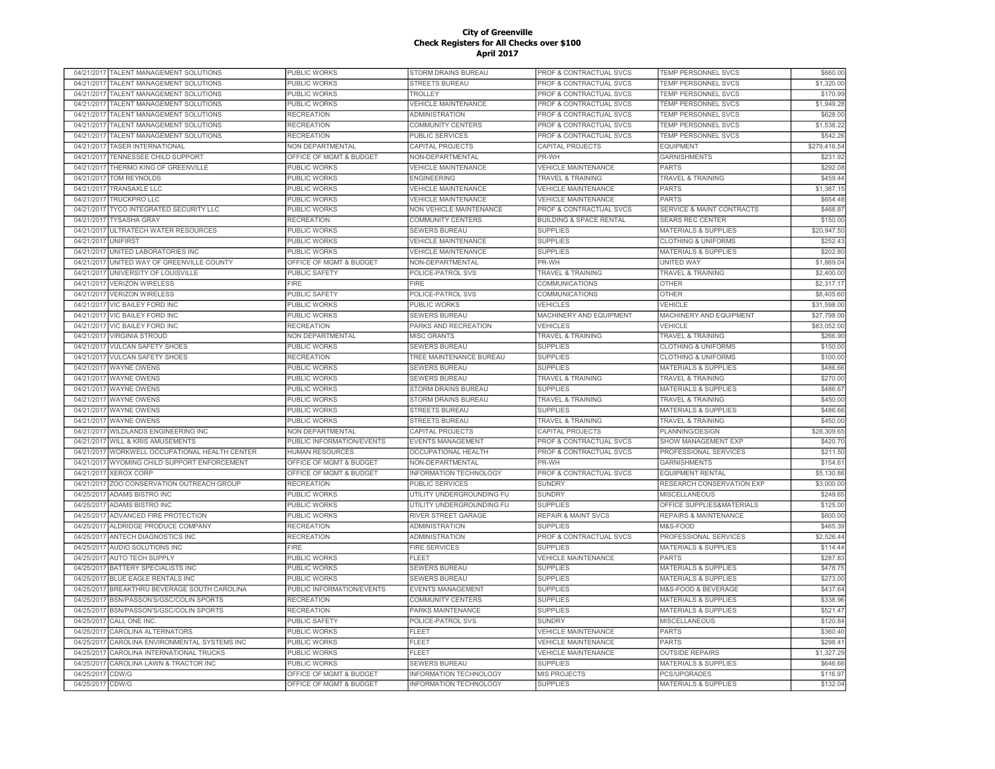| 04/21/2017 TALENT MANAGEMENT SOLUTIONS            | PUBLIC WORKS              | STORM DRAINS BUREAU           | <b>PROF &amp; CONTRACTUAL SVCS</b> | TEMP PERSONNEL SVCS                  | \$660.00     |
|---------------------------------------------------|---------------------------|-------------------------------|------------------------------------|--------------------------------------|--------------|
| 04/21/2017<br>TALENT MANAGEMENT SOLUTIONS         | PUBLIC WORKS              | <b>STREETS BUREAU</b>         | PROF & CONTRACTUAL SVCS            | TEMP PERSONNEL SVCS                  | \$1,320.00   |
| 04/21/2017<br>TALENT MANAGEMENT SOLUTIONS         | PUBLIC WORKS              | TROLLEY                       | PROF & CONTRACTUAL SVCS            | <b>TEMP PERSONNEL SVCS</b>           | \$170.99     |
| 04/21/2017<br>TALENT MANAGEMENT SOLUTIONS         | PUBLIC WORKS              | VEHICLE MAINTENANCE           | PROF & CONTRACTUAL SVCS            | TEMP PERSONNEL SVCS                  | \$1,949.28   |
| 04/21/2017<br>TALENT MANAGEMENT SOLUTIONS         | <b>RECREATION</b>         | <b>ADMINISTRATION</b>         | PROF & CONTRACTUAL SVCS            | <b>TEMP PERSONNEL SVCS</b>           | \$628.00     |
| TALENT MANAGEMENT SOLUTIONS<br>04/21/2017         | <b>RECREATION</b>         | <b>COMMUNITY CENTERS</b>      | PROF & CONTRACTUAL SVCS            | <b>TEMP PERSONNEL SVCS</b>           | \$1,538.22   |
| 04/21/2017<br>TALENT MANAGEMENT SOLUTIONS         | <b>RECREATION</b>         | PUBLIC SERVICES               | PROF & CONTRACTUAL SVCS            | TEMP PERSONNEL SVCS                  | \$542.26     |
| <b>TASER INTERNATIONAL</b><br>04/21/2017          | NON DEPARTMENTAL          | CAPITAL PROJECTS              | <b>CAPITAL PROJECTS</b>            | <b>EQUIPMENT</b>                     | \$279,416.54 |
| TENNESSEE CHILD SUPPORT<br>04/21/2017             | OFFICE OF MGMT & BUDGET   | NON-DEPARTMENTAL              | PR-WH                              | <b>GARNISHMENTS</b>                  | \$231.92     |
| THERMO KING OF GREENVILLE<br>04/21/2017           | PUBLIC WORKS              | <b>/EHICLE MAINTENANCE</b>    | <b>VEHICLE MAINTENANCE</b>         | <b>PARTS</b>                         | \$292.0      |
| <b>TOM REYNOLDS</b><br>04/21/2017                 | <b>PUBLIC WORKS</b>       | <b>ENGINEERING</b>            | <b>TRAVEL &amp; TRAINING</b>       | <b>TRAVEL &amp; TRAINING</b>         | \$459.44     |
| 04/21/2017<br><b>TRANSAXLE LLC</b>                | PUBLIC WORKS              | <b>VEHICLE MAINTENANCE</b>    | <b>VEHICLE MAINTENANCE</b>         | <b>PARTS</b>                         | \$1,387,1    |
| 04/21/2017<br><b>TRUCKPRO LLC</b>                 | PUBLIC WORKS              | <b>VEHICLE MAINTENANCE</b>    | <b>VEHICLE MAINTENANCE</b>         | <b>PARTS</b>                         | \$654.48     |
| 04/21/2017<br><b>TYCO INTEGRATED SECURITY LLC</b> | <b>PUBLIC WORKS</b>       | NON VEHICLE MAINTENANCE       | <b>PROF &amp; CONTRACTUAL SVCS</b> | <b>SERVICE &amp; MAINT CONTRACTS</b> | \$468.87     |
|                                                   |                           |                               |                                    |                                      |              |
| 04/21/2017<br><b>TYSASHA GRAY</b>                 | <b>RECREATION</b>         | COMMUNITY CENTERS             | <b>BUILDING &amp; SPACE RENTAL</b> | <b>SEARS REC CENTER</b>              | \$150.00     |
| <b>ULTRATECH WATER RESOURCES</b><br>04/21/2017    | <b>PUBLIC WORKS</b>       | <b>SEWERS BUREAU</b>          | <b>SUPPLIES</b>                    | <b>MATERIALS &amp; SUPPLIES</b>      | \$20,947.50  |
| <b>UNIFIRST</b><br>04/21/2017                     | PUBLIC WORKS              | <b>VEHICLE MAINTENANCE</b>    | <b>SUPPLIES</b>                    | <b>CLOTHING &amp; UNIFORMS</b>       | \$252.43     |
| UNITED LABORATORIES INC<br>04/21/2017             | PUBLIC WORKS              | <b>VEHICLE MAINTENANCE</b>    | <b>SUPPLIES</b>                    | <b>MATERIALS &amp; SUPPLIES</b>      | \$202.80     |
| UNITED WAY OF GREENVILLE COUNTY<br>04/21/2017     | OFFICE OF MGMT & BUDGET   | NON-DEPARTMENTAL              | PR-WH                              | UNITED WAY                           | \$1,869.04   |
| 04/21/2017<br>UNIVERSITY OF LOUISVILLE            | <b>PUBLIC SAFETY</b>      | POLICE-PATROL SVS             | <b>TRAVEL &amp; TRAINING</b>       | <b>TRAVEL &amp; TRAINING</b>         | \$2,400.00   |
| 04/21/2017 VERIZON WIRELESS                       | <b>FIRE</b>               | <b>FIRE</b>                   | COMMUNICATIONS                     | <b>OTHER</b>                         | \$2,317.1    |
| 04/21/2017<br><b>VERIZON WIRELESS</b>             | PUBLIC SAFETY             | POLICE-PATROL SVS             | COMMUNICATIONS                     | <b>OTHER</b>                         | \$8,405.60   |
| 04/21/2017<br>VIC BAILEY FORD INC                 | PUBLIC WORKS              | PUBLIC WORKS                  | VEHICLES                           | VEHICLE                              | \$31,598.00  |
| <b>VIC BAILEY FORD INC</b><br>04/21/2017          | PUBLIC WORKS              | <b>SEWERS BUREAU</b>          | MACHINERY AND EQUIPMENT            | MACHINERY AND EQUIPMENT              | \$27,798.00  |
| <b>VIC BAILEY FORD INC</b><br>04/21/2017          | <b>RECREATION</b>         | PARKS AND RECREATION          | <b>VEHICLES</b>                    | VEHICLE                              | \$83,052.00  |
| 04/21/2017<br><b>VIRGINIA STROUD</b>              | <b>NON DEPARTMENTAL</b>   | <b>MISC GRANTS</b>            | <b>TRAVEL &amp; TRAINING</b>       | <b>TRAVEL &amp; TRAINING</b>         | \$266.90     |
| 04/21/2017<br><b>VULCAN SAFETY SHOES</b>          | <b>PUBLIC WORKS</b>       | <b>SEWERS BUREAU</b>          | <b>SUPPLIES</b>                    | <b>CLOTHING &amp; UNIFORMS</b>       | \$150.00     |
| 04/21/2017<br><b>VULCAN SAFETY SHOES</b>          | <b>RECREATION</b>         | TREE MAINTENANCE BUREAU       | <b>SUPPLIES</b>                    | <b>CLOTHING &amp; UNIFORMS</b>       | \$100.00     |
| 04/21/2017<br><b>WAYNE OWENS</b>                  | PUBLIC WORKS              | SEWERS BUREAU                 | <b>SUPPLIES</b>                    | <b>MATERIALS &amp; SUPPLIES</b>      | \$486.66     |
| 04/21/2017<br><b>WAYNE OWENS</b>                  | PUBLIC WORKS              | <b>SEWERS BUREAU</b>          | <b>TRAVEL &amp; TRAINING</b>       | <b>TRAVEL &amp; TRAINING</b>         | \$270.00     |
| <b>WAYNE OWENS</b><br>04/21/2017                  | PUBLIC WORKS              | STORM DRAINS BUREAU           | <b>SUPPLIES</b>                    | <b>MATERIALS &amp; SUPPLIES</b>      | \$486.67     |
| 04/21/2017 WAYNE OWENS                            | PUBLIC WORKS              | STORM DRAINS BUREAU           | <b>TRAVEL &amp; TRAINING</b>       | TRAVEL & TRAINING                    | \$450.00     |
| <b>WAYNE OWENS</b><br>04/21/2017                  | PUBLIC WORKS              | <b>STREETS BUREAU</b>         | <b>SUPPLIES</b>                    | <b>MATERIALS &amp; SUPPLIES</b>      | \$486.66     |
| 04/21/2017<br><b>WAYNE OWENS</b>                  | PUBLIC WORKS              | <b>STREETS BUREAU</b>         | <b>TRAVEL &amp; TRAINING</b>       | <b>TRAVEL &amp; TRAINING</b>         | \$450.00     |
| 04/21/2017<br>WILDLANDS ENGINEERING INC           | <b>NON DEPARTMENTAL</b>   | CAPITAL PROJECTS              | CAPITAL PROJECTS                   | PLANNING/DESIGN                      | \$28,309.6   |
| 04/21/2017<br><b>WILL &amp; KRIS AMUSEMENTS</b>   | PUBLIC INFORMATION/EVENTS | <b>EVENTS MANAGEMENT</b>      | <b>PROF &amp; CONTRACTUAL SVCS</b> | <b>SHOW MANAGEMENT EXP</b>           | \$420.70     |
|                                                   |                           |                               |                                    |                                      |              |
| WORKWELL OCCUPATIONAL HEALTH CENTER<br>04/21/2017 | <b>HUMAN RESOURCES</b>    | <b>OCCUPATIONAL HEALTH</b>    | PROF & CONTRACTUAL SVCS            | PROFESSIONAL SERVICES                | \$211.50     |
| WYOMING CHILD SUPPORT ENFORCEMENT<br>04/21/2017   | OFFICE OF MGMT & BUDGET   | NON-DEPARTMENTAL              | PR-WH                              | <b>GARNISHMENTS</b>                  | \$154.6'     |
| 04/21/2017<br><b>XEROX CORP</b>                   | OFFICE OF MGMT & BUDGET   | INFORMATION TECHNOLOGY        | PROF & CONTRACTUAL SVCS            | <b>EQUIPMENT RENTAL</b>              | \$5,130.86   |
| 04/21/2017<br>ZOO CONSERVATION OUTREACH GROUP     | <b>RECREATION</b>         | PUBLIC SERVICES               | <b>SUNDRY</b>                      | RESEARCH CONSERVATION EXP            | \$3,000.00   |
| 04/25/2017<br><b>ADAMS BISTRO INC</b>             | <b>PUBLIC WORKS</b>       | UTILITY UNDERGROUNDING FU     | <b>SUNDRY</b>                      | <b>MISCELLANEOUS</b>                 | \$249.65     |
| <b>ADAMS BISTRO INC</b><br>04/25/2017             | PUBLIC WORKS              | UTILITY UNDERGROUNDING FU     | <b>SUPPLIES</b>                    | OFFICE SUPPLIES&MATERIALS            | \$125.00     |
| <b>ADVANCED FIRE PROTECTION</b><br>04/25/2017     | PUBLIC WORKS              | RIVER STREET GARAGE           | <b>REPAIR &amp; MAINT SVCS</b>     | <b>REPAIRS &amp; MAINTENANCE</b>     | \$600.00     |
| ALDRIDGE PRODUCE COMPANY<br>04/25/2017            | <b>RECREATION</b>         | <b>ADMINISTRATION</b>         | <b>SUPPLIES</b>                    | M&S-FOOD                             | \$465.39     |
| 04/25/2017<br>ANTECH DIAGNOSTICS INC              | <b>RECREATION</b>         | <b>ADMINISTRATION</b>         | PROF & CONTRACTUAL SVCS            | PROFESSIONAL SERVICES                | \$2,526.44   |
| AUDIO SOLUTIONS INC<br>04/25/2017                 | <b>FIRE</b>               | <b>FIRE SERVICES</b>          | <b>SUPPLIES</b>                    | <b>MATERIALS &amp; SUPPLIES</b>      | \$114.44     |
| 04/25/2017<br>AUTO TECH SUPPLY                    | PUBLIC WORKS              | <b>FLEET</b>                  | <b>VEHICLE MAINTENANCE</b>         | <b>PARTS</b>                         | \$287.83     |
| 04/25/2017<br>BATTERY SPECIALISTS INC             | PUBLIC WORKS              | SEWERS BUREAU                 | <b>SUPPLIES</b>                    | <b>MATERIALS &amp; SUPPLIES</b>      | \$478.75     |
| 04/25/2017<br><b>BLUE EAGLE RENTALS INC</b>       | PUBLIC WORKS              | <b>SEWERS BUREAU</b>          | <b>SUPPLIES</b>                    | <b>MATERIALS &amp; SUPPLIES</b>      | \$273.00     |
| BREAKTHRU BEVERAGE SOUTH CAROLINA<br>04/25/2017   | PUBLIC INFORMATION/EVENTS | EVENTS MANAGEMENT             | <b>SUPPLIES</b>                    | M&S-FOOD & BEVERAGE                  | \$437.64     |
| BSN/PASSON'S/GSC/COLIN SPORTS<br>04/25/2017       | <b>RECREATION</b>         | COMMUNITY CENTERS             | <b>SUPPLIES</b>                    | <b>MATERIALS &amp; SUPPLIES</b>      | \$338.96     |
| 04/25/2017<br>BSN/PASSON'S/GSC/COLIN SPORTS       | <b>RECREATION</b>         | PARKS MAINTENANCE             | <b>SUPPLIES</b>                    | <b>MATERIALS &amp; SUPPLIES</b>      | \$521.47     |
| 04/25/2017<br>CALL ONE INC.                       | <b>PUBLIC SAFETY</b>      | POLICE-PATROL SVS             | <b>SUNDRY</b>                      | <b>MISCELLANEOUS</b>                 | \$120.84     |
| 04/25/2017<br>CAROLINA ALTERNATORS                | PUBLIC WORKS              | <b>FLEET</b>                  | <b>VEHICLE MAINTENANCE</b>         | <b>PARTS</b>                         | \$360.4      |
| CAROLINA ENVIRONMENTAL SYSTEMS INC<br>04/25/2017  | <b>PUBLIC WORKS</b>       | <b>FLEET</b>                  | <b>VEHICLE MAINTENANCE</b>         | <b>PARTS</b>                         | \$298.4      |
| CAROLINA INTERNATIONAL TRUCKS<br>04/25/2017       | <b>PUBLIC WORKS</b>       | <b>FLEET</b>                  | <b>VEHICLE MAINTENANCE</b>         | <b>OUTSIDE REPAIRS</b>               | \$1,327.29   |
| CAROLINA LAWN & TRACTOR INC<br>04/25/2017         | PUBLIC WORKS              | <b>SEWERS BUREAU</b>          | <b>SUPPLIES</b>                    | <b>MATERIALS &amp; SUPPLIES</b>      | \$646.66     |
| CDW/G<br>04/25/2017                               | OFFICE OF MGMT & BUDGET   | INFORMATION TECHNOLOGY        | <b>MIS PROJECTS</b>                | PCS/UPGRADES                         | \$116.97     |
| 04/25/2017 CDW/G                                  | OFFICE OF MGMT & BUDGET   | <b>INFORMATION TECHNOLOGY</b> | <b>SUPPLIES</b>                    | <b>MATERIALS &amp; SUPPLIES</b>      | \$132.04     |
|                                                   |                           |                               |                                    |                                      |              |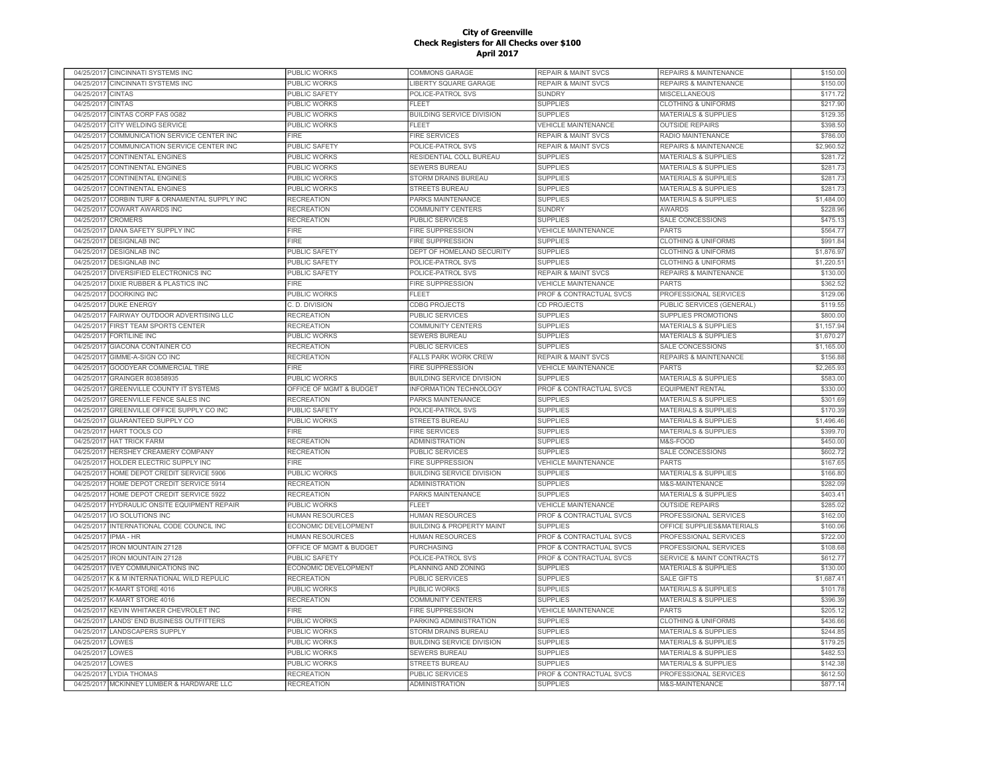|            | 04/25/2017 CINCINNATI SYSTEMS INC         | PUBLIC WORKS            | COMMONS GARAGE                       | <b>REPAIR &amp; MAINT SVCS</b> | REPAIRS & MAINTENANCE                | \$150.00   |
|------------|-------------------------------------------|-------------------------|--------------------------------------|--------------------------------|--------------------------------------|------------|
| 04/25/2017 | CINCINNATI SYSTEMS INC                    | PUBLIC WORKS            | LIBERTY SQUARE GARAGE                | <b>REPAIR &amp; MAINT SVCS</b> | <b>REPAIRS &amp; MAINTENANCE</b>     | \$150.00   |
| 04/25/2017 | <b>CINTAS</b>                             | <b>PUBLIC SAFETY</b>    | POLICE-PATROL SVS                    | <b>SUNDRY</b>                  | <b>MISCELLANEOUS</b>                 | \$171.72   |
| 04/25/2017 | <b>CINTAS</b>                             | <b>PUBLIC WORKS</b>     | <b>FLEET</b>                         | <b>SUPPLIES</b>                | <b>CLOTHING &amp; UNIFORMS</b>       | \$217.90   |
| 04/25/2017 | CINTAS CORP FAS 0G82                      | PUBLIC WORKS            | <b>BUILDING SERVICE DIVISION</b>     | <b>SUPPLIES</b>                | MATERIALS & SUPPLIES                 | \$129.35   |
|            | 04/25/2017 CITY WELDING SERVICE           | PUBLIC WORKS            | <b>FLEET</b>                         | <b>VEHICLE MAINTENANCE</b>     | <b>OUTSIDE REPAIRS</b>               | \$398.50   |
| 04/25/2017 | COMMUNICATION SERVICE CENTER INC          | <b>FIRE</b>             | <b>FIRE SERVICES</b>                 | <b>REPAIR &amp; MAINT SVCS</b> | RADIO MAINTENANCE                    | \$786.00   |
| 04/25/2017 | COMMUNICATION SERVICE CENTER INC          | <b>PUBLIC SAFETY</b>    | POLICE-PATROL SVS                    | <b>REPAIR &amp; MAINT SVCS</b> | <b>REPAIRS &amp; MAINTENANCE</b>     | \$2,960.52 |
| 04/25/2017 | <b>CONTINENTAL ENGINES</b>                | PUBLIC WORKS            | RESIDENTIAL COLL BUREAU              | <b>SUPPLIES</b>                | <b>MATERIALS &amp; SUPPLIES</b>      | \$281.7    |
| 04/25/2017 | CONTINENTAL ENGINES                       | <b>PUBLIC WORKS</b>     | SEWERS BUREAU                        | <b>SUPPLIES</b>                | <b>MATERIALS &amp; SUPPLIES</b>      | \$281.7    |
| 04/25/2017 | <b>CONTINENTAL ENGINES</b>                | <b>PUBLIC WORKS</b>     | STORM DRAINS BUREAU                  | <b>SUPPLIES</b>                | <b>MATERIALS &amp; SUPPLIES</b>      | \$281.7    |
| 04/25/2017 | <b>CONTINENTAL ENGINES</b>                | PUBLIC WORKS            | <b>STREETS BUREAU</b>                | <b>SUPPLIES</b>                | <b>MATERIALS &amp; SUPPLIES</b>      | \$281.73   |
| 04/25/2017 | CORBIN TURF & ORNAMENTAL SUPPLY INC       | <b>RECREATION</b>       | PARKS MAINTENANCE                    | <b>SUPPLIES</b>                | <b>MATERIALS &amp; SUPPLIES</b>      | \$1,484.00 |
|            |                                           |                         |                                      |                                |                                      |            |
| 04/25/2017 | <b>COWART AWARDS INC</b>                  | <b>RECREATION</b>       | COMMUNITY CENTERS                    | <b>SUNDRY</b>                  | <b>AWARDS</b>                        | \$228.96   |
| 04/25/2017 | <b>CROMERS</b>                            | <b>RECREATION</b>       | <b>PUBLIC SERVICES</b>               | <b>SUPPLIES</b>                | SALE CONCESSIONS                     | \$475.1    |
| 04/25/2017 | DANA SAFETY SUPPLY INC                    | <b>FIRE</b>             | <b>FIRE SUPPRESSION</b>              | <b>VEHICLE MAINTENANCE</b>     | <b>PARTS</b>                         | \$564.77   |
| 04/25/2017 | <b>DESIGNLAB INC</b>                      | <b>FIRE</b>             | FIRE SUPPRESSION                     | <b>SUPPLIES</b>                | <b>CLOTHING &amp; UNIFORMS</b>       | \$991.84   |
| 04/25/2017 | <b>DESIGNLAB INC</b>                      | <b>PUBLIC SAFETY</b>    | DEPT OF HOMELAND SECURITY            | <b>SUPPLIES</b>                | <b>CLOTHING &amp; UNIFORMS</b>       | \$1,876.97 |
|            | 04/25/2017 DESIGNLAB INC                  | <b>PUBLIC SAFETY</b>    | POLICE-PATROL SVS                    | <b>SUPPLIES</b>                | <b>CLOTHING &amp; UNIFORMS</b>       | \$1,220.5  |
|            | 04/25/2017 DIVERSIFIED ELECTRONICS INC    | <b>PUBLIC SAFETY</b>    | POLICE-PATROL SVS                    | <b>REPAIR &amp; MAINT SVCS</b> | <b>REPAIRS &amp; MAINTENANCE</b>     | \$130.00   |
|            | 04/25/2017 DIXIE RUBBER & PLASTICS INC    | FIRE                    | FIRE SUPPRESSION                     | <b>VEHICLE MAINTENANCE</b>     | <b>PARTS</b>                         | \$362.52   |
| 04/25/2017 | DOORKING INC                              | PUBLIC WORKS            | <b>FLEET</b>                         | PROF & CONTRACTUAL SVCS        | PROFESSIONAL SERVICES                | \$129.06   |
| 04/25/2017 | <b>DUKE ENERGY</b>                        | C. D. DIVISION          | CDBG PROJECTS                        | CD PROJECTS                    | PUBLIC SERVICES (GENERAL)            | \$119.55   |
| 04/25/2017 | FAIRWAY OUTDOOR ADVERTISING LLC           | <b>RECREATION</b>       | <b>PUBLIC SERVICES</b>               | <b>SUPPLIES</b>                | <b>SUPPLIES PROMOTIONS</b>           | \$800.0    |
| 04/25/2017 | <b>FIRST TEAM SPORTS CENTER</b>           | <b>RECREATION</b>       | COMMUNITY CENTERS                    | <b>SUPPLIES</b>                | <b>MATERIALS &amp; SUPPLIES</b>      | \$1,157.94 |
| 04/25/2017 | <b>FORTILINE INC</b>                      | <b>PUBLIC WORKS</b>     | <b>SEWERS BUREAU</b>                 | <b>SUPPLIES</b>                | <b>MATERIALS &amp; SUPPLIES</b>      | \$1,670.27 |
| 04/25/2017 | GIACONA CONTAINER CO                      | <b>RECREATION</b>       | PUBLIC SERVICES                      | <b>SUPPLIES</b>                | SALE CONCESSIONS                     | \$1,165.00 |
| 04/25/2017 | GIMME-A-SIGN CO INC                       | <b>RECREATION</b>       | <b>FALLS PARK WORK CREW</b>          | <b>REPAIR &amp; MAINT SVCS</b> | REPAIRS & MAINTENANCE                | \$156.88   |
| 04/25/2017 | GOODYEAR COMMERCIAL TIRE                  | <b>FIRE</b>             | FIRE SUPPRESSION                     | <b>VEHICLE MAINTENANCE</b>     | <b>PARTS</b>                         | \$2,265.93 |
| 04/25/2017 | GRAINGER 803858935                        | PUBLIC WORKS            | <b>BUILDING SERVICE DIVISION</b>     | <b>SUPPLIES</b>                | <b>MATERIALS &amp; SUPPLIES</b>      | \$583.00   |
| 04/25/2017 | GREENVILLE COUNTY IT SYSTEMS              | OFFICE OF MGMT & BUDGET | <b>INFORMATION TECHNOLOGY</b>        | PROF & CONTRACTUAL SVCS        | <b>EQUIPMENT RENTAL</b>              | \$330.00   |
|            | 04/25/2017 GREENVILLE FENCE SALES INC     | <b>RECREATION</b>       |                                      | <b>SUPPLIES</b>                | <b>MATERIALS &amp; SUPPLIES</b>      | \$301.69   |
|            |                                           |                         | PARKS MAINTENANCE                    |                                |                                      |            |
| 04/25/2017 | GREENVILLE OFFICE SUPPLY CO INC           | PUBLIC SAFETY           | POLICE-PATROL SVS                    | <b>SUPPLIES</b>                | <b>MATERIALS &amp; SUPPLIES</b>      | \$170.39   |
| 04/25/2017 | <b>GUARANTEED SUPPLY CO</b>               | <b>PUBLIC WORKS</b>     | <b>STREETS BUREAU</b>                | <b>SUPPLIES</b>                | <b>MATERIALS &amp; SUPPLIES</b>      | \$1,496.46 |
| 04/25/2017 | HART TOOLS CO                             | <b>FIRE</b>             | <b>FIRE SERVICES</b>                 | <b>SUPPLIES</b>                | <b>MATERIALS &amp; SUPPLIES</b>      | \$399.7    |
| 04/25/2017 | <b>HAT TRICK FARM</b>                     | <b>RECREATION</b>       | ADMINISTRATION                       | <b>SUPPLIES</b>                | M&S-FOOD                             | \$450.00   |
| 04/25/2017 | HERSHEY CREAMERY COMPANY                  | <b>RECREATION</b>       | PUBLIC SERVICES                      | <b>SUPPLIES</b>                | SALE CONCESSIONS                     | \$602.7    |
| 04/25/2017 | HOLDER ELECTRIC SUPPLY INC                | FIRF                    | <b>FIRE SUPPRESSION</b>              | <b>VEHICLE MAINTENANCE</b>     | <b>PARTS</b>                         | \$167.65   |
| 04/25/2017 | HOME DEPOT CREDIT SERVICE 5906            | PUBLIC WORKS            | <b>BUILDING SERVICE DIVISION</b>     | <b>SUPPLIES</b>                | <b>MATERIALS &amp; SUPPLIES</b>      | \$166.80   |
| 04/25/2017 | HOME DEPOT CREDIT SERVICE 5914            | <b>RECREATION</b>       | <b>ADMINISTRATION</b>                | <b>SUPPLIES</b>                | <b>M&amp;S-MAINTENANCE</b>           | \$282.0    |
| 04/25/2017 | HOME DEPOT CREDIT SERVICE 5922            | <b>RECREATION</b>       | PARKS MAINTENANCE                    | <b>SUPPLIES</b>                | <b>MATERIALS &amp; SUPPLIES</b>      | \$403.4    |
| 04/25/2017 | HYDRAULIC ONSITE EQUIPMENT REPAIR         | PUBLIC WORKS            | <b>FLEET</b>                         | <b>VEHICLE MAINTENANCE</b>     | <b>OUTSIDE REPAIRS</b>               | \$285.02   |
| 04/25/2017 | <b>I/O SOLUTIONS INC</b>                  | <b>HUMAN RESOURCES</b>  | <b>HUMAN RESOURCES</b>               | PROF & CONTRACTUAL SVCS        | PROFESSIONAL SERVICES                | \$162.00   |
| 04/25/2017 | INTERNATIONAL CODE COUNCIL INC            | ECONOMIC DEVELOPMENT    | <b>BUILDING &amp; PROPERTY MAINT</b> | <b>SUPPLIES</b>                | OFFICE SUPPLIES&MATERIALS            | \$160.06   |
| 04/25/2017 | <b>IPMA - HR</b>                          | <b>HUMAN RESOURCES</b>  | <b>HUMAN RESOURCES</b>               | PROF & CONTRACTUAL SVCS        | PROFESSIONAL SERVICES                | \$722.00   |
| 04/25/2017 | <b>IRON MOUNTAIN 27128</b>                | OFFICE OF MGMT & BUDGET | <b>PURCHASING</b>                    | PROF & CONTRACTUAL SVCS        | PROFESSIONAL SERVICES                | \$108.68   |
| 04/25/2017 | <b>IRON MOUNTAIN 27128</b>                | PUBLIC SAFETY           | POLICE-PATROL SVS                    | PROF & CONTRACTUAL SVCS        | <b>SERVICE &amp; MAINT CONTRACTS</b> | \$612.7    |
| 04/25/2017 | <b>IVEY COMMUNICATIONS INC</b>            | ECONOMIC DEVELOPMENT    | PLANNING AND ZONING                  | <b>SUPPLIES</b>                | <b>MATERIALS &amp; SUPPLIES</b>      | \$130.00   |
| 04/25/2017 | K & M INTERNATIONAL WILD REPULIC          | <b>RECREATION</b>       | PUBLIC SERVICES                      | <b>SUPPLIES</b>                | <b>SALE GIFTS</b>                    | \$1,687.4  |
| 04/25/2017 | K-MART STORE 4016                         | PUBLIC WORKS            | PUBLIC WORKS                         | <b>SUPPLIES</b>                | <b>MATERIALS &amp; SUPPLIES</b>      | \$101.78   |
| 04/25/2017 | K-MART STORE 4016                         | <b>RECREATION</b>       | COMMUNITY CENTERS                    | <b>SUPPLIES</b>                | <b>MATERIALS &amp; SUPPLIES</b>      | \$396.3    |
| 04/25/2017 | KEVIN WHITAKER CHEVROLET INC              | <b>FIRE</b>             | <b>FIRE SUPPRESSION</b>              | <b>VEHICLE MAINTENANCE</b>     | <b>PARTS</b>                         | \$205.1    |
| 04/25/2017 | <b>LANDS' END BUSINESS OUTFITTERS</b>     | PUBLIC WORKS            | PARKING ADMINISTRATION               | <b>SUPPLIES</b>                | <b>CLOTHING &amp; UNIFORMS</b>       | \$436.66   |
|            | LANDSCAPERS SUPPLY                        | <b>PUBLIC WORKS</b>     | STORM DRAINS BUREAU                  | <b>SUPPLIES</b>                | <b>MATERIALS &amp; SUPPLIES</b>      | \$244.85   |
| 04/25/2017 | LOWES                                     | <b>PUBLIC WORKS</b>     |                                      | <b>SUPPLIES</b>                | <b>MATERIALS &amp; SUPPLIES</b>      | \$179.25   |
| 04/25/2017 |                                           |                         | <b>BUILDING SERVICE DIVISION</b>     |                                |                                      |            |
| 04/25/2017 | LOWES                                     | <b>PUBLIC WORKS</b>     | <b>SEWERS BUREAU</b>                 | <b>SUPPLIES</b>                | MATERIALS & SUPPLIES                 | \$482.53   |
| 04/25/2017 | LOWES                                     | PUBLIC WORKS            | <b>STREETS BUREAU</b>                | <b>SUPPLIES</b>                | <b>MATERIALS &amp; SUPPLIES</b>      | \$142.38   |
|            | 04/25/2017 LYDIA THOMAS                   | <b>RECREATION</b>       | PUBLIC SERVICES                      | PROF & CONTRACTUAL SVCS        | PROFESSIONAL SERVICES                | \$612.50   |
|            | 04/25/2017 MCKINNEY LUMBER & HARDWARE LLC | <b>RECREATION</b>       | <b>ADMINISTRATION</b>                | <b>SUPPLIES</b>                | M&S-MAINTENANCE                      | \$877.14   |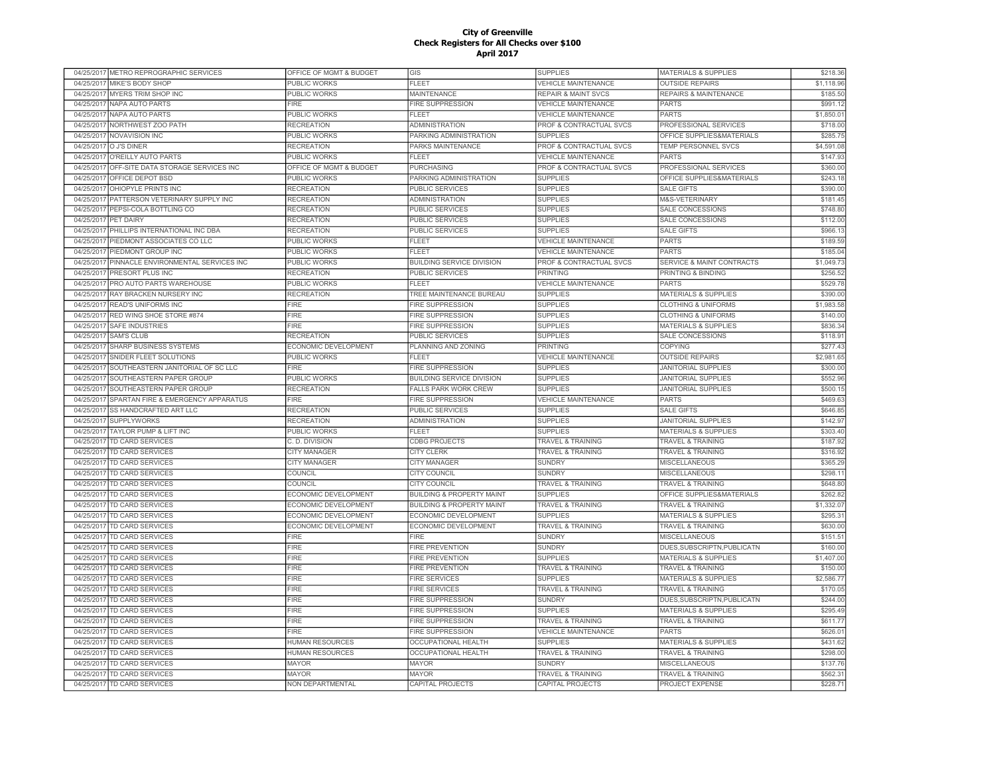| 04/25/2017 METRO REPROGRAPHIC SERVICES            | OFFICE OF MGMT & BUDGET     | GIS                                  | <b>SUPPLIES</b>                | MATERIALS & SUPPLIES             | \$218.36   |
|---------------------------------------------------|-----------------------------|--------------------------------------|--------------------------------|----------------------------------|------------|
| 04/25/2017<br>MIKE'S BODY SHOP                    | PUBLIC WORKS                | <b>FLEET</b>                         | <b>VEHICLE MAINTENANCE</b>     | <b>OUTSIDE REPAIRS</b>           | \$1,118.96 |
| MYERS TRIM SHOP INC<br>04/25/2017                 | <b>PUBLIC WORKS</b>         | MAINTENANCE                          | <b>REPAIR &amp; MAINT SVCS</b> | <b>REPAIRS &amp; MAINTENANCE</b> | \$185.50   |
| 04/25/2017<br>NAPA AUTO PARTS                     | <b>FIRE</b>                 | FIRE SUPPRESSION                     | <b>VEHICLE MAINTENANCE</b>     | <b>PARTS</b>                     | \$991.12   |
| 04/25/2017 NAPA AUTO PARTS                        | PUBLIC WORKS                | FLEET                                | <b>VEHICLE MAINTENANCE</b>     | <b>PARTS</b>                     | \$1,850.0  |
| 04/25/2017 NORTHWEST ZOO PATH                     | <b>RECREATION</b>           | <b>ADMINISTRATION</b>                | PROF & CONTRACTUAL SVCS        | PROFESSIONAL SERVICES            | \$718.00   |
| 04/25/2017 NOVAVISION INC                         | PUBLIC WORKS                | PARKING ADMINISTRATION               | <b>SUPPLIES</b>                | OFFICE SUPPLIES&MATERIALS        | \$285.75   |
| 04/25/2017 O J'S DINER                            | <b>RECREATION</b>           | PARKS MAINTENANCE                    | PROF & CONTRACTUAL SVCS        | TEMP PERSONNEL SVCS              | \$4,591.08 |
| O'REILLY AUTO PARTS<br>04/25/2017                 | PUBLIC WORKS                | <b>FLEET</b>                         | <b>VEHICLE MAINTENANCE</b>     | <b>PARTS</b>                     | \$147.9    |
| OFF-SITE DATA STORAGE SERVICES INC<br>04/25/2017  | OFFICE OF MGMT & BUDGET     | PURCHASING                           | PROF & CONTRACTUAL SVCS        | PROFESSIONAL SERVICES            | \$360.0    |
| OFFICE DEPOT BSD<br>04/25/201                     | <b>PUBLIC WORKS</b>         | PARKING ADMINISTRATION               | <b>SUPPLIES</b>                | OFFICE SUPPLIES&MATERIALS        | \$243.1    |
| OHIOPYLE PRINTS INC<br>04/25/2017                 | <b>RECREATION</b>           | <b>PUBLIC SERVICES</b>               | <b>SUPPLIES</b>                | <b>SALE GIFTS</b>                | \$390.00   |
| 04/25/201<br>PATTERSON VETERINARY SUPPLY INC      | <b>RECREATION</b>           | <b>ADMINISTRATION</b>                | <b>SUPPLIES</b>                | <b>M&amp;S-VETERINARY</b>        | \$181.4    |
| PEPSI-COLA BOTTLING CO<br>04/25/2011              | <b>RECREATION</b>           | <b>PUBLIC SERVICES</b>               | <b>SUPPLIES</b>                | SALE CONCESSIONS                 | \$748.80   |
| 04/25/201<br><b>PET DAIRY</b>                     | <b>RECREATION</b>           | <b>PUBLIC SERVICES</b>               | <b>SUPPLIES</b>                | <b>SALE CONCESSIONS</b>          | \$112.00   |
| PHILLIPS INTERNATIONAL INC DBA<br>04/25/2017      | <b>RECREATION</b>           | <b>PUBLIC SERVICES</b>               | <b>SUPPLIES</b>                | <b>SALE GIFTS</b>                | \$966.1    |
| 04/25/2017<br>PIEDMONT ASSOCIATES CO LLC          | PUBLIC WORKS                | FLEET                                | <b>VEHICLE MAINTENANCE</b>     | <b>PARTS</b>                     | \$189.59   |
| PIEDMONT GROUP INC<br>04/25/2017                  | PUBLIC WORKS                | FLEET                                | <b>VEHICLE MAINTENANCE</b>     | <b>PARTS</b>                     | \$185.04   |
| 04/25/2017<br>PINNACLE ENVIRONMENTAL SERVICES INC | PUBLIC WORKS                | <b>BUILDING SERVICE DIVISION</b>     | PROF & CONTRACTUAL SVCS        | SERVICE & MAINT CONTRACTS        | \$1,049.73 |
| PRESORT PLUS INC<br>04/25/2017                    | <b>RECREATION</b>           | <b>PUBLIC SERVICES</b>               | <b>PRINTING</b>                | PRINTING & BINDING               | \$256.52   |
| 04/25/2017 PRO AUTO PARTS WAREHOUSE               | <b>PUBLIC WORKS</b>         | FLEET                                | <b>VEHICLE MAINTENANCE</b>     | <b>PARTS</b>                     | \$529.78   |
| 04/25/2017<br><b>RAY BRACKEN NURSERY INC</b>      | <b>RECREATION</b>           | TREE MAINTENANCE BUREAU              | <b>SUPPLIES</b>                | <b>MATERIALS &amp; SUPPLIES</b>  | \$390.0    |
| 04/25/2017<br><b>READ'S UNIFORMS INC</b>          | <b>FIRE</b>                 | <b>FIRE SUPPRESSION</b>              | <b>SUPPLIES</b>                | <b>CLOTHING &amp; UNIFORMS</b>   | \$1,983.58 |
| RED WING SHOE STORE #874<br>04/25/2017            | <b>FIRE</b>                 | FIRE SUPPRESSION                     | <b>SUPPLIES</b>                | <b>CLOTHING &amp; UNIFORMS</b>   | \$140.0    |
| SAFE INDUSTRIES<br>04/25/201                      | <b>FIRE</b>                 | FIRE SUPPRESSION                     | <b>SUPPLIES</b>                | <b>MATERIALS &amp; SUPPLIES</b>  | \$836.3    |
| <b>SAM'S CLUB</b><br>04/25/2017                   | <b>RECREATION</b>           | PUBLIC SERVICES                      | <b>SUPPLIES</b>                | SALE CONCESSIONS                 | \$118.9    |
| 04/25/2017<br><b>SHARP BUSINESS SYSTEMS</b>       | ECONOMIC DEVELOPMENT        | PLANNING AND ZONING                  | PRINTING                       | <b>COPYING</b>                   | \$277.43   |
| 04/25/201<br>SNIDER FLEET SOLUTIONS               | PUBLIC WORKS                | <b>FLEET</b>                         | <b>VEHICLE MAINTENANCE</b>     | <b>OUTSIDE REPAIRS</b>           | \$2,981.6  |
| SOUTHEASTERN JANITORIAL OF SC LLC<br>04/25/2017   | <b>FIRE</b>                 | <b>FIRE SUPPRESSION</b>              | <b>SUPPLIES</b>                | <b>JANITORIAL SUPPLIES</b>       | \$300.00   |
| 04/25/201<br>SOUTHEASTERN PAPER GROUP             | <b>PUBLIC WORKS</b>         | <b>BUILDING SERVICE DIVISION</b>     | <b>SUPPLIES</b>                | <b>JANITORIAL SUPPLIES</b>       | \$552.96   |
| SOUTHEASTERN PAPER GROUP<br>04/25/2017            | <b>RECREATION</b>           | <b>FALLS PARK WORK CREW</b>          | <b>SUPPLIES</b>                | <b>JANITORIAL SUPPLIES</b>       | \$500.1    |
| SPARTAN FIRE & EMERGENCY APPARATUS<br>04/25/2017  | FIRE                        | <b>FIRE SUPPRESSION</b>              | <b>VEHICLE MAINTENANCE</b>     | <b>PARTS</b>                     | \$469.63   |
| 04/25/2017<br>SS HANDCRAFTED ART LLC              | <b>RECREATION</b>           | PUBLIC SERVICES                      | <b>SUPPLIES</b>                | <b>SALE GIFTS</b>                | \$646.85   |
| 04/25/2017<br><b>SUPPLYWORKS</b>                  | <b>RECREATION</b>           | <b>ADMINISTRATION</b>                | <b>SUPPLIES</b>                | <b>JANITORIAL SUPPLIES</b>       | \$142.97   |
| 04/25/2017<br>TAYLOR PUMP & LIFT INC              | PUBLIC WORKS                | FLEET                                | <b>SUPPLIES</b>                | <b>MATERIALS &amp; SUPPLIES</b>  | \$303.40   |
| 04/25/2017<br>TD CARD SERVICES                    | C. D. DIVISION              | <b>CDBG PROJECTS</b>                 | <b>TRAVEL &amp; TRAINING</b>   | <b>TRAVEL &amp; TRAINING</b>     | \$187.92   |
| 04/25/2017<br><b>TD CARD SERVICES</b>             | <b>CITY MANAGER</b>         | <b>CITY CLERK</b>                    | TRAVEL & TRAINING              | <b>TRAVEL &amp; TRAINING</b>     | \$316.92   |
| 04/25/2017<br><b>TD CARD SERVICES</b>             | <b>CITY MANAGER</b>         | CITY MANAGER                         | <b>SUNDRY</b>                  | MISCELLANEOUS                    | \$365.29   |
| 04/25/201<br><b>TD CARD SERVICES</b>              | COUNCIL                     | CITY COUNCIL                         | <b>SUNDRY</b>                  | <b>MISCELLANEOUS</b>             | \$298.1    |
| 04/25/2017<br><b>TD CARD SERVICES</b>             | COUNCIL                     | CITY COUNCIL                         | <b>TRAVEL &amp; TRAINING</b>   | <b>TRAVEL &amp; TRAINING</b>     | \$648.80   |
| 04/25/2017<br>TD CARD SERVICES                    | ECONOMIC DEVELOPMENT        | <b>BUILDING &amp; PROPERTY MAINT</b> | <b>SUPPLIES</b>                | OFFICE SUPPLIES&MATERIALS        | \$262.82   |
| TD CARD SERVICES<br>04/25/2017                    | ECONOMIC DEVELOPMENT        | <b>BUILDING &amp; PROPERTY MAINT</b> | <b>TRAVEL &amp; TRAINING</b>   | <b>TRAVEL &amp; TRAINING</b>     | \$1,332.0  |
| 04/25/2017<br>TD CARD SERVICES                    | ECONOMIC DEVELOPMENT        | ECONOMIC DEVELOPMENT                 | <b>SUPPLIES</b>                | MATERIALS & SUPPLIES             | \$295.3    |
| 04/25/2017<br><b>TD CARD SERVICES</b>             | <b>ECONOMIC DEVELOPMENT</b> | ECONOMIC DEVELOPMENT                 | TRAVEL & TRAINING              | <b>TRAVEL &amp; TRAINING</b>     | \$630.00   |
| 04/25/2017<br>TD CARD SERVICES                    | <b>FIRE</b>                 | FIRE                                 | <b>SUNDRY</b>                  | <b>MISCELLANEOUS</b>             | \$151.5'   |
| TD CARD SERVICES<br>04/25/2017                    | <b>FIRE</b>                 | <b>FIRE PREVENTION</b>               | <b>SUNDRY</b>                  | DUES, SUBSCRIPTN, PUBLICATN      | \$160.00   |
| 04/25/2017 TD CARD SERVICES                       | <b>FIRE</b>                 | <b>FIRE PREVENTION</b>               | <b>SUPPLIES</b>                | <b>MATERIALS &amp; SUPPLIES</b>  | \$1,407.00 |
| TD CARD SERVICES<br>04/25/2017                    | <b>FIRE</b>                 | <b>FIRE PREVENTION</b>               | TRAVEL & TRAINING              | TRAVEL & TRAINING                | \$150.00   |
| 04/25/2017<br>TD CARD SERVICES                    | <b>FIRE</b>                 | <b>FIRE SERVICES</b>                 | <b>SUPPLIES</b>                | <b>MATERIALS &amp; SUPPLIES</b>  | \$2,586.77 |
| 04/25/2017<br>TD CARD SERVICES                    | <b>FIRE</b>                 | <b>FIRE SERVICES</b>                 | TRAVEL & TRAINING              | <b>TRAVEL &amp; TRAINING</b>     | \$170.0    |
| 04/25/2017<br>TD CARD SERVICES                    | <b>FIRE</b>                 | FIRE SUPPRESSION                     | <b>SUNDRY</b>                  | DUES, SUBSCRIPTN, PUBLICATN      | \$244.00   |
| TD CARD SERVICES<br>04/25/2017                    | <b>FIRE</b>                 | <b>FIRE SUPPRESSION</b>              | <b>SUPPLIES</b>                | <b>MATERIALS &amp; SUPPLIES</b>  | \$295.49   |
| TD CARD SERVICES<br>04/25/2017                    | <b>FIRE</b>                 | FIRE SUPPRESSION                     | <b>TRAVEL &amp; TRAINING</b>   | <b>TRAVEL &amp; TRAINING</b>     | \$611.77   |
| 04/25/2017<br><b>TD CARD SERVICES</b>             | <b>FIRE</b>                 | <b>FIRE SUPPRESSION</b>              | <b>VEHICLE MAINTENANCE</b>     | <b>PARTS</b>                     | \$626.0    |
| 04/25/2017<br><b>TD CARD SERVICES</b>             | <b>HUMAN RESOURCES</b>      | <b>OCCUPATIONAL HEALTH</b>           | <b>SUPPLIES</b>                | <b>MATERIALS &amp; SUPPLIES</b>  | \$431.62   |
| 04/25/2017<br>TD CARD SERVICES                    | <b>HUMAN RESOURCES</b>      | <b>OCCUPATIONAL HEALTH</b>           | <b>TRAVEL &amp; TRAINING</b>   | <b>TRAVEL &amp; TRAINING</b>     | \$298.00   |
| <b>TD CARD SERVICES</b><br>04/25/2017             | <b>MAYOR</b>                | <b>MAYOR</b>                         | <b>SUNDRY</b>                  | <b>MISCELLANEOUS</b>             | \$137.76   |
| 04/25/2017<br>TD CARD SERVICES                    | <b>MAYOR</b>                | <b>MAYOR</b>                         | TRAVEL & TRAINING              | TRAVEL & TRAINING                | \$562.3    |
| 04/25/2017 TD CARD SERVICES                       | NON DEPARTMENTAL            | CAPITAL PROJECTS                     | <b>CAPITAL PROJECTS</b>        | PROJECT EXPENSE                  | \$228.7'   |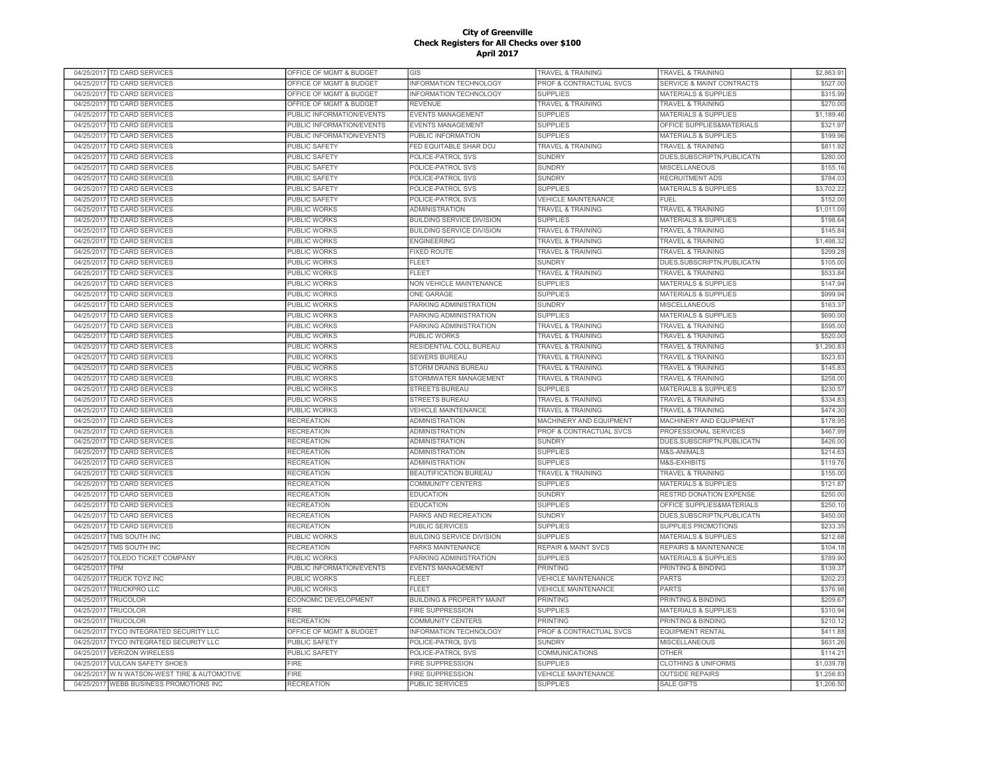|            | 04/25/2017 TD CARD SERVICES             | OFFICE OF MGMT & BUDGET   | GIS                                  | TRAVEL & TRAINING                  | <b>TRAVEL &amp; TRAINING</b>    | \$2,863.91 |
|------------|-----------------------------------------|---------------------------|--------------------------------------|------------------------------------|---------------------------------|------------|
| 04/25/2017 | TD CARD SERVICES                        | OFFICE OF MGMT & BUDGET   | <b>INFORMATION TECHNOLOGY</b>        | PROF & CONTRACTUAL SVCS            | SERVICE & MAINT CONTRACTS       | \$527.00   |
| 04/25/2017 | TD CARD SERVICES                        | OFFICE OF MGMT & BUDGET   | INFORMATION TECHNOLOGY               | <b>SUPPLIES</b>                    | <b>MATERIALS &amp; SUPPLIES</b> | \$315.99   |
| 04/25/2017 | TD CARD SERVICES                        | OFFICE OF MGMT & BUDGET   | <b>REVENUE</b>                       | <b>TRAVEL &amp; TRAINING</b>       | TRAVEL & TRAINING               | \$270.00   |
| 04/25/2017 | TD CARD SERVICES                        | PUBLIC INFORMATION/EVENTS | <b>EVENTS MANAGEMENT</b>             | <b>SUPPLIES</b>                    | <b>MATERIALS &amp; SUPPLIES</b> | \$1,189.46 |
| 04/25/2017 | TD CARD SERVICES                        | PUBLIC INFORMATION/EVENTS | <b>EVENTS MANAGEMENT</b>             | <b>SUPPLIES</b>                    | OFFICE SUPPLIES&MATERIALS       | \$321.97   |
| 04/25/2017 | <b>TD CARD SERVICES</b>                 | PUBLIC INFORMATION/EVENTS | PUBLIC INFORMATION                   | <b>SUPPLIES</b>                    | <b>MATERIALS &amp; SUPPLIES</b> | \$199.96   |
| 04/25/2017 | <b>TD CARD SERVICES</b>                 | <b>PUBLIC SAFETY</b>      | FED EQUITABLE SHAR DOJ               | <b>TRAVEL &amp; TRAINING</b>       | <b>TRAVEL &amp; TRAINING</b>    | \$811.92   |
| 04/25/2017 | <b>TD CARD SERVICES</b>                 | PUBLIC SAFETY             | POLICE-PATROL SVS                    | <b>SUNDRY</b>                      | DUES, SUBSCRIPTN, PUBLICATN     | \$280.00   |
| 04/25/2017 | <b>TD CARD SERVICES</b>                 | PUBLIC SAFETY             | POLICE-PATROL SVS                    | <b>SUNDRY</b>                      | <b>MISCELLANEOUS</b>            | \$155.1    |
| 04/25/2017 | <b>TD CARD SERVICES</b>                 | PUBLIC SAFETY             | POLICE-PATROL SVS                    | <b>SUNDRY</b>                      | <b>RECRUITMENT ADS</b>          | \$784.03   |
| 04/25/2017 | <b>TD CARD SERVICES</b>                 | <b>PUBLIC SAFETY</b>      | POLICE-PATROL SVS                    | <b>SUPPLIES</b>                    | <b>MATERIALS &amp; SUPPLIES</b> | \$3,702.22 |
| 04/25/2017 |                                         |                           |                                      |                                    | FUEL                            |            |
|            | TD CARD SERVICES                        | PUBLIC SAFETY             | POLICE-PATROL SVS                    | <b>VEHICLE MAINTENANCE</b>         |                                 | \$152.00   |
| 04/25/2017 | TD CARD SERVICES                        | PUBLIC WORKS              | <b>ADMINISTRATION</b>                | <b>TRAVEL &amp; TRAINING</b>       | <b>TRAVEL &amp; TRAINING</b>    | \$1,011.09 |
| 04/25/2017 | TD CARD SERVICES                        | PUBLIC WORKS              | <b>BUILDING SERVICE DIVISION</b>     | <b>SUPPLIES</b>                    | <b>MATERIALS &amp; SUPPLIES</b> | \$198.64   |
| 04/25/2017 | TD CARD SERVICES                        | PUBLIC WORKS              | <b>BUILDING SERVICE DIVISION</b>     | <b>TRAVEL &amp; TRAINING</b>       | TRAVEL & TRAINING               | \$145.84   |
| 04/25/2017 | TD CARD SERVICES                        | PUBLIC WORKS              | <b>ENGINEERING</b>                   | <b>TRAVEL &amp; TRAINING</b>       | TRAVEL & TRAINING               | \$1,498.32 |
| 04/25/2017 | TD CARD SERVICES                        | PUBLIC WORKS              | <b>FIXED ROUTE</b>                   | TRAVEL & TRAINING                  | <b>TRAVEL &amp; TRAINING</b>    | \$299.28   |
| 04/25/2017 | <b>TD CARD SERVICES</b>                 | PUBLIC WORKS              | <b>FLEET</b>                         | <b>SUNDRY</b>                      | DUES, SUBSCRIPTN, PUBLICATN     | \$105.00   |
| 04/25/2017 | <b>TD CARD SERVICES</b>                 | PUBLIC WORKS              | <b>FLEET</b>                         | <b>TRAVEL &amp; TRAINING</b>       | <b>TRAVEL &amp; TRAINING</b>    | \$533.84   |
| 04/25/2017 | <b>TD CARD SERVICES</b>                 | <b>PUBLIC WORKS</b>       | NON VEHICLE MAINTENANCE              | <b>SUPPLIES</b>                    | <b>MATERIALS &amp; SUPPLIES</b> | \$147.94   |
| 04/25/2017 | <b>TD CARD SERVICES</b>                 | PUBLIC WORKS              | ONE GARAGE                           | <b>SUPPLIES</b>                    | <b>MATERIALS &amp; SUPPLIES</b> | \$999.94   |
| 04/25/2017 | <b>TD CARD SERVICES</b>                 | PUBLIC WORKS              | PARKING ADMINISTRATION               | <b>SUNDRY</b>                      | <b>MISCELLANEOUS</b>            | \$163.37   |
| 04/25/2017 | <b>TD CARD SERVICES</b>                 | <b>PUBLIC WORKS</b>       | PARKING ADMINISTRATION               | <b>SUPPLIES</b>                    | <b>MATERIALS &amp; SUPPLIES</b> | \$690.00   |
| 04/25/2017 | <b>TD CARD SERVICES</b>                 | <b>PUBLIC WORKS</b>       | PARKING ADMINISTRATION               | <b>TRAVEL &amp; TRAINING</b>       | <b>TRAVEL &amp; TRAINING</b>    | \$595.0    |
| 04/25/2017 | <b>TD CARD SERVICES</b>                 | PUBLIC WORKS              | PUBLIC WORKS                         | <b>TRAVEL &amp; TRAINING</b>       | <b>TRAVEL &amp; TRAINING</b>    | \$520.00   |
| 04/25/2017 | TD CARD SERVICES                        | PUBLIC WORKS              | RESIDENTIAL COLL BUREAU              | TRAVEL & TRAINING                  | <b>TRAVEL &amp; TRAINING</b>    | \$1,290.83 |
| 04/25/2017 | TD CARD SERVICES                        | PUBLIC WORKS              | <b>SEWERS BUREAU</b>                 | <b>TRAVEL &amp; TRAINING</b>       | <b>TRAVEL &amp; TRAINING</b>    | \$523.83   |
| 04/25/2017 | TD CARD SERVICES                        | PUBLIC WORKS              | <b>STORM DRAINS BUREAU</b>           | <b>TRAVEL &amp; TRAINING</b>       | <b>TRAVEL &amp; TRAINING</b>    | \$145.8    |
| 04/25/2017 | TD CARD SERVICES                        | <b>PUBLIC WORKS</b>       | STORMWATER MANAGEMENT                | <b>TRAVEL &amp; TRAINING</b>       | <b>TRAVEL &amp; TRAINING</b>    | \$258.00   |
| 04/25/2017 | TD CARD SERVICES                        | PUBLIC WORKS              | <b>STREETS BUREAU</b>                | <b>SUPPLIES</b>                    | <b>MATERIALS &amp; SUPPLIES</b> | \$230.57   |
|            |                                         |                           |                                      |                                    |                                 |            |
| 04/25/2017 | <b>TD CARD SERVICES</b>                 | PUBLIC WORKS              | <b>STREETS BUREAU</b>                | <b>TRAVEL &amp; TRAINING</b>       | <b>TRAVEL &amp; TRAINING</b>    | \$334.8    |
| 04/25/2017 | TD CARD SERVICES                        | PUBLIC WORKS              | <b>VEHICLE MAINTENANCE</b>           | <b>TRAVEL &amp; TRAINING</b>       | <b>TRAVEL &amp; TRAINING</b>    | \$474.30   |
| 04/25/2017 | <b>TD CARD SERVICES</b>                 | <b>RECREATION</b>         | <b>ADMINISTRATION</b>                | MACHINERY AND EQUIPMENT            | MACHINERY AND EQUIPMENT         | \$178.95   |
| 04/25/2017 | <b>TD CARD SERVICES</b>                 | <b>RECREATION</b>         | <b>ADMINISTRATION</b>                | <b>PROF &amp; CONTRACTUAL SVCS</b> | PROFESSIONAL SERVICES           | \$467.99   |
| 04/25/2017 | <b>TD CARD SERVICES</b>                 | <b>RECREATION</b>         | <b>ADMINISTRATION</b>                | <b>SUNDRY</b>                      | DUES.SUBSCRIPTN.PUBLICATN       | \$426.00   |
| 04/25/2017 | <b>TD CARD SERVICES</b>                 | <b>RECREATION</b>         | <b>ADMINISTRATION</b>                | <b>SUPPLIES</b>                    | M&S-ANIMALS                     | \$214.63   |
| 04/25/2017 | <b>TD CARD SERVICES</b>                 | <b>RECREATION</b>         | <b>ADMINISTRATION</b>                | <b>SUPPLIES</b>                    | M&S-EXHIBITS                    | \$119.76   |
| 04/25/2017 | TD CARD SERVICES                        | <b>RECREATION</b>         | BEAUTIFICATION BUREAU                | <b>TRAVEL &amp; TRAINING</b>       | TRAVEL & TRAINING               | \$155.00   |
| 04/25/2017 | TD CARD SERVICES                        | <b>RECREATION</b>         | <b>COMMUNITY CENTERS</b>             | <b>SUPPLIES</b>                    | <b>MATERIALS &amp; SUPPLIES</b> | \$121.8    |
|            | 04/25/2017 TD CARD SERVICES             | <b>RECREATION</b>         | <b>EDUCATION</b>                     | <b>SUNDRY</b>                      | RESTRD DONATION EXPENSE         | \$250.00   |
| 04/25/2017 | TD CARD SERVICES                        | <b>RECREATION</b>         | <b>EDUCATION</b>                     | <b>SUPPLIES</b>                    | OFFICE SUPPLIES&MATERIALS       | \$250.1    |
| 04/25/2017 | TD CARD SERVICES                        | <b>RECREATION</b>         | PARKS AND RECREATION                 | <b>SUNDRY</b>                      | DUES, SUBSCRIPTN, PUBLICATN     | \$450.00   |
| 04/25/2017 | TD CARD SERVICES                        | <b>RECREATION</b>         | PUBLIC SERVICES                      | <b>SUPPLIES</b>                    | SUPPLIES PROMOTIONS             | \$233.35   |
| 04/25/2017 | TMS SOUTH INC                           | PUBLIC WORKS              | BUILDING SERVICE DIVISION            | <b>SUPPLIES</b>                    | MATERIALS & SUPPLIES            | \$212.68   |
| 04/25/2017 | TMS SOUTH INC                           | <b>RECREATION</b>         | PARKS MAINTENANCE                    | <b>REPAIR &amp; MAINT SVCS</b>     | REPAIRS & MAINTENANCE           | \$104.18   |
| 04/25/2017 | <b>TOLEDO TICKET COMPANY</b>            | PUBLIC WORKS              | PARKING ADMINISTRATION               | <b>SUPPLIES</b>                    | <b>MATERIALS &amp; SUPPLIES</b> | \$789.90   |
| 04/25/2017 | <b>TPM</b>                              | PUBLIC INFORMATION/EVENTS | <b>EVENTS MANAGEMENT</b>             | PRINTING                           | PRINTING & BINDING              | \$139.37   |
| 04/25/2017 | <b>TRUCK TOYZ INC</b>                   | PUBLIC WORKS              | <b>FLEET</b>                         | <b>VEHICLE MAINTENANCE</b>         | <b>PARTS</b>                    | \$202.23   |
| 04/25/2017 | <b>TRUCKPRO LLC</b>                     | PUBLIC WORKS              | <b>FLEET</b>                         | <b>VEHICLE MAINTENANCE</b>         | <b>PARTS</b>                    | \$376.98   |
| 04/25/2017 | <b>TRUCOLOR</b>                         | ECONOMIC DEVELOPMENT      | <b>BUILDING &amp; PROPERTY MAINT</b> | <b>PRINTING</b>                    | PRINTING & BINDING              | \$209.67   |
|            |                                         |                           |                                      |                                    |                                 |            |
| 04/25/2017 | TRUCOLOR                                | <b>FIRE</b>               | <b>FIRE SUPPRESSION</b>              | <b>SUPPLIES</b>                    | MATERIALS & SUPPLIES            | \$310.94   |
| 04/25/2017 | TRUCOLOR                                | <b>RECREATION</b>         | <b>COMMUNITY CENTERS</b>             | PRINTING                           | PRINTING & BINDING              | \$210.12   |
| 04/25/2017 | TYCO INTEGRATED SECURITY LLC            | OFFICE OF MGMT & BUDGET   | INFORMATION TECHNOLOGY               | PROF & CONTRACTUAL SVCS            | <b>EQUIPMENT RENTAL</b>         | \$411.88   |
| 04/25/2017 | TYCO INTEGRATED SECURITY LLC            | PUBLIC SAFETY             | POLICE-PATROL SVS                    | <b>SUNDRY</b>                      | <b>MISCELLANEOUS</b>            | \$631.26   |
| 04/25/2017 | <b>VERIZON WIRELESS</b>                 | PUBLIC SAFETY             | POLICE-PATROL SVS                    | <b>COMMUNICATIONS</b>              | <b>OTHER</b>                    | \$114.21   |
| 04/25/2017 | <b>VULCAN SAFETY SHOES</b>              | <b>FIRE</b>               | FIRE SUPPRESSION                     | <b>SUPPLIES</b>                    | <b>CLOTHING &amp; UNIFORMS</b>  | \$1,039.7  |
| 04/25/2017 | W N WATSON-WEST TIRE & AUTOMOTIVE       | <b>FIRE</b>               | <b>FIRE SUPPRESSION</b>              | <b>VEHICLE MAINTENANCE</b>         | <b>OUTSIDE REPAIRS</b>          | \$1,256.83 |
|            | 04/25/2017 WEBB BUSINESS PROMOTIONS INC | <b>RECREATION</b>         | <b>PUBLIC SERVICES</b>               | <b>SUPPLIES</b>                    | <b>SALE GIFTS</b>               | \$1,206.50 |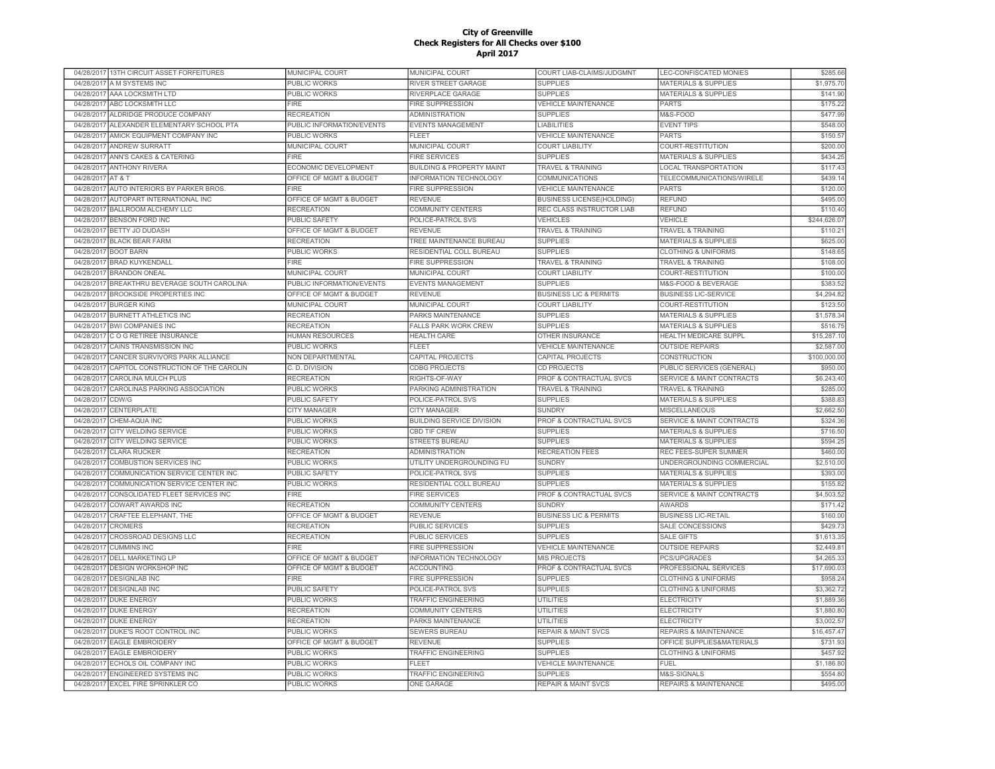| 04/28/2017 13TH CIRCUIT ASSET FORFEITURES         | MUNICIPAL COURT           | <b>MUNICIPAL COURT</b>               | COURT LIAB-CLAIMS/JUDGMNT         | LEC-CONFISCATED MONIES               | \$285.66     |
|---------------------------------------------------|---------------------------|--------------------------------------|-----------------------------------|--------------------------------------|--------------|
| 04/28/2017<br>A M SYSTEMS INC                     | PUBLIC WORKS              | RIVER STREET GARAGE                  | <b>SUPPLIES</b>                   | <b>MATERIALS &amp; SUPPLIES</b>      | \$1,975.70   |
| AAA LOCKSMITH LTD<br>04/28/2017                   | <b>PUBLIC WORKS</b>       | RIVERPLACE GARAGE                    | <b>SUPPLIES</b>                   | <b>MATERIALS &amp; SUPPLIES</b>      | \$141.90     |
| ABC LOCKSMITH LLC<br>04/28/2017                   | <b>FIRE</b>               | <b>FIRE SUPPRESSION</b>              | <b>VEHICLE MAINTENANCE</b>        | <b>PARTS</b>                         | \$175.22     |
| 04/28/2017<br>ALDRIDGE PRODUCE COMPANY            | <b>RECREATION</b>         | <b>ADMINISTRATION</b>                | <b>SUPPLIES</b>                   | M&S-FOOD                             | \$477.99     |
| 04/28/2017 ALEXANDER ELEMENTARY SCHOOL PTA        | PUBLIC INFORMATION/EVENTS | <b>EVENTS MANAGEMENT</b>             | <b>LIABILITIES</b>                | <b>EVENT TIPS</b>                    | \$548.00     |
| 04/28/2017<br>AMICK EQUIPMENT COMPANY INC         | PUBLIC WORKS              | <b>FLEET</b>                         | <b>VEHICLE MAINTENANCE</b>        | <b>PARTS</b>                         | \$150.57     |
| 04/28/2017<br>ANDREW SURRATT                      | MUNICIPAL COURT           | MUNICIPAL COURT                      | <b>COURT LIABILITY</b>            | COURT-RESTITUTION                    | \$200.00     |
| ANN'S CAKES & CATERING<br>04/28/2017              | <b>FIRE</b>               | <b>FIRE SERVICES</b>                 | <b>SUPPLIES</b>                   | <b>MATERIALS &amp; SUPPLIES</b>      | \$434.25     |
| <b>ANTHONY RIVERA</b><br>04/28/2017               | ECONOMIC DEVELOPMENT      | <b>BUILDING &amp; PROPERTY MAINT</b> | <b>TRAVEL &amp; TRAINING</b>      | <b>LOCAL TRANSPORTATION</b>          | \$117.43     |
| 04/28/2017<br>AT & T                              | OFFICE OF MGMT & BUDGET   | <b>INFORMATION TECHNOLOGY</b>        | COMMUNICATIONS                    | TELECOMMUNICATIONS/WIRELE            | \$439.14     |
| AUTO INTERIORS BY PARKER BROS.<br>04/28/2017      | <b>FIRE</b>               | <b>FIRE SUPPRESSION</b>              | <b>VEHICLE MAINTENANCE</b>        | <b>PARTS</b>                         | \$120.00     |
| 04/28/2017<br>AUTOPART INTERNATIONAL INC          |                           | <b>REVENUE</b>                       |                                   | <b>REFUND</b>                        | \$495.00     |
|                                                   | OFFICE OF MGMT & BUDGET   |                                      | <b>BUSINESS LICENSE(HOLDING)</b>  |                                      |              |
| <b>BALLROOM ALCHEMY LLC</b><br>04/28/2017         | <b>RECREATION</b>         | <b>COMMUNITY CENTERS</b>             | REC CLASS INSTRUCTOR LIAB         | <b>REFUND</b>                        | \$110.40     |
| 04/28/2017<br><b>BENSON FORD INC</b>              | PUBLIC SAFETY             | POLICE-PATROL SVS                    | <b>VEHICLES</b>                   | VEHICLE                              | \$244,626.07 |
| <b>BETTY JO DUDASH</b><br>04/28/2017              | OFFICE OF MGMT & BUDGET   | <b>REVENUE</b>                       | <b>TRAVEL &amp; TRAINING</b>      | <b>TRAVEL &amp; TRAINING</b>         | \$110.2      |
| 04/28/2017<br><b>BLACK BEAR FARM</b>              | <b>RECREATION</b>         | TREE MAINTENANCE BUREAU              | <b>SUPPLIES</b>                   | <b>MATERIALS &amp; SUPPLIES</b>      | \$625.00     |
| 04/28/2017 BOOT BARN                              | PUBLIC WORKS              | RESIDENTIAL COLL BUREAU              | <b>SUPPLIES</b>                   | <b>CLOTHING &amp; UNIFORMS</b>       | \$148.65     |
| 04/28/2017 BRAD KUYKENDALL                        | <b>FIRE</b>               | <b>FIRE SUPPRESSION</b>              | <b>TRAVEL &amp; TRAINING</b>      | <b>TRAVEL &amp; TRAINING</b>         | \$108.00     |
| 04/28/2017 BRANDON ONEAL                          | MUNICIPAL COURT           | MUNICIPAL COURT                      | <b>COURT LIABILITY</b>            | COURT-RESTITUTION                    | \$100.00     |
| 04/28/2017<br>BREAKTHRU BEVERAGE SOUTH CAROLINA   | PUBLIC INFORMATION/EVENTS | EVENTS MANAGEMENT                    | <b>SUPPLIES</b>                   | M&S-FOOD & BEVERAGE                  | \$383.5      |
| <b>BROOKSIDE PROPERTIES INC</b><br>04/28/2017     | OFFICE OF MGMT & BUDGET   | <b>REVENUE</b>                       | <b>BUSINESS LIC &amp; PERMITS</b> | <b>BUSINESS LIC-SERVICE</b>          | \$4,294.82   |
| <b>BURGER KING</b><br>04/28/2017                  | MUNICIPAL COURT           | MUNICIPAL COURT                      | <b>COURT LIABILITY</b>            | COURT-RESTITUTION                    | \$123.50     |
| 04/28/2017<br><b>BURNETT ATHLETICS INC</b>        | <b>RECREATION</b>         | PARKS MAINTENANCE                    | <b>SUPPLIES</b>                   | <b>MATERIALS &amp; SUPPLIES</b>      | \$1,578.34   |
| 04/28/2017<br><b>BWI COMPANIES INC</b>            | <b>RECREATION</b>         | <b>FALLS PARK WORK CREW</b>          | <b>SUPPLIES</b>                   | <b>MATERIALS &amp; SUPPLIES</b>      | \$516.7      |
| 04/28/2017<br>C O G RETIREE INSURANCE             | <b>HUMAN RESOURCES</b>    | <b>HEALTH CARE</b>                   | OTHER INSURANCE                   | <b>HEALTH MEDICARE SUPPL</b>         | \$15,287.10  |
| 04/28/2017<br><b>CAINS TRANSMISSION INC</b>       | <b>PUBLIC WORKS</b>       | FLEET                                | <b>VEHICLE MAINTENANCE</b>        | <b>OUTSIDE REPAIRS</b>               | \$2,587.00   |
| 04/28/2017<br>CANCER SURVIVORS PARK ALLIANCE      | <b>NON DEPARTMENTAL</b>   | CAPITAL PROJECTS                     | CAPITAL PROJECTS                  | <b>CONSTRUCTION</b>                  | \$100,000.00 |
| CAPITOL CONSTRUCTION OF THE CAROLIN<br>04/28/2017 | C.D. DIVISION             | <b>CDBG PROJECTS</b>                 | CD PROJECTS                       | PUBLIC SERVICES (GENERAL)            | \$950.00     |
| 04/28/2017<br>CAROLINA MULCH PLUS                 | <b>RECREATION</b>         | RIGHTS-OF-WAY                        | PROF & CONTRACTUAL SVCS           | SERVICE & MAINT CONTRACTS            | \$6,243.40   |
| CAROLINAS PARKING ASSOCIATION<br>04/28/2017       | PUBLIC WORKS              | PARKING ADMINISTRATION               | <b>TRAVEL &amp; TRAINING</b>      | <b>TRAVEL &amp; TRAINING</b>         | \$285.00     |
|                                                   |                           |                                      |                                   |                                      |              |
| CDW/G<br>04/28/2017                               | <b>PUBLIC SAFETY</b>      | POLICE-PATROL SVS                    | <b>SUPPLIES</b>                   | <b>MATERIALS &amp; SUPPLIES</b>      | \$388.83     |
| 04/28/2017<br>CENTERPLATE                         | <b>CITY MANAGER</b>       | <b>CITY MANAGER</b>                  | <b>SUNDRY</b>                     | <b>MISCELLANEOUS</b>                 | \$2,662.50   |
| 04/28/2017<br>CHEM-AQUA INC                       | PUBLIC WORKS              | <b>BUILDING SERVICE DIVISION</b>     | PROF & CONTRACTUAL SVCS           | <b>SERVICE &amp; MAINT CONTRACTS</b> | \$324.36     |
| CITY WELDING SERVICE<br>04/28/2017                | PUBLIC WORKS              | CBD TIF CREW                         | <b>SUPPLIES</b>                   | <b>MATERIALS &amp; SUPPLIES</b>      | \$716.50     |
| CITY WELDING SERVICE<br>04/28/2017                | <b>PUBLIC WORKS</b>       | <b>STREETS BUREAU</b>                | <b>SUPPLIES</b>                   | <b>MATERIALS &amp; SUPPLIES</b>      | \$594.25     |
| 04/28/2017<br><b>CLARA RUCKER</b>                 | <b>RECREATION</b>         | <b>ADMINISTRATION</b>                | <b>RECREATION FEES</b>            | REC FEES-SUPER SUMMER                | \$460.00     |
| 04/28/2017<br><b>COMBUSTION SERVICES INC</b>      | PUBLIC WORKS              | UTILITY UNDERGROUNDING FU            | <b>SUNDRY</b>                     | UNDERGROUNDING COMMERCIAL            | \$2,510.00   |
| 04/28/2017<br>COMMUNICATION SERVICE CENTER INC    | <b>PUBLIC SAFETY</b>      | POLICE-PATROL SVS                    | <b>SUPPLIES</b>                   | <b>MATERIALS &amp; SUPPLIES</b>      | \$393.00     |
| COMMUNICATION SERVICE CENTER INC<br>04/28/2017    | <b>PUBLIC WORKS</b>       | RESIDENTIAL COLL BUREAU              | <b>SUPPLIES</b>                   | <b>MATERIALS &amp; SUPPLIES</b>      | \$155.8      |
| 04/28/2017<br>CONSOLIDATED FLEET SERVICES INC     | <b>FIRE</b>               | <b>FIRE SERVICES</b>                 | PROF & CONTRACTUAL SVCS           | <b>SERVICE &amp; MAINT CONTRACTS</b> | \$4,503.52   |
| 04/28/2017<br><b>COWART AWARDS INC</b>            | <b>RECREATION</b>         | COMMUNITY CENTERS                    | <b>SUNDRY</b>                     | <b>AWARDS</b>                        | \$171.42     |
| 04/28/2017 CRAFTEE ELEPHANT, THE                  | OFFICE OF MGMT & BUDGET   | <b>REVENUE</b>                       | <b>BUSINESS LIC &amp; PERMITS</b> | <b>BUSINESS LIC-RETAIL</b>           | \$160.00     |
| 04/28/2017<br><b>CROMERS</b>                      | <b>RECREATION</b>         | <b>PUBLIC SERVICES</b>               | <b>SUPPLIES</b>                   | SALE CONCESSIONS                     | \$429.73     |
| <b>CROSSROAD DESIGNS LLC</b><br>04/28/2017        | <b>RECREATION</b>         | PUBLIC SERVICES                      | <b>SUPPLIES</b>                   | <b>SALE GIFTS</b>                    | \$1,613.3    |
| <b>CUMMINS INC</b><br>04/28/2017                  | <b>FIRE</b>               | <b>FIRE SUPPRESSION</b>              | <b>VEHICLE MAINTENANCE</b>        | <b>OUTSIDE REPAIRS</b>               | \$2,449.8    |
| 04/28/2017<br><b>DELL MARKETING LP</b>            | OFFICE OF MGMT & BUDGET   | <b>INFORMATION TECHNOLOGY</b>        | MIS PROJECTS                      | <b>PCS/UPGRADES</b>                  | \$4,265.3    |
| 04/28/2017<br><b>DESIGN WORKSHOP INC</b>          | OFFICE OF MGMT & BUDGET   | <b>ACCOUNTING</b>                    | PROF & CONTRACTUAL SVCS           | PROFESSIONAL SERVICES                | \$17,690.0   |
| 04/28/2017<br><b>DESIGNLAB INC</b>                | <b>FIRE</b>               | <b>FIRE SUPPRESSION</b>              | <b>SUPPLIES</b>                   | <b>CLOTHING &amp; UNIFORMS</b>       | \$958.24     |
| 04/28/2017<br><b>DESIGNLAB INC</b>                | PUBLIC SAFETY             | POLICE-PATROL SVS                    | <b>SUPPLIES</b>                   | <b>CLOTHING &amp; UNIFORMS</b>       | \$3,362.7    |
| 04/28/2017<br><b>DUKE ENERGY</b>                  | <b>PUBLIC WORKS</b>       | <b>TRAFFIC ENGINEERING</b>           | <b>UTILITIES</b>                  | <b>ELECTRICITY</b>                   | \$1,889.3    |
|                                                   |                           |                                      |                                   |                                      |              |
| 04/28/2017<br><b>DUKE ENERGY</b>                  | <b>RECREATION</b>         | <b>COMMUNITY CENTERS</b>             | <b>UTILITIES</b>                  | <b>ELECTRICITY</b>                   | \$1,880.80   |
| <b>DUKE ENERGY</b><br>04/28/2017                  | <b>RECREATION</b>         | PARKS MAINTENANCE                    | <b>UTILITIES</b>                  | <b>ELECTRICITY</b>                   | \$3,002.5    |
| 04/28/2017<br>DUKE'S ROOT CONTROL INC             | PUBLIC WORKS              | <b>SEWERS BUREAU</b>                 | <b>REPAIR &amp; MAINT SVCS</b>    | <b>REPAIRS &amp; MAINTENANCE</b>     | \$16,457.47  |
| <b>EAGLE EMBROIDERY</b><br>04/28/2017             | OFFICE OF MGMT & BUDGET   | <b>REVENUE</b>                       | <b>SUPPLIES</b>                   | OFFICE SUPPLIES&MATERIALS            | \$731.93     |
| 04/28/2017 EAGLE EMBROIDERY                       | PUBLIC WORKS              | <b>TRAFFIC ENGINEERING</b>           | <b>SUPPLIES</b>                   | <b>CLOTHING &amp; UNIFORMS</b>       | \$457.92     |
| 04/28/2017<br>ECHOLS OIL COMPANY INC              | <b>PUBLIC WORKS</b>       | <b>FLEET</b>                         | <b>VEHICLE MAINTENANCE</b>        | <b>FUEL</b>                          | \$1,186.80   |
| 04/28/2017 ENGINEERED SYSTEMS INC                 | PUBLIC WORKS              | TRAFFIC ENGINEERING                  | <b>SUPPLIES</b>                   | M&S-SIGNALS                          | \$554.80     |
| 04/28/2017 EXCEL FIRE SPRINKLER CO                | PUBLIC WORKS              | ONE GARAGE                           | <b>REPAIR &amp; MAINT SVCS</b>    | <b>REPAIRS &amp; MAINTENANCE</b>     | \$495.00     |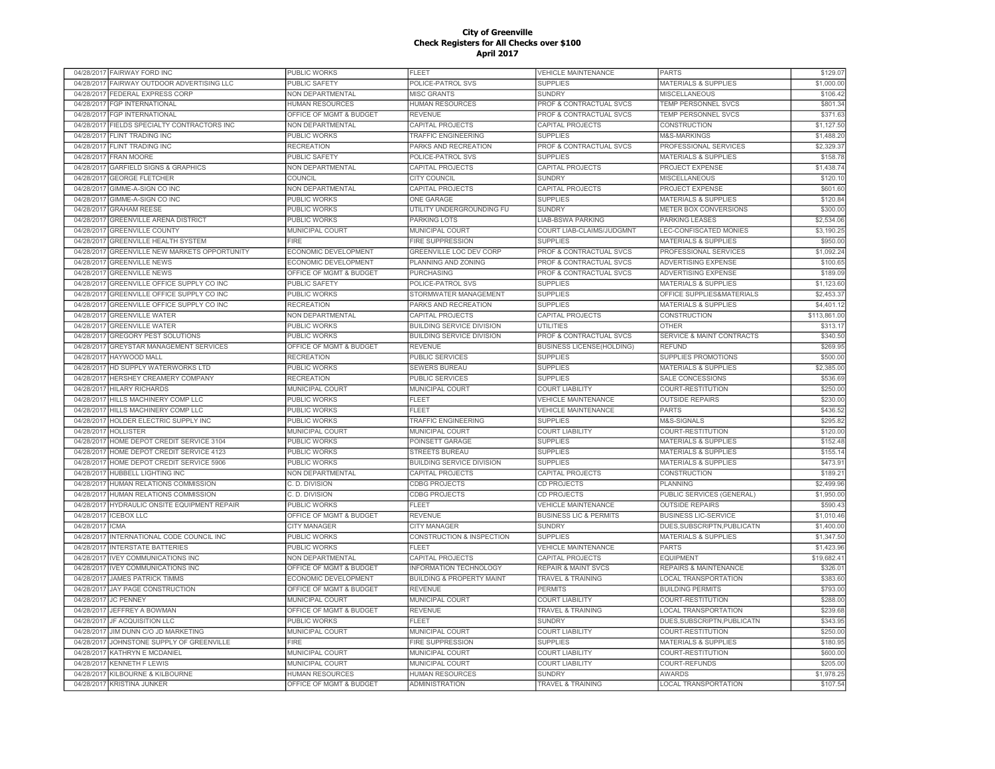|            | 04/28/2017 FAIRWAY FORD INC                                    | PUBLIC WORKS                                      | FLEET                                           | <b>VEHICLE MAINTENANCE</b>                    | <b>PARTS</b>                                 | \$129.07               |
|------------|----------------------------------------------------------------|---------------------------------------------------|-------------------------------------------------|-----------------------------------------------|----------------------------------------------|------------------------|
| 04/28/2017 | FAIRWAY OUTDOOR ADVERTISING LLC                                | PUBLIC SAFETY                                     | POLICE-PATROL SVS                               | <b>SUPPLIES</b>                               | MATERIALS & SUPPLIES                         | \$1,000.00             |
| 04/28/2017 | FEDERAL EXPRESS CORP                                           | NON DEPARTMENTAL                                  | <b>MISC GRANTS</b>                              | <b>SUNDRY</b>                                 | <b>MISCELLANEOUS</b>                         | \$106.42               |
| 04/28/2017 | <b>FGP INTERNATIONAL</b>                                       | <b>HUMAN RESOURCES</b>                            | <b>HUMAN RESOURCES</b>                          | PROF & CONTRACTUAL SVCS                       | TEMP PERSONNEL SVCS                          | \$801.34               |
|            | 04/28/2017 FGP INTERNATIONAL                                   | OFFICE OF MGMT & BUDGET                           | <b>REVENUE</b>                                  | PROF & CONTRACTUAL SVCS                       | <b>TEMP PERSONNEL SVCS</b>                   | \$371.63               |
|            | 04/28/2017 FIELDS SPECIALTY CONTRACTORS INC                    | <b>NON DEPARTMENTAL</b>                           | CAPITAL PROJECTS                                | CAPITAL PROJECTS                              | <b>CONSTRUCTION</b>                          | \$1,127.50             |
|            | 04/28/2017 FLINT TRADING INC                                   | PUBLIC WORKS                                      | TRAFFIC ENGINEERING                             | <b>SUPPLIES</b>                               | M&S-MARKINGS                                 | \$1,488.20             |
|            | 04/28/2017 FLINT TRADING INC                                   | <b>RECREATION</b>                                 | PARKS AND RECREATION                            | PROF & CONTRACTUAL SVCS                       | PROFESSIONAL SERVICES                        | \$2,329.37             |
| 04/28/2017 | <b>FRAN MOORE</b>                                              | PUBLIC SAFETY                                     | POLICE-PATROL SVS                               | <b>SUPPLIES</b>                               | <b>MATERIALS &amp; SUPPLIES</b>              | \$158.7                |
| 04/28/2017 | <b>GARFIELD SIGNS &amp; GRAPHICS</b>                           | NON DEPARTMENTAL                                  | CAPITAL PROJECTS                                | CAPITAL PROJECTS                              | <b>PROJECT EXPENSE</b>                       | \$1,438.7              |
| 04/28/2017 | <b>GEORGE FLETCHER</b>                                         | COUNCIL                                           | <b>CITY COUNCIL</b>                             | <b>SUNDRY</b>                                 | <b>MISCELLANEOUS</b>                         | \$120.10               |
| 04/28/2017 | GIMME-A-SIGN CO INC                                            | NON DEPARTMENTAL                                  | CAPITAL PROJECTS                                | <b>CAPITAL PROJECTS</b>                       | <b>PROJECT EXPENSE</b>                       | \$601.60               |
| 04/28/2017 | GIMME-A-SIGN CO INC                                            | <b>PUBLIC WORKS</b>                               | <b>ONE GARAGE</b>                               | <b>SUPPLIES</b>                               | <b>MATERIALS &amp; SUPPLIES</b>              | \$120.84               |
|            | <b>GRAHAM REESE</b>                                            |                                                   |                                                 | <b>SUNDRY</b>                                 |                                              |                        |
| 04/28/2017 |                                                                | <b>PUBLIC WORKS</b>                               | UTILITY UNDERGROUNDING FU                       |                                               | METER BOX CONVERSIONS                        | \$300.00               |
| 04/28/2017 | <b>GREENVILLE ARENA DISTRICT</b>                               | <b>PUBLIC WORKS</b>                               | <b>PARKING LOTS</b>                             | <b>LIAB-BSWA PARKING</b>                      | <b>PARKING LEASES</b>                        | \$2,534.06             |
| 04/28/2017 | <b>GREENVILLE COUNTY</b>                                       | <b>MUNICIPAL COURT</b>                            | <b>MUNICIPAL COURT</b>                          | COURT LIAB-CLAIMS/JUDGMNT                     | <b>LEC-CONFISCATED MONIES</b>                | \$3,190.25             |
| 04/28/2017 | <b>GREENVILLE HEALTH SYSTEM</b>                                | FIRE                                              | <b>FIRE SUPPRESSION</b>                         | <b>SUPPLIES</b>                               | <b>MATERIALS &amp; SUPPLIES</b>              | \$950.00               |
| 04/28/2017 | GREENVILLE NEW MARKETS OPPORTUNITY                             | ECONOMIC DEVELOPMENT                              | GREENVILLE LOC DEV CORP                         | PROF & CONTRACTUAL SVCS                       | PROFESSIONAL SERVICES                        | \$1,092.24             |
| 04/28/2017 | <b>GREENVILLE NEWS</b>                                         | ECONOMIC DEVELOPMENT                              | PLANNING AND ZONING                             | PROF & CONTRACTUAL SVCS                       | ADVERTISING EXPENSE                          | \$100.65               |
| 04/28/2017 | <b>GREENVILLE NEWS</b>                                         | OFFICE OF MGMT & BUDGET                           | PURCHASING                                      | PROF & CONTRACTUAL SVCS                       | ADVERTISING EXPENSE                          | \$189.09               |
| 04/28/2017 | GREENVILLE OFFICE SUPPLY CO INC                                | <b>PUBLIC SAFETY</b>                              | POLICE-PATROL SVS                               | <b>SUPPLIES</b>                               | <b>MATERIALS &amp; SUPPLIES</b>              | \$1,123.60             |
| 04/28/2017 | GREENVILLE OFFICE SUPPLY CO INC                                | PUBLIC WORKS                                      | STORMWATER MANAGEMENT                           | <b>SUPPLIES</b>                               | OFFICE SUPPLIES&MATERIALS                    | \$2,453.37             |
| 04/28/2017 | GREENVILLE OFFICE SUPPLY CO INC                                | <b>RECREATION</b>                                 | PARKS AND RECREATION                            | <b>SUPPLIES</b>                               | <b>MATERIALS &amp; SUPPLIES</b>              | \$4,401.12             |
| 04/28/2017 | <b>GREENVILLE WATER</b>                                        | NON DEPARTMENTAL                                  | <b>CAPITAL PROJECTS</b>                         | CAPITAL PROJECTS                              | <b>CONSTRUCTION</b>                          | \$113,861.0            |
| 04/28/2017 | <b>GREENVILLE WATER</b>                                        | <b>PUBLIC WORKS</b>                               | <b>BUILDING SERVICE DIVISION</b>                | <b>UTILITIES</b>                              | OTHER                                        | \$313.1                |
| 04/28/2017 | <b>GREGORY PEST SOLUTIONS</b>                                  | <b>PUBLIC WORKS</b>                               | <b>BUILDING SERVICE DIVISION</b>                | <b>PROF &amp; CONTRACTUAL SVCS</b>            | <b>SERVICE &amp; MAINT CONTRACTS</b>         | \$340.50               |
| 04/28/2017 | <b>GREYSTAR MANAGEMENT SERVICES</b>                            | OFFICE OF MGMT & BUDGET                           | <b>REVENUE</b>                                  | <b>BUSINESS LICENSE(HOLDING)</b>              | <b>REFUND</b>                                | \$269.95               |
| 04/28/2017 | <b>HAYWOOD MALL</b>                                            | <b>RECREATION</b>                                 | <b>PUBLIC SERVICES</b>                          | <b>SUPPLIES</b>                               | SUPPLIES PROMOTIONS                          | \$500.00               |
| 04/28/2017 | HD SUPPLY WATERWORKS LTD                                       | PUBLIC WORKS                                      | <b>SEWERS BUREAU</b>                            | <b>SUPPLIES</b>                               | <b>MATERIALS &amp; SUPPLIES</b>              | \$2,385.00             |
| 04/28/2017 | HERSHEY CREAMERY COMPANY                                       | <b>RECREATION</b>                                 | <b>PUBLIC SERVICES</b>                          | <b>SUPPLIES</b>                               | SALE CONCESSIONS                             | \$536.69               |
|            |                                                                |                                                   |                                                 |                                               |                                              |                        |
|            |                                                                |                                                   |                                                 |                                               |                                              |                        |
| 04/28/2017 | <b>HILARY RICHARDS</b>                                         | MUNICIPAL COURT                                   | MUNICIPAL COURT                                 | <b>COURT LIABILITY</b>                        | COURT-RESTITUTION                            | \$250.00               |
|            | 04/28/2017 HILLS MACHINERY COMP LLC                            | PUBLIC WORKS                                      | FLEET                                           | <b>VEHICLE MAINTENANCE</b>                    | <b>OUTSIDE REPAIRS</b>                       | \$230.00               |
|            | 04/28/2017 HILLS MACHINERY COMP LLC                            | PUBLIC WORKS                                      | FLEET                                           | <b>VEHICLE MAINTENANCE</b>                    | <b>PARTS</b>                                 | \$436.52               |
|            | 04/28/2017 HOLDER ELECTRIC SUPPLY INC                          | <b>PUBLIC WORKS</b>                               | <b>TRAFFIC ENGINEERING</b>                      | <b>SUPPLIES</b>                               | M&S-SIGNALS                                  | \$295.82               |
| 04/28/2017 | <b>HOLLISTER</b>                                               | <b>MUNICIPAL COURT</b>                            | <b>MUNICIPAL COURT</b>                          | <b>COURT LIABILITY</b>                        | COURT-RESTITUTION                            | \$120.00               |
| 04/28/2017 | HOME DEPOT CREDIT SERVICE 3104                                 | <b>PUBLIC WORKS</b>                               | POINSETT GARAGE                                 | <b>SUPPLIES</b>                               | <b>MATERIALS &amp; SUPPLIES</b>              | \$152.48               |
| 04/28/2017 | HOME DEPOT CREDIT SERVICE 4123                                 | <b>PUBLIC WORKS</b>                               | <b>STREETS BUREAU</b>                           | <b>SUPPLIES</b>                               | <b>MATERIALS &amp; SUPPLIES</b>              | \$155.1                |
| 04/28/2017 | HOME DEPOT CREDIT SERVICE 5906                                 | PUBLIC WORKS                                      | <b>BUILDING SERVICE DIVISION</b>                | <b>SUPPLIES</b>                               | <b>MATERIALS &amp; SUPPLIES</b>              | \$473.9                |
| 04/28/2017 | <b>HUBBELL LIGHTING INC</b>                                    | NON DEPARTMENTAL                                  | CAPITAL PROJECTS                                | CAPITAL PROJECTS                              | CONSTRUCTION                                 | \$189.2                |
| 04/28/2017 | HUMAN RELATIONS COMMISSION                                     | C. D. DIVISION                                    | <b>CDBG PROJECTS</b>                            | CD PROJECTS                                   | PLANNING                                     | \$2,499.96             |
| 04/28/2017 | HUMAN RELATIONS COMMISSION                                     | C. D. DIVISION                                    | <b>CDBG PROJECTS</b>                            | <b>CD PROJECTS</b>                            | PUBLIC SERVICES (GENERAL)                    | \$1,950.00             |
| 04/28/2017 | HYDRAULIC ONSITE EQUIPMENT REPAIR                              | PUBLIC WORKS                                      | <b>FLEET</b>                                    | <b>VEHICLE MAINTENANCE</b>                    | <b>OUTSIDE REPAIRS</b>                       | \$590.43               |
| 04/28/2017 | <b>CEBOX LLC</b>                                               | OFFICE OF MGMT & BUDGET                           | <b>REVENUE</b>                                  | <b>BUSINESS LIC &amp; PERMITS</b>             | <b>BUSINESS LIC-SERVICE</b>                  | \$1,010.46             |
| 04/28/2017 | CMA                                                            | <b>CITY MANAGER</b>                               | <b>CITY MANAGER</b>                             | <b>SUNDRY</b>                                 | DUES, SUBSCRIPTN, PUBLICATN                  | \$1,400.00             |
| 04/28/2017 | INTERNATIONAL CODE COUNCIL INC                                 | PUBLIC WORKS                                      | CONSTRUCTION & INSPECTION                       | <b>SUPPLIES</b>                               | <b>MATERIALS &amp; SUPPLIES</b>              | \$1,347.50             |
| 04/28/2017 | <b>INTERSTATE BATTERIES</b>                                    | <b>PUBLIC WORKS</b>                               | <b>FLEET</b>                                    | <b>VEHICLE MAINTENANCE</b>                    | <b>PARTS</b>                                 | \$1,423.96             |
|            | 04/28/2017 IVEY COMMUNICATIONS INC                             | NON DEPARTMENTAL                                  | CAPITAL PROJECTS                                | <b>CAPITAL PROJECTS</b>                       | <b>EQUIPMENT</b>                             | \$19,682.4             |
| 04/28/2017 | <b>IVEY COMMUNICATIONS INC</b>                                 | OFFICE OF MGMT & BUDGET                           | INFORMATION TECHNOLOGY                          | <b>REPAIR &amp; MAINT SVCS</b>                | <b>REPAIRS &amp; MAINTENANCE</b>             | \$326.0                |
| 04/28/2017 | <b>JAMES PATRICK TIMMS</b>                                     | ECONOMIC DEVELOPMENT                              | <b>BUILDING &amp; PROPERTY MAINT</b>            | TRAVEL & TRAINING                             | <b>LOCAL TRANSPORTATION</b>                  | \$383.60               |
|            |                                                                |                                                   |                                                 | <b>PERMITS</b>                                |                                              |                        |
| 04/28/2017 | JAY PAGE CONSTRUCTION                                          | OFFICE OF MGMT & BUDGET                           | <b>REVENUE</b>                                  |                                               | <b>BUILDING PERMITS</b>                      | \$793.0                |
| 04/28/2017 | <b>JC PENNEY</b>                                               | MUNICIPAL COURT                                   | MUNICIPAL COURT                                 | <b>COURT LIABILITY</b>                        | COURT-RESTITUTION                            | \$288.0                |
| 04/28/2017 | <b>JEFFREY A BOWMAN</b>                                        | OFFICE OF MGMT & BUDGET                           | <b>REVENUE</b>                                  | TRAVEL & TRAINING                             | <b>LOCAL TRANSPORTATION</b>                  | \$239.68               |
| 04/28/2017 | JF ACQUISITION LLC                                             | PUBLIC WORKS                                      | FLEET                                           | <b>SUNDRY</b>                                 | DUES, SUBSCRIPTN, PUBLICATN                  | \$343.95               |
| 04/28/2011 | JIM DUNN C/O JD MARKETING                                      | <b>MUNICIPAL COURT</b>                            | <b>MUNICIPAL COURT</b>                          | <b>COURT LIABILITY</b>                        | COURT-RESTITUTION                            | \$250.00               |
| 04/28/2017 | JOHNSTONE SUPPLY OF GREENVILLE                                 | <b>FIRE</b>                                       | <b>FIRE SUPPRESSION</b>                         | <b>SUPPLIES</b>                               | <b>MATERIALS &amp; SUPPLIES</b>              | \$180.95               |
| 04/28/2017 | KATHRYN E MCDANIEL                                             | MUNICIPAL COURT                                   | MUNICIPAL COURT                                 | <b>COURT LIABILITY</b>                        | <b>COURT-RESTITUTION</b>                     | \$600.00               |
| 04/28/2017 | <b>KENNETH F LEWIS</b>                                         | MUNICIPAL COURT                                   | MUNICIPAL COURT                                 | <b>COURT LIABILITY</b>                        | <b>COURT-REFUNDS</b>                         | \$205.00               |
|            | 04/28/2017 KILBOURNE & KILBOURNE<br>04/28/2017 KRISTINA JUNKER | <b>HUMAN RESOURCES</b><br>OFFICE OF MGMT & BUDGET | <b>HUMAN RESOURCES</b><br><b>ADMINISTRATION</b> | <b>SUNDRY</b><br><b>TRAVEL &amp; TRAINING</b> | <b>AWARDS</b><br><b>LOCAL TRANSPORTATION</b> | \$1,978.25<br>\$107.54 |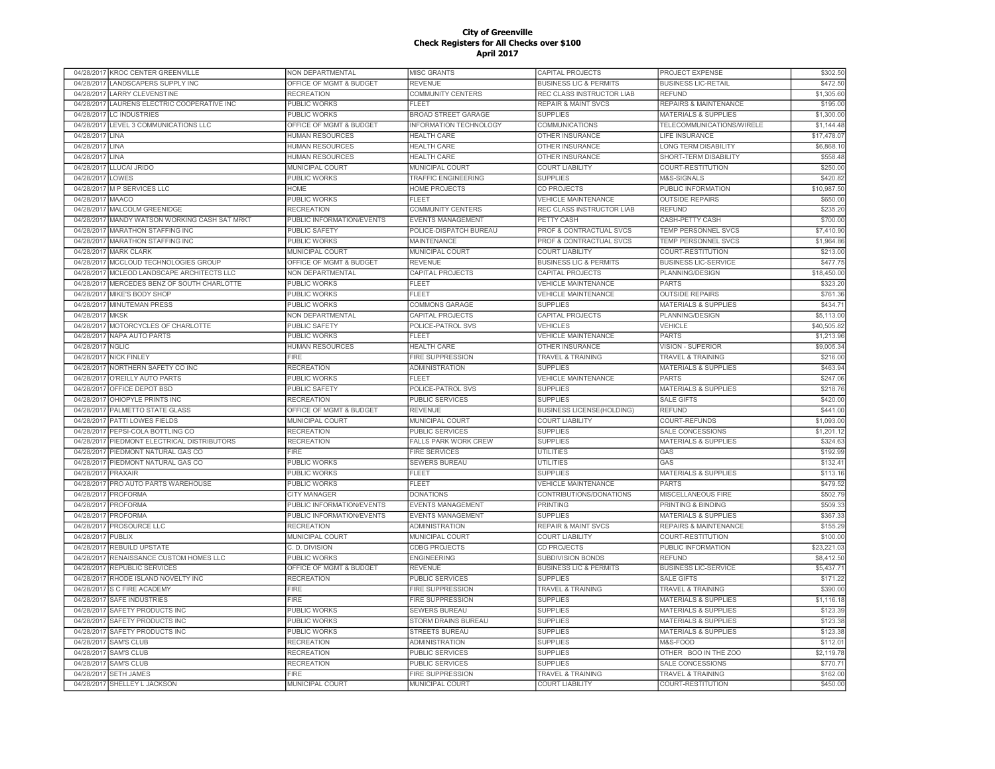| 04/28/2017 KROC CENTER GREENVILLE               | NON DEPARTMENTAL          | MISC GRANTS                 | CAPITAL PROJECTS                  | PROJECT EXPENSE                  | \$302.50    |
|-------------------------------------------------|---------------------------|-----------------------------|-----------------------------------|----------------------------------|-------------|
| 04/28/2017<br>LANDSCAPERS SUPPLY INC            | OFFICE OF MGMT & BUDGET   | <b>REVENUE</b>              | <b>BUSINESS LIC &amp; PERMITS</b> | <b>BUSINESS LIC-RETAIL</b>       | \$472.50    |
| <b>LARRY CLEVENSTINE</b><br>04/28/2017          | <b>RECREATION</b>         | COMMUNITY CENTERS           | REC CLASS INSTRUCTOR LIAB         | <b>REFUND</b>                    | \$1,305.60  |
| LAURENS ELECTRIC COOPERATIVE INC<br>04/28/2017  | PUBLIC WORKS              | <b>FLEET</b>                | <b>REPAIR &amp; MAINT SVCS</b>    | <b>REPAIRS &amp; MAINTENANCE</b> | \$195.00    |
| 04/28/2017<br><b>LC INDUSTRIES</b>              | PUBLIC WORKS              | <b>BROAD STREET GARAGE</b>  | <b>SUPPLIES</b>                   | <b>MATERIALS &amp; SUPPLIES</b>  | \$1,300.00  |
| 04/28/2017 LEVEL 3 COMMUNICATIONS LLC           | OFFICE OF MGMT & BUDGET   | INFORMATION TECHNOLOGY      | COMMUNICATIONS                    | TELECOMMUNICATIONS/WIRELE        | \$1,144.48  |
| 04/28/2017<br>LINA                              | <b>HUMAN RESOURCES</b>    | <b>HEALTH CARE</b>          | OTHER INSURANCE                   | <b>LIFE INSURANCE</b>            | \$17,478.07 |
| 04/28/2017<br>LINA                              | <b>HUMAN RESOURCES</b>    | <b>HEALTH CARE</b>          | OTHER INSURANCE                   | <b>LONG TERM DISABILITY</b>      | \$6,868.10  |
|                                                 |                           |                             |                                   |                                  |             |
| 04/28/2017<br>LINA                              | <b>HUMAN RESOURCES</b>    | <b>HEALTH CARE</b>          | OTHER INSURANCE                   | SHORT-TERM DISABILITY            | \$558.48    |
| 04/28/2017<br>LLUCAI JRIDO                      | MUNICIPAL COURT           | <b>MUNICIPAL COURT</b>      | <b>COURT LIABILITY</b>            | COURT-RESTITUTION                | \$250.00    |
| 04/28/201<br>LOWES                              | <b>PUBLIC WORKS</b>       | TRAFFIC ENGINEERING         | <b>SUPPLIES</b>                   | M&S-SIGNALS                      | \$420.82    |
| <b>MP SERVICES LLC</b><br>04/28/2017            | <b>HOME</b>               | <b>HOME PROJECTS</b>        | CD PROJECTS                       | PUBLIC INFORMATION               | \$10,987.50 |
| <b>MAACO</b><br>04/28/201                       | PUBLIC WORKS              | <b>FLEET</b>                | <b>VEHICLE MAINTENANCE</b>        | <b>OUTSIDE REPAIRS</b>           | \$650.0     |
| 04/28/2017<br><b>MALCOLM GREENIDGE</b>          | <b>RECREATION</b>         | COMMUNITY CENTERS           | REC CLASS INSTRUCTOR LIAB         | <b>REFUND</b>                    | \$235.2     |
| 04/28/201<br>MANDY WATSON WORKING CASH SAT MRKT | PUBLIC INFORMATION/EVENTS | <b>EVENTS MANAGEMENT</b>    | <b>PETTY CASH</b>                 | CASH-PETTY CASH                  | \$700.00    |
| <b>MARATHON STAFFING INC</b><br>04/28/2017      | <b>PUBLIC SAFETY</b>      | POLICE-DISPATCH BUREAU      | PROF & CONTRACTUAL SVCS           | <b>TEMP PERSONNEL SVCS</b>       | \$7,410.90  |
| 04/28/2017<br>MARATHON STAFFING INC             | <b>PUBLIC WORKS</b>       | <b>MAINTENANCE</b>          | PROF & CONTRACTUAL SVCS           | TEMP PERSONNEL SVCS              | \$1,964.86  |
| <b>MARK CLARK</b><br>04/28/2017                 | MUNICIPAL COURT           | <b>MUNICIPAL COURT</b>      | <b>COURT LIABILITY</b>            | COURT-RESTITUTION                | \$213.00    |
| 04/28/2017 MCCLOUD TECHNOLOGIES GROUP           | OFFICE OF MGMT & BUDGET   | <b>REVENUE</b>              | <b>BUSINESS LIC &amp; PERMITS</b> | <b>BUSINESS LIC-SERVICE</b>      | \$477.75    |
| 04/28/2017 MCLEOD LANDSCAPE ARCHITECTS LLC      | NON DEPARTMENTAL          | CAPITAL PROJECTS            | <b>CAPITAL PROJECTS</b>           | PLANNING/DESIGN                  | \$18,450.00 |
| 04/28/2017 MERCEDES BENZ OF SOUTH CHARLOTTE     | <b>PUBLIC WORKS</b>       | FLEET                       | <b>VEHICLE MAINTENANCE</b>        | <b>PARTS</b>                     | \$323.20    |
| 04/28/2017<br>MIKE'S BODY SHOP                  | <b>PUBLIC WORKS</b>       | <b>FLEET</b>                | <b>VEHICLE MAINTENANCE</b>        | <b>OUTSIDE REPAIRS</b>           | \$761.36    |
| 04/28/2017<br><b>MINUTEMAN PRESS</b>            | PUBLIC WORKS              | <b>COMMONS GARAGE</b>       | <b>SUPPLIES</b>                   | <b>MATERIALS &amp; SUPPLIES</b>  | \$434.7'    |
| <b>MKSK</b><br>04/28/2017                       | NON DEPARTMENTAL          | CAPITAL PROJECTS            | <b>CAPITAL PROJECTS</b>           | PLANNING/DESIGN                  | \$5.113.00  |
| MOTORCYCLES OF CHARLOTTE<br>04/28/2017          | <b>PUBLIC SAFETY</b>      | POLICE-PATROL SVS           | <b>VEHICLES</b>                   | <b>VEHICLE</b>                   | \$40,505.82 |
| <b>NAPA AUTO PARTS</b><br>04/28/2011            | <b>PUBLIC WORKS</b>       | <b>FLEET</b>                | <b>VEHICLE MAINTENANCE</b>        | <b>PARTS</b>                     | \$1,213.96  |
|                                                 |                           |                             |                                   |                                  |             |
| 04/28/2017<br><b>NGLIC</b>                      | <b>HUMAN RESOURCES</b>    | <b>HEALTH CARE</b>          | OTHER INSURANCE                   | <b>VISION - SUPERIOR</b>         | \$9,005.34  |
| 04/28/2017<br><b>NICK FINLEY</b>                | <b>FIRE</b>               | <b>FIRE SUPPRESSION</b>     | <b>TRAVEL &amp; TRAINING</b>      | <b>TRAVEL &amp; TRAINING</b>     | \$216.00    |
| NORTHERN SAFETY CO INC<br>04/28/2017            | <b>RECREATION</b>         | <b>ADMINISTRATION</b>       | <b>SUPPLIES</b>                   | <b>MATERIALS &amp; SUPPLIES</b>  | \$463.94    |
| 04/28/2017<br>O'REILLY AUTO PARTS               | PUBLIC WORKS              | <b>FLEET</b>                | <b>VEHICLE MAINTENANCE</b>        | <b>PARTS</b>                     | \$247.06    |
| OFFICE DEPOT BSD<br>04/28/2017                  | <b>PUBLIC SAFETY</b>      | POLICE-PATROL SVS           | <b>SUPPLIES</b>                   | <b>MATERIALS &amp; SUPPLIES</b>  | \$218.76    |
| 04/28/2017 OHIOPYLE PRINTS INC                  | <b>RECREATION</b>         | <b>PUBLIC SERVICES</b>      | <b>SUPPLIES</b>                   | <b>SALE GIFTS</b>                | \$420.00    |
| PALMETTO STATE GLASS<br>04/28/2017              | OFFICE OF MGMT & BUDGET   | <b>REVENUE</b>              | <b>BUSINESS LICENSE(HOLDING)</b>  | <b>REFUND</b>                    | \$441.00    |
| 04/28/2017<br>PATTI LOWES FIELDS                | MUNICIPAL COURT           | MUNICIPAL COURT             | <b>COURT LIABILITY</b>            | COURT-REFUNDS                    | \$1,093.00  |
| 04/28/2017<br>PEPSI-COLA BOTTLING CO            | <b>RECREATION</b>         | <b>PUBLIC SERVICES</b>      | <b>SUPPLIES</b>                   | <b>SALE CONCESSIONS</b>          | \$1,201.12  |
| 04/28/2017<br>PIEDMONT ELECTRICAL DISTRIBUTORS  | <b>RECREATION</b>         | <b>FALLS PARK WORK CREW</b> | <b>SUPPLIES</b>                   | <b>MATERIALS &amp; SUPPLIES</b>  | \$324.6     |
| PIEDMONT NATURAL GAS CO<br>04/28/201            | <b>FIRE</b>               | <b>FIRE SERVICES</b>        | <b>UTILITIES</b>                  | GAS                              | \$192.99    |
| PIEDMONT NATURAL GAS CO<br>04/28/2017           | <b>PUBLIC WORKS</b>       | <b>SEWERS BUREAU</b>        | <b>UTILITIES</b>                  | GAS                              | \$132.4     |
| 04/28/2011<br>PRAXAIR                           | PUBLIC WORKS              | <b>FLEET</b>                | <b>SUPPLIES</b>                   | <b>MATERIALS &amp; SUPPLIES</b>  | \$113.10    |
| 04/28/2011<br>PRO AUTO PARTS WAREHOUSE          | PUBLIC WORKS              | FLEET                       | <b>VEHICLE MAINTENANCE</b>        | <b>PARTS</b>                     | \$479.52    |
| 04/28/201<br><b>PROFORMA</b>                    | <b>CITY MANAGER</b>       | <b>DONATIONS</b>            | CONTRIBUTIONS/DONATIONS           | MISCELLANEOUS FIRE               | \$502.7     |
| 04/28/2017<br><b>PROFORMA</b>                   | PUBLIC INFORMATION/EVENTS | <b>EVENTS MANAGEMENT</b>    | <b>PRINTING</b>                   | PRINTING & BINDING               | \$509.3     |
| 04/28/2017<br><b>PROFORMA</b>                   | PUBLIC INFORMATION/EVENTS | EVENTS MANAGEMENT           | <b>SUPPLIES</b>                   | <b>MATERIALS &amp; SUPPLIES</b>  | \$367.33    |
|                                                 |                           | <b>ADMINISTRATION</b>       |                                   |                                  | \$155.2     |
| PROSOURCE LLC<br>04/28/2017                     | <b>RECREATION</b>         |                             | <b>REPAIR &amp; MAINT SVCS</b>    | <b>REPAIRS &amp; MAINTENANCE</b> |             |
| 04/28/2017<br>PUBLIX                            | MUNICIPAL COURT           | MUNICIPAL COURT             | <b>COURT LIABILITY</b>            | COURT-RESTITUTION                | \$100.00    |
| <b>REBUILD UPSTATE</b><br>04/28/2017            | C. D. DIVISION            | <b>CDBG PROJECTS</b>        | <b>CD PROJECTS</b>                | PUBLIC INFORMATION               | \$23,221.03 |
| RENAISSANCE CUSTOM HOMES LLC<br>04/28/2017      | PUBLIC WORKS              | <b>ENGINEERING</b>          | SUBDIVISION BONDS                 | <b>REFUND</b>                    | \$8,412.50  |
| 04/28/2017<br>REPUBLIC SERVICES                 | OFFICE OF MGMT & BUDGET   | <b>REVENUE</b>              | <b>BUSINESS LIC &amp; PERMITS</b> | <b>BUSINESS LIC-SERVICE</b>      | \$5,437.71  |
| 04/28/2017<br>RHODE ISLAND NOVELTY INC          | <b>RECREATION</b>         | <b>PUBLIC SERVICES</b>      | <b>SUPPLIES</b>                   | <b>SALE GIFTS</b>                | \$171.22    |
| 04/28/2017<br>S C FIRE ACADEMY                  | <b>FIRE</b>               | FIRE SUPPRESSION            | <b>TRAVEL &amp; TRAINING</b>      | TRAVEL & TRAINING                | \$390.00    |
| 04/28/2017<br><b>SAFE INDUSTRIES</b>            | <b>FIRE</b>               | <b>FIRE SUPPRESSION</b>     | <b>SUPPLIES</b>                   | <b>MATERIALS &amp; SUPPLIES</b>  | \$1,116.18  |
| 04/28/2011<br>SAFETY PRODUCTS INC               | PUBLIC WORKS              | SEWERS BUREAU               | <b>SUPPLIES</b>                   | <b>MATERIALS &amp; SUPPLIES</b>  | \$123.39    |
| 04/28/2017<br>SAFETY PRODUCTS INC               | PUBLIC WORKS              | STORM DRAINS BUREAU         | <b>SUPPLIES</b>                   | <b>MATERIALS &amp; SUPPLIES</b>  | \$123.38    |
| 04/28/2017<br>SAFETY PRODUCTS INC               | <b>PUBLIC WORKS</b>       | <b>STREETS BUREAU</b>       | <b>SUPPLIES</b>                   | <b>MATERIALS &amp; SUPPLIES</b>  | \$123.38    |
| 04/28/2017<br><b>SAM'S CLUB</b>                 | <b>RECREATION</b>         | <b>ADMINISTRATION</b>       | <b>SUPPLIES</b>                   | M&S-FOOD                         | \$112.0     |
| 04/28/2017<br><b>SAM'S CLUB</b>                 | <b>RECREATION</b>         | PUBLIC SERVICES             | <b>SUPPLIES</b>                   | OTHER BOO IN THE ZOO             | \$2,119.78  |
| <b>SAM'S CLUB</b><br>04/28/2017                 | <b>RECREATION</b>         | <b>PUBLIC SERVICES</b>      | <b>SUPPLIES</b>                   | <b>SALE CONCESSIONS</b>          | \$770.7     |
| 04/28/2017 SETH JAMES                           | FIRE                      | <b>FIRE SUPPRESSION</b>     | <b>TRAVEL &amp; TRAINING</b>      | <b>TRAVEL &amp; TRAINING</b>     | \$162.00    |
| 04/28/2017 SHELLEY L JACKSON                    | MUNICIPAL COURT           | MUNICIPAL COURT             | <b>COURT LIABILITY</b>            | COURT-RESTITUTION                | \$450.00    |
|                                                 |                           |                             |                                   |                                  |             |